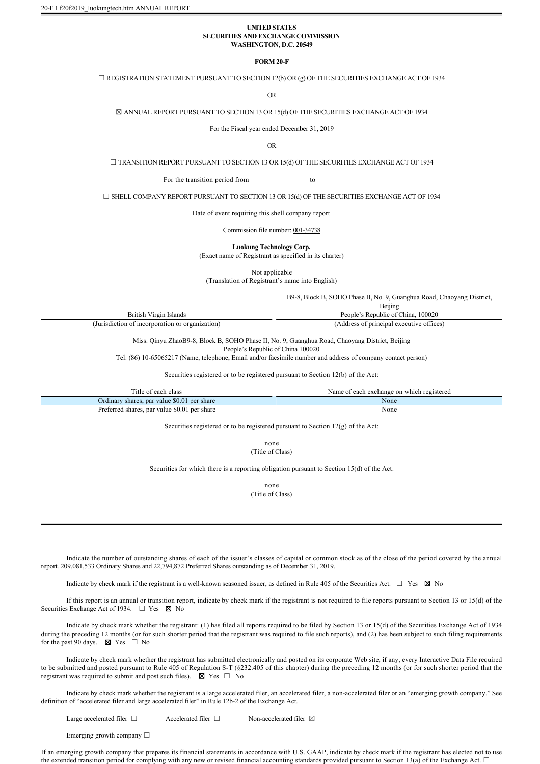20F 1 f20f2019\_luokungtech.htm ANNUAL REPORT

## **UNITED STATES SECURITIES AND EXCHANGE COMMISSION WASHINGTON, D.C. 20549**

**FORM 20F**

 $\Box$  REGISTRATION STATEMENT PURSUANT TO SECTION 12(b) OR (g) OF THE SECURITIES EXCHANGE ACT OF 1934

OR

 $\boxtimes$  ANNUAL REPORT PURSUANT TO SECTION 13 OR 15(d) OF THE SECURITIES EXCHANGE ACT OF 1934

For the Fiscal year ended December 31, 2019

OR

☐ TRANSITION REPORT PURSUANT TO SECTION 13 OR 15(d) OF THE SECURITIES EXCHANGE ACT OF 1934

For the transition period from to  $\sim$ 

 $\Box$  SHELL COMPANY REPORT PURSUANT TO SECTION 13 OR 15(d) OF THE SECURITIES EXCHANGE ACT OF 1934

Date of event requiring this shell company report

Commission file number: 001-34738

# **Luokung Technology Corp.**

(Exact name of Registrant as specified in its charter)

Not applicable (Translation of Registrant's name into English)

B9-8, Block B, SOHO Phase II, No. 9, Guanghua Road, Chaoyang District,

|                                                 | Beijing                                  |  |  |
|-------------------------------------------------|------------------------------------------|--|--|
| British Virgin Islands                          | People's Republic of China, 100020       |  |  |
| (Jurisdiction of incorporation or organization) | (Address of principal executive offices) |  |  |
|                                                 |                                          |  |  |

Miss. Qinyu ZhaoB9-8, Block B, SOHO Phase II, No. 9, Guanghua Road, Chaoyang District, Beijing People's Republic of China 100020

Tel: (86) 1065065217 (Name, telephone, Email and/or facsimile number and address of company contact person)

Securities registered or to be registered pursuant to Section 12(b) of the Act:

| Title of each class                          | Name of each exchange on which registered |  |  |
|----------------------------------------------|-------------------------------------------|--|--|
| Ordinary shares, par value \$0.01 per share  | None                                      |  |  |
| Preferred shares, par value \$0.01 per share | None                                      |  |  |

Securities registered or to be registered pursuant to Section 12(g) of the Act:

none (Title of Class)

Securities for which there is a reporting obligation pursuant to Section 15(d) of the Act:

none (Title of Class)

Indicate the number of outstanding shares of each of the issuer's classes of capital or common stock as of the close of the period covered by the annual report. 209,081,533 Ordinary Shares and 22,794,872 Preferred Shares outstanding as of December 31, 2019.

Indicate by check mark if the registrant is a well-known seasoned issuer, as defined in Rule 405 of the Securities Act.  $\Box$  Yes  $\boxtimes$  No

If this report is an annual or transition report, indicate by check mark if the registrant is not required to file reports pursuant to Section 13 or 15(d) of the Securities Exchange Act of 1934.  $\Box$  Yes  $\boxtimes$  No

Indicate by check mark whether the registrant: (1) has filed all reports required to be filed by Section 13 or 15(d) of the Securities Exchange Act of 1934 during the preceding 12 months (or for such shorter period that the registrant was required to file such reports), and (2) has been subject to such filing requirements for the past 90 days.  $\boxtimes$  Yes  $\Box$  No

Indicate by check mark whether the registrant has submitted electronically and posted on its corporate Web site, if any, every Interactive Data File required to be submitted and posted pursuant to Rule 405 of Regulation S-T (§232.405 of this chapter) during the preceding 12 months (or for such shorter period that the registrant was required to submit and post such files).  $\boxtimes$  Yes  $\Box$  No

Indicate by check mark whether the registrant is a large accelerated filer, an accelerated filer, a nonaccelerated filer or an "emerging growth company." See definition of "accelerated filer and large accelerated filer" in Rule 12b-2 of the Exchange Act.

Large accelerated filer ☐ Accelerated filer ☐ Nonaccelerated filer ☒

Emerging growth company □

If an emerging growth company that prepares its financial statements in accordance with U.S. GAAP, indicate by check mark if the registrant has elected not to use the extended transition period for complying with any new or revised financial accounting standards provided pursuant to Section 13(a) of the Exchange Act. □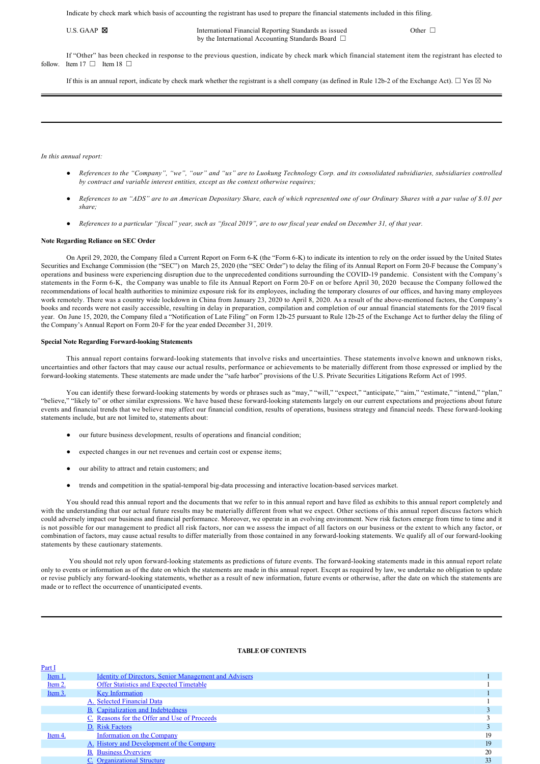Indicate by check mark which basis of accounting the registrant has used to prepare the financial statements included in this filing.

U.S. GAAP  $\boxtimes$  International Financial Reporting Standards as issued by the International Accounting Standards Board  $\Box$ 

the extended transition period final accounting with any new or revised pursuant to Section 13(a) of the Exchange Act.  $\blacksquare$ 

Other  $\Box$ 

If "Other" has been checked in response to the previous question, indicate by check mark which financial statement item the registrant has elected to follow. Item  $17 \Box$  Item  $18 \Box$ 

If this is an annual report, indicate by check mark whether the registrant is a shell company (as defined in Rule 12b-2 of the Exchange Act).  $\Box$  Yes  $\boxtimes$  No

*In this annual report:* 

Part I

- *References to the "Company", "we", "our" and "us" are to Luokung Technology Corp. and its consolidated subsidiaries, subsidiaries controlled by contract and variable interest entities, except as the context otherwise requires;*
- *References to an "ADS" are to an American Depositary Share, each of which represented one of our Ordinary Shares with a par value of \$.01 per share;*
- *References to a particular "fiscal" year, such as "fiscal 2019", are to our fiscal year ended on December 31, of that year.*

#### **Note Regarding Reliance on SEC Order**

On April 29, 2020, the Company filed a Current Report on Form 6K (the "Form 6K) to indicate its intention to rely on the order issued by the United States Securities and Exchange Commission (the "SEC") on March 25, 2020 (the "SEC Order") to delay the filing of its Annual Report on Form 20-F because the Company's operations and business were experiencing disruption due to the unprecedented conditions surrounding the COVID19 pandemic. Consistent with the Company's statements in the Form 6-K, the Company was unable to file its Annual Report on Form 20-F on or before April 30, 2020 because the Company followed the recommendations of local health authorities to minimize exposure risk for its employees, including the temporary closures of our offices, and having many employees work remotely. There was a country wide lockdown in China from January 23, 2020 to April 8, 2020. As a result of the above-mentioned factors, the Company's books and records were not easily accessible, resulting in delay in preparation, compilation and completion of our annual financial statements for the 2019 fiscal year. On June 15, 2020, the Company filed a "Notification of Late Filing" on Form 12b-25 pursuant to Rule 12b-25 of the Exchange Act to further delay the filing of the Company's Annual Report on Form 20-F for the year ended December 31, 2019.

### **Special Note Regarding Forward-looking Statements**

This annual report contains forward-looking statements that involve risks and uncertainties. These statements involve known and unknown risks, uncertainties and other factors that may cause our actual results, performance or achievements to be materially different from those expressed or implied by the forward-looking statements. These statements are made under the "safe harbor" provisions of the U.S. Private Securities Litigations Reform Act of 1995.

You can identify these forward-looking statements by words or phrases such as "may," "will," "expect," "anticipate," "aim," "estimate," "intend," "plan," "believe," "likely to" or other similar expressions. We have based these forward-looking statements largely on our current expectations and projections about future events and financial trends that we believe may affect our financial condition, results of operations, business strategy and financial needs. These forward-looking statements include, but are not limited to, statements about:

- our future business development, results of operations and financial condition;
- expected changes in our net revenues and certain cost or expense items;
- our ability to attract and retain customers; and
- trends and competition in the spatial-temporal big-data processing and interactive location-based services market.

You should read this annual report and the documents that we refer to in this annual report and have filed as exhibits to this annual report completely and with the understanding that our actual future results may be materially different from what we expect. Other sections of this annual report discuss factors which could adversely impact our business and financial performance. Moreover, we operate in an evolving environment. New risk factors emerge from time to time and it is not possible for our management to predict all risk factors, nor can we assess the impact of all factors on our business or the extent to which any factor, or combination of factors, may cause actual results to differ materially from those contained in any forward-looking statements. We qualify all of our forward-looking statements by these cautionary statements.

You should not rely upon forward-looking statements as predictions of future events. The forward-looking statements made in this annual report relate only to events or information as of the date on which the statements are made in this annual report. Except as required by law, we undertake no obligation to update or revise publicly any forward-looking statements, whether as a result of new information, future events or otherwise, after the date on which the statements are made or to reflect the occurrence of unanticipated events.

# **TABLE OF CONTENTS**

| <u>rait i</u> |                                                              |    |
|---------------|--------------------------------------------------------------|----|
| Item 1.       | <b>Identity of Directors, Senior Management and Advisers</b> |    |
| Item 2.       | <b>Offer Statistics and Expected Timetable</b>               |    |
| Item 3.       | <b>Key Information</b>                                       |    |
|               | A. Selected Financial Data                                   |    |
|               | <b>B.</b> Capitalization and Indebtedness                    |    |
|               | C. Reasons for the Offer and Use of Proceeds                 |    |
|               | D. Risk Factors                                              |    |
| Item 4.       | Information on the Company                                   | 19 |
|               | A. History and Development of the Company                    | 19 |
|               | <b>B.</b> Business Overview                                  | 20 |
|               | C. Organizational Structure                                  | 33 |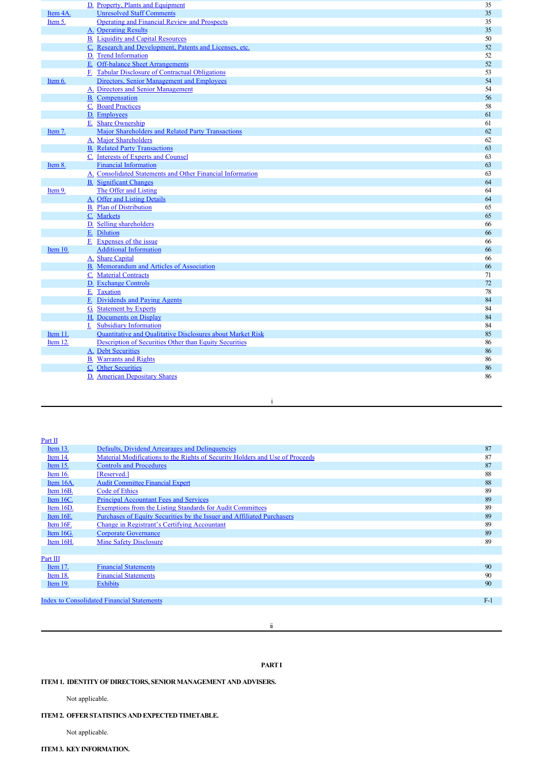|             | D. Property, Plants and Equipment                          | 35       |
|-------------|------------------------------------------------------------|----------|
| Item 4A.    | <b>Unresolved Staff Comments</b>                           | 35       |
| Item 5.     | <b>Operating and Financial Review and Prospects</b>        | 35       |
|             | A. Operating Results                                       | 35       |
|             | <b>B.</b> Liquidity and Capital Resources                  | 50       |
|             | C. Research and Development, Patents and Licenses, etc.    | 52       |
|             | D. Trend Information                                       | 52       |
|             | E. Off-balance Sheet Arrangements                          | 52       |
|             | <b>F.</b> Tabular Disclosure of Contractual Obligations    | 53       |
| Item 6.     | Directors, Senior Management and Employees                 | 54       |
|             | A. Directors and Senior Management                         | 54       |
|             | B. Compensation                                            | 56       |
|             | C. Board Practices                                         | 58       |
|             | D. Employees                                               | 61       |
|             | E. Share Ownership                                         | 61       |
| Item 7.     | Major Shareholders and Related Party Transactions          | 62       |
|             | A. Major Shareholders                                      | 62       |
|             | <b>B.</b> Related Party Transactions                       | 63       |
|             | C. Interests of Experts and Counsel                        | 63       |
| Item 8.     | <b>Financial Information</b>                               | 63       |
|             | A. Consolidated Statements and Other Financial Information | 63       |
|             | <b>B.</b> Significant Changes                              | 64       |
| Item 9.     | The Offer and Listing                                      | 64       |
|             | A. Offer and Listing Details                               | 64       |
|             | <b>B.</b> Plan of Distribution                             | 65       |
|             | C. Markets                                                 | 65       |
|             | D. Selling shareholders                                    | 66       |
|             | E. Dilution                                                | 66       |
|             | E. Expenses of the issue                                   | 66       |
| Item $10$ . | <b>Additional Information</b>                              | 66       |
|             | A. Share Capital                                           | 66       |
|             | B. Memorandum and Articles of Association                  | 66<br>71 |
|             | C. Material Contracts<br>D. Exchange Controls              | 72       |
|             | E. Taxation                                                | 78       |
|             | F. Dividends and Paying Agents                             | 84       |
|             | <b>G.</b> Statement by Experts                             | 84       |
|             | H. Documents on Display                                    | 84       |
|             | I. Subsidiary Information                                  | 84       |
| Item 11.    | Quantitative and Qualitative Disclosures about Market Risk | 85       |
| Item 12.    | Description of Securities Other than Equity Securities     | 86       |
|             | A. Debt Securities                                         | 86       |
|             | <b>B.</b> Warrants and Rights                              | 86       |
|             | C. Other Securities                                        | 86       |
|             | D. American Depositary Shares                              | 86       |
|             |                                                            |          |

| Part II      |                                                                              |       |
|--------------|------------------------------------------------------------------------------|-------|
| Item 13.     | Defaults, Dividend Arrearages and Delinquencies                              | 87    |
| Item 14.     | Material Modifications to the Rights of Security Holders and Use of Proceeds | 87    |
| Item 15.     | <b>Controls and Procedures</b>                                               | 87    |
| Item $16$ .  | [Reserved.]                                                                  | 88    |
| Item 16A.    | <b>Audit Committee Financial Expert</b>                                      | 88    |
| Item 16B.    | Code of Ethics                                                               | 89    |
| Item 16C.    | <b>Principal Accountant Fees and Services</b>                                | 89    |
| Item 16D.    | Exemptions from the Listing Standards for Audit Committees                   | 89    |
| Item 16E.    | Purchases of Equity Securities by the Issuer and Affiliated Purchasers       | 89    |
| Item 16F.    | Change in Registrant's Certifying Accountant                                 | 89    |
| Item $16G$ . | <b>Corporate Governance</b>                                                  | 89    |
| Item 16H.    | <b>Mine Safety Disclosure</b>                                                | 89    |
|              |                                                                              |       |
| Part III     |                                                                              |       |
| Item $17.$   | <b>Financial Statements</b>                                                  | 90    |
| Item 18.     | <b>Financial Statements</b>                                                  | 90    |
| Item 19.     | <b>Exhibits</b>                                                              | 90    |
|              |                                                                              |       |
|              | <b>Index to Consolidated Financial Statements</b>                            | $F-1$ |

i

ii

**PART I**

# **ITEM 1. IDENTITY OF DIRECTORS, SENIOR MANAGEMENT AND ADVISERS.**

Not applicable.

# **ITEM 2. OFFER STATISTICS AND EXPECTED TIMETABLE.**

Not applicable.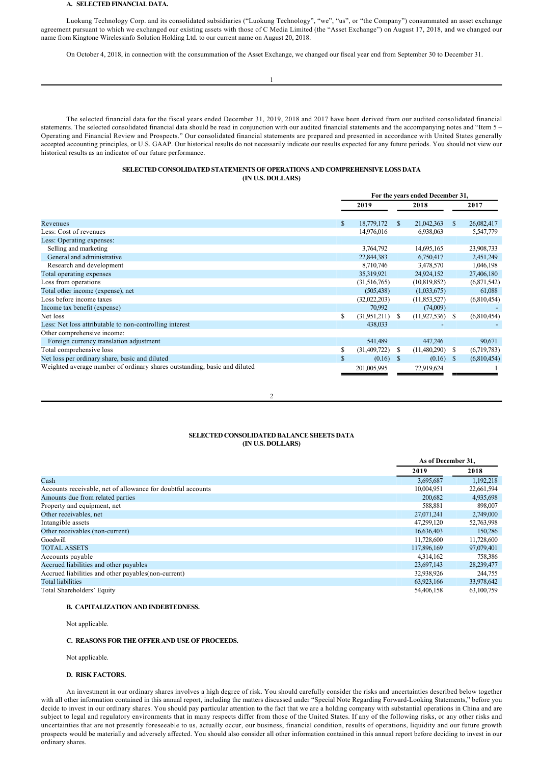### **A. SELECTED FINANCIAL DATA.**

Luokung Technology Corp. and its consolidated subsidiaries ("Luokung Technology", "we", "us", or "the Company") consummated an asset exchange agreement pursuant to which we exchanged our existing assets with those of C Media Limited (the "Asset Exchange") on August 17, 2018, and we changed our name from Kingtone Wirelessinfo Solution Holding Ltd. to our current name on August 20, 2018.

On October 4, 2018, in connection with the consummation of the Asset Exchange, we changed our fiscal year end from September 30 to December 31.

1

The selected financial data for the fiscal years ended December 31, 2019, 2018 and 2017 have been derived from our audited consolidated financial statements. The selected consolidated financial data should be read in conjunction with our audited financial statements and the accompanying notes and "Item 5 – Operating and Financial Review and Prospects." Our consolidated financial statements are prepared and presented in accordance with United States generally accepted accounting principles, or U.S. GAAP. Our historical results do not necessarily indicate our results expected for any future periods. You should not view our historical results as an indicator of our future performance.

# **SELECTED CONSOLIDATED STATEMENTS OF OPERATIONS AND COMPREHENSIVE LOSS DATA (IN U.S. DOLLARS)**

|                                                                           | For the years ended December 31, |                |    |                |              |             |  |
|---------------------------------------------------------------------------|----------------------------------|----------------|----|----------------|--------------|-------------|--|
|                                                                           |                                  | 2019           |    | 2018           |              | 2017        |  |
|                                                                           |                                  |                |    |                |              |             |  |
| Revenues                                                                  | \$                               | 18,779,172     | S. | 21,042,363     | S.           | 26,082,417  |  |
| Less: Cost of revenues                                                    |                                  | 14,976,016     |    | 6,938,063      |              | 5,547,779   |  |
| Less: Operating expenses:                                                 |                                  |                |    |                |              |             |  |
| Selling and marketing                                                     |                                  | 3,764,792      |    | 14,695,165     |              | 23,908,733  |  |
| General and administrative                                                |                                  | 22,844,383     |    | 6,750,417      |              | 2,451,249   |  |
| Research and development                                                  |                                  | 8,710,746      |    | 3,478,570      |              | 1,046,198   |  |
| Total operating expenses                                                  |                                  | 35,319,921     |    | 24,924,152     |              | 27,406,180  |  |
| Loss from operations                                                      |                                  | (31,516,765)   |    | (10,819,852)   |              | (6,871,542) |  |
| Total other income (expense), net                                         |                                  | (505, 438)     |    | (1,033,675)    |              | 61,088      |  |
| Loss before income taxes                                                  |                                  | (32,022,203)   |    | (11,853,527)   |              | (6,810,454) |  |
| Income tax benefit (expense)                                              |                                  | 70.992         |    | (74,009)       |              |             |  |
| Net loss                                                                  | \$                               | (31,951,211)   | S  | (11, 927, 536) | -S           | (6,810,454) |  |
| Less: Net loss attributable to non-controlling interest                   |                                  | 438,033        |    |                |              |             |  |
| Other comprehensive income:                                               |                                  |                |    |                |              |             |  |
| Foreign currency translation adjustment                                   |                                  | 541,489        |    | 447,246        |              | 90,671      |  |
| Total comprehensive loss                                                  | \$                               | (31, 409, 722) | S  | (11,480,290)   | <b>S</b>     | (6,719,783) |  |
| Net loss per ordinary share, basic and diluted                            | \$                               | (0.16)         | S  | (0.16)         | <sup>S</sup> | (6,810,454) |  |
| Weighted average number of ordinary shares outstanding, basic and diluted |                                  | 201,005,995    |    | 72,919,624     |              |             |  |

 $\mathcal{L}$ 

# **SELECTED CONSOLIDATED BALANCE SHEETS DATA (IN U.S. DOLLARS)**

|                                                             |             | As of December 31. |  |
|-------------------------------------------------------------|-------------|--------------------|--|
|                                                             | 2019        | 2018               |  |
| Cash                                                        | 3,695,687   | 1,192,218          |  |
| Accounts receivable, net of allowance for doubtful accounts | 10,004,951  | 22,661,594         |  |
| Amounts due from related parties                            | 200,682     | 4,935,698          |  |
| Property and equipment, net                                 | 588,881     | 898,007            |  |
| Other receivables, net                                      | 27,071,241  | 2,749,000          |  |
| Intangible assets                                           | 47,299,120  | 52,763,998         |  |
| Other receivables (non-current)                             | 16,636,403  | 150,286            |  |
| Goodwill                                                    | 11,728,600  | 11,728,600         |  |
| <b>TOTAL ASSETS</b>                                         | 117,896,169 | 97,079,401         |  |
| Accounts payable                                            | 4,314,162   | 758,386            |  |
| Accrued liabilities and other payables                      | 23,697,143  | 28,239,477         |  |
| Accrued liabilities and other payables (non-current)        | 32,938,926  | 244,755            |  |
| <b>Total liabilities</b>                                    | 63,923,166  | 33,978,642         |  |
| Total Shareholders' Equity                                  | 54,406,158  | 63,100,759         |  |

# **B. CAPITALIZATION AND INDEBTEDNESS.**

Not applicable.

# **C. REASONS FOR THE OFFER AND USE OF PROCEEDS.**

Not applicable.

### **D. RISK FACTORS.**

An investment in our ordinary shares involves a high degree of risk. You should carefully consider the risks and uncertainties described below together with all other information contained in this annual report, including the matters discussed under "Special Note Regarding ForwardLooking Statements," before you decide to invest in our ordinary shares. You should pay particular attention to the fact that we are a holding company with substantial operations in China and are subject to legal and regulatory environments that in many respects differ from those of the United States. If any of the following risks, or any other risks and uncertainties that are not presently foreseeable to us, actually occur, our business, financial condition, results of operations, liquidity and our future growth prospects would be materially and adversely affected. You should also consider all other information contained in this annual report before deciding to invest in our ordinary shares.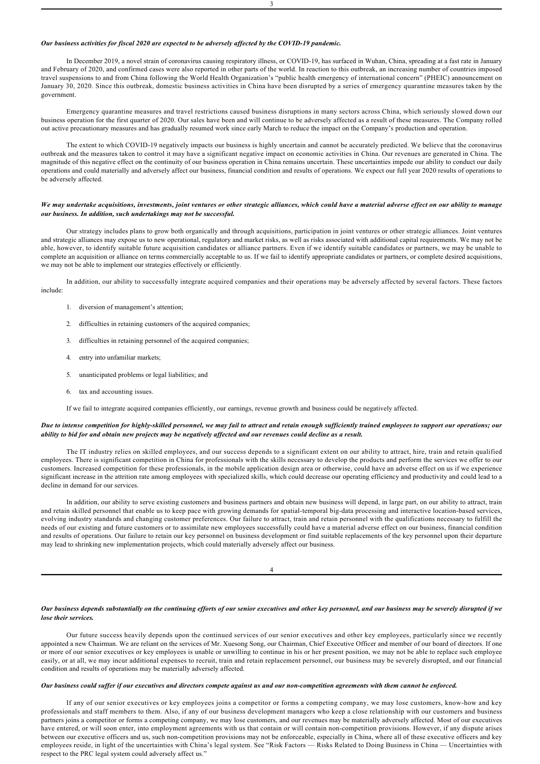# *Our business activities for fiscal 2020 are expected to be adversely affected by the COVID19 pandemic.*

In December 2019, a novel strain of coronavirus causing respiratory illness, or COVID-19, has surfaced in Wuhan, China, spreading at a fast rate in January and February of 2020, and confirmed cases were also reported in other parts of the world. In reaction to this outbreak, an increasing number of countries imposed travel suspensions to and from China following the World Health Organization's "public health emergency of international concern" (PHEIC) announcement on January 30, 2020. Since this outbreak, domestic business activities in China have been disrupted by a series of emergency quarantine measures taken by the government.

Emergency quarantine measures and travel restrictions caused business disruptions in many sectors across China, which seriously slowed down our business operation for the first quarter of 2020. Our sales have been and will continue to be adversely affected as a result of these measures. The Company rolled out active precautionary measures and has gradually resumed work since early March to reduce the impact on the Company's production and operation.

The extent to which COVID-19 negatively impacts our business is highly uncertain and cannot be accurately predicted. We believe that the coronavirus outbreak and the measures taken to control it may have a significant negative impact on economic activities in China. Our revenues are generated in China. The magnitude of this negative effect on the continuity of our business operation in China remains uncertain. These uncertainties impede our ability to conduct our daily operations and could materially and adversely affect our business, financial condition and results of operations. We expect our full year 2020 results of operations to be adversely affected.

## *We may undertake acquisitions, investments, joint ventures or other strategic alliances, which could have a material adverse effect on our ability to manage our business. In addition, such undertakings may not be successful.*

Our strategy includes plans to grow both organically and through acquisitions, participation in joint ventures or other strategic alliances. Joint ventures and strategic alliances may expose us to new operational, regulatory and market risks, as well as risks associated with additional capital requirements. We may not be able, however, to identify suitable future acquisition candidates or alliance partners. Even if we identify suitable candidates or partners, we may be unable to complete an acquisition or alliance on terms commercially acceptable to us. If we fail to identify appropriate candidates or partners, or complete desired acquisitions, we may not be able to implement our strategies effectively or efficiently.

In addition, our ability to successfully integrate acquired companies and their operations may be adversely affected by several factors. These factors include:

- 1. diversion of management's attention;
- 2. difficulties in retaining customers of the acquired companies;
- 3. difficulties in retaining personnel of the acquired companies;
- 4. entry into unfamiliar markets;
- 5. unanticipated problems or legal liabilities; and
- 6. tax and accounting issues.

If we fail to integrate acquired companies efficiently, our earnings, revenue growth and business could be negatively affected.

# *Due to intense competition for highlyskilled personnel, we may fail to attract and retain enough sufficiently trained employees to support our operations; our ability to bid for and obtain new projects may be negatively affected and our revenues could decline as a result.*

The IT industry relies on skilled employees, and our success depends to a significant extent on our ability to attract, hire, train and retain qualified employees. There is significant competition in China for professionals with the skills necessary to develop the products and perform the services we offer to our customers. Increased competition for these professionals, in the mobile application design area or otherwise, could have an adverse effect on us if we experience significant increase in the attrition rate among employees with specialized skills, which could decrease our operating efficiency and productivity and could lead to a decline in demand for our services.

In addition, our ability to serve existing customers and business partners and obtain new business will depend, in large part, on our ability to attract, train and retain skilled personnel that enable us to keep pace with growing demands for spatial-temporal big-data processing and interactive location-based services, evolving industry standards and changing customer preferences. Our failure to attract, train and retain personnel with the qualifications necessary to fulfill the needs of our existing and future customers or to assimilate new employees successfully could have a material adverse effect on our business, financial condition and results of operations. Our failure to retain our key personnel on business development or find suitable replacements of the key personnel upon their departure may lead to shrinking new implementation projects, which could materially adversely affect our business.

# *Our business depends substantially on the continuing efforts of our senior executives and other key personnel, and our business may be severely disrupted if we lose their services.*

Our future success heavily depends upon the continued services of our senior executives and other key employees, particularly since we recently appointed a new Chairman. We are reliant on the services of Mr. Xuesong Song, our Chairman, Chief Executive Officer and member of our board of directors. If one or more of our senior executives or key employees is unable or unwilling to continue in his or her present position, we may not be able to replace such employee easily, or at all, we may incur additional expenses to recruit, train and retain replacement personnel, our business may be severely disrupted, and our financial condition and results of operations may be materially adversely affected.

### *Our business could suffer if our executives and directors compete against us and our noncompetition agreements with them cannot be enforced.*

If any of our senior executives or key employees joins a competitor or forms a competing company, we may lose customers, knowhow and key professionals and staff members to them. Also, if any of our business development managers who keep a close relationship with our customers and business partners joins a competitor or forms a competing company, we may lose customers, and our revenues may be materially adversely affected. Most of our executives have entered, or will soon enter, into employment agreements with us that contain or will contain non-competition provisions. However, if any dispute arises between our executive officers and us, such non-competition provisions may not be enforceable, especially in China, where all of these executive officers and key employees reside, in light of the uncertainties with China's legal system. See "Risk Factors — Risks Related to Doing Business in China — Uncertainties with respect to the PRC legal system could adversely affect us."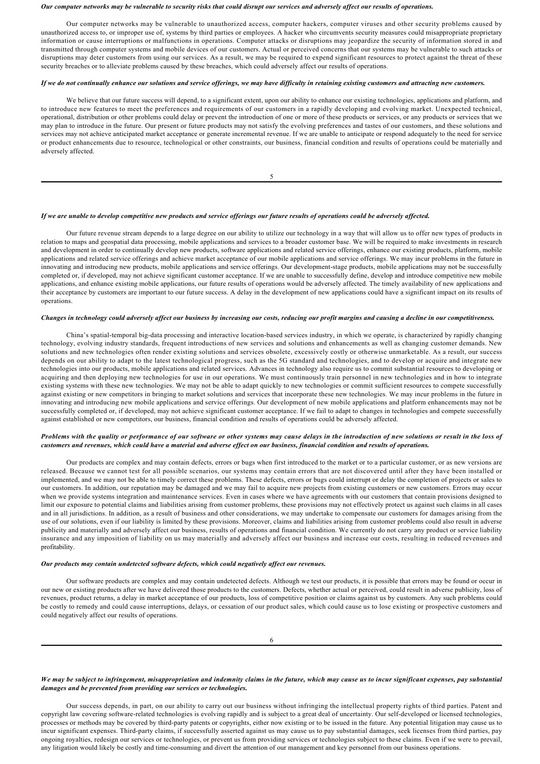#### *Our computer networks may be vulnerable to security risks that could disrupt our services and adversely affect our results of operations.*

Our computer networks may be vulnerable to unauthorized access, computer hackers, computer viruses and other security problems caused by unauthorized access to, or improper use of, systems by third parties or employees. A hacker who circumvents security measures could misappropriate proprietary information or cause interruptions or malfunctions in operations. Computer attacks or disruptions may jeopardize the security of information stored in and transmitted through computer systems and mobile devices of our customers. Actual or perceived concerns that our systems may be vulnerable to such attacks or disruptions may deter customers from using our services. As a result, we may be required to expend significant resources to protect against the threat of these security breaches or to alleviate problems caused by these breaches, which could adversely affect our results of operations.

# *If we do not continually enhance our solutions and service offerings, we may have difficulty in retaining existing customers and attracting new customers.*

We believe that our future success will depend, to a significant extent, upon our ability to enhance our existing technologies, applications and platform, and to introduce new features to meet the preferences and requirements of our customers in a rapidly developing and evolving market. Unexpected technical, operational, distribution or other problems could delay or prevent the introduction of one or more of these products or services, or any products or services that we may plan to introduce in the future. Our present or future products may not satisfy the evolving preferences and tastes of our customers, and these solutions and services may not achieve anticipated market acceptance or generate incremental revenue. If we are unable to anticipate or respond adequately to the need for service or product enhancements due to resource, technological or other constraints, our business, financial condition and results of operations could be materially and adversely affected.

5

# *If we are unable to develop competitive new products and service offerings our future results of operations could be adversely affected.*

Our future revenue stream depends to a large degree on our ability to utilize our technology in a way that will allow us to offer new types of products in relation to maps and geospatial data processing, mobile applications and services to a broader customer base. We will be required to make investments in research and development in order to continually develop new products, software applications and related service offerings, enhance our existing products, platform, mobile applications and related service offerings and achieve market acceptance of our mobile applications and service offerings. We may incur problems in the future in innovating and introducing new products, mobile applications and service offerings. Our developmentstage products, mobile applications may not be successfully completed or, if developed, may not achieve significant customer acceptance. If we are unable to successfully define, develop and introduce competitive new mobile applications, and enhance existing mobile applications, our future results of operations would be adversely affected. The timely availability of new applications and their acceptance by customers are important to our future success. A delay in the development of new applications could have a significant impact on its results of operations.

# *Changes in technology could adversely affect our business by increasing our costs, reducing our profit margins and causing a decline in our competitiveness.*

China's spatial-temporal big-data processing and interactive location-based services industry, in which we operate, is characterized by rapidly changing technology, evolving industry standards, frequent introductions of new services and solutions and enhancements as well as changing customer demands. New solutions and new technologies often render existing solutions and services obsolete, excessively costly or otherwise unmarketable. As a result, our success depends on our ability to adapt to the latest technological progress, such as the 5G standard and technologies, and to develop or acquire and integrate new technologies into our products, mobile applications and related services. Advances in technology also require us to commit substantial resources to developing or acquiring and then deploying new technologies for use in our operations. We must continuously train personnel in new technologies and in how to integrate existing systems with these new technologies. We may not be able to adapt quickly to new technologies or commit sufficient resources to compete successfully against existing or new competitors in bringing to market solutions and services that incorporate these new technologies. We may incur problems in the future in innovating and introducing new mobile applications and service offerings. Our development of new mobile applications and platform enhancements may not be successfully completed or, if developed, may not achieve significant customer acceptance. If we fail to adapt to changes in technologies and compete successfully against established or new competitors, our business, financial condition and results of operations could be adversely affected.

# *Problems with the quality or performance of our software or other systems may cause delays in the introduction of new solutions or result in the loss of customers and revenues, which could have a material and adverse effect on our business, financial condition and results of operations.*

Our products are complex and may contain defects, errors or bugs when first introduced to the market or to a particular customer, or as new versions are released. Because we cannot test for all possible scenarios, our systems may contain errors that are not discovered until after they have been installed or implemented, and we may not be able to timely correct these problems. These defects, errors or bugs could interrupt or delay the completion of projects or sales to our customers. In addition, our reputation may be damaged and we may fail to acquire new projects from existing customers or new customers. Errors may occur when we provide systems integration and maintenance services. Even in cases where we have agreements with our customers that contain provisions designed to limit our exposure to potential claims and liabilities arising from customer problems, these provisions may not effectively protect us against such claims in all cases and in all jurisdictions. In addition, as a result of business and other considerations, we may undertake to compensate our customers for damages arising from the use of our solutions, even if our liability is limited by these provisions. Moreover, claims and liabilities arising from customer problems could also result in adverse publicity and materially and adversely affect our business, results of operations and financial condition. We currently do not carry any product or service liability insurance and any imposition of liability on us may materially and adversely affect our business and increase our costs, resulting in reduced revenues and profitability.

# *Our products may contain undetected software defects, which could negatively affect our revenues.*

Our software products are complex and may contain undetected defects. Although we test our products, it is possible that errors may be found or occur in our new or existing products after we have delivered those products to the customers. Defects, whether actual or perceived, could result in adverse publicity, loss of revenues, product returns, a delay in market acceptance of our products, loss of competitive position or claims against us by customers. Any such problems could be costly to remedy and could cause interruptions, delays, or cessation of our product sales, which could cause us to lose existing or prospective customers and could negatively affect our results of operations.

*We may be subject to infringement, misappropriation and indemnity claims in the future, which may cause us to incur significant expenses, pay substantial damages and be prevented from providing our services or technologies.*

Our success depends, in part, on our ability to carry out our business without infringing the intellectual property rights of third parties. Patent and copyright law covering software-related technologies is evolving rapidly and is subject to a great deal of uncertainty. Our self-developed or licensed technologies, processes or methods may be covered by third-party patents or copyrights, either now existing or to be issued in the future. Any potential litigation may cause us to incur significant expenses. Third-party claims, if successfully asserted against us may cause us to pay substantial damages, seek licenses from third parties, pay ongoing royalties, redesign our services or technologies, or prevent us from providing services or technologies subject to these claims. Even if we were to prevail, any litigation would likely be costly and timeconsuming and divert the attention of our management and key personnel from our business operations.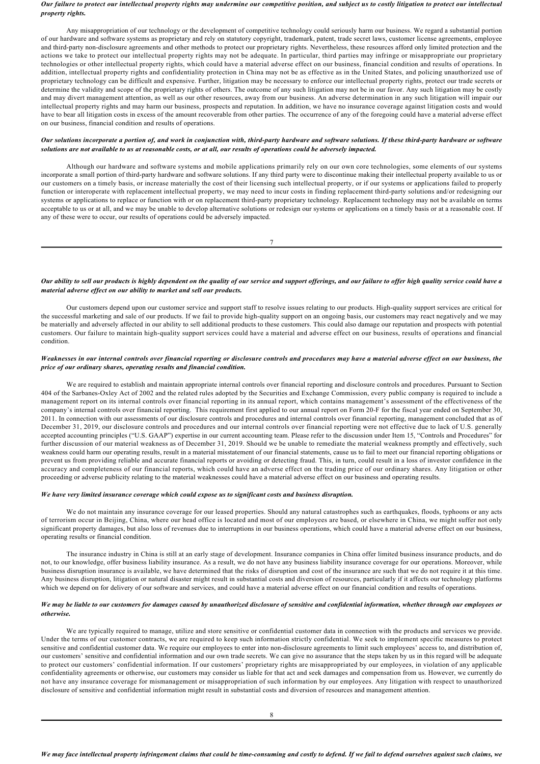### *Our failure to protect our intellectual property rights may undermine our competitive position, and subject us to costly litigation to protect our intellectual property rights.*

Any misappropriation of our technology or the development of competitive technology could seriously harm our business. We regard a substantial portion of our hardware and software systems as proprietary and rely on statutory copyright, trademark, patent, trade secret laws, customer license agreements, employee and third-party non-disclosure agreements and other methods to protect our proprietary rights. Nevertheless, these resources afford only limited protection and the actions we take to protect our intellectual property rights may not be adequate. In particular, third parties may infringe or misappropriate our proprietary technologies or other intellectual property rights, which could have a material adverse effect on our business, financial condition and results of operations. In addition, intellectual property rights and confidentiality protection in China may not be as effective as in the United States, and policing unauthorized use of proprietary technology can be difficult and expensive. Further, litigation may be necessary to enforce our intellectual property rights, protect our trade secrets or determine the validity and scope of the proprietary rights of others. The outcome of any such litigation may not be in our favor. Any such litigation may be costly and may divert management attention, as well as our other resources, away from our business. An adverse determination in any such litigation will impair our intellectual property rights and may harm our business, prospects and reputation. In addition, we have no insurance coverage against litigation costs and would have to bear all litigation costs in excess of the amount recoverable from other parties. The occurrence of any of the foregoing could have a material adverse effect on our business, financial condition and results of operations.

## Our solutions incorporate a portion of, and work in conjunction with, third-party hardware and software solutions. If these third-party hardware or software *solutions are not available to us at reasonable costs, or at all, our results of operations could be adversely impacted.*

Although our hardware and software systems and mobile applications primarily rely on our own core technologies, some elements of our systems incorporate a small portion of third-party hardware and software solutions. If any third party were to discontinue making their intellectual property available to us or our customers on a timely basis, or increase materially the cost of their licensing such intellectual property, or if our systems or applications failed to properly function or interoperate with replacement intellectual property, we may need to incur costs in finding replacement third-party solutions and/or redesigning our systems or applications to replace or function with or on replacement third-party proprietary technology. Replacement technology may not be available on terms acceptable to us or at all, and we may be unable to develop alternative solutions or redesign our systems or applications on a timely basis or at a reasonable cost. If any of these were to occur, our results of operations could be adversely impacted.

7

# *Our ability to sell our products is highly dependent on the quality of our service and support offerings, and our failure to offer high quality service could have a material adverse effect on our ability to market and sell our products.*

Our customers depend upon our customer service and support staff to resolve issues relating to our products. High-quality support services are critical for the successful marketing and sale of our products. If we fail to provide high-quality support on an ongoing basis, our customers may react negatively and we may be materially and adversely affected in our ability to sell additional products to these customers. This could also damage our reputation and prospects with potential customers. Our failure to maintain high-quality support services could have a material and adverse effect on our business, results of operations and financial condition.

# *Weaknesses in our internal controls over financial reporting or disclosure controls and procedures may have a material adverse effect on our business, the price of our ordinary shares, operating results and financial condition.*

We are required to establish and maintain appropriate internal controls over financial reporting and disclosure controls and procedures. Pursuant to Section 404 of the Sarbanes-Oxley Act of 2002 and the related rules adopted by the Securities and Exchange Commission, every public company is required to include a management report on its internal controls over financial reporting in its annual report, which contains management's assessment of the effectiveness of the company's internal controls over financial reporting. This requirement first applied to our annual report on Form 20-F for the fiscal year ended on September 30, 2011. In connection with our assessments of our disclosure controls and procedures and internal controls over financial reporting, management concluded that as of December 31, 2019, our disclosure controls and procedures and our internal controls over financial reporting were not effective due to lack of U.S. generally accepted accounting principles ("U.S. GAAP") expertise in our current accounting team. Please refer to the discussion under Item 15, "Controls and Procedures" for further discussion of our material weakness as of December 31, 2019. Should we be unable to remediate the material weakness promptly and effectively, such weakness could harm our operating results, result in a material misstatement of our financial statements, cause us to fail to meet our financial reporting obligations or prevent us from providing reliable and accurate financial reports or avoiding or detecting fraud. This, in turn, could result in a loss of investor confidence in the accuracy and completeness of our financial reports, which could have an adverse effect on the trading price of our ordinary shares. Any litigation or other proceeding or adverse publicity relating to the material weaknesses could have a material adverse effect on our business and operating results.

# *We have very limited insurance coverage which could expose us to significant costs and business disruption.*

We do not maintain any insurance coverage for our leased properties. Should any natural catastrophes such as earthquakes, floods, typhoons or any acts of terrorism occur in Beijing, China, where our head office is located and most of our employees are based, or elsewhere in China, we might suffer not only significant property damages, but also loss of revenues due to interruptions in our business operations, which could have a material adverse effect on our business, operating results or financial condition.

The insurance industry in China is still at an early stage of development. Insurance companies in China offer limited business insurance products, and do not, to our knowledge, offer business liability insurance. As a result, we do not have any business liability insurance coverage for our operations. Moreover, while business disruption insurance is available, we have determined that the risks of disruption and cost of the insurance are such that we do not require it at this time. Any business disruption, litigation or natural disaster might result in substantial costs and diversion of resources, particularly if it affects our technology platforms which we depend on for delivery of our software and services, and could have a material adverse effect on our financial condition and results of operations.

# *We may be liable to our customers for damages caused by unauthorized disclosure of sensitive and confidential information, whether through our employees or otherwise.*

We are typically required to manage, utilize and store sensitive or confidential customer data in connection with the products and services we provide. Under the terms of our customer contracts, we are required to keep such information strictly confidential. We seek to implement specific measures to protect sensitive and confidential customer data. We require our employees to enter into non-disclosure agreements to limit such employees' access to, and distribution of, our customers' sensitive and confidential information and our own trade secrets. We can give no assurance that the steps taken by us in this regard will be adequate to protect our customers' confidential information. If our customers' proprietary rights are misappropriated by our employees, in violation of any applicable confidentiality agreements or otherwise, our customers may consider us liable for that act and seek damages and compensation from us. However, we currently do not have any insurance coverage for mismanagement or misappropriation of such information by our employees. Any litigation with respect to unauthorized disclosure of sensitive and confidential information might result in substantial costs and diversion of resources and management attention.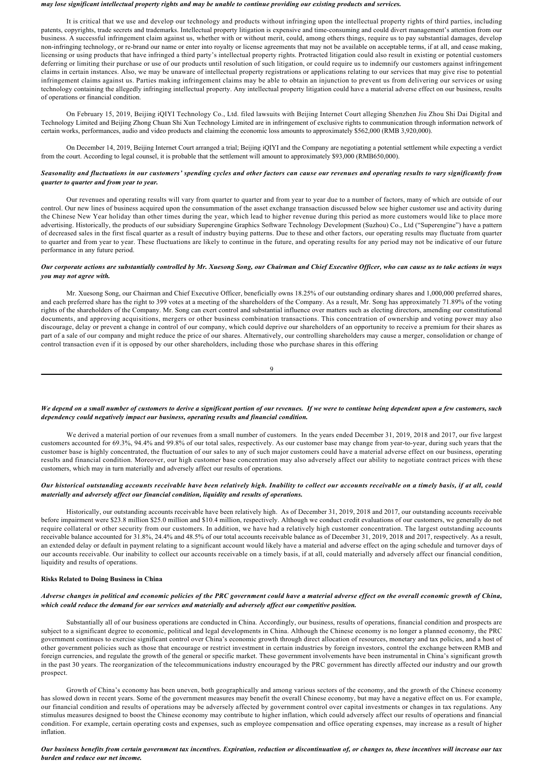### *may lose significant intellectual property rights and may be unable to continue providing our existing products and services.*

It is critical that we use and develop our technology and products without infringing upon the intellectual property rights of third parties, including patents, copyrights, trade secrets and trademarks. Intellectual property litigation is expensive and time-consuming and could divert management's attention from our business. A successful infringement claim against us, whether with or without merit, could, among others things, require us to pay substantial damages, develop non-infringing technology, or re-brand our name or enter into royalty or license agreements that may not be available on acceptable terms, if at all, and cease making, licensing or using products that have infringed a third party's intellectual property rights. Protracted litigation could also result in existing or potential customers deferring or limiting their purchase or use of our products until resolution of such litigation, or could require us to indemnify our customers against infringement claims in certain instances. Also, we may be unaware of intellectual property registrations or applications relating to our services that may give rise to potential infringement claims against us. Parties making infringement claims may be able to obtain an injunction to prevent us from delivering our services or using technology containing the allegedly infringing intellectual property. Any intellectual property litigation could have a material adverse effect on our business, results of operations or financial condition.

On February 15, 2019, Beijing iQIYI Technology Co., Ltd. filed lawsuits with Beijing Internet Court alleging Shenzhen Jiu Zhou Shi Dai Digital and Technology Limited and Beijing Zhong Chuan Shi Xun Technology Limited are in infringement of exclusive rights to communication through information network of certain works, performances, audio and video products and claiming the economic loss amounts to approximately \$562,000 (RMB 3,920,000).

On December 14, 2019, Beijing Internet Court arranged a trial; Beijing iQIYI and the Company are negotiating a potential settlement while expecting a verdict from the court. According to legal counsel, it is probable that the settlement will amount to approximately \$93,000 (RMB650,000).

# *Seasonality and fluctuations in our customers' spending cycles and other factors can cause our revenues and operating results to vary significantly from quarter to quarter and from year to year.*

Our revenues and operating results will vary from quarter to quarter and from year to year due to a number of factors, many of which are outside of our control. Our new lines of business acquired upon the consummation of the asset exchange transaction discussed below see higher customer use and activity during the Chinese New Year holiday than other times during the year, which lead to higher revenue during this period as more customers would like to place more advertising. Historically, the products of our subsidiary Superengine Graphics Software Technology Development (Suzhou) Co., Ltd ("Superengine") have a pattern of decreased sales in the first fiscal quarter as a result of industry buying patterns. Due to these and other factors, our operating results may fluctuate from quarter to quarter and from year to year. These fluctuations are likely to continue in the future, and operating results for any period may not be indicative of our future performance in any future period.

# *Our corporate actions are substantially controlled by Mr. Xuesong Song, our Chairman and Chief Executive Officer, who can cause us to take actions in ways you may not agree with.*

Mr. Xuesong Song, our Chairman and Chief Executive Officer, beneficially owns 18.25% of our outstanding ordinary shares and 1,000,000 preferred shares, and each preferred share has the right to 399 votes at a meeting of the shareholders of the Company. As a result, Mr. Song has approximately 71.89% of the voting rights of the shareholders of the Company. Mr. Song can exert control and substantial influence over matters such as electing directors, amending our constitutional documents, and approving acquisitions, mergers or other business combination transactions. This concentration of ownership and voting power may also discourage, delay or prevent a change in control of our company, which could deprive our shareholders of an opportunity to receive a premium for their shares as part of a sale of our company and might reduce the price of our shares. Alternatively, our controlling shareholders may cause a merger, consolidation or change of control transaction even if it is opposed by our other shareholders, including those who purchase shares in this offering

9

# *We depend on a small number of customers to derive a significant portion of our revenues. If we were to continue being dependent upon a few customers, such dependency could negatively impact our business, operating results and financial condition.*

We derived a material portion of our revenues from a small number of customers. In the years ended December 31, 2019, 2018 and 2017, our five largest customers accounted for 69.3%, 94.4% and 99.8% of our total sales, respectively. As our customer base may change from yeartoyear, during such years that the customer base is highly concentrated, the fluctuation of our sales to any of such major customers could have a material adverse effect on our business, operating results and financial condition. Moreover, our high customer base concentration may also adversely affect our ability to negotiate contract prices with these customers, which may in turn materially and adversely affect our results of operations.

# *Our historical outstanding accounts receivable have been relatively high. Inability to collect our accounts receivable on a timely basis, if at all, could materially and adversely affect our financial condition, liquidity and results of operations.*

Historically, our outstanding accounts receivable have been relatively high. As of December 31, 2019, 2018 and 2017, our outstanding accounts receivable before impairment were \$23.8 million \$25.0 million and \$10.4 million, respectively. Although we conduct credit evaluations of our customers, we generally do not require collateral or other security from our customers. In addition, we have had a relatively high customer concentration. The largest outstanding accounts receivable balance accounted for 31.8%, 24.4% and 48.5% of our total accounts receivable balance as of December 31, 2019, 2018 and 2017, respectively. As a result, an extended delay or default in payment relating to a significant account would likely have a material and adverse effect on the aging schedule and turnover days of our accounts receivable. Our inability to collect our accounts receivable on a timely basis, if at all, could materially and adversely affect our financial condition, liquidity and results of operations.

# **Risks Related to Doing Business in China**

# *Adverse changes in political and economic policies of the PRC government could have a material adverse effect on the overall economic growth of China, which could reduce the demand for our services and materially and adversely affect our competitive position.*

Substantially all of our business operations are conducted in China. Accordingly, our business, results of operations, financial condition and prospects are subject to a significant degree to economic, political and legal developments in China. Although the Chinese economy is no longer a planned economy, the PRC government continues to exercise significant control over China's economic growth through direct allocation of resources, monetary and tax policies, and a host of other government policies such as those that encourage or restrict investment in certain industries by foreign investors, control the exchange between RMB and foreign currencies, and regulate the growth of the general or specific market. These government involvements have been instrumental in China's significant growth in the past 30 years. The reorganization of the telecommunications industry encouraged by the PRC government has directly affected our industry and our growth prospect.

Growth of China's economy has been uneven, both geographically and among various sectors of the economy, and the growth of the Chinese economy has slowed down in recent years. Some of the government measures may benefit the overall Chinese economy, but may have a negative effect on us. For example, our financial condition and results of operations may be adversely affected by government control over capital investments or changes in tax regulations. Any stimulus measures designed to boost the Chinese economy may contribute to higher inflation, which could adversely affect our results of operations and financial condition. For example, certain operating costs and expenses, such as employee compensation and office operating expenses, may increase as a result of higher inflation.

*Our business benefits from certain government tax incentives. Expiration, reduction or discontinuation of, or changes to, these incentives will increase our tax burden and reduce our net income.*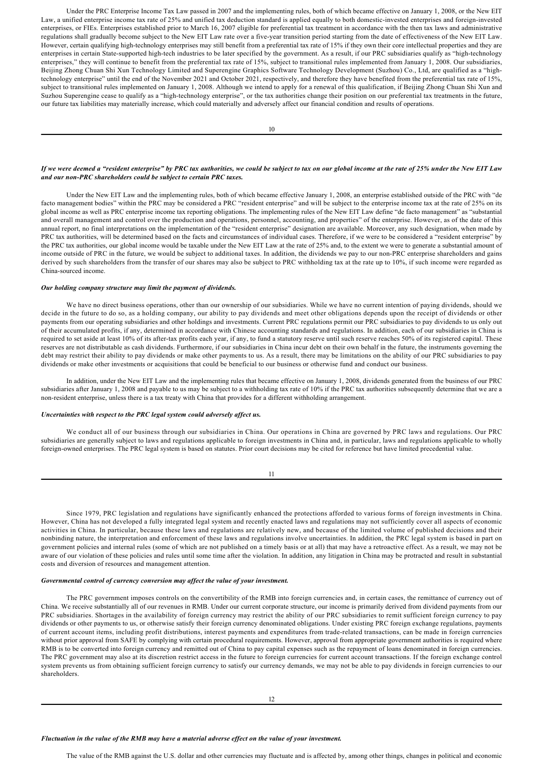Under the PRC Enterprise Income Tax Law passed in 2007 and the implementing rules, both of which became effective on January 1, 2008, or the New EIT Law, a unified enterprise income tax rate of 25% and unified tax deduction standard is applied equally to both domestic-invested enterprises and foreign-invested enterprises, or FIEs. Enterprises established prior to March 16, 2007 eligible for preferential tax treatment in accordance with the then tax laws and administrative regulations shall gradually become subject to the New EIT Law rate over a fiveyear transition period starting from the date of effectiveness of the New EIT Law. However, certain qualifying high-technology enterprises may still benefit from a preferential tax rate of 15% if they own their core intellectual properties and they are enterprises in certain State-supported high-tech industries to be later specified by the government. As a result, if our PRC subsidiaries qualify as "high-technology enterprises," they will continue to benefit from the preferential tax rate of 15%, subject to transitional rules implemented from January 1, 2008. Our subsidiaries, Beijing Zhong Chuan Shi Xun Technology Limited and Superengine Graphics Software Technology Development (Suzhou) Co., Ltd, are qualified as a "hightechnology enterprise" until the end of the November 2021 and October 2021, respectively, and therefore they have benefited from the preferential tax rate of 15%, subject to transitional rules implemented on January 1, 2008. Although we intend to apply for a renewal of this qualification, if Beijing Zhong Chuan Shi Xun and Suzhou Superengine cease to qualify as a "high-technology enterprise", or the tax authorities change their position on our preferential tax treatments in the future, our future tax liabilities may materially increase, which could materially and adversely affect our financial condition and results of operations.

# *If we were deemed a "resident enterprise" by PRC tax authorities, we could be subject to tax on our global income at the rate of 25% under the New EIT Law* and our non-PRC shareholders could be subject to certain PRC taxes.

Under the New EIT Law and the implementing rules, both of which became effective January 1, 2008, an enterprise established outside of the PRC with "de facto management bodies" within the PRC may be considered a PRC "resident enterprise" and will be subject to the enterprise income tax at the rate of 25% on its global income as well as PRC enterprise income tax reporting obligations. The implementing rules of the New EIT Law define "de facto management" as "substantial and overall management and control over the production and operations, personnel, accounting, and properties" of the enterprise. However, as of the date of this annual report, no final interpretations on the implementation of the "resident enterprise" designation are available. Moreover, any such designation, when made by PRC tax authorities, will be determined based on the facts and circumstances of individual cases. Therefore, if we were to be considered a "resident enterprise" by the PRC tax authorities, our global income would be taxable under the New EIT Law at the rate of 25% and, to the extent we were to generate a substantial amount of income outside of PRC in the future, we would be subject to additional taxes. In addition, the dividends we pay to our non-PRC enterprise shareholders and gains derived by such shareholders from the transfer of our shares may also be subject to PRC withholding tax at the rate up to 10%, if such income were regarded as China-sourced income.

### *Our holding company structure may limit the payment of dividends.*

We have no direct business operations, other than our ownership of our subsidiaries. While we have no current intention of paying dividends, should we decide in the future to do so, as a holding company, our ability to pay dividends and meet other obligations depends upon the receipt of dividends or other payments from our operating subsidiaries and other holdings and investments. Current PRC regulations permit our PRC subsidiaries to pay dividends to us only out of their accumulated profits, if any, determined in accordance with Chinese accounting standards and regulations. In addition, each of our subsidiaries in China is required to set aside at least 10% of its after-tax profits each year, if any, to fund a statutory reserve until such reserve reaches 50% of its registered capital. These reserves are not distributable as cash dividends. Furthermore, if our subsidiaries in China incur debt on their own behalf in the future, the instruments governing the debt may restrict their ability to pay dividends or make other payments to us. As a result, there may be limitations on the ability of our PRC subsidiaries to pay dividends or make other investments or acquisitions that could be beneficial to our business or otherwise fund and conduct our business.

In addition, under the New EIT Law and the implementing rules that became effective on January 1, 2008, dividends generated from the business of our PRC subsidiaries after January 1, 2008 and payable to us may be subject to a withholding tax rate of 10% if the PRC tax authorities subsequently determine that we are a nonresident enterprise, unless there is a tax treaty with China that provides for a different withholding arrangement.

# *Uncertainties with respect to the PRC legal system could adversely affect us.*

We conduct all of our business through our subsidiaries in China. Our operations in China are governed by PRC laws and regulations. Our PRC subsidiaries are generally subject to laws and regulations applicable to foreign investments in China and, in particular, laws and regulations applicable to wholly foreign-owned enterprises. The PRC legal system is based on statutes. Prior court decisions may be cited for reference but have limited precedential value.

11

Since 1979, PRC legislation and regulations have significantly enhanced the protections afforded to various forms of foreign investments in China. However, China has not developed a fully integrated legal system and recently enacted laws and regulations may not sufficiently cover all aspects of economic activities in China. In particular, because these laws and regulations are relatively new, and because of the limited volume of published decisions and their nonbinding nature, the interpretation and enforcement of these laws and regulations involve uncertainties. In addition, the PRC legal system is based in part on government policies and internal rules (some of which are not published on a timely basis or at all) that may have a retroactive effect. As a result, we may not be aware of our violation of these policies and rules until some time after the violation. In addition, any litigation in China may be protracted and result in substantial costs and diversion of resources and management attention.

# *Governmental control of currency conversion may affect the value of your investment.*

The PRC government imposes controls on the convertibility of the RMB into foreign currencies and, in certain cases, the remittance of currency out of China. We receive substantially all of our revenues in RMB. Under our current corporate structure, our income is primarily derived from dividend payments from our PRC subsidiaries. Shortages in the availability of foreign currency may restrict the ability of our PRC subsidiaries to remit sufficient foreign currency to pay dividends or other payments to us, or otherwise satisfy their foreign currency denominated obligations. Under existing PRC foreign exchange regulations, payments of current account items, including profit distributions, interest payments and expenditures from traderelated transactions, can be made in foreign currencies without prior approval from SAFE by complying with certain procedural requirements. However, approval from appropriate government authorities is required where RMB is to be converted into foreign currency and remitted out of China to pay capital expenses such as the repayment of loans denominated in foreign currencies. The PRC government may also at its discretion restrict access in the future to foreign currencies for current account transactions. If the foreign exchange control system prevents us from obtaining sufficient foreign currency to satisfy our currency demands, we may not be able to pay dividends in foreign currencies to our shareholders.

The value of the RMB against the U.S. dollar and other currencies may fluctuate and is affected by, among other things, changes in political and economic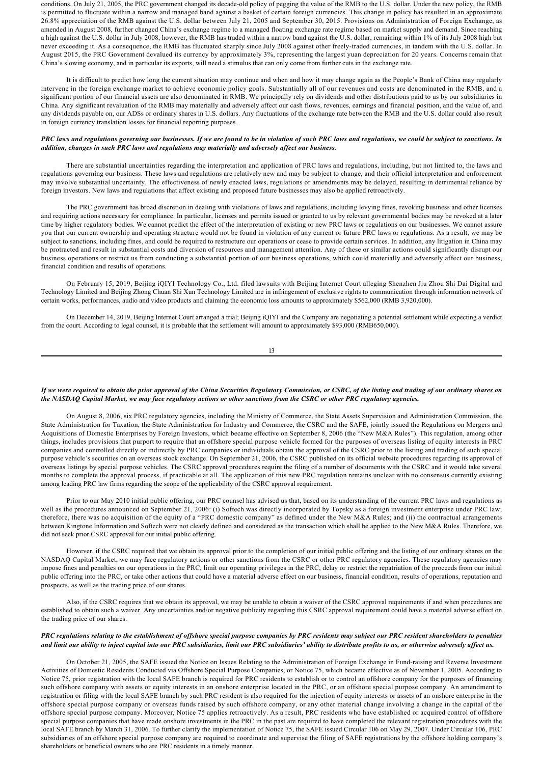conditions. On July 21, 2005, the PRC government changed its decadeold policy of pegging the value of the RMB to the U.S. dollar. Under the new policy, the RMB is permitted to fluctuate within a narrow and managed band against a basket of certain foreign currencies. This change in policy has resulted in an approximate 26.8% appreciation of the RMB against the U.S. dollar between July 21, 2005 and September 30, 2015. Provisions on Administration of Foreign Exchange, as amended in August 2008, further changed China's exchange regime to a managed floating exchange rate regime based on market supply and demand. Since reaching a high against the U.S. dollar in July 2008, however, the RMB has traded within a narrow band against the U.S. dollar, remaining within 1% of its July 2008 high but never exceeding it. As a consequence, the RMB has fluctuated sharply since July 2008 against other freelytraded currencies, in tandem with the U.S. dollar. In August 2015, the PRC Government devalued its currency by approximately 3%, representing the largest yuan depreciation for 20 years. Concerns remain that China's slowing economy, and in particular its exports, will need a stimulus that can only come from further cuts in the exchange rate.

It is difficult to predict how long the current situation may continue and when and how it may change again as the People's Bank of China may regularly intervene in the foreign exchange market to achieve economic policy goals. Substantially all of our revenues and costs are denominated in the RMB, and a significant portion of our financial assets are also denominated in RMB. We principally rely on dividends and other distributions paid to us by our subsidiaries in China. Any significant revaluation of the RMB may materially and adversely affect our cash flows, revenues, earnings and financial position, and the value of, and any dividends payable on, our ADSs or ordinary shares in U.S. dollars. Any fluctuations of the exchange rate between the RMB and the U.S. dollar could also result in foreign currency translation losses for financial reporting purposes.

### *PRC laws and regulations governing our businesses. If we are found to be in violation of such PRC laws and regulations, we could be subject to sanctions. In addition, changes in such PRC laws and regulations may materially and adversely affect our business.*

There are substantial uncertainties regarding the interpretation and application of PRC laws and regulations, including, but not limited to, the laws and regulations governing our business. These laws and regulations are relatively new and may be subject to change, and their official interpretation and enforcement may involve substantial uncertainty. The effectiveness of newly enacted laws, regulations or amendments may be delayed, resulting in detrimental reliance by foreign investors. New laws and regulations that affect existing and proposed future businesses may also be applied retroactively.

The PRC government has broad discretion in dealing with violations of laws and regulations, including levying fines, revoking business and other licenses and requiring actions necessary for compliance. In particular, licenses and permits issued or granted to us by relevant governmental bodies may be revoked at a later time by higher regulatory bodies. We cannot predict the effect of the interpretation of existing or new PRC laws or regulations on our businesses. We cannot assure you that our current ownership and operating structure would not be found in violation of any current or future PRC laws or regulations. As a result, we may be subject to sanctions, including fines, and could be required to restructure our operations or cease to provide certain services. In addition, any litigation in China may be protracted and result in substantial costs and diversion of resources and management attention. Any of these or similar actions could significantly disrupt our business operations or restrict us from conducting a substantial portion of our business operations, which could materially and adversely affect our business, financial condition and results of operations.

On February 15, 2019, Beijing iQIYI Technology Co., Ltd. filed lawsuits with Beijing Internet Court alleging Shenzhen Jiu Zhou Shi Dai Digital and Technology Limited and Beijing Zhong Chuan Shi Xun Technology Limited are in infringement of exclusive rights to communication through information network of certain works, performances, audio and video products and claiming the economic loss amounts to approximately \$562,000 (RMB 3,920,000).

On December 14, 2019, Beijing Internet Court arranged a trial; Beijing iQIYI and the Company are negotiating a potential settlement while expecting a verdict from the court. According to legal counsel, it is probable that the settlement will amount to approximately \$93,000 (RMB650,000).

13

# *If we were required to obtain the prior approval of the China Securities Regulatory Commission, or CSRC, of the listing and trading of our ordinary shares on the NASDAQ Capital Market, we may face regulatory actions or other sanctions from the CSRC or other PRC regulatory agencies.*

On August 8, 2006, six PRC regulatory agencies, including the Ministry of Commerce, the State Assets Supervision and Administration Commission, the State Administration for Taxation, the State Administration for Industry and Commerce, the CSRC and the SAFE, jointly issued the Regulations on Mergers and Acquisitions of Domestic Enterprises by Foreign Investors, which became effective on September 8, 2006 (the "New M&A Rules"). This regulation, among other things, includes provisions that purport to require that an offshore special purpose vehicle formed for the purposes of overseas listing of equity interests in PRC companies and controlled directly or indirectly by PRC companies or individuals obtain the approval of the CSRC prior to the listing and trading of such special purpose vehicle's securities on an overseas stock exchange. On September 21, 2006, the CSRC published on its official website procedures regarding its approval of overseas listings by special purpose vehicles. The CSRC approval procedures require the filing of a number of documents with the CSRC and it would take several months to complete the approval process, if practicable at all. The application of this new PRC regulation remains unclear with no consensus currently existing among leading PRC law firms regarding the scope of the applicability of the CSRC approval requirement.

Prior to our May 2010 initial public offering, our PRC counsel has advised us that, based on its understanding of the current PRC laws and regulations as well as the procedures announced on September 21, 2006: (i) Softech was directly incorporated by Topsky as a foreign investment enterprise under PRC law; therefore, there was no acquisition of the equity of a "PRC domestic company" as defined under the New M&A Rules; and (ii) the contractual arrangements between Kingtone Information and Softech were not clearly defined and considered as the transaction which shall be applied to the New M&A Rules. Therefore, we did not seek prior CSRC approval for our initial public offering.

However, if the CSRC required that we obtain its approval prior to the completion of our initial public offering and the listing of our ordinary shares on the NASDAQ Capital Market, we may face regulatory actions or other sanctions from the CSRC or other PRC regulatory agencies. These regulatory agencies may impose fines and penalties on our operations in the PRC, limit our operating privileges in the PRC, delay or restrict the repatriation of the proceeds from our initial public offering into the PRC, or take other actions that could have a material adverse effect on our business, financial condition, results of operations, reputation and prospects, as well as the trading price of our shares.

Also, if the CSRC requires that we obtain its approval, we may be unable to obtain a waiver of the CSRC approval requirements if and when procedures are established to obtain such a waiver. Any uncertainties and/or negative publicity regarding this CSRC approval requirement could have a material adverse effect on the trading price of our shares.

# *PRC regulations relating to the establishment of offshore special purpose companies by PRC residents may subject our PRC resident shareholders to penalties and limit our ability to inject capital into our PRC subsidiaries, limit our PRC subsidiaries' ability to distribute profits to us, or otherwise adversely affect us.*

On October 21, 2005, the SAFE issued the Notice on Issues Relating to the Administration of Foreign Exchange in Fundraising and Reverse Investment Activities of Domestic Residents Conducted via Offshore Special Purpose Companies, or Notice 75, which became effective as of November 1, 2005. According to Notice 75, prior registration with the local SAFE branch is required for PRC residents to establish or to control an offshore company for the purposes of financing such offshore company with assets or equity interests in an onshore enterprise located in the PRC, or an offshore special purpose company. An amendment to registration or filing with the local SAFE branch by such PRC resident is also required for the injection of equity interests or assets of an onshore enterprise in the offshore special purpose company or overseas funds raised by such offshore company, or any other material change involving a change in the capital of the offshore special purpose company. Moreover, Notice 75 applies retroactively. As a result, PRC residents who have established or acquired control of offshore special purpose companies that have made onshore investments in the PRC in the past are required to have completed the relevant registration procedures with the local SAFE branch by March 31, 2006. To further clarify the implementation of Notice 75, the SAFE issued Circular 106 on May 29, 2007. Under Circular 106, PRC subsidiaries of an offshore special purpose company are required to coordinate and supervise the filing of SAFE registrations by the offshore holding company's shareholders or beneficial owners who are PRC residents in a timely manner.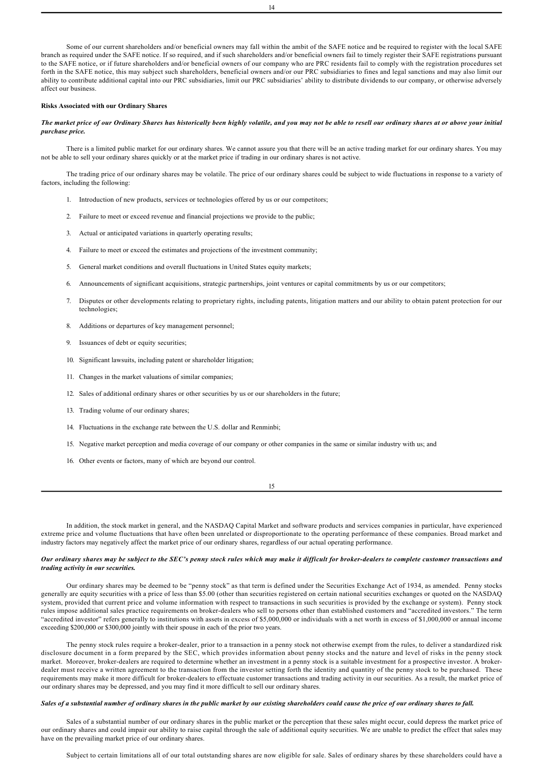Some of our current shareholders and/or beneficial owners may fall within the ambit of the SAFE notice and be required to register with the local SAFE branch as required under the SAFE notice. If so required, and if such shareholders and/or beneficial owners fail to timely register their SAFE registrations pursuant to the SAFE notice, or if future shareholders and/or beneficial owners of our company who are PRC residents fail to comply with the registration procedures set forth in the SAFE notice, this may subject such shareholders, beneficial owners and/or our PRC subsidiaries to fines and legal sanctions and may also limit our ability to contribute additional capital into our PRC subsidiaries, limit our PRC subsidiaries' ability to distribute dividends to our company, or otherwise adversely affect our business.

#### **Risks Associated with our Ordinary Shares**

# *The market price of our Ordinary Shares has historically been highly volatile, and you may not be able to resell our ordinary shares at or above your initial purchase price.*

There is a limited public market for our ordinary shares. We cannot assure you that there will be an active trading market for our ordinary shares. You may not be able to sell your ordinary shares quickly or at the market price if trading in our ordinary shares is not active.

The trading price of our ordinary shares may be volatile. The price of our ordinary shares could be subject to wide fluctuations in response to a variety of factors, including the following:

- 1. Introduction of new products, services or technologies offered by us or our competitors;
- 2. Failure to meet or exceed revenue and financial projections we provide to the public;
- 3. Actual or anticipated variations in quarterly operating results;
- 4. Failure to meet or exceed the estimates and projections of the investment community;
- 5. General market conditions and overall fluctuations in United States equity markets;
- 6. Announcements of significant acquisitions, strategic partnerships, joint ventures or capital commitments by us or our competitors;
- 7. Disputes or other developments relating to proprietary rights, including patents, litigation matters and our ability to obtain patent protection for our technologies;
- 8. Additions or departures of key management personnel;
- 9. Issuances of debt or equity securities;
- 10. Significant lawsuits, including patent or shareholder litigation;
- 11. Changes in the market valuations of similar companies;
- 12. Sales of additional ordinary shares or other securities by us or our shareholders in the future;
- 13. Trading volume of our ordinary shares;
- 14. Fluctuations in the exchange rate between the U.S. dollar and Renminbi;
- 15. Negative market perception and media coverage of our company or other companies in the same or similar industry with us; and
- 16. Other events or factors, many of which are beyond our control.
- 15

In addition, the stock market in general, and the NASDAQ Capital Market and software products and services companies in particular, have experienced extreme price and volume fluctuations that have often been unrelated or disproportionate to the operating performance of these companies. Broad market and industry factors may negatively affect the market price of our ordinary shares, regardless of our actual operating performance.

### *Our ordinary shares may be subject to the SEC's penny stock rules which may make it difficult for brokerdealers to complete customer transactions and trading activity in our securities.*

Our ordinary shares may be deemed to be "penny stock" as that term is defined under the Securities Exchange Act of 1934, as amended. Penny stocks generally are equity securities with a price of less than \$5.00 (other than securities registered on certain national securities exchanges or quoted on the NASDAQ system, provided that current price and volume information with respect to transactions in such securities is provided by the exchange or system). Penny stock rules impose additional sales practice requirements on broker-dealers who sell to persons other than established customers and "accredited investors." The term "accredited investor" refers generally to institutions with assets in excess of \$5,000,000 or individuals with a net worth in excess of \$1,000,000 or annual income exceeding \$200,000 or \$300,000 jointly with their spouse in each of the prior two years.

The penny stock rules require a broker-dealer, prior to a transaction in a penny stock not otherwise exempt from the rules, to deliver a standardized risk disclosure document in a form prepared by the SEC, which provides information about penny stocks and the nature and level of risks in the penny stock market. Moreover, broker-dealers are required to determine whether an investment in a penny stock is a suitable investment for a prospective investor. A brokerdealer must receive a written agreement to the transaction from the investor setting forth the identity and quantity of the penny stock to be purchased. These requirements may make it more difficult for broker-dealers to effectuate customer transactions and trading activity in our securities. As a result, the market price of our ordinary shares may be depressed, and you may find it more difficult to sell our ordinary shares.

### *Sales of a substantial number of ordinary shares in the public market by our existing shareholders could cause the price of our ordinary shares to fall.*

Sales of a substantial number of our ordinary shares in the public market or the perception that these sales might occur, could depress the market price of our ordinary shares and could impair our ability to raise capital through the sale of additional equity securities. We are unable to predict the effect that sales may have on the prevailing market price of our ordinary shares.

Subject to certain limitations all of our total outstanding shares are now eligible for sale. Sales of ordinary shares by these shareholders could have a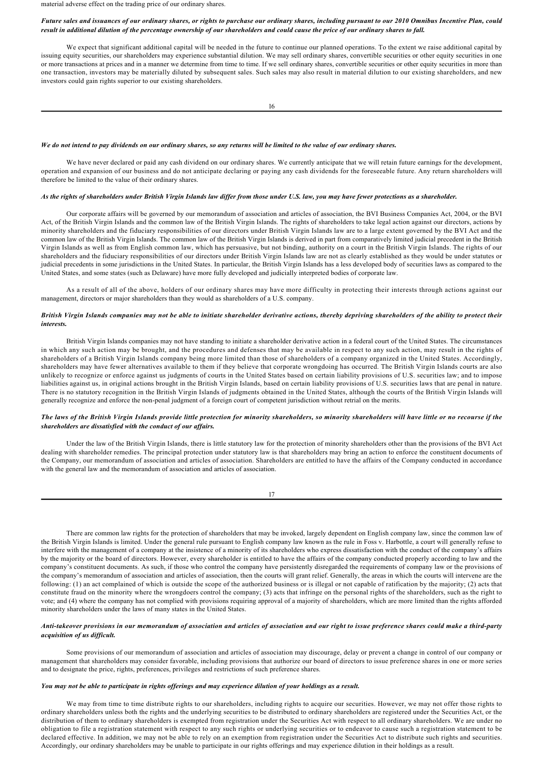material adverse effect on the trading price of our ordinary shares.

# *Future sales and issuances of our ordinary shares, or rights to purchase our ordinary shares, including pursuant to our 2010 Omnibus Incentive Plan, could result in additional dilution of the percentage ownership of our shareholders and could cause the price of our ordinary shares to fall.*

We expect that significant additional capital will be needed in the future to continue our planned operations. To the extent we raise additional capital by issuing equity securities, our shareholders may experience substantial dilution. We may sell ordinary shares, convertible securities or other equity securities in one or more transactions at prices and in a manner we determine from time to time. If we sell ordinary shares, convertible securities or other equity securities in more than one transaction, investors may be materially diluted by subsequent sales. Such sales may also result in material dilution to our existing shareholders, and new investors could gain rights superior to our existing shareholders.

|  | ٧<br>I<br>۰, |  |
|--|--------------|--|
|  |              |  |

#### *We do not intend to pay dividends on our ordinary shares, so any returns will be limited to the value of our ordinary shares.*

We have never declared or paid any cash dividend on our ordinary shares. We currently anticipate that we will retain future earnings for the development, operation and expansion of our business and do not anticipate declaring or paying any cash dividends for the foreseeable future. Any return shareholders will therefore be limited to the value of their ordinary shares.

# *As the rights of shareholders under British Virgin Islands law differ from those under U.S. law, you may have fewer protections as a shareholder.*

Our corporate affairs will be governed by our memorandum of association and articles of association, the BVI Business Companies Act, 2004, or the BVI Act, of the British Virgin Islands and the common law of the British Virgin Islands. The rights of shareholders to take legal action against our directors, actions by minority shareholders and the fiduciary responsibilities of our directors under British Virgin Islands law are to a large extent governed by the BVI Act and the common law of the British Virgin Islands. The common law of the British Virgin Islands is derived in part from comparatively limited judicial precedent in the British Virgin Islands as well as from English common law, which has persuasive, but not binding, authority on a court in the British Virgin Islands. The rights of our shareholders and the fiduciary responsibilities of our directors under British Virgin Islands law are not as clearly established as they would be under statutes or judicial precedents in some jurisdictions in the United States. In particular, the British Virgin Islands has a less developed body of securities laws as compared to the United States, and some states (such as Delaware) have more fully developed and judicially interpreted bodies of corporate law.

As a result of all of the above, holders of our ordinary shares may have more difficulty in protecting their interests through actions against our management, directors or major shareholders than they would as shareholders of a U.S. company.

# *British Virgin Islands companies may not be able to initiate shareholder derivative actions, thereby depriving shareholders of the ability to protect their interests.*

British Virgin Islands companies may not have standing to initiate a shareholder derivative action in a federal court of the United States. The circumstances in which any such action may be brought, and the procedures and defenses that may be available in respect to any such action, may result in the rights of shareholders of a British Virgin Islands company being more limited than those of shareholders of a company organized in the United States. Accordingly, shareholders may have fewer alternatives available to them if they believe that corporate wrongdoing has occurred. The British Virgin Islands courts are also unlikely to recognize or enforce against us judgments of courts in the United States based on certain liability provisions of U.S. securities law; and to impose liabilities against us, in original actions brought in the British Virgin Islands, based on certain liability provisions of U.S. securities laws that are penal in nature. There is no statutory recognition in the British Virgin Islands of judgments obtained in the United States, although the courts of the British Virgin Islands will generally recognize and enforce the non-penal judgment of a foreign court of competent jurisdiction without retrial on the merits.

# *The laws of the British Virgin Islands provide little protection for minority shareholders, so minority shareholders will have little or no recourse if the shareholders are dissatisfied with the conduct of our affairs.*

Under the law of the British Virgin Islands, there is little statutory law for the protection of minority shareholders other than the provisions of the BVI Act dealing with shareholder remedies. The principal protection under statutory law is that shareholders may bring an action to enforce the constituent documents of the Company, our memorandum of association and articles of association. Shareholders are entitled to have the affairs of the Company conducted in accordance with the general law and the memorandum of association and articles of association.

There are common law rights for the protection of shareholders that may be invoked, largely dependent on English company law, since the common law of the British Virgin Islands is limited. Under the general rule pursuant to English company law known as the rule in Foss v. Harbottle, a court will generally refuse to interfere with the management of a company at the insistence of a minority of its shareholders who express dissatisfaction with the conduct of the company's affairs by the majority or the board of directors. However, every shareholder is entitled to have the affairs of the company conducted properly according to law and the company's constituent documents. As such, if those who control the company have persistently disregarded the requirements of company law or the provisions of the company's memorandum of association and articles of association, then the courts will grant relief. Generally, the areas in which the courts will intervene are the following: (1) an act complained of which is outside the scope of the authorized business or is illegal or not capable of ratification by the majority; (2) acts that constitute fraud on the minority where the wrongdoers control the company; (3) acts that infringe on the personal rights of the shareholders, such as the right to vote; and (4) where the company has not complied with provisions requiring approval of a majority of shareholders, which are more limited than the rights afforded minority shareholders under the laws of many states in the United States.

# *Antitakeover provisions in our memorandum of association and articles of association and our right to issue preference shares could make a thirdparty acquisition of us difficult.*

Some provisions of our memorandum of association and articles of association may discourage, delay or prevent a change in control of our company or management that shareholders may consider favorable, including provisions that authorize our board of directors to issue preference shares in one or more series and to designate the price, rights, preferences, privileges and restrictions of such preference shares.

# *You may not be able to participate in rights offerings and may experience dilution of your holdings as a result.*

We may from time to time distribute rights to our shareholders, including rights to acquire our securities. However, we may not offer those rights to ordinary shareholders unless both the rights and the underlying securities to be distributed to ordinary shareholders are registered under the Securities Act, or the distribution of them to ordinary shareholders is exempted from registration under the Securities Act with respect to all ordinary shareholders. We are under no obligation to file a registration statement with respect to any such rights or underlying securities or to endeavor to cause such a registration statement to be declared effective. In addition, we may not be able to rely on an exemption from registration under the Securities Act to distribute such rights and securities. Accordingly, our ordinary shareholders may be unable to participate in our rights offerings and may experience dilution in their holdings as a result.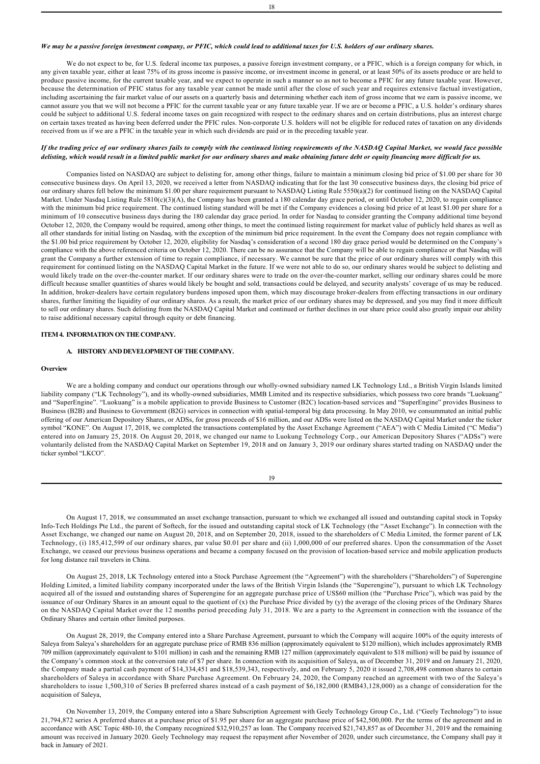### *We may be a passive foreign investment company, or PFIC, which could lead to additional taxes for U.S. holders of our ordinary shares.*

We do not expect to be, for U.S. federal income tax purposes, a passive foreign investment company, or a PFIC, which is a foreign company for which, in any given taxable year, either at least 75% of its gross income is passive income, or investment income in general, or at least 50% of its assets produce or are held to produce passive income, for the current taxable year, and we expect to operate in such a manner so as not to become a PFIC for any future taxable year. However, because the determination of PFIC status for any taxable year cannot be made until after the close of such year and requires extensive factual investigation, including ascertaining the fair market value of our assets on a quarterly basis and determining whether each item of gross income that we earn is passive income, we cannot assure you that we will not become a PFIC for the current taxable year or any future taxable year. If we are or become a PFIC, a U.S. holder's ordinary shares could be subject to additional U.S. federal income taxes on gain recognized with respect to the ordinary shares and on certain distributions, plus an interest charge on certain taxes treated as having been deferred under the PFIC rules. Noncorporate U.S. holders will not be eligible for reduced rates of taxation on any dividends received from us if we are a PFIC in the taxable year in which such dividends are paid or in the preceding taxable year.

# *If the trading price of our ordinary shares fails to comply with the continued listing requirements of the NASDAQ Capital Market, we would face possible delisting, which would result in a limited public market for our ordinary shares and make obtaining future debt or equity financing more difficult for us.*

Companies listed on NASDAQ are subject to delisting for, among other things, failure to maintain a minimum closing bid price of \$1.00 per share for 30 consecutive business days. On April 13, 2020, we received a letter from NASDAQ indicating that for the last 30 consecutive business days, the closing bid price of our ordinary shares fell below the minimum \$1.00 per share requirement pursuant to NASDAQ Listing Rule 5550(a)(2) for continued listing on the NASDAQ Capital Market. Under Nasdaq Listing Rule 5810(c)(3)(A), the Company has been granted a 180 calendar day grace period, or until October 12, 2020, to regain compliance with the minimum bid price requirement. The continued listing standard will be met if the Company evidences a closing bid price of at least \$1.00 per share for a minimum of 10 consecutive business days during the 180 calendar day grace period. In order for Nasdaq to consider granting the Company additional time beyond October 12, 2020, the Company would be required, among other things, to meet the continued listing requirement for market value of publicly held shares as well as all other standards for initial listing on Nasdaq, with the exception of the minimum bid price requirement. In the event the Company does not regain compliance with the \$1.00 bid price requirement by October 12, 2020, eligibility for Nasdaq's consideration of a second 180 day grace period would be determined on the Company's compliance with the above referenced criteria on October 12, 2020. There can be no assurance that the Company will be able to regain compliance or that Nasdaq will grant the Company a further extension of time to regain compliance, if necessary. We cannot be sure that the price of our ordinary shares will comply with this requirement for continued listing on the NASDAQ Capital Market in the future. If we were not able to do so, our ordinary shares would be subject to delisting and would likely trade on the over-the-counter market. If our ordinary shares were to trade on the over-the-counter market, selling our ordinary shares could be more difficult because smaller quantities of shares would likely be bought and sold, transactions could be delayed, and security analysts' coverage of us may be reduced. In addition, broker-dealers have certain regulatory burdens imposed upon them, which may discourage broker-dealers from effecting transactions in our ordinary shares, further limiting the liquidity of our ordinary shares. As a result, the market price of our ordinary shares may be depressed, and you may find it more difficult to sell our ordinary shares. Such delisting from the NASDAQ Capital Market and continued or further declines in our share price could also greatly impair our ability to raise additional necessary capital through equity or debt financing.

# **ITEM 4. INFORMATION ON THE COMPANY.**

# **A***.* **HISTORY AND DEVELOPMENT OF THE COMPANY.**

#### **Overview**

We are a holding company and conduct our operations through our wholly-owned subsidiary named LK Technology Ltd., a British Virgin Islands limited liability company ("LK Technology"), and its wholly-owned subsidiaries, MMB Limited and its respective subsidiaries, which possess two core brands "Luokuang" and "SuperEngine". "Luokuang" is a mobile application to provide Business to Customer (B2C) location-based services and "SuperEngine" provides Business to Business (B2B) and Business to Government (B2G) services in connection with spatial-temporal big data processing. In May 2010, we consummated an initial public offering of our American Depository Shares, or ADSs, for gross proceeds of \$16 million, and our ADSs were listed on the NASDAQ Capital Market under the ticker symbol "KONE". On August 17, 2018, we completed the transactions contemplated by the Asset Exchange Agreement ("AEA") with C Media Limited ("C Media") entered into on January 25, 2018. On August 20, 2018, we changed our name to Luokung Technology Corp., our American Depository Shares ("ADSs") were voluntarily delisted from the NASDAQ Capital Market on September 19, 2018 and on January 3, 2019 our ordinary shares started trading on NASDAQ under the ticker symbol "LKCO".

On August 17, 2018, we consummated an asset exchange transaction, pursuant to which we exchanged all issued and outstanding capital stock in Topsky Info-Tech Holdings Pte Ltd., the parent of Softech, for the issued and outstanding capital stock of LK Technology (the "Asset Exchange"). In connection with the Asset Exchange, we changed our name on August 20, 2018, and on September 20, 2018, issued to the shareholders of C Media Limited, the former parent of LK Technology, (i) 185,412,599 of our ordinary shares, par value \$0.01 per share and (ii) 1,000,000 of our preferred shares. Upon the consummation of the Asset Exchange, we ceased our previous business operations and became a company focused on the provision of location-based service and mobile application products for long distance rail travelers in China.

On August 25, 2018, LK Technology entered into a Stock Purchase Agreement (the "Agreement") with the shareholders ("Shareholders") of Superengine Holding Limited, a limited liability company incorporated under the laws of the British Virgin Islands (the "Superengine"), pursuant to which LK Technology acquired all of the issued and outstanding shares of Superengine for an aggregate purchase price of US\$60 million (the "Purchase Price"), which was paid by the issuance of our Ordinary Shares in an amount equal to the quotient of (x) the Purchase Price divided by (y) the average of the closing prices of the Ordinary Shares on the NASDAQ Capital Market over the 12 months period preceding July 31, 2018. We are a party to the Agreement in connection with the issuance of the Ordinary Shares and certain other limited purposes.

On August 28, 2019, the Company entered into a Share Purchase Agreement, pursuant to which the Company will acquire 100% of the equity interests of Saleya from Saleya's shareholders for an aggregate purchase price of RMB 836 million (approximately equivalent to \$120 million), which includes approximately RMB 709 million (approximately equivalent to \$101 million) in cash and the remaining RMB 127 million (approximately equivalent to \$18 million) will be paid by issuance of the Company's common stock at the conversion rate of \$7 per share. In connection with its acquisition of Saleya, as of December 31, 2019 and on January 21, 2020, the Company made a partial cash payment of \$14,334,451 and \$18,539,343, respectively, and on February 5, 2020 it issued 2,708,498 common shares to certain shareholders of Saleya in accordance with Share Purchase Agreement. On February 24, 2020, the Company reached an agreement with two of the Saleya's shareholders to issue 1,500,310 of Series B preferred shares instead of a cash payment of \$6,182,000 (RMB43,128,000) as a change of consideration for the acquisition of Saleya,

On November 13, 2019, the Company entered into a Share Subscription Agreement with Geely Technology Group Co., Ltd. ("Geely Technology") to issue 21,794,872 series A preferred shares at a purchase price of \$1.95 per share for an aggregate purchase price of \$42,500,000. Per the terms of the agreement and in accordance with ASC Topic 480-10, the Company recognized \$32,910,257 as loan. The Company received \$21,743,857 as of December 31, 2019 and the remaining amount was received in January 2020. Geely Technology may request the repayment after November of 2020, under such circumstance, the Company shall pay it back in January of 2021.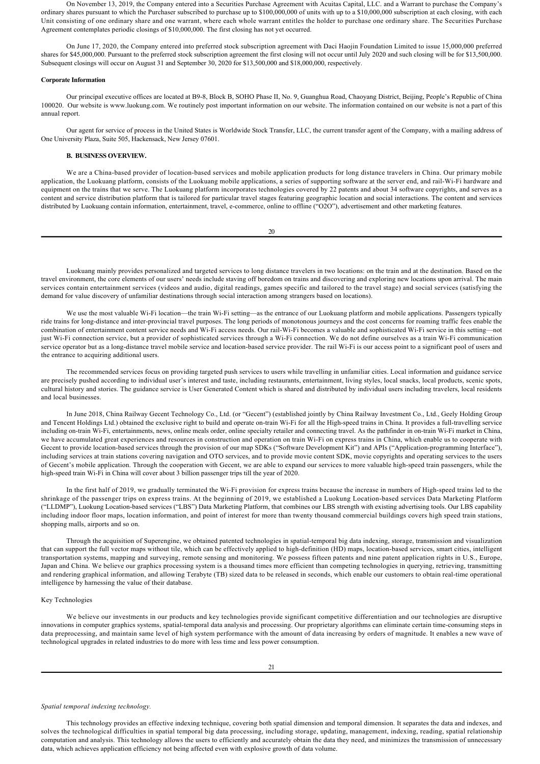On November 13, 2019, the Company entered into a Securities Purchase Agreement with Acuitas Capital, LLC. and a Warrant to purchase the Company's ordinary shares pursuant to which the Purchaser subscribed to purchase up to \$100,000,000 of units with up to a \$10,000,000 subscription at each closing, with each Unit consisting of one ordinary share and one warrant, where each whole warrant entitles the holder to purchase one ordinary share. The Securities Purchase Agreement contemplates periodic closings of \$10,000,000. The first closing has not yet occurred.

On June 17, 2020, the Company entered into preferred stock subscription agreement with Daci Haojin Foundation Limited to issue 15,000,000 preferred shares for \$45,000,000. Pursuant to the preferred stock subscription agreement the first closing will not occur until July 2020 and such closing will be for \$13,500,000. Subsequent closings will occur on August 31 and September 30, 2020 for \$13,500,000 and \$18,000,000, respectively.

#### **Corporate Information**

Our principal executive offices are located at B98, Block B, SOHO Phase II, No. 9, Guanghua Road, Chaoyang District, Beijing, People's Republic of China 100020. Our website is www.luokung.com. We routinely post important information on our website. The information contained on our website is not a part of this annual report.

Our agent for service of process in the United States is Worldwide Stock Transfer, LLC, the current transfer agent of the Company, with a mailing address of One University Plaza, Suite 505, Hackensack, New Jersey 07601.

# **B. BUSINESS OVERVIEW.**

We are a China-based provider of location-based services and mobile application products for long distance travelers in China. Our primary mobile application, the Luokuang platform, consists of the Luokuang mobile applications, a series of supporting software at the server end, and rail-Wi-Fi hardware and equipment on the trains that we serve. The Luokuang platform incorporates technologies covered by 22 patents and about 34 software copyrights, and serves as a content and service distribution platform that is tailored for particular travel stages featuring geographic location and social interactions. The content and services distributed by Luokuang contain information, entertainment, travel, e-commerce, online to offline ("O2O"), advertisement and other marketing features.

20

Luokuang mainly provides personalized and targeted services to long distance travelers in two locations: on the train and at the destination. Based on the travel environment, the core elements of our users' needs include staving off boredom on trains and discovering and exploring new locations upon arrival. The main services contain entertainment services (videos and audio, digital readings, games specific and tailored to the travel stage) and social services (satisfying the demand for value discovery of unfamiliar destinations through social interaction among strangers based on locations).

We use the most valuable Wi-Fi location—the train Wi-Fi setting—as the entrance of our Luokuang platform and mobile applications. Passengers typically ride trains for long-distance and inter-provincial travel purposes. The long periods of monotonous journeys and the cost concerns for roaming traffic fees enable the combination of entertainment content service needs and Wi-Fi access needs. Our rail-Wi-Fi becomes a valuable and sophisticated Wi-Fi service in this setting—not just Wi-Fi connection service, but a provider of sophisticated services through a Wi-Fi connection. We do not define ourselves as a train Wi-Fi communication service operator but as a long-distance travel mobile service and location-based service provider. The rail Wi-Fi is our access point to a significant pool of users and the entrance to acquiring additional users.

The recommended services focus on providing targeted push services to users while travelling in unfamiliar cities. Local information and guidance service are precisely pushed according to individual user's interest and taste, including restaurants, entertainment, living styles, local snacks, local products, scenic spots, cultural history and stories. The guidance service is User Generated Content which is shared and distributed by individual users including travelers, local residents and local businesses.

In June 2018, China Railway Gecent Technology Co., Ltd. (or "Gecent") (established jointly by China Railway Investment Co., Ltd., Geely Holding Group and Tencent Holdings Ltd.) obtained the exclusive right to build and operate on-train Wi-Fi for all the High-speed trains in China. It provides a full-travelling service including on-train Wi-Fi, entertainments, news, online meals order, online specialty retailer and connecting travel. As the pathfinder in on-train Wi-Fi market in China, we have accumulated great experiences and resources in construction and operation on train Wi-Fi on express trains in China, which enable us to cooperate with Gecent to provide location-based services through the provision of our map SDKs ("Software Development Kit") and APIs ("Application-programming Interface"), including services at train stations covering navigation and OTO services, and to provide movie content SDK, movie copyrights and operating services to the users of Gecent's mobile application. Through the cooperation with Gecent, we are able to expand our services to more valuable high-speed train passengers, while the high-speed train Wi-Fi in China will cover about 3 billion passenger trips till the year of 2020.

In the first half of 2019, we gradually terminated the Wi-Fi provision for express trains because the increase in numbers of High-speed trains led to the shrinkage of the passenger trips on express trains. At the beginning of 2019, we established a Luokung Location-based services Data Marketing Platform ("LLDMP"), Luokung Location-based services ("LBS") Data Marketing Platform, that combines our LBS strength with existing advertising tools. Our LBS capability including indoor floor maps, location information, and point of interest for more than twenty thousand commercial buildings covers high speed train stations, shopping malls, airports and so on.

Through the acquisition of Superengine, we obtained patented technologies in spatial-temporal big data indexing, storage, transmission and visualization that can support the full vector maps without tile, which can be effectively applied to high-definition (HD) maps, location-based services, smart cities, intelligent transportation systems, mapping and surveying, remote sensing and monitoring. We possess fifteen patents and nine patent application rights in U.S., Europe, Japan and China. We believe our graphics processing system is a thousand times more efficient than competing technologies in querying, retrieving, transmitting and rendering graphical information, and allowing Terabyte (TB) sized data to be released in seconds, which enable our customers to obtain real-time operational intelligence by harnessing the value of their database.

### Key Technologies

We believe our investments in our products and key technologies provide significant competitive differentiation and our technologies are disruptive innovations in computer graphics systems, spatial-temporal data analysis and processing. Our proprietary algorithms can eliminate certain time-consuming steps in data preprocessing, and maintain same level of high system performance with the amount of data increasing by orders of magnitude. It enables a new wave of technological upgrades in related industries to do more with less time and less power consumption.

#### *Spatial temporal indexing technology.*

This technology provides an effective indexing technique, covering both spatial dimension and temporal dimension. It separates the data and indexes, and solves the technological difficulties in spatial temporal big data processing, including storage, updating, management, indexing, reading, spatial relationship computation and analysis. This technology allows the users to efficiently and accurately obtain the data they need, and minimizes the transmission of unnecessary data, which achieves application efficiency not being affected even with explosive growth of data volume.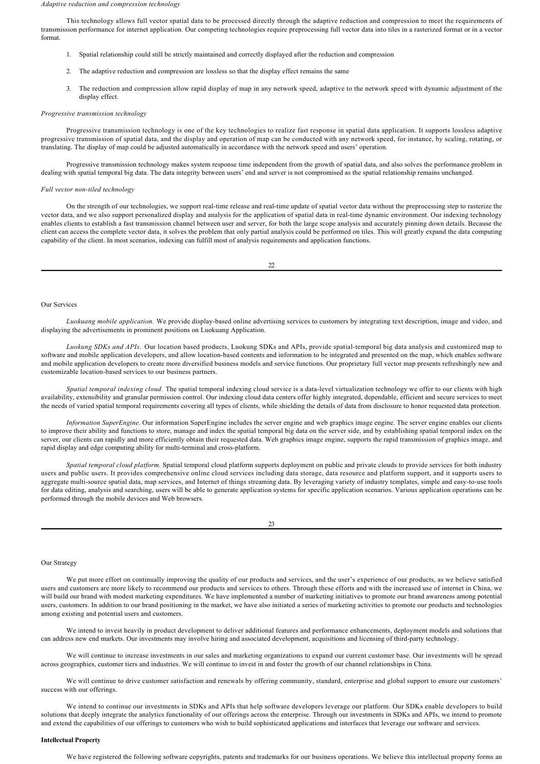#### *Adaptive reduction and compression technology*

This technology allows full vector spatial data to be processed directly through the adaptive reduction and compression to meet the requirements of transmission performance for internet application. Our competing technologies require preprocessing full vector data into tiles in a rasterized format or in a vector format.

- 1. Spatial relationship could still be strictly maintained and correctly displayed after the reduction and compression
- 2. The adaptive reduction and compression are lossless so that the display effect remains the same
- 3. The reduction and compression allow rapid display of map in any network speed, adaptive to the network speed with dynamic adjustment of the display effect.

### *Progressive transmission technology*

Progressive transmission technology is one of the key technologies to realize fast response in spatial data application. It supports lossless adaptive progressive transmission of spatial data, and the display and operation of map can be conducted with any network speed, for instance, by scaling, rotating, or translating. The display of map could be adjusted automatically in accordance with the network speed and users' operation.

Progressive transmission technology makes system response time independent from the growth of spatial data, and also solves the performance problem in dealing with spatial temporal big data. The data integrity between users' end and server is not compromised as the spatial relationship remains unchanged.

#### Full vector non-tiled technology

On the strength of our technologies, we support real-time release and real-time update of spatial vector data without the preprocessing step to rasterize the vector data, and we also support personalized display and analysis for the application of spatial data in realtime dynamic environment. Our indexing technology enables clients to establish a fast transmission channel between user and server, for both the large scope analysis and accurately pinning down details. Because the client can access the complete vector data, it solves the problem that only partial analysis could be performed on tiles. This will greatly expand the data computing capability of the client. In most scenarios, indexing can fulfill most of analysis requirements and application functions.

22

#### Our Services

*Luokuang mobile application*. We provide display-based online advertising services to customers by integrating text description, image and video, and displaying the advertisements in prominent positions on Luokuang Application.

*Luokung SDKs and APIs.* Our location based products, Luokung SDKs and APIs, provide spatial-temporal big data analysis and customized map to software and mobile application developers, and allow location-based contents and information to be integrated and presented on the map, which enables software and mobile application developers to create more diversified business models and service functions. Our proprietary full vector map presents refreshingly new and customizable location-based services to our business partners.

Spatial temporal indexing cloud. The spatial temporal indexing cloud service is a data-level virtualization technology we offer to our clients with high availability, extensibility and granular permission control. Our indexing cloud data centers offer highly integrated, dependable, efficient and secure services to meet the needs of varied spatial temporal requirements covering all types of clients, while shielding the details of data from disclosure to honor requested data protection.

*Information SuperEngine.* Our information SuperEngine includes the server engine and web graphics image engine. The server engine enables our clients to improve their ability and functions to store, manage and index the spatial temporal big data on the server side, and by establishing spatial temporal index on the server, our clients can rapidly and more efficiently obtain their requested data. Web graphics image engine, supports the rapid transmission of graphics image, and rapid display and edge computing ability for multi-terminal and cross-platform.

*Spatial temporal cloud platform.* Spatial temporal cloud platform supports deployment on public and private clouds to provide services for both industry users and public users. It provides comprehensive online cloud services including data storage, data resource and platform support, and it supports users to aggregate multi-source spatial data, map services, and Internet of things streaming data. By leveraging variety of industry templates, simple and easy-to-use tools for data editing, analysis and searching, users will be able to generate application systems for specific application scenarios. Various application operations can be performed through the mobile devices and Web browsers.

# $23$

### Our Strategy

We put more effort on continually improving the quality of our products and services, and the user's experience of our products, as we believe satisfied users and customers are more likely to recommend our products and services to others. Through these efforts and with the increased use of internet in China, we will build our brand with modest marketing expenditures. We have implemented a number of marketing initiatives to promote our brand awareness among potential users, customers. In addition to our brand positioning in the market, we have also initiated a series of marketing activities to promote our products and technologies among existing and potential users and customers.

We intend to invest heavily in product development to deliver additional features and performance enhancements, deployment models and solutions that can address new end markets. Our investments may involve hiring and associated development, acquisitions and licensing of third-party technology.

We will continue to increase investments in our sales and marketing organizations to expand our current customer base. Our investments will be spread across geographies, customer tiers and industries. We will continue to invest in and foster the growth of our channel relationships in China.

We will continue to drive customer satisfaction and renewals by offering community, standard, enterprise and global support to ensure our customers' success with our offerings.

We intend to continue our investments in SDKs and APIs that help software developers leverage our platform. Our SDKs enable developers to build solutions that deeply integrate the analytics functionality of our offerings across the enterprise. Through our investments in SDKs and APIs, we intend to promote and extend the capabilities of our offerings to customers who wish to build sophisticated applications and interfaces that leverage our software and services.

#### **Intellectual Property**

We have registered the following software copyrights, patents and trademarks for our business operations. We believe this intellectual property forms an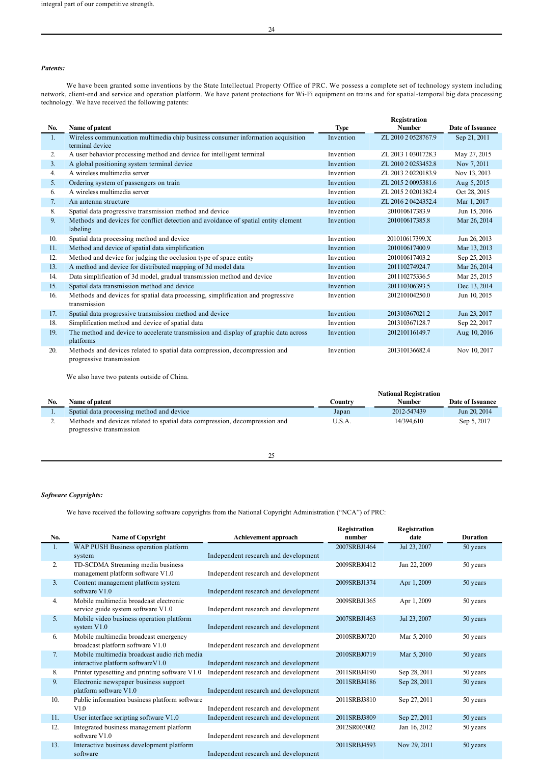# *Patents:*

We have been granted some inventions by the State Intellectual Property Office of PRC. We possess a complete set of technology system including network, client-end and service and operation platform. We have patent protections for Wi-Fi equipment on trains and for spatial-temporal big data processing technology. We have received the following patents:

|                |                                                                                     |             | Registration        |                         |
|----------------|-------------------------------------------------------------------------------------|-------------|---------------------|-------------------------|
| No.            | Name of patent                                                                      | <b>Type</b> | <b>Number</b>       | <b>Date of Issuance</b> |
| 1.             | Wireless communication multimedia chip business consumer information acquisition    | Invention   | ZL 2010 2 0528767.9 | Sep 21, 2011            |
|                | terminal device                                                                     |             |                     |                         |
| 2.             | A user behavior processing method and device for intelligent terminal               | Invention   | ZL 2013 1 0301728.3 | May 27, 2015            |
| 3.             | A global positioning system terminal device                                         | Invention   | ZL 2010 2 0253452.8 | Nov 7, 2011             |
| 4.             | A wireless multimedia server                                                        | Invention   | ZL 2013 2 0220183.9 | Nov 13, 2013            |
| 5 <sub>1</sub> | Ordering system of passengers on train                                              | Invention   | ZL 2015 2 0095381.6 | Aug 5, 2015             |
| 6.             | A wireless multimedia server                                                        | Invention   | ZL 2015 2 0201382.4 | Oct 28, 2015            |
| 7.             | An antenna structure                                                                | Invention   | ZL 2016 2 0424352.4 | Mar 1, 2017             |
| 8.             | Spatial data progressive transmission method and device                             | Invention   | 201010617383.9      | Jun 15, 2016            |
| 9.             | Methods and devices for conflict detection and avoidance of spatial entity element  | Invention   | 201010617385.8      | Mar 26, 2014            |
|                | labeling                                                                            |             |                     |                         |
| 10.            | Spatial data processing method and device                                           | Invention   | 201010617399.X      | Jun 26, 2013            |
| 11.            | Method and device of spatial data simplification                                    | Invention   | 201010617400.9      | Mar 13, 2013            |
| 12.            | Method and device for judging the occlusion type of space entity                    | Invention   | 201010617403.2      | Sep 25, 2013            |
| 13.            | A method and device for distributed mapping of 3d model data                        | Invention   | 201110274924.7      | Mar 26, 2014            |
| 14.            | Data simplification of 3d model, gradual transmission method and device             | Invention   | 201110275336.5      | Mar 25, 2015            |
| 15.            | Spatial data transmission method and device                                         | Invention   | 201110306393.5      | Dec 13, 2014            |
| 16.            | Methods and devices for spatial data processing, simplification and progressive     | Invention   | 201210104250.0      | Jun 10, 2015            |
|                | transmission                                                                        |             |                     |                         |
| 17.            | Spatial data progressive transmission method and device                             | Invention   | 201310367021.2      | Jun 23, 2017            |
| 18.            | Simplification method and device of spatial data                                    | Invention   | 201310367128.7      | Sep 22, 2017            |
| 19.            | The method and device to accelerate transmission and display of graphic data across | Invention   | 201210116149.7      | Aug 10, 2016            |
|                | platforms                                                                           |             |                     |                         |
| 20.            | Methods and devices related to spatial data compression, decompression and          | Invention   | 201310136682.4      | Nov 10, 2017            |
|                | progressive transmission                                                            |             |                     |                         |

We also have two patents outside of China.

|     |                                                                            | <b>National Registration</b> |               |                  |
|-----|----------------------------------------------------------------------------|------------------------------|---------------|------------------|
| No. | <b>Name of patent</b>                                                      | Countrv                      | <b>Number</b> | Date of Issuance |
|     | Spatial data processing method and device                                  | Japan                        | 2012-547439   | Jun 20, 2014     |
| ,.  | Methods and devices related to spatial data compression, decompression and | U.S.A                        | 14/394.610    | Sep 5, 2017      |
|     | progressive transmission                                                   |                              |               |                  |

# 25

# *Software Copyrights:*

We have received the following software copyrights from the National Copyright Administration ("NCA") of PRC:

| No.              | <b>Name of Copyright</b>                                                           | <b>Achievement approach</b>          | Registration<br>number | Registration<br>date | <b>Duration</b> |
|------------------|------------------------------------------------------------------------------------|--------------------------------------|------------------------|----------------------|-----------------|
| Ι.               | WAP PUSH Business operation platform                                               |                                      | 2007SRBJ1464           | Jul 23, 2007         | 50 years        |
|                  | system                                                                             | Independent research and development |                        |                      |                 |
| $\overline{2}$ . | TD-SCDMA Streaming media business<br>management platform software V1.0             | Independent research and development | 2009SRBJ0412           | Jan 22, 2009         | 50 years        |
| 3 <sub>1</sub>   | Content management platform system<br>software V1.0                                | Independent research and development | 2009SRBJ1374           | Apr 1, 2009          | 50 years        |
| 4.               | Mobile multimedia broadcast electronic<br>service guide system software V1.0       | Independent research and development | 2009SRBJ1365           | Apr 1, 2009          | 50 years        |
| 5 <sub>1</sub>   | Mobile video business operation platform<br>system V1.0                            | Independent research and development | 2007SRBJ1463           | Jul 23, 2007         | 50 years        |
| 6.               | Mobile multimedia broadcast emergency<br>broadcast platform software V1.0          | Independent research and development | 2010SRBJ0720           | Mar 5, 2010          | 50 years        |
| 7.               | Mobile multimedia broadcast audio rich media<br>interactive platform software V1.0 | Independent research and development | 2010SRBJ0719           | Mar 5, 2010          | 50 years        |
| 8.               | Printer typesetting and printing software V1.0                                     | Independent research and development | 2011SRBJ4190           | Sep 28, 2011         | 50 years        |
| 9.               | Electronic newspaper business support<br>platform software V1.0                    | Independent research and development | 2011SRBJ4186           | Sep 28, 2011         | 50 years        |
| 10.              | Public information business platform software<br>V1.0                              | Independent research and development | 2011SRBJ3810           | Sep 27, 2011         | 50 years        |
| 11.              | User interface scripting software V1.0                                             | Independent research and development | 2011SRBJ3809           | Sep 27, 2011         | 50 years        |
| 12.              | Integrated business management platform<br>software V1.0                           | Independent research and development | 2012SR003002           | Jan 16, 2012         | 50 years        |
| 13.              | Interactive business development platform<br>software                              | Independent research and development | 2011SRBJ4593           | Nov 29, 2011         | 50 years        |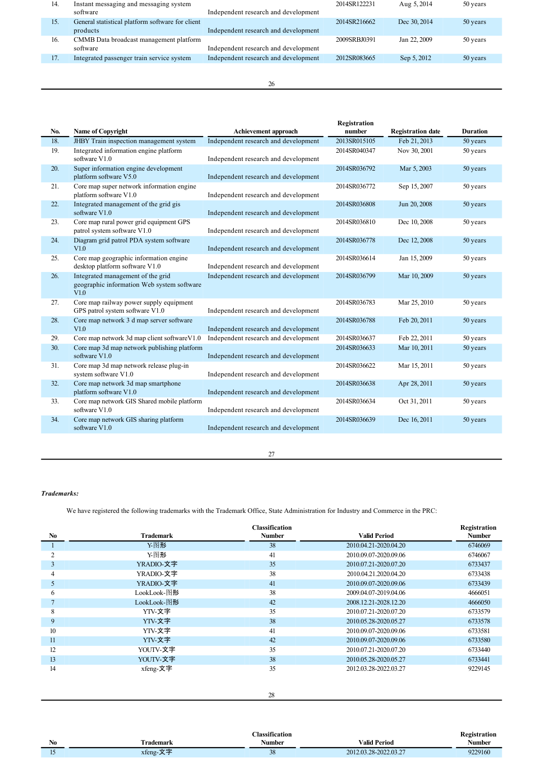| 14. | Instant messaging and messaging system           |                                      | 2014SR122231 | Aug 5, 2014  | 50 years |
|-----|--------------------------------------------------|--------------------------------------|--------------|--------------|----------|
|     | software                                         | Independent research and development |              |              |          |
| 15. | General statistical platform software for client |                                      | 2014SR216662 | Dec 30, 2014 | 50 years |
|     | products                                         | Independent research and development |              |              |          |
| 16. | CMMB Data broadcast management platform          |                                      | 2009SRBJ0391 | Jan 22, 2009 | 50 years |
|     | software                                         | Independent research and development |              |              |          |
| 17. | Integrated passenger train service system        | Independent research and development | 2012SR083665 | Sep 5, 2012  | 50 years |

| No. | <b>Name of Copyright</b>                                                                | Achievement approach                 | Registration<br>number | <b>Registration date</b> | <b>Duration</b> |
|-----|-----------------------------------------------------------------------------------------|--------------------------------------|------------------------|--------------------------|-----------------|
| 18. | JHBY Train inspection management system                                                 | Independent research and development | 2013SR015105           | Feb 21, 2013             | 50 years        |
| 19. | Integrated information engine platform<br>software V1.0                                 | Independent research and development | 2014SR040347           | Nov 30, 2001             | 50 years        |
| 20. | Super information engine development<br>platform software V5.0                          | Independent research and development | 2014SR036792           | Mar 5, 2003              | 50 years        |
| 21. | Core map super network information engine<br>platform software V1.0                     | Independent research and development | 2014SR036772           | Sep 15, 2007             | 50 years        |
| 22. | Integrated management of the grid gis<br>software V1.0                                  | Independent research and development | 2014SR036808           | Jun 20, 2008             | 50 years        |
| 23. | Core map rural power grid equipment GPS<br>patrol system software V1.0                  | Independent research and development | 2014SR036810           | Dec 10, 2008             | 50 years        |
| 24. | Diagram grid patrol PDA system software<br>V1.0                                         | Independent research and development | 2014SR036778           | Dec 12, 2008             | 50 years        |
| 25. | Core map geographic information engine<br>desktop platform software V1.0                | Independent research and development | 2014SR036614           | Jan 15, 2009             | 50 years        |
| 26. | Integrated management of the grid<br>geographic information Web system software<br>V1.0 | Independent research and development | 2014SR036799           | Mar 10, 2009             | 50 years        |
| 27. | Core map railway power supply equipment<br>GPS patrol system software V1.0              | Independent research and development | 2014SR036783           | Mar 25, 2010             | 50 years        |
| 28. | Core map network 3 d map server software<br>V1.0                                        | Independent research and development | 2014SR036788           | Feb 20, 2011             | 50 years        |
| 29. | Core map network 3d map client software V1.0                                            | Independent research and development | 2014SR036637           | Feb 22, 2011             | 50 years        |
| 30. | Core map 3d map network publishing platform<br>software V1.0                            | Independent research and development | 2014SR036633           | Mar 10, 2011             | 50 years        |
| 31. | Core map 3d map network release plug-in<br>system software V1.0                         | Independent research and development | 2014SR036622           | Mar 15, 2011             | 50 years        |
| 32. | Core map network 3d map smartphone<br>platform software V1.0                            | Independent research and development | 2014SR036638           | Apr 28, 2011             | 50 years        |
| 33. | Core map network GIS Shared mobile platform<br>software V1.0                            | Independent research and development | 2014SR036634           | Oct 31, 2011             | 50 years        |
| 34. | Core map network GIS sharing platform<br>software V1.0                                  | Independent research and development | 2014SR036639           | Dec 16, 2011             | 50 years        |

27

# *Trademarks:*

We have registered the following trademarks with the Trademark Office, State Administration for Industry and Commerce in the PRC:

| No.            | Trademark   | <b>Classification</b><br><b>Number</b> | <b>Valid Period</b>   | Registration<br><b>Number</b> |
|----------------|-------------|----------------------------------------|-----------------------|-------------------------------|
|                | Y-图形        | 38                                     | 2010.04.21-2020.04.20 | 6746069                       |
|                | Y-图形        | 41                                     | 2010.09.07-2020.09.06 | 6746067                       |
| 3              | YRADIO-文字   | 35                                     | 2010.07.21-2020.07.20 | 6733437                       |
| $\overline{4}$ | YRADIO-文字   | 38                                     | 2010.04.21.2020.04.20 | 6733438                       |
| 5              | YRADIO-文字   | 41                                     | 2010.09.07-2020.09.06 | 6733439                       |
| 6              | LookLook-图形 | 38                                     | 2009.04.07-2019.04.06 | 4666051                       |
|                | LookLook-图形 | 42                                     | 2008.12.21-2028.12.20 | 4666050                       |
| 8              | YTV-文字      | 35                                     | 2010.07.21-2020.07.20 | 6733579                       |
| 9              | YTV-文字      | 38                                     | 2010.05.28-2020.05.27 | 6733578                       |
| 10             | YTV-文字      | 41                                     | 2010.09.07-2020.09.06 | 6733581                       |
| 11             | YTV-文字      | 42                                     | 2010.09.07-2020.09.06 | 6733580                       |
| 12             | YOUTV-文字    | 35                                     | 2010.07.21-2020.07.20 | 6733440                       |
| 13             | YOUTV-文字    | 38                                     | 2010.05.28-2020.05.27 | 6733441                       |
| 14             | xfeng-文字    | 35                                     | 2012.03.28-2022.03.27 | 9229145                       |
|                |             |                                        |                       |                               |
|                |             |                                        |                       |                               |

|                |                    | <b>Tlassification</b> |                       | tegistration |
|----------------|--------------------|-----------------------|-----------------------|--------------|
| NO             | <b>rademark</b>    | Number                | Valid Period          | Number       |
| $\overline{1}$ | $x$ teng- $\nabla$ | $\sim$<br>20          | 2012.03.28-2022.03.27 | 9229160      |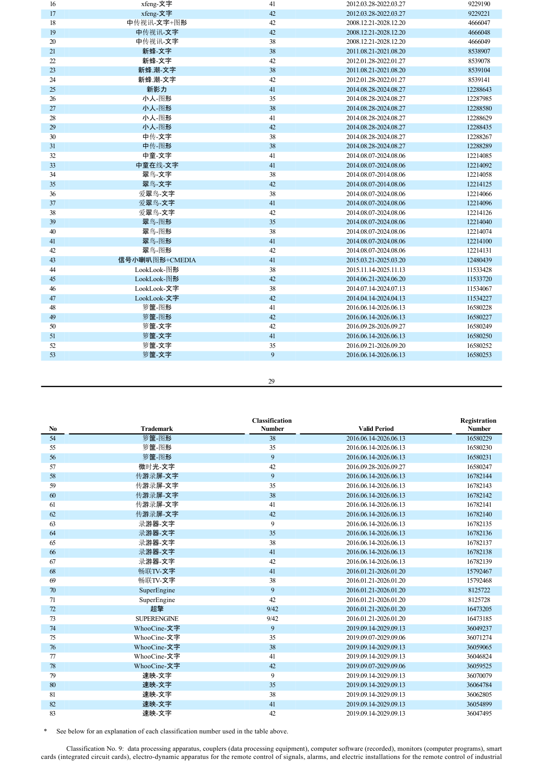| 16 | xfeng-文字       | 41 | 2012.03.28-2022.03.27 | 9229190  |
|----|----------------|----|-----------------------|----------|
| 17 | xfeng-文字       | 42 | 2012.03.28-2022.03.27 | 9229221  |
| 18 | 中传视讯-文字+图形     | 42 | 2008.12.21-2028.12.20 | 4666047  |
| 19 | 中传视讯-文字        | 42 | 2008.12.21-2028.12.20 | 4666048  |
| 20 | 中传视讯-文字        | 38 | 2008.12.21-2028.12.20 | 4666049  |
| 21 | 新蜂-文字          | 38 | 2011.08.21-2021.08.20 | 8538907  |
| 22 | 新蜂-文字          | 42 | 2012.01.28-2022.01.27 | 8539078  |
| 23 | 新蜂.潮-文字        | 38 | 2011.08.21-2021.08.20 | 8539104  |
| 24 | 新蜂.潮-文字        | 42 | 2012.01.28-2022.01.27 | 8539141  |
| 25 | 新影力            | 41 | 2014.08.28-2024.08.27 | 12288643 |
| 26 | 小人-图形          | 35 | 2014.08.28-2024.08.27 | 12287985 |
| 27 | 小人-图形          | 38 | 2014.08.28-2024.08.27 | 12288580 |
| 28 | 小人-图形          | 41 | 2014.08.28-2024.08.27 | 12288629 |
| 29 | 小人-图形          | 42 | 2014.08.28-2024.08.27 | 12288435 |
| 30 | 中传-文字          | 38 | 2014.08.28-2024.08.27 | 12288267 |
| 31 | 中传-图形          | 38 | 2014.08.28-2024.08.27 | 12288289 |
| 32 | 中童-文字          | 41 | 2014.08.07-2024.08.06 | 12214085 |
| 33 | 中童在线-文字        | 41 | 2014.08.07-2024.08.06 | 12214092 |
| 34 | 翠鸟-文字          | 38 | 2014.08.07-2014.08.06 | 12214058 |
| 35 | 翠鸟-文字          | 42 | 2014.08.07-2014.08.06 | 12214125 |
| 36 | 爱翠鸟-文字         | 38 | 2014.08.07-2024.08.06 | 12214066 |
| 37 | 爱翠鸟-文字         | 41 | 2014.08.07-2024.08.06 | 12214096 |
| 38 | 爱翠鸟-文字         | 42 | 2014.08.07-2024.08.06 | 12214126 |
| 39 | 翠鸟-图形          | 35 | 2014.08.07-2024.08.06 | 12214040 |
| 40 | 翠鸟-图形          | 38 | 2014.08.07-2024.08.06 | 12214074 |
| 41 | 翠鸟-图形          | 41 | 2014.08.07-2024.08.06 | 12214100 |
| 42 | 翠鸟-图形          | 42 | 2014.08.07-2024.08.06 | 12214131 |
| 43 | 信号小喇叭图形+CMEDIA | 41 | 2015.03.21-2025.03.20 | 12480439 |
| 44 | LookLook-图形    | 38 | 2015.11.14-2025.11.13 | 11533428 |
| 45 | LookLook-图形    | 42 | 2014.06.21-2024.06.20 | 11533720 |
| 46 | LookLook-文字    | 38 | 2014.07.14-2024.07.13 | 11534067 |
| 47 | LookLook-文字    | 42 | 2014.04.14-2024.04.13 | 11534227 |
| 48 | 箩筐-图形          | 41 | 2016.06.14-2026.06.13 | 16580228 |
| 49 | 箩筐-图形          | 42 | 2016.06.14-2026.06.13 | 16580227 |
| 50 | 箩筐-文字          | 42 | 2016.09.28-2026.09.27 | 16580249 |
| 51 | 箩筐-文字          | 41 | 2016.06.14-2026.06.13 | 16580250 |
| 52 | 箩筐-文字          | 35 | 2016.09.21-2026.09.20 | 16580252 |
| 53 | 箩筐-文字          | 9  | 2016.06.14-2026.06.13 | 16580253 |

|    |                    | Classification |                       | Registration  |
|----|--------------------|----------------|-----------------------|---------------|
| No | <b>Trademark</b>   | <b>Number</b>  | <b>Valid Period</b>   | <b>Number</b> |
| 54 | 箩筐-图形              | 38             | 2016.06.14-2026.06.13 | 16580229      |
| 55 | 箩筐-图形              | 35             | 2016.06.14-2026.06.13 | 16580230      |
| 56 | 箩筐-图形              | 9              | 2016.06.14-2026.06.13 | 16580231      |
| 57 | 微时光-文字             | 42             | 2016.09.28-2026.09.27 | 16580247      |
| 58 | 传游录屏-文字            | 9              | 2016.06.14-2026.06.13 | 16782144      |
| 59 | 传游录屏-文字            | 35             | 2016.06.14-2026.06.13 | 16782143      |
| 60 | 传游录屏-文字            | 38             | 2016.06.14-2026.06.13 | 16782142      |
| 61 | 传游录屏-文字            | 41             | 2016.06.14-2026.06.13 | 16782141      |
| 62 | 传游录屏-文字            | 42             | 2016.06.14-2026.06.13 | 16782140      |
| 63 | 录游器-文字             | 9              | 2016.06.14-2026.06.13 | 16782135      |
| 64 | 录游器-文字             | 35             | 2016.06.14-2026.06.13 | 16782136      |
| 65 | 录游器-文字             | 38             | 2016.06.14-2026.06.13 | 16782137      |
| 66 | 录游器-文字             | 41             | 2016.06.14-2026.06.13 | 16782138      |
| 67 | 录游器-文字             | 42             | 2016.06.14-2026.06.13 | 16782139      |
| 68 | 畅联TV-文字            | 41             | 2016.01.21-2026.01.20 | 15792467      |
| 69 | 畅联TV-文字            | 38             | 2016.01.21-2026.01.20 | 15792468      |
| 70 | SuperEngine        | 9              | 2016.01.21-2026.01.20 | 8125722       |
| 71 | SuperEngine        | 42             | 2016.01.21-2026.01.20 | 8125728       |
| 72 | 超擎                 | 9/42           | 2016.01.21-2026.01.20 | 16473205      |
| 73 | <b>SUPERENGINE</b> | 9/42           | 2016.01.21-2026.01.20 | 16473185      |
| 74 | WhooCine-文字        | 9              | 2019.09.14-2029.09.13 | 36049237      |
| 75 | WhooCine-文字        | 35             | 2019.09.07-2029.09.06 | 36071274      |
| 76 | WhooCine-文字        | 38             | 2019.09.14-2029.09.13 | 36059065      |
| 77 | WhooCine-文字        | 41             | 2019.09.14-2029.09.13 | 36046824      |
| 78 | WhooCine-文字        | 42             | 2019.09.07-2029.09.06 | 36059525      |
| 79 | 速映-文字              | 9              | 2019.09.14-2029.09.13 | 36070079      |
| 80 | 速映-文字              | 35             | 2019.09.14-2029.09.13 | 36064784      |
| 81 | 速映-文字              | 38             | 2019.09.14-2029.09.13 | 36062805      |
| 82 | 速映-文字              | 41             | 2019.09.14-2029.09.13 | 36054899      |
| 83 | 速映-文字              | 42             | 2019.09.14-2029.09.13 | 36047495      |

\* See below for an explanation of each classification number used in the table above.

Classification No. 9: data processing apparatus, couplers (data processing equipment), computer software (recorded), monitors (computer programs), smart cards (integrated circuit cards), electro-dynamic apparatus for the remote control of signals, alarms, and electric installations for the remote control of industrial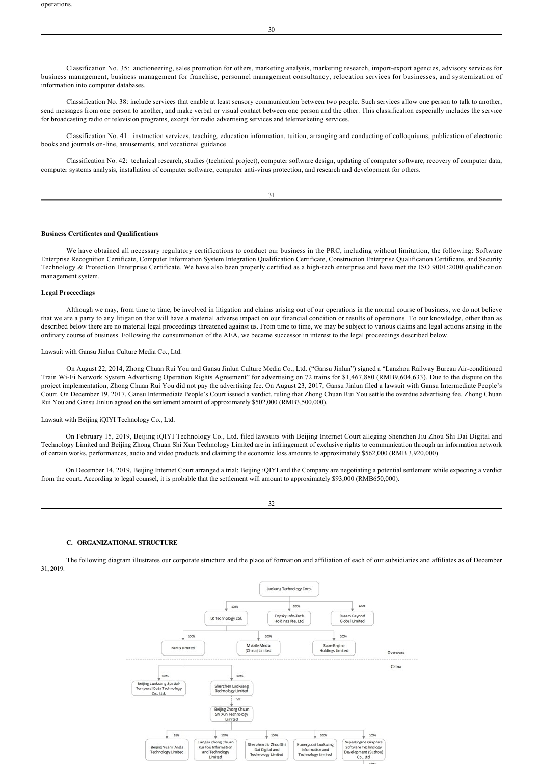Classification No. 38: include services that enable at least sensory communication between two people. Such services allow one person to talk to another, send messages from one person to another, and make verbal or visual contact between one person and the other. This classification especially includes the service for broadcasting radio or television programs, except for radio advertising services and telemarketing services.

Classification No. 41: instruction services, teaching, education information, tuition, arranging and conducting of colloquiums, publication of electronic books and journals on-line, amusements, and vocational guidance.

Classification No. 42: technical research, studies (technical project), computer software design, updating of computer software, recovery of computer data computer systems analysis, installation of computer software, computer anti-virus protection, and research and development for others.

31

### **Business Certificates and Qualifications**

We have obtained all necessary regulatory certifications to conduct our business in the PRC, including without limitation, the following: Software Enterprise Recognition Certificate, Computer Information System Integration Qualification Certificate, Construction Enterprise Qualification Certificate, and Security Technology & Protection Enterprise Certificate. We have also been properly certified as a hightech enterprise and have met the ISO 9001:2000 qualification management system.

# **Legal Proceedings**

Although we may, from time to time, be involved in litigation and claims arising out of our operations in the normal course of business, we do not believe that we are a party to any litigation that will have a material adverse impact on our financial condition or results of operations. To our knowledge, other than as described below there are no material legal proceedings threatened against us. From time to time, we may be subject to various claims and legal actions arising in the ordinary course of business. Following the consummation of the AEA, we became successor in interest to the legal proceedings described below.

# Lawsuit with Gansu Jinlun Culture Media Co., Ltd.

On August 22, 2014, Zhong Chuan Rui You and Gansu Jinlun Culture Media Co., Ltd. ("Gansu Jinlun") signed a "Lanzhou Railway Bureau Air-conditioned Train WiFi Network System Advertising Operation Rights Agreement" for advertising on 72 trains for \$1,467,880 (RMB9,604,633). Due to the dispute on the project implementation, Zhong Chuan Rui You did not pay the advertising fee. On August 23, 2017, Gansu Jinlun filed a lawsuit with Gansu Intermediate People's Court. On December 19, 2017, Gansu Intermediate People's Court issued a verdict, ruling that Zhong Chuan Rui You settle the overdue advertising fee. Zhong Chuan Rui You and Gansu Jinlun agreed on the settlement amount of approximately \$502,000 (RMB3,500,000).

### Lawsuit with Beijing iQIYI Technology Co., Ltd.

On February 15, 2019, Beijing iQIYI Technology Co., Ltd. filed lawsuits with Beijing Internet Court alleging Shenzhen Jiu Zhou Shi Dai Digital and Technology Limited and Beijing Zhong Chuan Shi Xun Technology Limited are in infringement of exclusive rights to communication through an information network of certain works, performances, audio and video products and claiming the economic loss amounts to approximately \$562,000 (RMB 3,920,000).

On December 14, 2019, Beijing Internet Court arranged a trial; Beijing iQIYI and the Company are negotiating a potential settlement while expecting a verdict from the court. According to legal counsel, it is probable that the settlement will amount to approximately \$93,000 (RMB650,000).

32

# **C. ORGANIZATIONAL STRUCTURE**

The following diagram illustrates our corporate structure and the place of formation and affiliation of each of our subsidiaries and affiliates as of December 31, 2019.

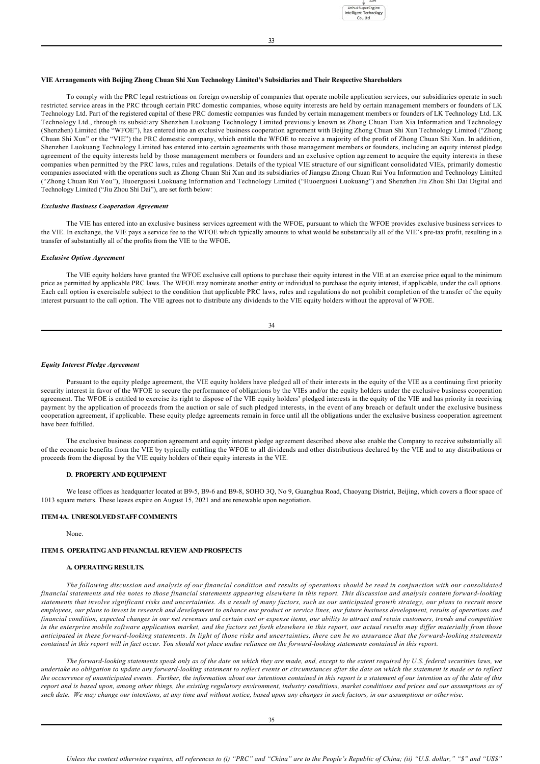

# **VIE Arrangements with Beijing Zhong Chuan Shi Xun Technology Limited's Subsidiaries and Their Respective Shareholders**

To comply with the PRC legal restrictions on foreign ownership of companies that operate mobile application services, our subsidiaries operate in such restricted service areas in the PRC through certain PRC domestic companies, whose equity interests are held by certain management members or founders of LK Technology Ltd. Part of the registered capital of these PRC domestic companies was funded by certain management members or founders of LK Technology Ltd. LK Technology Ltd., through its subsidiary Shenzhen Luokuang Technology Limited previously known as Zhong Chuan Tian Xia Information and Technology (Shenzhen) Limited (the "WFOE"), has entered into an exclusive business cooperation agreement with Beijing Zhong Chuan Shi Xun Technology Limited ("Zhong Chuan Shi Xun" or the "VIE") the PRC domestic company, which entitle the WFOE to receive a majority of the profit of Zhong Chuan Shi Xun. In addition, Shenzhen Luokuang Technology Limited has entered into certain agreements with those management members or founders, including an equity interest pledge agreement of the equity interests held by those management members or founders and an exclusive option agreement to acquire the equity interests in these companies when permitted by the PRC laws, rules and regulations. Details of the typical VIE structure of our significant consolidated VIEs, primarily domestic companies associated with the operations such as Zhong Chuan Shi Xun and its subsidiaries of Jiangsu Zhong Chuan Rui You Information and Technology Limited ("Zhong Chuan Rui You"), Huoerguosi Luokuang Information and Technology Limited ("Huoerguosi Luokuang") and Shenzhen Jiu Zhou Shi Dai Digital and Technology Limited ("Jiu Zhou Shi Dai"), are set forth below:

33

# *Exclusive Business Cooperation Agreement*

The VIE has entered into an exclusive business services agreement with the WFOE, pursuant to which the WFOE provides exclusive business services to the VIE. In exchange, the VIE pays a service fee to the WFOE which typically amounts to what would be substantially all of the VIE's pre-tax profit, resulting in a transfer of substantially all of the profits from the VIE to the WFOE.

#### *Exclusive Option Agreement*

The VIE equity holders have granted the WFOE exclusive call options to purchase their equity interest in the VIE at an exercise price equal to the minimum price as permitted by applicable PRC laws. The WFOE may nominate another entity or individual to purchase the equity interest, if applicable, under the call options. Each call option is exercisable subject to the condition that applicable PRC laws, rules and regulations do not prohibit completion of the transfer of the equity interest pursuant to the call option. The VIE agrees not to distribute any dividends to the VIE equity holders without the approval of WFOE.

34

## *Equity Interest Pledge Agreement*

Pursuant to the equity pledge agreement, the VIE equity holders have pledged all of their interests in the equity of the VIE as a continuing first priority security interest in favor of the WFOE to secure the performance of obligations by the VIEs and/or the equity holders under the exclusive business cooperation agreement. The WFOE is entitled to exercise its right to dispose of the VIE equity holders' pledged interests in the equity of the VIE and has priority in receiving payment by the application of proceeds from the auction or sale of such pledged interests, in the event of any breach or default under the exclusive business cooperation agreement, if applicable. These equity pledge agreements remain in force until all the obligations under the exclusive business cooperation agreement have been fulfilled.

The exclusive business cooperation agreement and equity interest pledge agreement described above also enable the Company to receive substantially all of the economic benefits from the VIE by typically entitling the WFOE to all dividends and other distributions declared by the VIE and to any distributions or proceeds from the disposal by the VIE equity holders of their equity interests in the VIE.

### **D. PROPERTY AND EQUIPMENT**

We lease offices as headquarter located at B9-5, B9-6 and B9-8, SOHO 3Q, No 9, Guanghua Road, Chaoyang District, Beijing, which covers a floor space of 1013 square meters. These leases expire on August 15, 2021 and are renewable upon negotiation.

### **ITEM 4A. UNRESOLVED STAFF COMMENTS**

None.

# **ITEM 5. OPERATING AND FINANCIAL REVIEW AND PROSPECTS**

# **A***.* **OPERATING RESULTS.**

*The following discussion and analysis of our financial condition and results of operations should be read in conjunction with our consolidated* financial statements and the notes to those financial statements appearing elsewhere in this report. This discussion and analysis contain forward-looking *statements that involve significant risks and uncertainties. As a result of many factors, such as our anticipated growth strategy, our plans to recruit more employees, our plans to invest in research and development to enhance our product or service lines, our future business development, results of operations and financial condition, expected changes in our net revenues and certain cost or expense items, our ability to attract and retain customers, trends and competition in the enterprise mobile software application market, and the factors set forth elsewhere in this report, our actual results may differ materially from those* anticipated in these forward-looking statements. In light of those risks and uncertainties, there can be no assurance that the forward-looking statements *contained in this report will in fact occur. You should not place undue reliance on the forwardlooking statements contained in this report.*

*The forwardlooking statements speak only as of the date on which they are made, and, except to the extent required by U.S. federal securities laws, we undertake no obligation to update any forwardlooking statement to reflect events or circumstances after the date on which the statement is made or to reflect the occurrence of unanticipated events. Further, the information about our intentions contained in this report is a statement of our intention as of the date of this report and is based upon, among other things, the existing regulatory environment, industry conditions, market conditions and prices and our assumptions as of such date. We may change our intentions, at any time and without notice, based upon any changes in such factors, in our assumptions or otherwise.*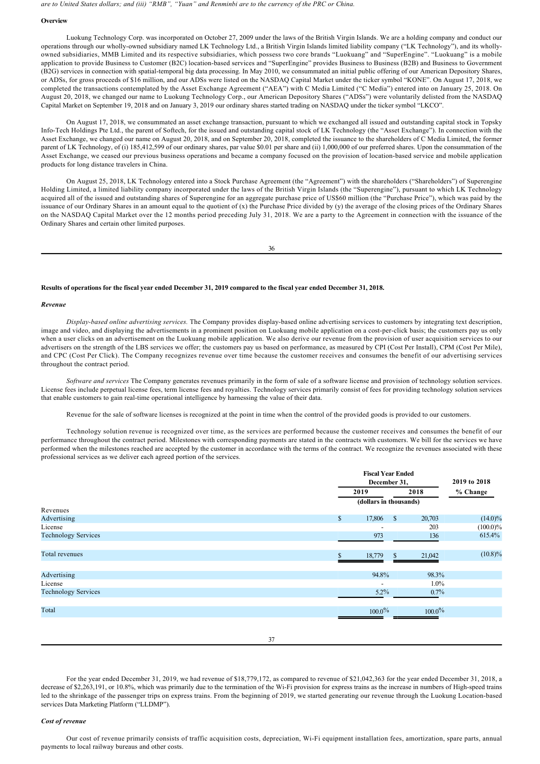#### **Overview**

Luokung Technology Corp. was incorporated on October 27, 2009 under the laws of the British Virgin Islands. We are a holding company and conduct our operations through our wholly-owned subsidiary named LK Technology Ltd., a British Virgin Islands limited liability company ("LK Technology"), and its whollyowned subsidiaries, MMB Limited and its respective subsidiaries, which possess two core brands "Luokuang" and "SuperEngine". "Luokuang" is a mobile application to provide Business to Customer (B2C) location-based services and "SuperEngine" provides Business to Business (B2B) and Business to Government (B2G) services in connection with spatial-temporal big data processing. In May 2010, we consummated an initial public offering of our American Depository Shares, or ADSs, for gross proceeds of \$16 million, and our ADSs were listed on the NASDAQ Capital Market under the ticker symbol "KONE". On August 17, 2018, we completed the transactions contemplated by the Asset Exchange Agreement ("AEA") with C Media Limited ("C Media") entered into on January 25, 2018. On August 20, 2018, we changed our name to Luokung Technology Corp., our American Depository Shares ("ADSs") were voluntarily delisted from the NASDAQ Capital Market on September 19, 2018 and on January 3, 2019 our ordinary shares started trading on NASDAQ under the ticker symbol "LKCO".

On August 17, 2018, we consummated an asset exchange transaction, pursuant to which we exchanged all issued and outstanding capital stock in Topsky Info-Tech Holdings Pte Ltd., the parent of Softech, for the issued and outstanding capital stock of LK Technology (the "Asset Exchange"). In connection with the Asset Exchange, we changed our name on August 20, 2018, and on September 20, 2018, completed the issuance to the shareholders of C Media Limited, the former parent of LK Technology, of (i) 185,412,599 of our ordinary shares, par value \$0.01 per share and (ii) 1,000,000 of our preferred shares. Upon the consummation of the Asset Exchange, we ceased our previous business operations and became a company focused on the provision of location-based service and mobile application products for long distance travelers in China.

On August 25, 2018, LK Technology entered into a Stock Purchase Agreement (the "Agreement") with the shareholders ("Shareholders") of Superengine Holding Limited, a limited liability company incorporated under the laws of the British Virgin Islands (the "Superengine"), pursuant to which LK Technology acquired all of the issued and outstanding shares of Superengine for an aggregate purchase price of US\$60 million (the "Purchase Price"), which was paid by the issuance of our Ordinary Shares in an amount equal to the quotient of (x) the Purchase Price divided by (y) the average of the closing prices of the Ordinary Shares on the NASDAQ Capital Market over the 12 months period preceding July 31, 2018. We are a party to the Agreement in connection with the issuance of the Ordinary Shares and certain other limited purposes.

36

### **Results of operations for the fiscal year ended December 31, 2019 compared to the fiscal year ended December 31, 2018.**

#### *Revenue*

*Displaybased online advertising services.* The Company provides displaybased online advertising services to customers by integrating text description, image and video, and displaying the advertisements in a prominent position on Luokuang mobile application on a cost-per-click basis; the customers pay us only when a user clicks on an advertisement on the Luokuang mobile application. We also derive our revenue from the provision of user acquisition services to our advertisers on the strength of the LBS services we offer; the customers pay us based on performance, as measured by CPI (Cost Per Install), CPM (Cost Per Mile), and CPC (Cost Per Click). The Company recognizes revenue over time because the customer receives and consumes the benefit of our advertising services throughout the contract period.

*Software and services* The Company generates revenues primarily in the form of sale of a software license and provision of technology solution services. License fees include perpetual license fees, term license fees and royalties. Technology services primarily consist of fees for providing technology solution services that enable customers to gain real-time operational intelligence by harnessing the value of their data.

Revenue for the sale of software licenses is recognized at the point in time when the control of the provided goods is provided to our customers.

Technology solution revenue is recognized over time, as the services are performed because the customer receives and consumes the benefit of our performance throughout the contract period. Milestones with corresponding payments are stated in the contracts with customers. We bill for the services we have performed when the milestones reached are accepted by the customer in accordance with the terms of the contract. We recognize the revenues associated with these professional services as we deliver each agreed portion of the services.

|                            |      | <b>Fiscal Year Ended</b><br>December 31, |           | 2019 to 2018 |
|----------------------------|------|------------------------------------------|-----------|--------------|
|                            | 2019 |                                          | 2018      | % Change     |
|                            |      | (dollars in thousands)                   |           |              |
| Revenues                   |      |                                          |           |              |
| Advertising                | \$   | 17,806<br>$\mathbb{S}$                   | 20,703    | $(14.0)\%$   |
| License                    |      | $\overline{\phantom{0}}$                 | 203       | $(100.0)\%$  |
| <b>Technology Services</b> |      | 973                                      | 136       | 615.4%       |
|                            |      |                                          |           |              |
| Total revenues             | \$   | 18,779<br>\$                             | 21,042    | $(10.8)\%$   |
|                            |      |                                          |           |              |
| Advertising                |      | 94.8%                                    | 98.3%     |              |
| License                    |      | $\overline{\phantom{a}}$                 | $1.0\%$   |              |
| <b>Technology Services</b> |      | $5.2\%$                                  | $0.7\%$   |              |
|                            |      |                                          |           |              |
| Total                      |      | $100.0\%$                                | $100.0\%$ |              |
|                            |      |                                          |           |              |
|                            |      |                                          |           |              |

37

For the year ended December 31, 2019, we had revenue of \$18,779,172, as compared to revenue of \$21,042,363 for the year ended December 31, 2018, a decrease of \$2,263,191, or 10.8%, which was primarily due to the termination of the Wi-Fi provision for express trains as the increase in numbers of High-speed trains led to the shrinkage of the passenger trips on express trains. From the beginning of 2019, we started generating our revenue through the Luokung Location-based services Data Marketing Platform ("LLDMP").

# *Cost of revenue*

Our cost of revenue primarily consists of traffic acquisition costs, depreciation, Wi-Fi equipment installation fees, amortization, spare parts, annual payments to local railway bureaus and other costs.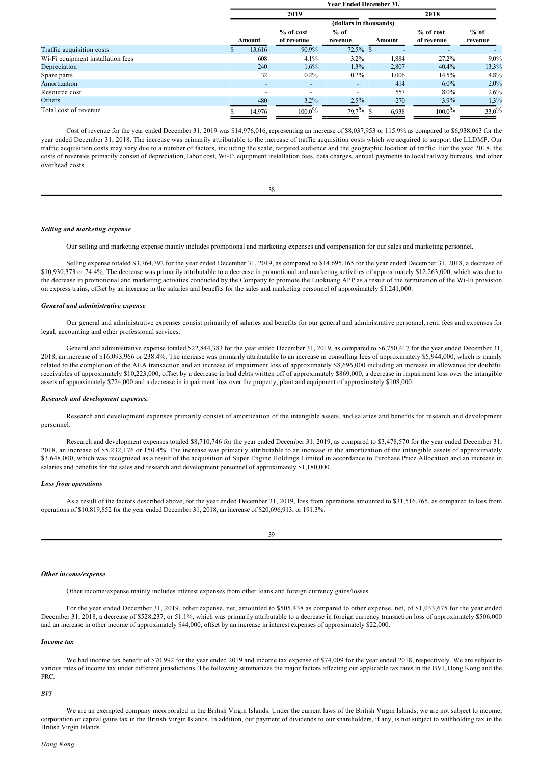|                                   |                          |                          | <b>Year Ended December 31.</b> |                |            |          |
|-----------------------------------|--------------------------|--------------------------|--------------------------------|----------------|------------|----------|
|                                   |                          | 2019                     |                                |                | 2018       |          |
|                                   |                          |                          | (dollars in thousands)         |                |            |          |
|                                   |                          | % of cost                | $%$ of                         |                | % of cost  | $%$ of   |
|                                   | Amount                   | of revenue               | revenue                        | Amount         | of revenue | revenue  |
| Traffic acquisition costs         | 13,616                   | 90.9%                    | $72.5\%$ \$                    | $\overline{a}$ |            |          |
| Wi-Fi equipment installation fees | 608                      | 4.1%                     | $3.2\%$                        | 1,884          | 27.2%      | $9.0\%$  |
| Depreciation                      | 240                      | $1.6\%$                  | 1.3%                           | 2,807          | 40.4%      | 13.3%    |
| Spare parts                       | 32                       | $0.2\%$                  | $0.2\%$                        | 1,006          | 14.5%      | $4.8\%$  |
| Amortization                      | $\overline{\phantom{a}}$ | $\overline{\phantom{0}}$ | -                              | 414            | $6.0\%$    | 2.0%     |
| Resource cost                     | $\overline{\phantom{a}}$ | $\overline{\phantom{a}}$ | $\overline{\phantom{0}}$       | 557            | $8.0\%$    | $2.6\%$  |
| Others                            | 480                      | $3.2\%$                  | $2.5\%$                        | 270            | $3.9\%$    | 1.3%     |
| Total cost of revenue             | 14,976                   | $100.0\%$                | $79.7\%$ \$                    | 6,938          | $100.0\%$  | $33.0\%$ |

Cost of revenue for the year ended December 31, 2019 was \$14,976,016, representing an increase of \$8,037,953 or 115.9% as compared to \$6,938,063 for the year ended December 31, 2018. The increase was primarily attributable to the increase of traffic acquisition costs which we acquired to support the LLDMP. Our traffic acquisition costs may vary due to a number of factors, including the scale, targeted audience and the geographic location of traffic. For the year 2018, the costs of revenues primarily consist of depreciation, labor cost, Wi-Fi equipment installation fees, data charges, annual payments to local railway bureaus, and other overhead costs.

| t               |   |  |
|-----------------|---|--|
| ۰,<br>۰.<br>- - | ٦ |  |

#### *Selling and marketing expense*

Our selling and marketing expense mainly includes promotional and marketing expenses and compensation for our sales and marketing personnel.

Selling expense totaled \$3,764,792 for the year ended December 31, 2019, as compared to \$14,695,165 for the year ended December 31, 2018, a decrease of \$10,930,373 or 74.4%. The decrease was primarily attributable to a decrease in promotional and marketing activities of approximately \$12,263,000, which was due to the decrease in promotional and marketing activities conducted by the Company to promote the Luokuang APP as a result of the termination of the Wi-Fi provision on express trains, offset by an increase in the salaries and benefits for the sales and marketing personnel of approximately \$1,241,000.

#### *General and administrative expense*

Our general and administrative expenses consist primarily of salaries and benefits for our general and administrative personnel, rent, fees and expenses for legal, accounting and other professional services.

General and administrative expense totaled \$22,844,383 for the year ended December 31, 2019, as compared to \$6,750,417 for the year ended December 31, 2018, an increase of \$16,093,966 or 238.4%. The increase was primarily attributable to an increase in consulting fees of approximately \$5,944,000, which is mainly related to the completion of the AEA transaction and an increase of impairment loss of approximately \$8,696,000 including an increase in allowance for doubtful receivables of approximately \$10,223,000, offset by a decrease in bad debts written off of approximately \$869,000, a decrease in impairment loss over the intangible assets of approximately \$724,000 and a decrease in impairment loss over the property, plant and equipment of approximately \$108,000.

#### *Research and development expenses.*

Research and development expenses primarily consist of amortization of the intangible assets, and salaries and benefits for research and development personnel.

Research and development expenses totaled \$8,710,746 for the year ended December 31, 2019, as compared to \$3,478,570 for the year ended December 31, 2018, an increase of \$5,232,176 or 150.4%. The increase was primarily attributable to an increase in the amortization of the intangible assets of approximately \$3,648,000, which was recognized as a result of the acquisition of Super Engine Holdings Limited in accordance to Purchase Price Allocation and an increase in salaries and benefits for the sales and research and development personnel of approximately \$1,180,000.

# *Loss from operations*

As a result of the factors described above, for the year ended December 31, 2019, loss from operations amounted to \$31,516,765, as compared to loss from operations of \$10,819,852 for the year ended December 31, 2018, an increase of \$20,696,913, or 191.3%.

| t<br>×                       |  |
|------------------------------|--|
| i<br>٦<br>۰.<br>$\sim$<br>۰. |  |

#### *Other income/expense*

Other income/expense mainly includes interest expenses from other loans and foreign currency gains/losses.

For the year ended December 31, 2019, other expense, net, amounted to \$505,438 as compared to other expense, net, of \$1,033,675 for the year ended December 31, 2018, a decrease of \$528,237, or 51.1%, which was primarily attributable to a decrease in foreign currency transaction loss of approximately \$506,000 and an increase in other income of approximately \$44,000, offset by an increase in interest expenses of approximately \$22,000.

### *Income tax*

We had income tax benefit of \$70,992 for the year ended 2019 and income tax expense of \$74,009 for the year ended 2018, respectively. We are subject to various rates of income tax under different jurisdictions. The following summarizes the major factors affecting our applicable tax rates in the BVI, Hong Kong and the PRC.

# *BVI*

We are an exempted company incorporated in the British Virgin Islands. Under the current laws of the British Virgin Islands, we are not subject to income, corporation or capital gains tax in the British Virgin Islands. In addition, our payment of dividends to our shareholders, if any, is not subject to withholding tax in the British Virgin Islands.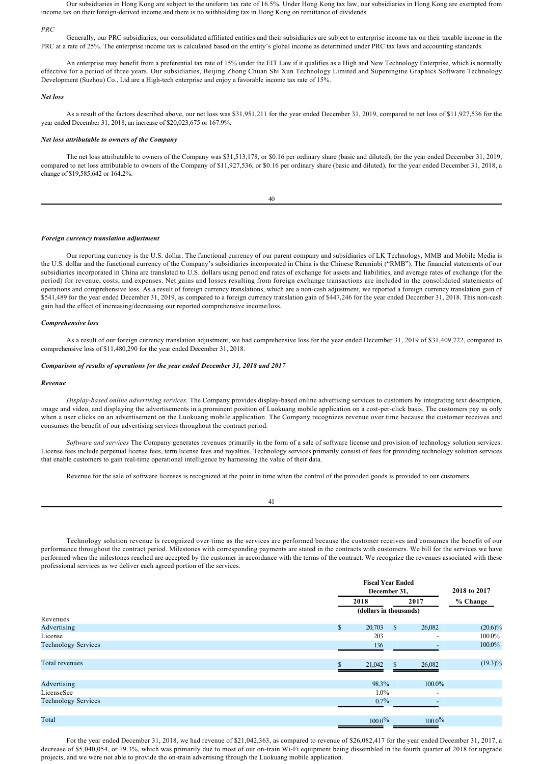Our subsidiaries in Hong Kong are subject to the uniform tax rate of 16.5%. Under Hong Kong tax law, our subsidiaries in Hong Kong are exempted from income tax on their foreign-derived income and there is no withholding tax in Hong Kong on remittance of dividends.

#### *PRC*

Generally, our PRC subsidiaries, our consolidated affiliated entities and their subsidiaries are subject to enterprise income tax on their taxable income in the PRC at a rate of 25%. The enterprise income tax is calculated based on the entity's global income as determined under PRC tax laws and accounting standards.

An enterprise may benefit from a preferential tax rate of 15% under the EIT Law if it qualifies as a High and New Technology Enterprise, which is normally effective for a period of three years. Our subsidiaries, Beijing Zhong Chuan Shi Xun Technology Limited and Superengine Graphics Software Technology Development (Suzhou) Co., Ltd are a High-tech enterprise and enjoy a favorable income tax rate of 15%.

# *Net loss*

As a result of the factors described above, our net loss was \$31,951,211 for the year ended December 31, 2019, compared to net loss of \$11,927,536 for the year ended December 31, 2018, an increase of \$20,023,675 or 167.9%.

#### *Net loss attributable to owners of the Company*

The net loss attributable to owners of the Company was \$31,513,178, or \$0.16 per ordinary share (basic and diluted), for the year ended December 31, 2019, compared to net loss attributable to owners of the Company of \$11,927,536, or \$0.16 per ordinary share (basic and diluted), for the year ended December 31, 2018, a change of \$19,585,642 or 164.2%.

40

#### *Foreign currency translation adjustment*

Our reporting currency is the U.S. dollar. The functional currency of our parent company and subsidiaries of LK Technology, MMB and Mobile Media is the U.S. dollar and the functional currency of the Company's subsidiaries incorporated in China is the Chinese Renminbi ("RMB"). The financial statements of our subsidiaries incorporated in China are translated to U.S. dollars using period end rates of exchange for assets and liabilities, and average rates of exchange (for the period) for revenue, costs, and expenses. Net gains and losses resulting from foreign exchange transactions are included in the consolidated statements of operations and comprehensive loss. As a result of foreign currency translations, which are a noncash adjustment, we reported a foreign currency translation gain of \$541,489 for the year ended December 31, 2019, as compared to a foreign currency translation gain of \$447,246 for the year ended December 31, 2018. This non-cash gain had the effect of increasing/decreasing our reported comprehensive income/loss.

# *Comprehensive loss*

As a result of our foreign currency translation adjustment, we had comprehensive loss for the year ended December 31, 2019 of \$31,409,722, compared to comprehensive loss of \$11,480,290 for the year ended December 31, 2018.

#### *Comparison of results of operations for the year ended December 31, 2018 and 2017*

#### *Revenue*

*Displaybased online advertising services.* The Company provides displaybased online advertising services to customers by integrating text description, image and video, and displaying the advertisements in a prominent position of Luokuang mobile application on a cost-per-click basis. The customers pay us only when a user clicks on an advertisement on the Luokuang mobile application. The Company recognizes revenue over time because the customer receives and consumes the benefit of our advertising services throughout the contract period.

*Software and services* The Company generates revenues primarily in the form of a sale of software license and provision of technology solution services. License fees include perpetual license fees, term license fees and royalties. Technology services primarily consist of fees for providing technology solution services that enable customers to gain real-time operational intelligence by harnessing the value of their data.

Revenue for the sale of software licenses is recognized at the point in time when the control of the provided goods is provided to our customers.

|--|

Technology solution revenue is recognized over time as the services are performed because the customer receives and consumes the benefit of our performance throughout the contract period. Milestones with corresponding payments are stated in the contracts with customers. We bill for the services we have performed when the milestones reached are accepted by the customer in accordance with the terms of the contract. We recognize the revenues associated with these professional services as we deliver each agreed portion of the services.

|                            |              | <b>Fiscal Year Ended</b><br>December 31,<br>2017<br>2018 |               |                          | 2018 to 2017 |  |
|----------------------------|--------------|----------------------------------------------------------|---------------|--------------------------|--------------|--|
|                            |              |                                                          |               |                          | % Change     |  |
|                            |              | (dollars in thousands)                                   |               |                          |              |  |
| Revenues                   |              |                                                          |               |                          |              |  |
| Advertising                | $\mathbb{S}$ | 20,703                                                   | <sup>\$</sup> | 26,082                   | $(20.6)\%$   |  |
| License                    |              | 203                                                      |               |                          | 100.0%       |  |
| <b>Technology Services</b> |              | 136                                                      |               |                          | 100.0%       |  |
|                            |              |                                                          |               |                          |              |  |
| Total revenues             |              | 21,042                                                   | S.            | 26,082                   | $(19.3)\%$   |  |
|                            |              |                                                          |               |                          |              |  |
| Advertising                |              | 98.3%                                                    |               | 100.0%                   |              |  |
| LicenseSee                 |              | $1.0\%$                                                  |               | $\overline{\phantom{a}}$ |              |  |
| <b>Technology Services</b> |              | $0.7\%$                                                  |               |                          |              |  |
|                            |              |                                                          |               |                          |              |  |
| Total                      |              | $100.0\%$                                                |               | $100.0\%$                |              |  |

For the year ended December 31, 2018, we had revenue of \$21,042,363, as compared to revenue of \$26,082,417 for the year ended December 31, 2017, a decrease of \$5,040,054, or 19.3%, which was primarily due to most of our on-train Wi-Fi equipment being dissembled in the fourth quarter of 2018 for upgrade projects, and we were not able to provide the on-train advertising through the Luokuang mobile application.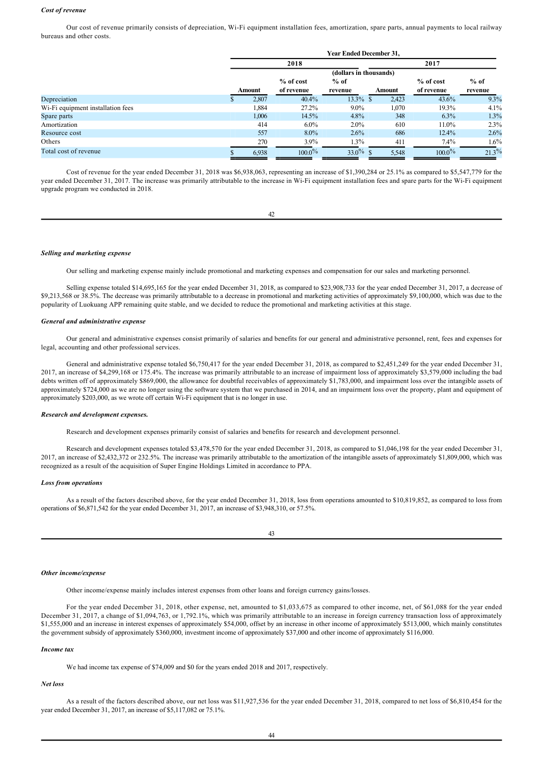#### *Cost of revenue*

Our cost of revenue primarily consists of depreciation, Wi-Fi equipment installation fees, amortization, spare parts, annual payments to local railway bureaus and other costs.

|                                   | <b>Year Ended December 31.</b> |        |            |                        |        |            |          |  |
|-----------------------------------|--------------------------------|--------|------------|------------------------|--------|------------|----------|--|
|                                   | 2018<br>2017                   |        |            |                        |        |            |          |  |
|                                   |                                |        |            | (dollars in thousands) |        |            |          |  |
|                                   | % of cost<br>$%$ of            |        |            |                        |        | % of cost  | $%$ of   |  |
|                                   |                                | Amount | of revenue | revenue                | Amount | of revenue | revenue  |  |
| Depreciation                      |                                | 2,807  | 40.4%      | $13.3\%$ \$            | 2,423  | 43.6%      | 9.3%     |  |
| Wi-Fi equipment installation fees |                                | 1,884  | 27.2%      | $9.0\%$                | 1,070  | 19.3%      | 4.1%     |  |
| Spare parts                       |                                | 1,006  | 14.5%      | $4.8\%$                | 348    | 6.3%       | 1.3%     |  |
| Amortization                      |                                | 414    | $6.0\%$    | $2.0\%$                | 610    | 11.0%      | $2.3\%$  |  |
| Resource cost                     |                                | 557    | $8.0\%$    | 2.6%                   | 686    | 12.4%      | 2.6%     |  |
| Others                            |                                | 270    | $3.9\%$    | 1.3%                   | 411    | 7.4%       | $1.6\%$  |  |
| Total cost of revenue             |                                | 6,938  | $100.0\%$  | $33.0\%$ \$            | 5,548  | $100.0\%$  | $21.3\%$ |  |

Cost of revenue for the year ended December 31, 2018 was \$6,938,063, representing an increase of \$1,390,284 or 25.1% as compared to \$5,547,779 for the year ended December 31, 2017. The increase was primarily attributable to the increase in Wi-Fi equipment installation fees and spare parts for the Wi-Fi equipment upgrade program we conducted in 2018.

| ł |  |
|---|--|

# *Selling and marketing expense*

Our selling and marketing expense mainly include promotional and marketing expenses and compensation for our sales and marketing personnel.

Selling expense totaled \$14,695,165 for the year ended December 31, 2018, as compared to \$23,908,733 for the year ended December 31, 2017, a decrease of \$9,213,568 or 38.5%. The decrease was primarily attributable to a decrease in promotional and marketing activities of approximately \$9,100,000, which was due to the popularity of Luokuang APP remaining quite stable, and we decided to reduce the promotional and marketing activities at this stage.

## *General and administrative expense*

Our general and administrative expenses consist primarily of salaries and benefits for our general and administrative personnel, rent, fees and expenses for legal, accounting and other professional services.

General and administrative expense totaled \$6,750,417 for the year ended December 31, 2018, as compared to \$2,451,249 for the year ended December 31, 2017, an increase of \$4,299,168 or 175.4%. The increase was primarily attributable to an increase of impairment loss of approximately \$3,579,000 including the bad debts written off of approximately \$869,000, the allowance for doubtful receivables of approximately \$1,783,000, and impairment loss over the intangible assets of approximately \$724,000 as we are no longer using the software system that we purchased in 2014, and an impairment loss over the property, plant and equipment of approximately \$203,000, as we wrote off certain Wi-Fi equipment that is no longer in use.

### *Research and development expenses.*

Research and development expenses primarily consist of salaries and benefits for research and development personnel.

Research and development expenses totaled \$3,478,570 for the year ended December 31, 2018, as compared to \$1,046,198 for the year ended December 31, 2017, an increase of \$2,432,372 or 232.5%. The increase was primarily attributable to the amortization of the intangible assets of approximately \$1,809,000, which was recognized as a result of the acquisition of Super Engine Holdings Limited in accordance to PPA.

### *Loss from operations*

As a result of the factors described above, for the year ended December 31, 2018, loss from operations amounted to \$10,819,852, as compared to loss from operations of \$6,871,542 for the year ended December 31, 2017, an increase of \$3,948,310, or 57.5%.

# *Other income/expense*

Other income/expense mainly includes interest expenses from other loans and foreign currency gains/losses.

For the year ended December 31, 2018, other expense, net, amounted to \$1,033,675 as compared to other income, net, of \$61,088 for the year ended December 31, 2017, a change of \$1,094,763, or 1,792.1%, which was primarily attributable to an increase in foreign currency transaction loss of approximately \$1,555,000 and an increase in interest expenses of approximately \$54,000, offset by an increase in other income of approximately \$513,000, which mainly constitutes the government subsidy of approximately \$360,000, investment income of approximately \$37,000 and other income of approximately \$116,000.

# *Income tax*

We had income tax expense of \$74,009 and \$0 for the years ended 2018 and 2017, respectively.

# *Net loss*

As a result of the factors described above, our net loss was \$11,927,536 for the year ended December 31, 2018, compared to net loss of \$6,810,454 for the year ended December 31, 2017, an increase of \$5,117,082 or 75.1%.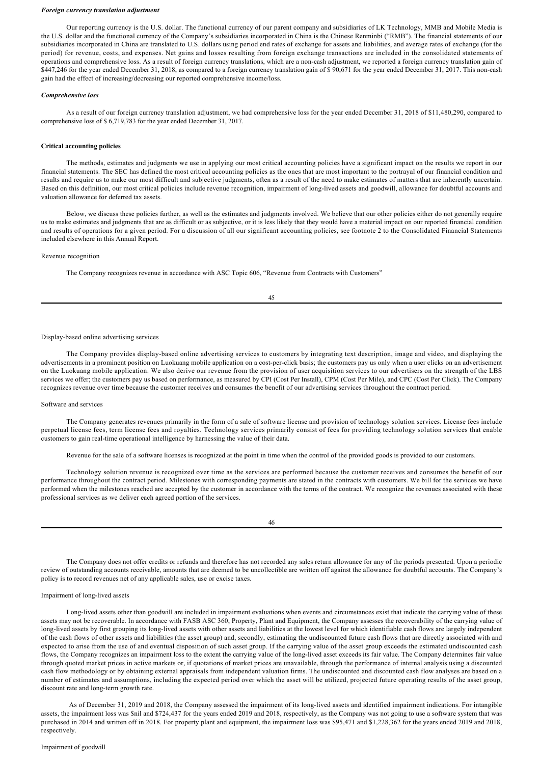#### *Foreign currency translation adjustment*

Our reporting currency is the U.S. dollar. The functional currency of our parent company and subsidiaries of LK Technology, MMB and Mobile Media is the U.S. dollar and the functional currency of the Company's subsidiaries incorporated in China is the Chinese Renminbi ("RMB"). The financial statements of our subsidiaries incorporated in China are translated to U.S. dollars using period end rates of exchange for assets and liabilities, and average rates of exchange (for the period) for revenue, costs, and expenses. Net gains and losses resulting from foreign exchange transactions are included in the consolidated statements of operations and comprehensive loss. As a result of foreign currency translations, which are a noncash adjustment, we reported a foreign currency translation gain of \$447,246 for the year ended December 31, 2018, as compared to a foreign currency translation gain of \$ 90,671 for the year ended December 31, 2017. This non-cash gain had the effect of increasing/decreasing our reported comprehensive income/loss.

# *Comprehensive loss*

As a result of our foreign currency translation adjustment, we had comprehensive loss for the year ended December 31, 2018 of \$11,480,290, compared to comprehensive loss of \$ 6,719,783 for the year ended December 31, 2017.

#### **Critical accounting policies**

The methods, estimates and judgments we use in applying our most critical accounting policies have a significant impact on the results we report in our financial statements. The SEC has defined the most critical accounting policies as the ones that are most important to the portrayal of our financial condition and results and require us to make our most difficult and subjective judgments, often as a result of the need to make estimates of matters that are inherently uncertain. Based on this definition, our most critical policies include revenue recognition, impairment of long-lived assets and goodwill, allowance for doubtful accounts and valuation allowance for deferred tax assets.

Below, we discuss these policies further, as well as the estimates and judgments involved. We believe that our other policies either do not generally require us to make estimates and judgments that are as difficult or as subjective, or it is less likely that they would have a material impact on our reported financial condition and results of operations for a given period. For a discussion of all our significant accounting policies, see footnote 2 to the Consolidated Financial Statements included elsewhere in this Annual Report.

### Revenue recognition

The Company recognizes revenue in accordance with ASC Topic 606, "Revenue from Contracts with Customers"

#### Display-based online advertising services

The Company provides display-based online advertising services to customers by integrating text description, image and video, and displaying the advertisements in a prominent position on Luokuang mobile application on a cost-per-click basis; the customers pay us only when a user clicks on an advertisement on the Luokuang mobile application. We also derive our revenue from the provision of user acquisition services to our advertisers on the strength of the LBS services we offer; the customers pay us based on performance, as measured by CPI (Cost Per Install), CPM (Cost Per Mile), and CPC (Cost Per Click). The Company recognizes revenue over time because the customer receives and consumes the benefit of our advertising services throughout the contract period.

#### Software and services

The Company generates revenues primarily in the form of a sale of software license and provision of technology solution services. License fees include perpetual license fees, term license fees and royalties. Technology services primarily consist of fees for providing technology solution services that enable customers to gain real-time operational intelligence by harnessing the value of their data.

Revenue for the sale of a software licenses is recognized at the point in time when the control of the provided goods is provided to our customers.

Technology solution revenue is recognized over time as the services are performed because the customer receives and consumes the benefit of our performance throughout the contract period. Milestones with corresponding payments are stated in the contracts with customers. We bill for the services we have performed when the milestones reached are accepted by the customer in accordance with the terms of the contract. We recognize the revenues associated with these professional services as we deliver each agreed portion of the services.

| ٧            |  |
|--------------|--|
| I<br>×<br>۰, |  |

The Company does not offer credits or refunds and therefore has not recorded any sales return allowance for any of the periods presented. Upon a periodic review of outstanding accounts receivable, amounts that are deemed to be uncollectible are written off against the allowance for doubtful accounts. The Company's policy is to record revenues net of any applicable sales, use or excise taxes.

## Impairment of long-lived assets

Long-lived assets other than goodwill are included in impairment evaluations when events and circumstances exist that indicate the carrying value of these assets may not be recoverable. In accordance with FASB ASC 360, Property, Plant and Equipment, the Company assesses the recoverability of the carrying value of long-lived assets by first grouping its long-lived assets with other assets and liabilities at the lowest level for which identifiable cash flows are largely independent of the cash flows of other assets and liabilities (the asset group) and, secondly, estimating the undiscounted future cash flows that are directly associated with and expected to arise from the use of and eventual disposition of such asset group. If the carrying value of the asset group exceeds the estimated undiscounted cash flows, the Company recognizes an impairment loss to the extent the carrying value of the long-lived asset exceeds its fair value. The Company determines fair value through quoted market prices in active markets or, if quotations of market prices are unavailable, through the performance of internal analysis using a discounted cash flow methodology or by obtaining external appraisals from independent valuation firms. The undiscounted and discounted cash flow analyses are based on a number of estimates and assumptions, including the expected period over which the asset will be utilized, projected future operating results of the asset group, discount rate and long-term growth rate.

As of December 31, 2019 and 2018, the Company assessed the impairment of its long-lived assets and identified impairment indications. For intangible assets, the impairment loss was \$nil and \$724,437 for the years ended 2019 and 2018, respectively, as the Company was not going to use a software system that was purchased in 2014 and written off in 2018. For property plant and equipment, the impairment loss was \$95,471 and \$1,228,362 for the years ended 2019 and 2018, respectively.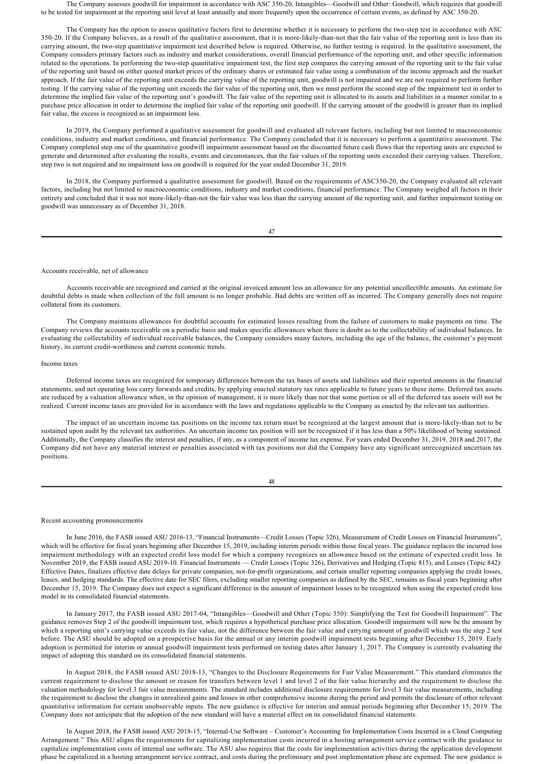The Company assesses goodwill for impairment in accordance with ASC 35020, Intangibles—Goodwill and Other: Goodwill, which requires that goodwill to be tested for impairment at the reporting unit level at least annually and more frequently upon the occurrence of certain events, as defined by ASC 350-20.

The Company has the option to assess qualitative factors first to determine whether it is necessary to perform the two-step test in accordance with ASC 350-20. If the Company believes, as a result of the qualitative assessment, that it is more-likely-than-not that the fair value of the reporting unit is less than its carrying amount, the two-step quantitative impairment test described below is required. Otherwise, no further testing is required. In the qualitative assessment, the Company considers primary factors such as industry and market considerations, overall financial performance of the reporting unit, and other specific information related to the operations. In performing the two-step quantitative impairment test, the first step compares the carrying amount of the reporting unit to the fair value of the reporting unit based on either quoted market prices of the ordinary shares or estimated fair value using a combination of the income approach and the market approach. If the fair value of the reporting unit exceeds the carrying value of the reporting unit, goodwill is not impaired and we are not required to perform further testing. If the carrying value of the reporting unit exceeds the fair value of the reporting unit, then we must perform the second step of the impairment test in order to determine the implied fair value of the reporting unit's goodwill. The fair value of the reporting unit is allocated to its assets and liabilities in a manner similar to a purchase price allocation in order to determine the implied fair value of the reporting unit goodwill. If the carrying amount of the goodwill is greater than its implied fair value, the excess is recognized as an impairment loss.

In 2019, the Company performed a qualitative assessment for goodwill and evaluated all relevant factors, including but not limited to macroeconomic conditions, industry and market conditions, and financial performance. The Company concluded that it is necessary to perform a quantitative assessment. The Company completed step one of the quantitative goodwill impairment assessment based on the discounted future cash flows that the reporting units are expected to generate and determined after evaluating the results, events and circumstances, that the fair values of the reporting units exceeded their carrying values. Therefore, step two is not required and no impairment loss on goodwill is required for the year ended December 31, 2019.

In 2018, the Company performed a qualitative assessment for goodwill. Based on the requirements of ASC35020, the Company evaluated all relevant factors, including but not limited to macroeconomic conditions, industry and market conditions, financial performance. The Company weighed all factors in their entirety and concluded that it was not more-likely-than-not the fair value was less than the carrying amount of the reporting unit, and further impairment testing on goodwill was unnecessary as of December 31, 2018.

47

#### Accounts receivable, net of allowance

Accounts receivable are recognized and carried at the original invoiced amount less an allowance for any potential uncollectible amounts. An estimate for doubtful debts is made when collection of the full amount is no longer probable. Bad debts are written off as incurred. The Company generally does not require collateral from its customers.

The Company maintains allowances for doubtful accounts for estimated losses resulting from the failure of customers to make payments on time. The Company reviews the accounts receivable on a periodic basis and makes specific allowances when there is doubt as to the collectability of individual balances. In evaluating the collectability of individual receivable balances, the Company considers many factors, including the age of the balance, the customer's payment history, its current credit-worthiness and current economic trends.

### Income taxes

Deferred income taxes are recognized for temporary differences between the tax bases of assets and liabilities and their reported amounts in the financial statements, and net operating loss carry forwards and credits, by applying enacted statutory tax rates applicable to future years to these items. Deferred tax assets are reduced by a valuation allowance when, in the opinion of management, it is more likely than not that some portion or all of the deferred tax assets will not be realized. Current income taxes are provided for in accordance with the laws and regulations applicable to the Company as enacted by the relevant tax authorities.

The impact of an uncertain income tax positions on the income tax return must be recognized at the largest amount that is more-likely-than not to be sustained upon audit by the relevant tax authorities. An uncertain income tax position will not be recognized if it has less than a 50% likelihood of being sustained. Additionally, the Company classifies the interest and penalties, if any, as a component of income tax expense. For years ended December 31, 2019, 2018 and 2017, the Company did not have any material interest or penalties associated with tax positions nor did the Company have any significant unrecognized uncertain tax positions.

48

### Recent accounting pronouncements

In June 2016, the FASB issued ASU 201613, "Financial Instruments—Credit Losses (Topic 326), Measurement of Credit Losses on Financial Instruments", which will be effective for fiscal years beginning after December 15, 2019, including interim periods within those fiscal years. The guidance replaces the incurred loss impairment methodology with an expected credit loss model for which a company recognizes an allowance based on the estimate of expected credit loss. In November 2019, the FASB issued ASU 2019-10. Financial Instruments — Credit Losses (Topic 326), Derivatives and Hedging (Topic 815), and Leases (Topic 842): Effective Dates, finalizes effective date delays for private companies, not-for-profit organizations, and certain smaller reporting companies applying the credit losses, leases, and hedging standards. The effective date for SEC filers, excluding smaller reporting companies as defined by the SEC, remains as fiscal years beginning after December 15, 2019. The Company does not expect a significant difference in the amount of impairment losses to be recognized when using the expected credit loss model in its consolidated financial statements.

In January 2017, the FASB issued ASU 201704, "Intangibles—Goodwill and Other (Topic 350): Simplifying the Test for Goodwill Impairment". The guidance removes Step 2 of the goodwill impairment test, which requires a hypothetical purchase price allocation. Goodwill impairment will now be the amount by which a reporting unit's carrying value exceeds its fair value, not the difference between the fair value and carrying amount of goodwill which was the step 2 test before. The ASU should be adopted on a prospective basis for the annual or any interim goodwill impairment tests beginning after December 15, 2019. Early adoption is permitted for interim or annual goodwill impairment tests performed on testing dates after January 1, 2017. The Company is currently evaluating the impact of adopting this standard on its consolidated financial statements.

In August 2018, the FASB issued ASU 2018-13, "Changes to the Disclosure Requirements for Fair Value Measurement." This standard eliminates the current requirement to disclose the amount or reason for transfers between level 1 and level 2 of the fair value hierarchy and the requirement to disclose the valuation methodology for level 3 fair value measurements. The standard includes additional disclosure requirements for level 3 fair value measurements, including the requirement to disclose the changes in unrealized gains and losses in other comprehensive income during the period and permits the disclosure of other relevant quantitative information for certain unobservable inputs. The new guidance is effective for interim and annual periods beginning after December 15, 2019. The Company does not anticipate that the adoption of the new standard will have a material effect on its consolidated financial statements.

In August 2018, the FASB issued ASU 2018-15, "Internal-Use Software – Customer's Accounting for Implementation Costs Incurred in a Cloud Computing Arrangement." This ASU aligns the requirements for capitalizing implementation costs incurred in a hosting arrangement service contract with the guidance to capitalize implementation costs of internal use software. The ASU also requires that the costs for implementation activities during the application development phase be capitalized in a hosting arrangement service contract, and costs during the preliminary and post implementation phase are expensed. The new guidance is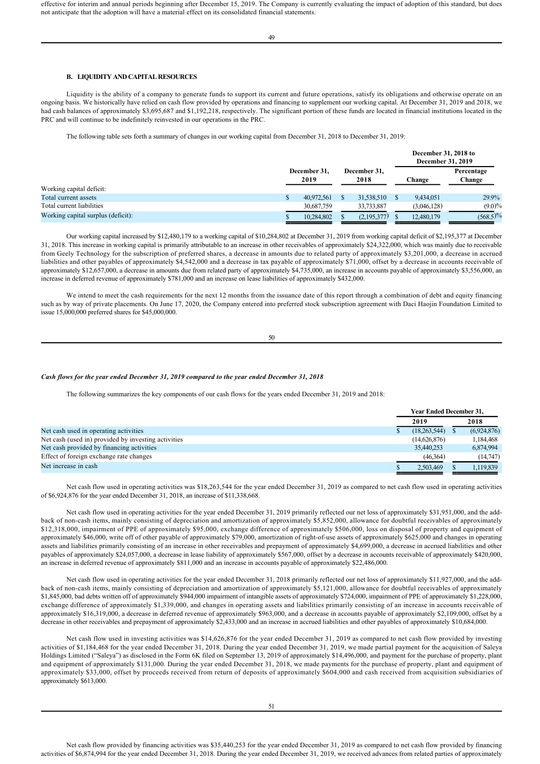effective for interim and annual periods beginning after December 15, 2019. The Company is currently evaluating the impact of adoption of this standard, but does not anticipate that the adoption will have a material effect on its consolidated financial statements.

# **B. LIQUIDITY AND CAPITAL RESOURCES**

Liquidity is the ability of a company to generate funds to support its current and future operations, satisfy its obligations and otherwise operate on an ongoing basis. We historically have relied on cash flow provided by operations and financing to supplement our working capital. At December 31, 2019 and 2018, we had cash balances of approximately \$3,695,687 and \$1,192,218, respectively. The significant portion of these funds are located in financial institutions located in the PRC and will continue to be indefinitely reinvested in our operations in the PRC.

The following table sets forth a summary of changes in our working capital from December 31, 2018 to December 31, 2019:

|                                    |  |            |  |                                      | December 31, 2018 to<br><b>December 31, 2019</b> |             |             |                      |  |
|------------------------------------|--|------------|--|--------------------------------------|--------------------------------------------------|-------------|-------------|----------------------|--|
|                                    |  | 2019       |  | December 31,<br>December 31,<br>2018 |                                                  |             | Change      | Percentage<br>Change |  |
| Working capital deficit:           |  |            |  |                                      |                                                  |             |             |                      |  |
| Total current assets               |  | 40,972,561 |  | 31,538,510                           |                                                  | 9,434,051   | 29.9%       |                      |  |
| Total current liabilities          |  | 30,687,759 |  | 33,733,887                           |                                                  | (3,046,128) | $(9.0)\%$   |                      |  |
| Working capital surplus (deficit): |  | 10,284,802 |  | (2,195,377)                          |                                                  | 12,480,179  | $(568.5)\%$ |                      |  |

Our working capital increased by \$12,480,179 to a working capital of \$10,284,802 at December 31, 2019 from working capital deficit of \$2,195,377 at December 31, 2018. This increase in working capital is primarily attributable to an increase in other receivables of approximately \$24,322,000, which was mainly due to receivable from Geely Technology for the subscription of preferred shares, a decrease in amounts due to related party of approximately \$3,201,000, a decrease in accrued liabilities and other payables of approximately \$4,542,000 and a decrease in tax payable of approximately \$71,000, offset by a decrease in accounts receivable of approximately \$12,657,000, a decrease in amounts due from related party of approximately \$4,735,000, an increase in accounts payable of approximately \$3,556,000, an increase in deferred revenue of approximately \$781,000 and an increase on lease liabilities of approximately \$432,000.

We intend to meet the cash requirements for the next 12 months from the issuance date of this report through a combination of debt and equity financing such as by way of private placements. On June 17, 2020, the Company entered into preferred stock subscription agreement with Daci Haojin Foundation Limited to issue 15,000,000 preferred shares for \$45,000,000.

| ٦<br>v.<br>×            |  |
|-------------------------|--|
| ۰,<br>۰.<br>i<br>×<br>٧ |  |

### *Cash flows for the year ended December 31, 2019 compared to the year ended December 31, 2018*

The following summarizes the key components of our cash flows for the years ended December 31, 2019 and 2018:

|                                                     |      | <b>Year Ended December 31.</b> |  |             |  |
|-----------------------------------------------------|------|--------------------------------|--|-------------|--|
|                                                     | 2019 |                                |  | 2018        |  |
| Net cash used in operating activities               |      | (18,263,544)                   |  | (6,924,876) |  |
| Net cash (used in) provided by investing activities |      | (14,626,876)                   |  | 1.184.468   |  |
| Net cash provided by financing activities           |      | 35.440.253                     |  | 6,874,994   |  |
| Effect of foreign exchange rate changes             |      | (46.364)                       |  | (14.747)    |  |
| Net increase in cash                                |      | 2.503.469                      |  | 1.119.839   |  |

Net cash flow used in operating activities was \$18,263,544 for the year ended December 31, 2019 as compared to net cash flow used in operating activities of \$6,924,876 for the year ended December 31, 2018, an increase of \$11,338,668.

Net cash flow used in operating activities for the year ended December 31, 2019 primarily reflected our net loss of approximately \$31,951,000, and the addback of non-cash items, mainly consisting of depreciation and amortization of approximately \$5,852,000, allowance for doubtful receivables of approximately \$12,318,000, impairment of PPE of approximately \$95,000, exchange difference of approximately \$506,000, loss on disposal of property and equipment of approximately \$46,000, write off of other payable of approximately \$79,000, amortization of right-of-use assets of approximately \$625,000 and changes in operating assets and liabilities primarily consisting of an increase in other receivables and prepayment of approximately \$4,699,000, a decrease in accrued liabilities and other payables of approximately \$24,057,000, a decrease in lease liability of approximately \$567,000, offset by a decrease in accounts receivable of approximately \$420,000, an increase in deferred revenue of approximately \$811,000 and an increase in accounts payable of approximately \$22,486,000.

Net cash flow used in operating activities for the year ended December 31, 2018 primarily reflected our net loss of approximately \$11,927,000, and the addback of non-cash items, mainly consisting of depreciation and amortization of approximately \$5,121,000, allowance for doubtful receivables of approximately \$1,845,000, bad debts written off of approximately \$944,000 impairment of intangible assets of approximately \$724,000, impairment of PPE of approximately \$1,228,000. exchange difference of approximately \$1,339,000, and changes in operating assets and liabilities primarily consisting of an increase in accounts receivable of approximately \$16,319,000, a decrease in deferred revenue of approximately \$963,000, and a decrease in accounts payable of approximately \$2,109,000, offset by a decrease in other receivables and prepayment of approximately \$2,433,000 and an increase in accrued liabilities and other payables of approximately \$10,684,000.

Net cash flow used in investing activities was \$14,626,876 for the year ended December 31, 2019 as compared to net cash flow provided by investing activities of \$1,184,468 for the year ended December 31, 2018. During the year ended December 31, 2019, we made partial payment for the acquisition of Saleya Holdings Limited ("Saleya") as disclosed in the Form 6K filed on September 13, 2019 of approximately \$14,496,000, and payment for the purchase of property, plant and equipment of approximately \$131,000. During the year ended December 31, 2018, we made payments for the purchase of property, plant and equipment of approximately \$33,000, offset by proceeds received from return of deposits of approximately \$604,000 and cash received from acquisition subsidiaries of approximately \$613,000.

Net cash flow provided by financing activities was \$35,440,253 for the year ended December 31, 2019 as compared to net cash flow provided by financing activities of \$6,874,994 for the year ended December 31, 2018. During the year ended December 31, 2019, we received advances from related parties of approximately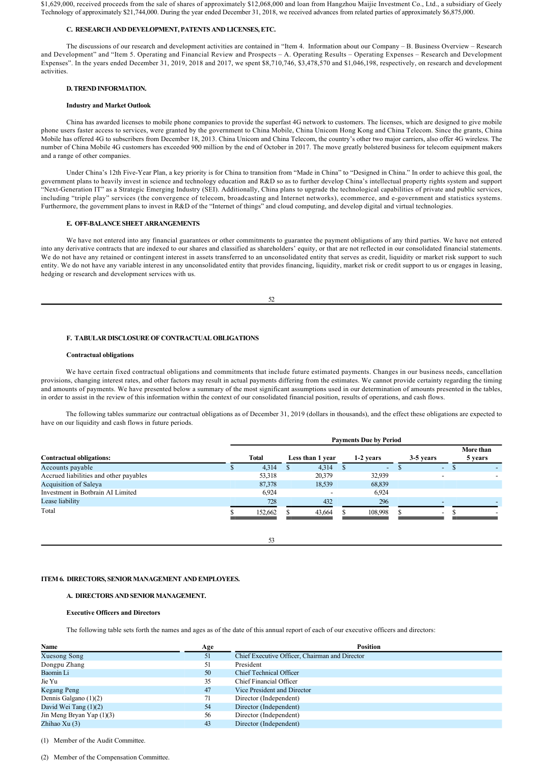\$1,629,000, received proceeds from the sale of shares of approximately \$12,068,000 and loan from Hangzhou Maijie Investment Co., Ltd., a subsidiary of Geely Technology of approximately \$21,744,000. During the year ended December 31, 2018, we received advances from related parties of approximately \$6,875,000.

### **C. RESEARCH AND DEVELOPMENT, PATENTS AND LICENSES, ETC.**

The discussions of our research and development activities are contained in "Item 4. Information about our Company – B. Business Overview – Research and Development" and "Item 5. Operating and Financial Review and Prospects – A. Operating Results – Operating Expenses – Research and Development Expenses". In the years ended December 31, 2019, 2018 and 2017, we spent \$8,710,746, \$3,478,570 and \$1,046,198, respectively, on research and development activities.

### **D. TREND INFORMATION.**

### **Industry and Market Outlook**

China has awarded licenses to mobile phone companies to provide the superfast 4G network to customers. The licenses, which are designed to give mobile phone users faster access to services, were granted by the government to China Mobile, China Unicom Hong Kong and China Telecom. Since the grants, China Mobile has offered 4G to subscribers from December 18, 2013. China Unicom and China Telecom, the country's other two major carriers, also offer 4G wireless. The number of China Mobile 4G customers has exceeded 900 million by the end of October in 2017. The move greatly bolstered business for telecom equipment makers and a range of other companies.

Under China's 12th Five-Year Plan, a key priority is for China to transition from "Made in China" to "Designed in China." In order to achieve this goal, the government plans to heavily invest in science and technology education and R&D so as to further develop China's intellectual property rights system and support "Next-Generation IT" as a Strategic Emerging Industry (SEI). Additionally, China plans to upgrade the technological capabilities of private and public services, including "triple play" services (the convergence of telecom, broadcasting and Internet networks), ecommerce, and e-government and statistics systems. Furthermore, the government plans to invest in R&D of the "Internet of things" and cloud computing, and develop digital and virtual technologies.

### **E. OFF-BALANCE SHEET ARRANGEMENTS**

We have not entered into any financial guarantees or other commitments to guarantee the payment obligations of any third parties. We have not entered into any derivative contracts that are indexed to our shares and classified as shareholders' equity, or that are not reflected in our consolidated financial statements. We do not have any retained or contingent interest in assets transferred to an unconsolidated entity that serves as credit, liquidity or market risk support to such entity. We do not have any variable interest in any unconsolidated entity that provides financing, liquidity, market risk or credit support to us or engages in leasing, hedging or research and development services with us.

52

### **F. TABULAR DISCLOSURE OF CONTRACTUAL OBLIGATIONS**

#### **Contractual obligations**

We have certain fixed contractual obligations and commitments that include future estimated payments. Changes in our business needs, cancellation provisions, changing interest rates, and other factors may result in actual payments differing from the estimates. We cannot provide certainty regarding the timing and amounts of payments. We have presented below a summary of the most significant assumptions used in our determination of amounts presented in the tables, in order to assist in the review of this information within the context of our consolidated financial position, results of operations, and cash flows.

The following tables summarize our contractual obligations as of December 31, 2019 (dollars in thousands), and the effect these obligations are expected to have on our liquidity and cash flows in future periods.

|                                        | <b>Payments Due by Period</b> |  |                  |  |                          |  |                          |  |                      |
|----------------------------------------|-------------------------------|--|------------------|--|--------------------------|--|--------------------------|--|----------------------|
| <b>Contractual obligations:</b>        | <b>Total</b>                  |  | Less than 1 vear |  | 1-2 years                |  | 3-5 years                |  | More than<br>5 years |
| Accounts payable                       | 4,314                         |  | 4,314            |  | $\overline{\phantom{a}}$ |  | $\sim$                   |  |                      |
| Accrued liabilities and other payables | 53,318                        |  | 20,379           |  | 32,939                   |  | ۰                        |  |                      |
| <b>Acquisition of Saleya</b>           | 87,378                        |  | 18,539           |  | 68,839                   |  |                          |  |                      |
| Investment in Botbrain AI Limited      | 6,924                         |  |                  |  | 6,924                    |  |                          |  |                      |
| Lease liability                        | 728                           |  | 432              |  | 296                      |  |                          |  |                      |
| Total                                  | 152,662                       |  | 43,664           |  | 108,998                  |  | $\overline{\phantom{a}}$ |  |                      |
|                                        |                               |  |                  |  |                          |  |                          |  |                      |
|                                        |                               |  |                  |  |                          |  |                          |  |                      |

53

### **ITEM 6. DIRECTORS, SENIOR MANAGEMENT AND EMPLOYEES.**

# **A. DIRECTORS AND SENIOR MANAGEMENT.**

#### **Executive Officers and Directors**

The following table sets forth the names and ages as of the date of this annual report of each of our executive officers and directors:

| Name                        | Age | Position                                       |
|-----------------------------|-----|------------------------------------------------|
| Xuesong Song                | 51  | Chief Executive Officer, Chairman and Director |
| Dongpu Zhang                | 51  | President                                      |
| Baomin Li                   | 50  | <b>Chief Technical Officer</b>                 |
| Jie Yu                      | 35  | Chief Financial Officer                        |
| Kegang Peng                 | 47  | Vice President and Director                    |
| Dennis Galgano $(1)(2)$     | 71  | Director (Independent)                         |
| David Wei Tang $(1)(2)$     | 54  | Director (Independent)                         |
| Jin Meng Bryan Yap $(1)(3)$ | 56  | Director (Independent)                         |
| Zhihao Xu (3)               | 43  | Director (Independent)                         |

(1) Member of the Audit Committee.

(2) Member of the Compensation Committee.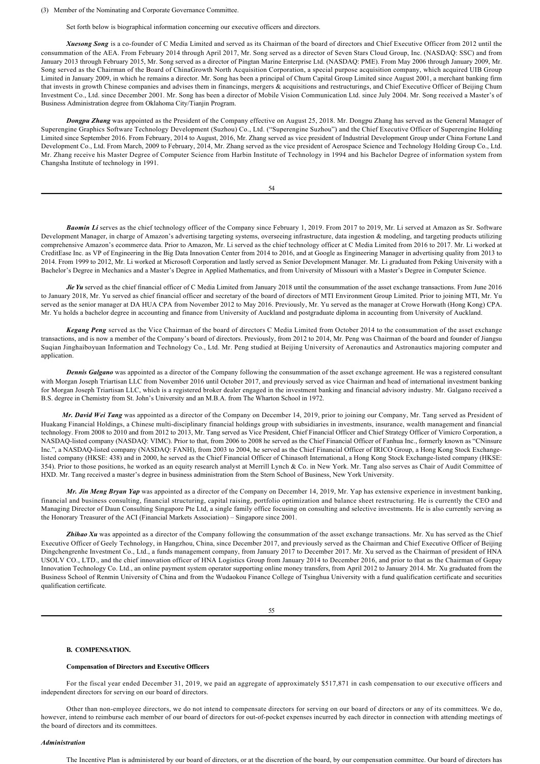#### (3) Member of the Nominating and Corporate Governance Committee.

Set forth below is biographical information concerning our executive officers and directors.

Xuesong Song is a co-founder of C Media Limited and served as its Chairman of the board of directors and Chief Executive Officer from 2012 until the consummation of the AEA. From February 2014 through April 2017, Mr. Song served as a director of Seven Stars Cloud Group, Inc. (NASDAQ: SSC) and from January 2013 through February 2015, Mr. Song served as a director of Pingtan Marine Enterprise Ltd. (NASDAQ: PME). From May 2006 through January 2009, Mr. Song served as the Chairman of the Board of ChinaGrowth North Acquisition Corporation, a special purpose acquisition company, which acquired UIB Group Limited in January 2009, in which he remains a director. Mr. Song has been a principal of Chum Capital Group Limited since August 2001, a merchant banking firm that invests in growth Chinese companies and advises them in financings, mergers & acquisitions and restructurings, and Chief Executive Officer of Beijing Chum Investment Co., Ltd. since December 2001. Mr. Song has been a director of Mobile Vision Communication Ltd. since July 2004. Mr. Song received a Master's of Business Administration degree from Oklahoma City/Tianjin Program.

**Dongpu Zhang** was appointed as the President of the Company effective on August 25, 2018. Mr. Dongpu Zhang has served as the General Manager of Superengine Graphics Software Technology Development (Suzhou) Co., Ltd. ("Superengine Suzhou") and the Chief Executive Officer of Superengine Holding Limited since September 2016. From February, 2014 to August, 2016, Mr. Zhang served as vice president of Industrial Development Group under China Fortune Land Development Co., Ltd. From March, 2009 to February, 2014, Mr. Zhang served as the vice president of Aerospace Science and Technology Holding Group Co., Ltd. Mr. Zhang receive his Master Degree of Computer Science from Harbin Institute of Technology in 1994 and his Bachelor Degree of information system from Changsha Institute of technology in 1991.

| v.           | ï<br>٠   |
|--------------|----------|
| ۰,<br>I<br>× | e e<br>٠ |

*Baomin Li* serves as the chief technology officer of the Company since February 1, 2019. From 2017 to 2019, Mr. Li served at Amazon as Sr. Software Development Manager, in charge of Amazon's advertising targeting systems, overseeing infrastructure, data ingestion & modeling, and targeting products utilizing comprehensive Amazon's ecommerce data. Prior to Amazon, Mr. Li served as the chief technology officer at C Media Limited from 2016 to 2017. Mr. Li worked at CreditEase Inc. as VP of Engineering in the Big Data Innovation Center from 2014 to 2016, and at Google as Engineering Manager in advertising quality from 2013 to 2014. From 1999 to 2012, Mr. Li worked at Microsoft Corporation and lastly served as Senior Development Manager. Mr. Li graduated from Peking University with a Bachelor's Degree in Mechanics and a Master's Degree in Applied Mathematics, and from University of Missouri with a Master's Degree in Computer Science.

*Jie Yu* served as the chief financial officer of C Media Limited from January 2018 until the consummation of the asset exchange transactions. From June 2016 to January 2018, Mr. Yu served as chief financial officer and secretary of the board of directors of MTI Environment Group Limited. Prior to joining MTI, Mr. Yu served as the senior manager at DA HUA CPA from November 2012 to May 2016. Previously, Mr. Yu served as the manager at Crowe Horwath (Hong Kong) CPA. Mr. Yu holds a bachelor degree in accounting and finance from University of Auckland and postgraduate diploma in accounting from University of Auckland.

*Kegang Peng* served as the Vice Chairman of the board of directors C Media Limited from October 2014 to the consummation of the asset exchange transactions, and is now a member of the Company's board of directors. Previously, from 2012 to 2014, Mr. Peng was Chairman of the board and founder of Jiangsu Suqian Jinghaiboyuan Information and Technology Co., Ltd. Mr. Peng studied at Beijing University of Aeronautics and Astronautics majoring computer and application.

*Dennis Galgano* was appointed as a director of the Company following the consummation of the asset exchange agreement. He was a registered consultant with Morgan Joseph Triartisan LLC from November 2016 until October 2017, and previously served as vice Chairman and head of international investment banking for Morgan Joseph Triartisan LLC, which is a registered broker dealer engaged in the investment banking and financial advisory industry. Mr. Galgano received a B.S. degree in Chemistry from St. John's University and an M.B.A. from The Wharton School in 1972.

*Mr. David Wei Tang* was appointed as a director of the Company on December 14, 2019, prior to joining our Company, Mr. Tang served as President of Huakang Financial Holdings, a Chinese multi-disciplinary financial holdings group with subsidiaries in investments, insurance, wealth management and financial technology. From 2008 to 2010 and from 2012 to 2013, Mr. Tang served as Vice President, Chief Financial Officer and Chief Strategy Officer of Vimicro Corporation, a NASDAQ-listed company (NASDAQ: VIMC). Prior to that, from 2006 to 2008 he served as the Chief Financial Officer of Fanhua Inc., formerly known as "CNinsure Inc.", a NASDAQ-listed company (NASDAQ: FANH), from 2003 to 2004, he served as the Chief Financial Officer of IRICO Group, a Hong Kong Stock Exchangelisted company (HKSE: 438) and in 2000, he served as the Chief Financial Officer of Chinasoft International, a Hong Kong Stock Exchange-listed company (HKSE: 354). Prior to those positions, he worked as an equity research analyst at Merrill Lynch & Co. in New York. Mr. Tang also serves as Chair of Audit Committee of HXD. Mr. Tang received a master's degree in business administration from the Stern School of Business, New York University.

*Mr. Jin Meng Bryan Yap* was appointed as a director of the Company on December 14, 2019, Mr. Yap has extensive experience in investment banking, financial and business consulting, financial structuring, capital raising, portfolio optimization and balance sheet restructuring. He is currently the CEO and Managing Director of Daun Consulting Singapore Pte Ltd, a single family office focusing on consulting and selective investments. He is also currently serving as the Honorary Treasurer of the ACI (Financial Markets Association) – Singapore since 2001.

**Zhihao Xu** was appointed as a director of the Company following the consummation of the asset exchange transactions. Mr. Xu has served as the Chief Executive Officer of Geely Technology, in Hangzhou, China, since December 2017, and previously served as the Chairman and Chief Executive Officer of Beijing Dingchengrenhe Investment Co., Ltd., a funds management company, from January 2017 to December 2017. Mr. Xu served as the Chairman of president of HNA USOLV CO., LTD., and the chief innovation officer of HNA Logistics Group from January 2014 to December 2016, and prior to that as the Chairman of Gopay Innovation Technology Co. Ltd., an online payment system operator supporting online money transfers, from April 2012 to January 2014. Mr. Xu graduated from the Business School of Renmin University of China and from the Wudaokou Finance College of Tsinghua University with a fund qualification certificate and securities qualification certificate.

55

# **B. COMPENSATION.**

#### **Compensation of Directors and Executive Officers**

For the fiscal year ended December 31, 2019, we paid an aggregate of approximately \$517,871 in cash compensation to our executive officers and independent directors for serving on our board of directors.

Other than nonemployee directors, we do not intend to compensate directors for serving on our board of directors or any of its committees. We do, however, intend to reimburse each member of our board of directors for out-of-pocket expenses incurred by each director in connection with attending meetings of the board of directors and its committees.

# *Administration*

The Incentive Plan is administered by our board of directors, or at the discretion of the board, by our compensation committee. Our board of directors has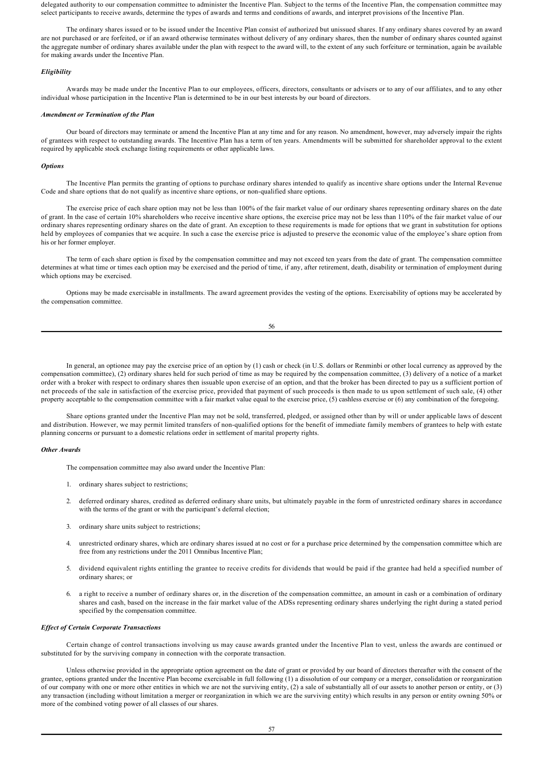delegated authority to our compensation committee to administer the Incentive Plan. Subject to the terms of the Incentive Plan, the compensation committee may select participants to receive awards, determine the types of awards and terms and conditions of awards, and interpret provisions of the Incentive Plan.

The ordinary shares issued or to be issued under the Incentive Plan consist of authorized but unissued shares. If any ordinary shares covered by an award are not purchased or are forfeited, or if an award otherwise terminates without delivery of any ordinary shares, then the number of ordinary shares counted against the aggregate number of ordinary shares available under the plan with respect to the award will, to the extent of any such forfeiture or termination, again be available for making awards under the Incentive Plan.

# *Eligibility*

Awards may be made under the Incentive Plan to our employees, officers, directors, consultants or advisers or to any of our affiliates, and to any other individual whose participation in the Incentive Plan is determined to be in our best interests by our board of directors.

# *Amendment or Termination of the Plan*

Our board of directors may terminate or amend the Incentive Plan at any time and for any reason. No amendment, however, may adversely impair the rights of grantees with respect to outstanding awards. The Incentive Plan has a term of ten years. Amendments will be submitted for shareholder approval to the extent required by applicable stock exchange listing requirements or other applicable laws.

### *Options*

The Incentive Plan permits the granting of options to purchase ordinary shares intended to qualify as incentive share options under the Internal Revenue Code and share options that do not qualify as incentive share options, or non-qualified share options.

The exercise price of each share option may not be less than 100% of the fair market value of our ordinary shares representing ordinary shares on the date of grant. In the case of certain 10% shareholders who receive incentive share options, the exercise price may not be less than 110% of the fair market value of our ordinary shares representing ordinary shares on the date of grant. An exception to these requirements is made for options that we grant in substitution for options held by employees of companies that we acquire. In such a case the exercise price is adjusted to preserve the economic value of the employee's share option from his or her former employer.

The term of each share option is fixed by the compensation committee and may not exceed ten years from the date of grant. The compensation committee determines at what time or times each option may be exercised and the period of time, if any, after retirement, death, disability or termination of employment during which options may be exercised.

Options may be made exercisable in installments. The award agreement provides the vesting of the options. Exercisability of options may be accelerated by the compensation committee.

| v.                  | ٦            |  |
|---------------------|--------------|--|
| ۰,<br>۰.<br>÷<br>۰. | I<br>I<br>۰, |  |

In general, an optionee may pay the exercise price of an option by (1) cash or check (in U.S. dollars or Renminbi or other local currency as approved by the compensation committee), (2) ordinary shares held for such period of time as may be required by the compensation committee, (3) delivery of a notice of a market order with a broker with respect to ordinary shares then issuable upon exercise of an option, and that the broker has been directed to pay us a sufficient portion of net proceeds of the sale in satisfaction of the exercise price, provided that payment of such proceeds is then made to us upon settlement of such sale, (4) other property acceptable to the compensation committee with a fair market value equal to the exercise price, (5) cashless exercise or (6) any combination of the foregoing.

Share options granted under the Incentive Plan may not be sold, transferred, pledged, or assigned other than by will or under applicable laws of descent and distribution. However, we may permit limited transfers of nonqualified options for the benefit of immediate family members of grantees to help with estate planning concerns or pursuant to a domestic relations order in settlement of marital property rights.

# *Other Awards*

The compensation committee may also award under the Incentive Plan:

- 1. ordinary shares subject to restrictions;
- 2. deferred ordinary shares, credited as deferred ordinary share units, but ultimately payable in the form of unrestricted ordinary shares in accordance with the terms of the grant or with the participant's deferral election;
- 3. ordinary share units subject to restrictions;
- 4. unrestricted ordinary shares, which are ordinary shares issued at no cost or for a purchase price determined by the compensation committee which are free from any restrictions under the 2011 Omnibus Incentive Plan;
- 5. dividend equivalent rights entitling the grantee to receive credits for dividends that would be paid if the grantee had held a specified number of ordinary shares; or
- 6. a right to receive a number of ordinary shares or, in the discretion of the compensation committee, an amount in cash or a combination of ordinary shares and cash, based on the increase in the fair market value of the ADSs representing ordinary shares underlying the right during a stated period specified by the compensation committee.

### *Effect of Certain Corporate Transactions*

Certain change of control transactions involving us may cause awards granted under the Incentive Plan to vest, unless the awards are continued or substituted for by the surviving company in connection with the corporate transaction.

Unless otherwise provided in the appropriate option agreement on the date of grant or provided by our board of directors thereafter with the consent of the grantee, options granted under the Incentive Plan become exercisable in full following (1) a dissolution of our company or a merger, consolidation or reorganization of our company with one or more other entities in which we are not the surviving entity, (2) a sale of substantially all of our assets to another person or entity, or (3) any transaction (including without limitation a merger or reorganization in which we are the surviving entity) which results in any person or entity owning 50% or more of the combined voting power of all classes of our shares.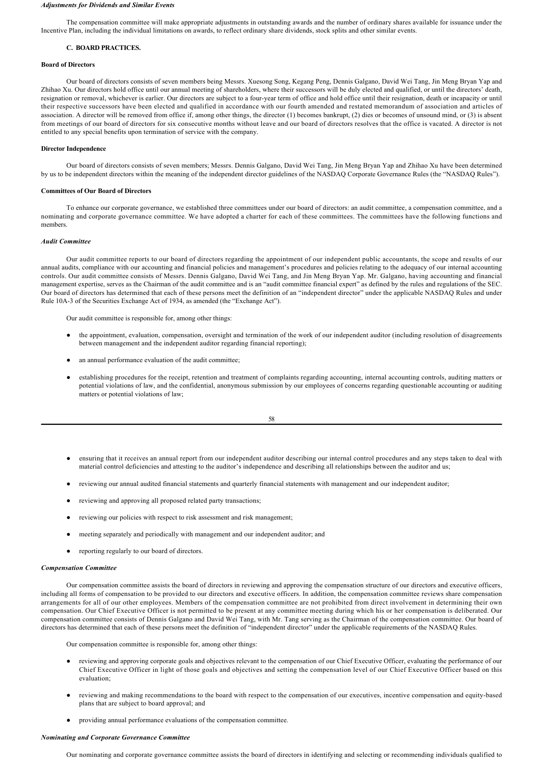#### *Adjustments for Dividends and Similar Events*

The compensation committee will make appropriate adjustments in outstanding awards and the number of ordinary shares available for issuance under the Incentive Plan, including the individual limitations on awards, to reflect ordinary share dividends, stock splits and other similar events.

#### **C. BOARD PRACTICES.**

# **Board of Directors**

Our board of directors consists of seven members being Messrs. Xuesong Song, Kegang Peng, Dennis Galgano, David Wei Tang, Jin Meng Bryan Yap and Zhihao Xu. Our directors hold office until our annual meeting of shareholders, where their successors will be duly elected and qualified, or until the directors' death, resignation or removal, whichever is earlier. Our directors are subject to a fouryear term of office and hold office until their resignation, death or incapacity or until their respective successors have been elected and qualified in accordance with our fourth amended and restated memorandum of association and articles of association. A director will be removed from office if, among other things, the director (1) becomes bankrupt, (2) dies or becomes of unsound mind, or (3) is absent from meetings of our board of directors for six consecutive months without leave and our board of directors resolves that the office is vacated. A director is not entitled to any special benefits upon termination of service with the company.

#### **Director Independence**

Our board of directors consists of seven members; Messrs. Dennis Galgano, David Wei Tang, Jin Meng Bryan Yap and Zhihao Xu have been determined by us to be independent directors within the meaning of the independent director guidelines of the NASDAQ Corporate Governance Rules (the "NASDAQ Rules").

#### **Committees of Our Board of Directors**

To enhance our corporate governance, we established three committees under our board of directors: an audit committee, a compensation committee, and a nominating and corporate governance committee. We have adopted a charter for each of these committees. The committees have the following functions and members.

### *Audit Committee*

Our audit committee reports to our board of directors regarding the appointment of our independent public accountants, the scope and results of our annual audits, compliance with our accounting and financial policies and management's procedures and policies relating to the adequacy of our internal accounting controls. Our audit committee consists of Messrs. Dennis Galgano, David Wei Tang, and Jin Meng Bryan Yap. Mr. Galgano, having accounting and financial management expertise, serves as the Chairman of the audit committee and is an "audit committee financial expert" as defined by the rules and regulations of the SEC. Our board of directors has determined that each of these persons meet the definition of an "independent director" under the applicable NASDAQ Rules and under Rule 10A-3 of the Securities Exchange Act of 1934, as amended (the "Exchange Act").

Our audit committee is responsible for, among other things:

- the appointment, evaluation, compensation, oversight and termination of the work of our independent auditor (including resolution of disagreements between management and the independent auditor regarding financial reporting);
- an annual performance evaluation of the audit committee;
- establishing procedures for the receipt, retention and treatment of complaints regarding accounting, internal accounting controls, auditing matters or potential violations of law, and the confidential, anonymous submission by our employees of concerns regarding questionable accounting or auditing matters or potential violations of law;

58

- ensuring that it receives an annual report from our independent auditor describing our internal control procedures and any steps taken to deal with material control deficiencies and attesting to the auditor's independence and describing all relationships between the auditor and us;
- reviewing our annual audited financial statements and quarterly financial statements with management and our independent auditor;
- reviewing and approving all proposed related party transactions;
- reviewing our policies with respect to risk assessment and risk management;
- meeting separately and periodically with management and our independent auditor; and
- reporting regularly to our board of directors.

#### *Compensation Committee*

Our compensation committee assists the board of directors in reviewing and approving the compensation structure of our directors and executive officers, including all forms of compensation to be provided to our directors and executive officers. In addition, the compensation committee reviews share compensation arrangements for all of our other employees. Members of the compensation committee are not prohibited from direct involvement in determining their own compensation. Our Chief Executive Officer is not permitted to be present at any committee meeting during which his or her compensation is deliberated. Our compensation committee consists of Dennis Galgano and David Wei Tang, with Mr. Tang serving as the Chairman of the compensation committee. Our board of directors has determined that each of these persons meet the definition of "independent director" under the applicable requirements of the NASDAQ Rules.

Our compensation committee is responsible for, among other things:

- reviewing and approving corporate goals and objectives relevant to the compensation of our Chief Executive Officer, evaluating the performance of our Chief Executive Officer in light of those goals and objectives and setting the compensation level of our Chief Executive Officer based on this evaluation;
- reviewing and making recommendations to the board with respect to the compensation of our executives, incentive compensation and equity-based plans that are subject to board approval; and
- providing annual performance evaluations of the compensation committee.

### *Nominating and Corporate Governance Committee*

Our nominating and corporate governance committee assists the board of directors in identifying and selecting or recommending individuals qualified to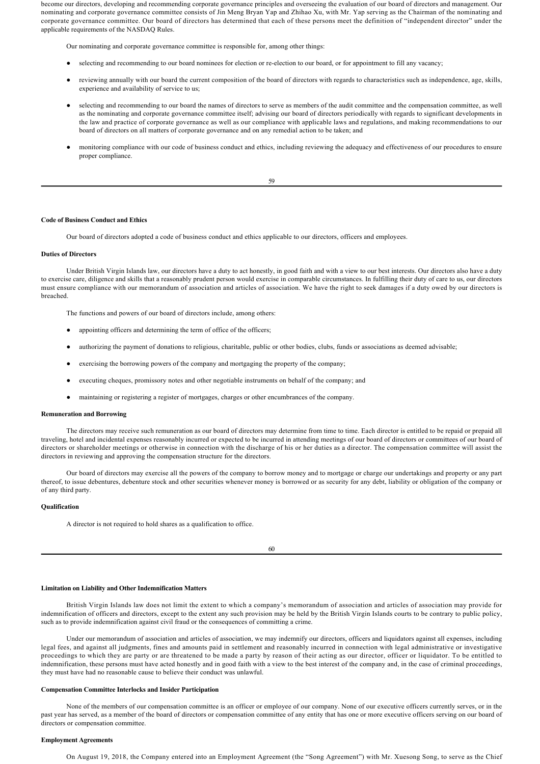become our directors, developing and recommending corporate governance principles and overseeing the evaluation of our board of directors and management. Our nominating and corporate governance committee consists of Jin Meng Bryan Yap and Zhihao Xu, with Mr. Yap serving as the Chairman of the nominating and corporate governance committee. Our board of directors has determined that each of these persons meet the definition of "independent director" under the applicable requirements of the NASDAQ Rules.

Our nominating and corporate governance committee is responsible for, among other things:

- selecting and recommending to our board nominees for election or re-election to our board, or for appointment to fill any vacancy;
- reviewing annually with our board the current composition of the board of directors with regards to characteristics such as independence, age, skills, experience and availability of service to us;
- selecting and recommending to our board the names of directors to serve as members of the audit committee and the compensation committee, as well as the nominating and corporate governance committee itself; advising our board of directors periodically with regards to significant developments in the law and practice of corporate governance as well as our compliance with applicable laws and regulations, and making recommendations to our board of directors on all matters of corporate governance and on any remedial action to be taken; and
- monitoring compliance with our code of business conduct and ethics, including reviewing the adequacy and effectiveness of our procedures to ensure proper compliance.

| v.                           |
|------------------------------|
| I<br>۰.<br>I<br>۰.<br>v<br>× |

#### **Code of Business Conduct and Ethics**

Our board of directors adopted a code of business conduct and ethics applicable to our directors, officers and employees.

# **Duties of Directors**

Under British Virgin Islands law, our directors have a duty to act honestly, in good faith and with a view to our best interests. Our directors also have a duty to exercise care, diligence and skills that a reasonably prudent person would exercise in comparable circumstances. In fulfilling their duty of care to us, our directors must ensure compliance with our memorandum of association and articles of association. We have the right to seek damages if a duty owed by our directors is breached.

The functions and powers of our board of directors include, among others:

- appointing officers and determining the term of office of the officers;
- authorizing the payment of donations to religious, charitable, public or other bodies, clubs, funds or associations as deemed advisable;
- exercising the borrowing powers of the company and mortgaging the property of the company;
- executing cheques, promissory notes and other negotiable instruments on behalf of the company; and
- maintaining or registering a register of mortgages, charges or other encumbrances of the company.

# **Remuneration and Borrowing**

The directors may receive such remuneration as our board of directors may determine from time to time. Each director is entitled to be repaid or prepaid all traveling, hotel and incidental expenses reasonably incurred or expected to be incurred in attending meetings of our board of directors or committees of our board of directors or shareholder meetings or otherwise in connection with the discharge of his or her duties as a director. The compensation committee will assist the directors in reviewing and approving the compensation structure for the directors.

Our board of directors may exercise all the powers of the company to borrow money and to mortgage or charge our undertakings and property or any part thereof, to issue debentures, debenture stock and other securities whenever money is borrowed or as security for any debt, liability or obligation of the company or of any third party.

#### **Qualification**

A director is not required to hold shares as a qualification to office.

60

### **Limitation on Liability and Other Indemnification Matters**

British Virgin Islands law does not limit the extent to which a company's memorandum of association and articles of association may provide for indemnification of officers and directors, except to the extent any such provision may be held by the British Virgin Islands courts to be contrary to public policy, such as to provide indemnification against civil fraud or the consequences of committing a crime.

Under our memorandum of association and articles of association, we may indemnify our directors, officers and liquidators against all expenses, including legal fees, and against all judgments, fines and amounts paid in settlement and reasonably incurred in connection with legal administrative or investigative proceedings to which they are party or are threatened to be made a party by reason of their acting as our director, officer or liquidator. To be entitled to indemnification, these persons must have acted honestly and in good faith with a view to the best interest of the company and, in the case of criminal proceedings, they must have had no reasonable cause to believe their conduct was unlawful.

# **Compensation Committee Interlocks and Insider Participation**

None of the members of our compensation committee is an officer or employee of our company. None of our executive officers currently serves, or in the past year has served, as a member of the board of directors or compensation committee of any entity that has one or more executive officers serving on our board of directors or compensation committee.

### **Employment Agreements**

On August 19, 2018, the Company entered into an Employment Agreement (the "Song Agreement") with Mr. Xuesong Song, to serve as the Chief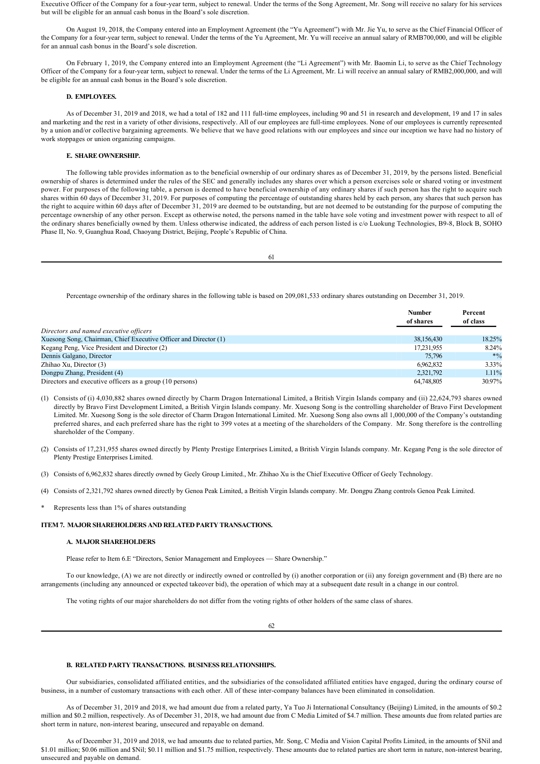Executive Officer of the Company for a four-year term, subject to renewal. Under the terms of the Song Agreement, Mr. Song will receive no salary for his services but will be eligible for an annual cash bonus in the Board's sole discretion.

On August 19, 2018, the Company entered into an Employment Agreement (the "Yu Agreement") with Mr. Jie Yu, to serve as the Chief Financial Officer of the Company for a four-year term, subject to renewal. Under the terms of the Yu Agreement, Mr. Yu will receive an annual salary of RMB700,000, and will be eligible for an annual cash bonus in the Board's sole discretion.

On February 1, 2019, the Company entered into an Employment Agreement (the "Li Agreement") with Mr. Baomin Li, to serve as the Chief Technology Officer of the Company for a fouryear term, subject to renewal. Under the terms of the Li Agreement, Mr. Li will receive an annual salary of RMB2,000,000, and will be eligible for an annual cash bonus in the Board's sole discretion.

# **D. EMPLOYEES.**

As of December 31, 2019 and 2018, we had a total of 182 and 111 full-time employees, including 90 and 51 in research and development, 19 and 17 in sales and marketing and the rest in a variety of other divisions, respectively. All of our employees are full-time employees. None of our employees is currently represented by a union and/or collective bargaining agreements. We believe that we have good relations with our employees and since our inception we have had no history of work stoppages or union organizing campaigns.

# **E. SHARE OWNERSHIP.**

The following table provides information as to the beneficial ownership of our ordinary shares as of December 31, 2019, by the persons listed. Beneficial ownership of shares is determined under the rules of the SEC and generally includes any shares over which a person exercises sole or shared voting or investment power. For purposes of the following table, a person is deemed to have beneficial ownership of any ordinary shares if such person has the right to acquire such shares within 60 days of December 31, 2019. For purposes of computing the percentage of outstanding shares held by each person, any shares that such person has the right to acquire within 60 days after of December 31, 2019 are deemed to be outstanding, but are not deemed to be outstanding for the purpose of computing the percentage ownership of any other person. Except as otherwise noted, the persons named in the table have sole voting and investment power with respect to all of the ordinary shares beneficially owned by them. Unless otherwise indicated, the address of each person listed is c/o Luokung Technologies, B98, Block B, SOHO Phase II, No. 9, Guanghua Road, Chaoyang District, Beijing, People's Republic of China.

| 5<br>×<br>I |
|-------------|
|-------------|

Percentage ownership of the ordinary shares in the following table is based on 209,081,533 ordinary shares outstanding on December 31, 2019.

|                                                                  | <b>Number</b><br>of shares | Percent<br>of class |
|------------------------------------------------------------------|----------------------------|---------------------|
| Directors and named executive officers                           |                            |                     |
| Xuesong Song, Chairman, Chief Executive Officer and Director (1) | 38,156,430                 | 18.25%              |
| Kegang Peng, Vice President and Director (2)                     | 17,231,955                 | 8.24%               |
| Dennis Galgano, Director                                         | 75.796                     | $*9/0$              |
| Zhihao Xu, Director (3)                                          | 6.962.832                  | 3.33%               |
| Dongpu Zhang, President (4)                                      | 2,321,792                  | 1.11%               |
| Directors and executive officers as a group (10 persons)         | 64,748,805                 | 30.97%              |

(1) Consists of (i) 4,030,882 shares owned directly by Charm Dragon International Limited, a British Virgin Islands company and (ii) 22,624,793 shares owned directly by Bravo First Development Limited, a British Virgin Islands company. Mr. Xuesong Song is the controlling shareholder of Bravo First Development Limited. Mr. Xuesong Song is the sole director of Charm Dragon International Limited. Mr. Xuesong Song also owns all 1,000,000 of the Company's outstanding preferred shares, and each preferred share has the right to 399 votes at a meeting of the shareholders of the Company. Mr. Song therefore is the controlling shareholder of the Company.

- (2) Consists of 17,231,955 shares owned directly by Plenty Prestige Enterprises Limited, a British Virgin Islands company. Mr. Kegang Peng is the sole director of Plenty Prestige Enterprises Limited.
- (3) Consists of 6,962,832 shares directly owned by Geely Group Limited., Mr. Zhihao Xu is the Chief Executive Officer of Geely Technology.
- (4) Consists of 2,321,792 shares owned directly by Genoa Peak Limited, a British Virgin Islands company. Mr. Dongpu Zhang controls Genoa Peak Limited.
- Represents less than 1% of shares outstanding

# **ITEM 7. MAJOR SHAREHOLDERS AND RELATED PARTY TRANSACTIONS.**

### **A. MAJOR SHAREHOLDERS**

Please refer to Item 6.E "Directors, Senior Management and Employees — Share Ownership."

To our knowledge, (A) we are not directly or indirectly owned or controlled by (i) another corporation or (ii) any foreign government and (B) there are no arrangements (including any announced or expected takeover bid), the operation of which may at a subsequent date result in a change in our control.

62

The voting rights of our major shareholders do not differ from the voting rights of other holders of the same class of shares.

#### **B. RELATED PARTY TRANSACTIONS. BUSINESS RELATIONSHIPS.**

Our subsidiaries, consolidated affiliated entities, and the subsidiaries of the consolidated affiliated entities have engaged, during the ordinary course of business, in a number of customary transactions with each other. All of these inter-company balances have been eliminated in consolidation.

As of December 31, 2019 and 2018, we had amount due from a related party, Ya Tuo Ji International Consultancy (Beijing) Limited, in the amounts of \$0.2 million and \$0.2 million, respectively. As of December 31, 2018, we had amount due from C Media Limited of \$4.7 million. These amounts due from related parties are short term in nature, non-interest bearing, unsecured and repayable on demand.

As of December 31, 2019 and 2018, we had amounts due to related parties, Mr. Song, C Media and Vision Capital Profits Limited, in the amounts of \$Nil and \$1.01 million; \$0.06 million and \$Nil; \$0.11 million and \$1.75 million, respectively. These amounts due to related parties are short term in nature, non-interest bearing, unsecured and payable on demand.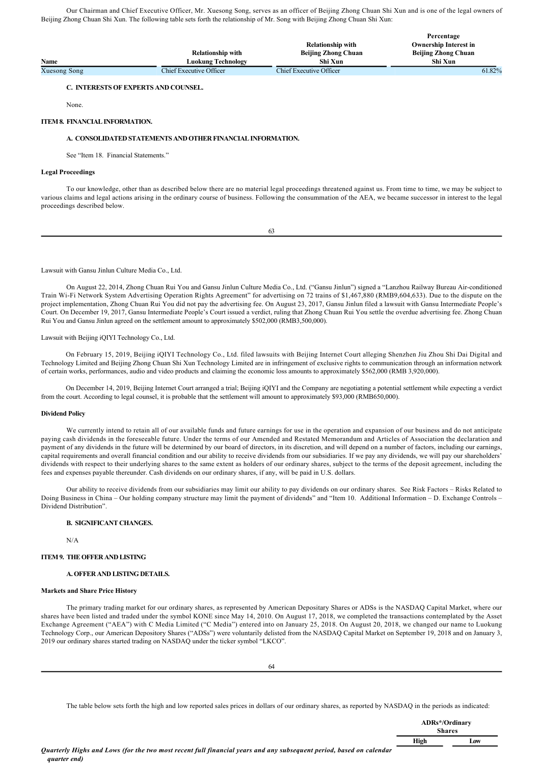Our Chairman and Chief Executive Officer, Mr. Xuesong Song, serves as an officer of Beijing Zhong Chuan Shi Xun and is one of the legal owners of Beijing Zhong Chuan Shi Xun. The following table sets forth the relationship of Mr. Song with Beijing Zhong Chuan Shi Xun:

|              |                                | <b>Relationship with</b>       | 1 G.CO. LAZ<br><b>Ownership Interest in</b> |
|--------------|--------------------------------|--------------------------------|---------------------------------------------|
|              | <b>Relationship with</b>       | <b>Beijing Zhong Chuan</b>     | <b>Beijing Zhong Chuan</b>                  |
| Name         | Luokung Technology             | Shi Xun                        | Shi Xun                                     |
| Xuesong Song | <b>Chief Executive Officer</b> | <b>Chief Executive Officer</b> | 61.82%                                      |

# **C. INTERESTS OF EXPERTS AND COUNSEL.**

None.

### **ITEM 8. FINANCIAL INFORMATION.**

# **A. CONSOLIDATED STATEMENTS AND OTHER FINANCIAL INFORMATION.**

See "Item 18. Financial Statements."

#### **Legal Proceedings**

To our knowledge, other than as described below there are no material legal proceedings threatened against us. From time to time, we may be subject to various claims and legal actions arising in the ordinary course of business. Following the consummation of the AEA, we became successor in interest to the legal proceedings described below.

63

Lawsuit with Gansu Jinlun Culture Media Co., Ltd.

On August 22, 2014, Zhong Chuan Rui You and Gansu Jinlun Culture Media Co., Ltd. ("Gansu Jinlun") signed a "Lanzhou Railway Bureau Air-conditioned Train WiFi Network System Advertising Operation Rights Agreement" for advertising on 72 trains of \$1,467,880 (RMB9,604,633). Due to the dispute on the project implementation, Zhong Chuan Rui You did not pay the advertising fee. On August 23, 2017, Gansu Jinlun filed a lawsuit with Gansu Intermediate People's Court. On December 19, 2017, Gansu Intermediate People's Court issued a verdict, ruling that Zhong Chuan Rui You settle the overdue advertising fee. Zhong Chuan Rui You and Gansu Jinlun agreed on the settlement amount to approximately \$502,000 (RMB3,500,000).

### Lawsuit with Beijing iQIYI Technology Co., Ltd.

On February 15, 2019, Beijing iQIYI Technology Co., Ltd. filed lawsuits with Beijing Internet Court alleging Shenzhen Jiu Zhou Shi Dai Digital and Technology Limited and Beijing Zhong Chuan Shi Xun Technology Limited are in infringement of exclusive rights to communication through an information network of certain works, performances, audio and video products and claiming the economic loss amounts to approximately \$562,000 (RMB 3,920,000).

On December 14, 2019, Beijing Internet Court arranged a trial; Beijing iQIYI and the Company are negotiating a potential settlement while expecting a verdict from the court. According to legal counsel, it is probable that the settlement will amount to approximately \$93,000 (RMB650,000).

### **Dividend Policy**

We currently intend to retain all of our available funds and future earnings for use in the operation and expansion of our business and do not anticipate paying cash dividends in the foreseeable future. Under the terms of our Amended and Restated Memorandum and Articles of Association the declaration and payment of any dividends in the future will be determined by our board of directors, in its discretion, and will depend on a number of factors, including our earnings, capital requirements and overall financial condition and our ability to receive dividends from our subsidiaries. If we pay any dividends, we will pay our shareholders' dividends with respect to their underlying shares to the same extent as holders of our ordinary shares, subject to the terms of the deposit agreement, including the fees and expenses payable thereunder. Cash dividends on our ordinary shares, if any, will be paid in U.S. dollars.

Our ability to receive dividends from our subsidiaries may limit our ability to pay dividends on our ordinary shares. See Risk Factors – Risks Related to Doing Business in China – Our holding company structure may limit the payment of dividends" and "Item 10. Additional Information – D. Exchange Controls – Dividend Distribution".

# **B. SIGNIFICANT CHANGES.**

N/A

### **ITEM 9. THE OFFER AND LISTING**

**A. OFFER AND LISTING DETAILS.**

# **Markets and Share Price History**

The primary trading market for our ordinary shares, as represented by American Depositary Shares or ADSs is the NASDAQ Capital Market, where our shares have been listed and traded under the symbol KONE since May 14, 2010. On August 17, 2018, we completed the transactions contemplated by the Asset Exchange Agreement ("AEA") with C Media Limited ("C Media") entered into on January 25, 2018. On August 20, 2018, we changed our name to Luokung Technology Corp., our American Depository Shares ("ADSs") were voluntarily delisted from the NASDAQ Capital Market on September 19, 2018 and on January 3, 2019 our ordinary shares started trading on NASDAQ under the ticker symbol "LKCO".

64

The table below sets forth the high and low reported sales prices in dollars of our ordinary shares, as reported by NASDAQ in the periods as indicated:

| ADRs*/Ordinary |     |  |  |
|----------------|-----|--|--|
| <b>Shares</b>  |     |  |  |
| High           | Low |  |  |
|                |     |  |  |

**Percentage**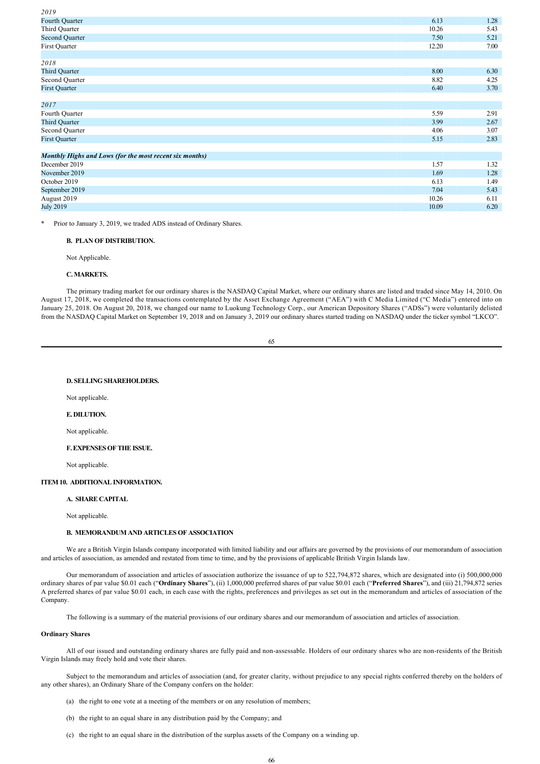| 2019                                                    |       |      |
|---------------------------------------------------------|-------|------|
| Fourth Quarter                                          | 6.13  | 1.28 |
| Third Quarter                                           | 10.26 | 5.43 |
| <b>Second Quarter</b>                                   | 7.50  | 5.21 |
| First Quarter                                           | 12.20 | 7.00 |
|                                                         |       |      |
| 2018                                                    |       |      |
| Third Quarter                                           | 8.00  | 6.30 |
| Second Quarter                                          | 8.82  | 4.25 |
| <b>First Quarter</b>                                    | 6.40  | 3.70 |
|                                                         |       |      |
| 2017                                                    |       |      |
| Fourth Quarter                                          | 5.59  | 2.91 |
| Third Quarter                                           | 3.99  | 2.67 |
| Second Quarter                                          | 4.06  | 3.07 |
| <b>First Quarter</b>                                    | 5.15  | 2.83 |
|                                                         |       |      |
| Monthly Highs and Lows (for the most recent six months) |       |      |
| December 2019                                           | 1.57  | 1.32 |
| November 2019                                           | 1.69  | 1.28 |
| October 2019                                            | 6.13  | 1.49 |
| September 2019                                          | 7.04  | 5.43 |
| August 2019                                             | 10.26 | 6.11 |
| <b>July 2019</b>                                        | 10.09 | 6.20 |
|                                                         |       |      |

Prior to January 3, 2019, we traded ADS instead of Ordinary Shares.

# **B. PLAN OF DISTRIBUTION.**

Not Applicable.

#### **C. MARKETS.**

The primary trading market for our ordinary shares is the NASDAQ Capital Market, where our ordinary shares are listed and traded since May 14, 2010. On August 17, 2018, we completed the transactions contemplated by the Asset Exchange Agreement ("AEA") with C Media Limited ("C Media") entered into on January 25, 2018. On August 20, 2018, we changed our name to Luokung Technology Corp., our American Depository Shares ("ADSs") were voluntarily delisted from the NASDAQ Capital Market on September 19, 2018 and on January 3, 2019 our ordinary shares started trading on NASDAQ under the ticker symbol "LKCO".

# **D. SELLING SHAREHOLDERS.**

Not applicable.

### **E. DILUTION.**

Not applicable.

# **F. EXPENSES OF THE ISSUE.**

Not applicable.

# **ITEM 10. ADDITIONAL INFORMATION.**

## **A. SHARE CAPITAL**

Not applicable.

# **B. MEMORANDUM AND ARTICLES OF ASSOCIATION**

We are a British Virgin Islands company incorporated with limited liability and our affairs are governed by the provisions of our memorandum of association and articles of association, as amended and restated from time to time, and by the provisions of applicable British Virgin Islands law.

Our memorandum of association and articles of association authorize the issuance of up to 522,794,872 shares, which are designated into (i) 500,000,000 ordinary shares of par value \$0.01 each ("**Ordinary Shares**"), (ii) 1,000,000 preferred shares of par value \$0.01 each ("**Preferred Shares**"), and (iii) 21,794,872 series A preferred shares of par value \$0.01 each, in each case with the rights, preferences and privileges as set out in the memorandum and articles of association of the Company.

The following is a summary of the material provisions of our ordinary shares and our memorandum of association and articles of association.

### **Ordinary Shares**

All of our issued and outstanding ordinary shares are fully paid and non-assessable. Holders of our ordinary shares who are non-residents of the British Virgin Islands may freely hold and vote their shares.

Subject to the memorandum and articles of association (and, for greater clarity, without prejudice to any special rights conferred thereby on the holders of any other shares), an Ordinary Share of the Company confers on the holder:

- (a) the right to one vote at a meeting of the members or on any resolution of members;
- (b) the right to an equal share in any distribution paid by the Company; and
- (c) the right to an equal share in the distribution of the surplus assets of the Company on a winding up.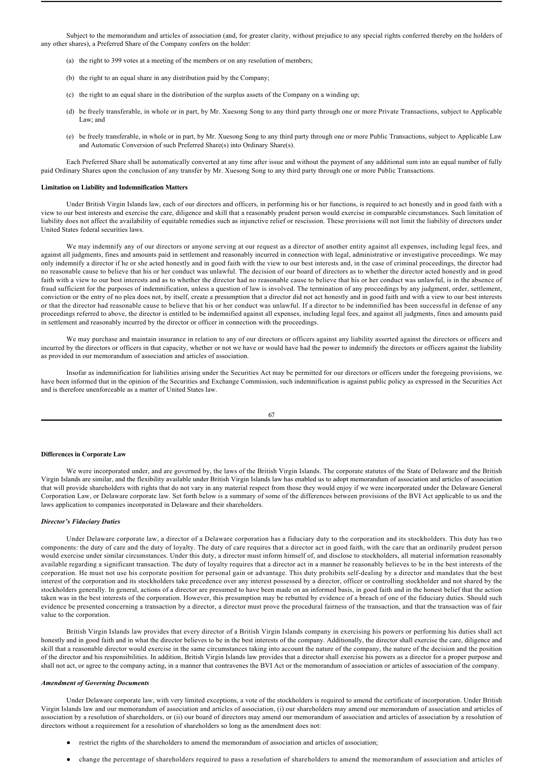Subject to the memorandum and articles of association (and, for greater clarity, without prejudice to any special rights conferred thereby on the holders of any other shares), a Preferred Share of the Company confers on the holder:

- (a) the right to 399 votes at a meeting of the members or on any resolution of members;
- (b) the right to an equal share in any distribution paid by the Company;
- (c) the right to an equal share in the distribution of the surplus assets of the Company on a winding up;
- (d) be freely transferable, in whole or in part, by Mr. Xuesong Song to any third party through one or more Private Transactions, subject to Applicable Law; and
- (e) be freely transferable, in whole or in part, by Mr. Xuesong Song to any third party through one or more Public Transactions, subject to Applicable Law and Automatic Conversion of such Preferred Share(s) into Ordinary Share(s).

Each Preferred Share shall be automatically converted at any time after issue and without the payment of any additional sum into an equal number of fully paid Ordinary Shares upon the conclusion of any transfer by Mr. Xuesong Song to any third party through one or more Public Transactions.

#### **Limitation on Liability and Indemnification Matters**

Under British Virgin Islands law, each of our directors and officers, in performing his or her functions, is required to act honestly and in good faith with a view to our best interests and exercise the care, diligence and skill that a reasonably prudent person would exercise in comparable circumstances. Such limitation of liability does not affect the availability of equitable remedies such as injunctive relief or rescission. These provisions will not limit the liability of directors under United States federal securities laws.

We may indemnify any of our directors or anyone serving at our request as a director of another entity against all expenses, including legal fees, and against all judgments, fines and amounts paid in settlement and reasonably incurred in connection with legal, administrative or investigative proceedings. We may only indemnify a director if he or she acted honestly and in good faith with the view to our best interests and, in the case of criminal proceedings, the director had no reasonable cause to believe that his or her conduct was unlawful. The decision of our board of directors as to whether the director acted honestly and in good faith with a view to our best interests and as to whether the director had no reasonable cause to believe that his or her conduct was unlawful, is in the absence of fraud sufficient for the purposes of indemnification, unless a question of law is involved. The termination of any proceedings by any judgment, order, settlement, conviction or the entry of no plea does not, by itself, create a presumption that a director did not act honestly and in good faith and with a view to our best interests or that the director had reasonable cause to believe that his or her conduct was unlawful. If a director to be indemnified has been successful in defense of any proceedings referred to above, the director is entitled to be indemnified against all expenses, including legal fees, and against all judgments, fines and amounts paid in settlement and reasonably incurred by the director or officer in connection with the proceedings.

We may purchase and maintain insurance in relation to any of our directors or officers against any liability asserted against the directors or officers and incurred by the directors or officers in that capacity, whether or not we have or would have had the power to indemnify the directors or officers against the liability as provided in our memorandum of association and articles of association.

Insofar as indemnification for liabilities arising under the Securities Act may be permitted for our directors or officers under the foregoing provisions, we have been informed that in the opinion of the Securities and Exchange Commission, such indemnification is against public policy as expressed in the Securities Act and is therefore unenforceable as a matter of United States law.

67

#### **Differences in Corporate Law**

We were incorporated under, and are governed by, the laws of the British Virgin Islands. The corporate statutes of the State of Delaware and the British Virgin Islands are similar, and the flexibility available under British Virgin Islands law has enabled us to adopt memorandum of association and articles of association that will provide shareholders with rights that do not vary in any material respect from those they would enjoy if we were incorporated under the Delaware General Corporation Law, or Delaware corporate law. Set forth below is a summary of some of the differences between provisions of the BVI Act applicable to us and the laws application to companies incorporated in Delaware and their shareholders.

### *Director's Fiduciary Duties*

Under Delaware corporate law, a director of a Delaware corporation has a fiduciary duty to the corporation and its stockholders. This duty has two components: the duty of care and the duty of loyalty. The duty of care requires that a director act in good faith, with the care that an ordinarily prudent person would exercise under similar circumstances. Under this duty, a director must inform himself of, and disclose to stockholders, all material information reasonably available regarding a significant transaction. The duty of loyalty requires that a director act in a manner he reasonably believes to be in the best interests of the corporation. He must not use his corporate position for personal gain or advantage. This duty prohibits self-dealing by a director and mandates that the best interest of the corporation and its stockholders take precedence over any interest possessed by a director, officer or controlling stockholder and not shared by the stockholders generally. In general, actions of a director are presumed to have been made on an informed basis, in good faith and in the honest belief that the action taken was in the best interests of the corporation. However, this presumption may be rebutted by evidence of a breach of one of the fiduciary duties. Should such evidence be presented concerning a transaction by a director, a director must prove the procedural fairness of the transaction, and that the transaction was of fair value to the corporation.

British Virgin Islands law provides that every director of a British Virgin Islands company in exercising his powers or performing his duties shall act honestly and in good faith and in what the director believes to be in the best interests of the company. Additionally, the director shall exercise the care, diligence and skill that a reasonable director would exercise in the same circumstances taking into account the nature of the company, the nature of the decision and the position of the director and his responsibilities. In addition, British Virgin Islands law provides that a director shall exercise his powers as a director for a proper purpose and shall not act, or agree to the company acting, in a manner that contravenes the BVI Act or the memorandum of association or articles of association of the company.

# *Amendment of Governing Documents*

Under Delaware corporate law, with very limited exceptions, a vote of the stockholders is required to amend the certificate of incorporation. Under British Virgin Islands law and our memorandum of association and articles of association, (i) our shareholders may amend our memorandum of association and articles of association by a resolution of shareholders, or (ii) our board of directors may amend our memorandum of association and articles of association by a resolution of directors without a requirement for a resolution of shareholders so long as the amendment does not:

- restrict the rights of the shareholders to amend the memorandum of association and articles of association;
- change the percentage of shareholders required to pass a resolution of shareholders to amend the memorandum of association and articles of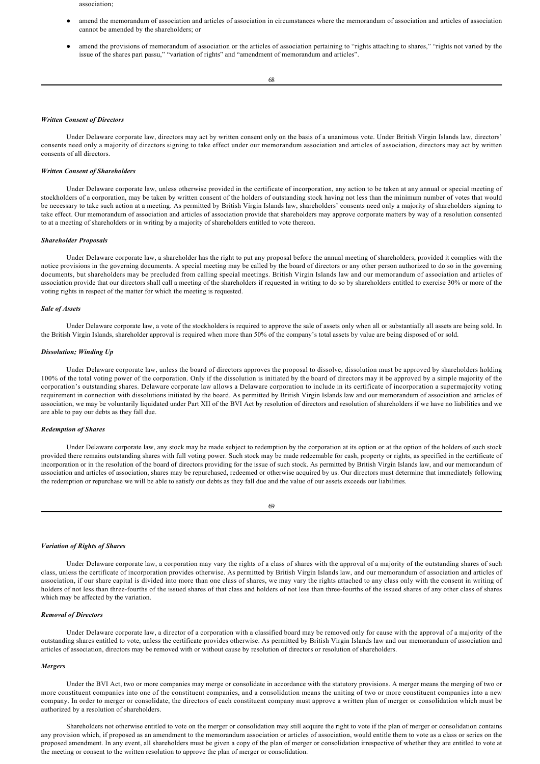association;

- amend the memorandum of association and articles of association in circumstances where the memorandum of association and articles of association cannot be amended by the shareholders; or
- amend the provisions of memorandum of association or the articles of association pertaining to "rights attaching to shares," "rights not varied by the issue of the shares pari passu," "variation of rights" and "amendment of memorandum and articles".

#### *Written Consent of Directors*

Under Delaware corporate law, directors may act by written consent only on the basis of a unanimous vote. Under British Virgin Islands law, directors' consents need only a majority of directors signing to take effect under our memorandum association and articles of association, directors may act by written consents of all directors.

#### *Written Consent of Shareholders*

Under Delaware corporate law, unless otherwise provided in the certificate of incorporation, any action to be taken at any annual or special meeting of stockholders of a corporation, may be taken by written consent of the holders of outstanding stock having not less than the minimum number of votes that would be necessary to take such action at a meeting. As permitted by British Virgin Islands law, shareholders' consents need only a majority of shareholders signing to take effect. Our memorandum of association and articles of association provide that shareholders may approve corporate matters by way of a resolution consented to at a meeting of shareholders or in writing by a majority of shareholders entitled to vote thereon.

### *Shareholder Proposals*

Under Delaware corporate law, a shareholder has the right to put any proposal before the annual meeting of shareholders, provided it complies with the notice provisions in the governing documents. A special meeting may be called by the board of directors or any other person authorized to do so in the governing documents, but shareholders may be precluded from calling special meetings. British Virgin Islands law and our memorandum of association and articles of association provide that our directors shall call a meeting of the shareholders if requested in writing to do so by shareholders entitled to exercise 30% or more of the voting rights in respect of the matter for which the meeting is requested.

#### *Sale of Assets*

Under Delaware corporate law, a vote of the stockholders is required to approve the sale of assets only when all or substantially all assets are being sold. In the British Virgin Islands, shareholder approval is required when more than 50% of the company's total assets by value are being disposed of or sold.

### *Dissolution; Winding Up*

Under Delaware corporate law, unless the board of directors approves the proposal to dissolve, dissolution must be approved by shareholders holding 100% of the total voting power of the corporation. Only if the dissolution is initiated by the board of directors may it be approved by a simple majority of the corporation's outstanding shares. Delaware corporate law allows a Delaware corporation to include in its certificate of incorporation a supermajority voting requirement in connection with dissolutions initiated by the board. As permitted by British Virgin Islands law and our memorandum of association and articles of association, we may be voluntarily liquidated under Part XII of the BVI Act by resolution of directors and resolution of shareholders if we have no liabilities and we are able to pay our debts as they fall due.

### *Redemption of Shares*

Under Delaware corporate law, any stock may be made subject to redemption by the corporation at its option or at the option of the holders of such stock provided there remains outstanding shares with full voting power. Such stock may be made redeemable for cash, property or rights, as specified in the certificate of incorporation or in the resolution of the board of directors providing for the issue of such stock. As permitted by British Virgin Islands law, and our memorandum of association and articles of association, shares may be repurchased, redeemed or otherwise acquired by us. Our directors must determine that immediately following the redemption or repurchase we will be able to satisfy our debts as they fall due and the value of our assets exceeds our liabilities.

#### 69

#### *Variation of Rights of Shares*

Under Delaware corporate law, a corporation may vary the rights of a class of shares with the approval of a majority of the outstanding shares of such class, unless the certificate of incorporation provides otherwise. As permitted by British Virgin Islands law, and our memorandum of association and articles of association, if our share capital is divided into more than one class of shares, we may vary the rights attached to any class only with the consent in writing of holders of not less than three-fourths of the issued shares of that class and holders of not less than three-fourths of the issued shares of any other class of shares which may be affected by the variation.

#### *Removal of Directors*

Under Delaware corporate law, a director of a corporation with a classified board may be removed only for cause with the approval of a majority of the outstanding shares entitled to vote, unless the certificate provides otherwise. As permitted by British Virgin Islands law and our memorandum of association and articles of association, directors may be removed with or without cause by resolution of directors or resolution of shareholders.

#### *Mergers*

Under the BVI Act, two or more companies may merge or consolidate in accordance with the statutory provisions. A merger means the merging of two or more constituent companies into one of the constituent companies, and a consolidation means the uniting of two or more constituent companies into a new company. In order to merger or consolidate, the directors of each constituent company must approve a written plan of merger or consolidation which must be authorized by a resolution of shareholders.

Shareholders not otherwise entitled to vote on the merger or consolidation may still acquire the right to vote if the plan of merger or consolidation contains any provision which, if proposed as an amendment to the memorandum association or articles of association, would entitle them to vote as a class or series on the proposed amendment. In any event, all shareholders must be given a copy of the plan of merger or consolidation irrespective of whether they are entitled to vote at the meeting or consent to the written resolution to approve the plan of merger or consolidation.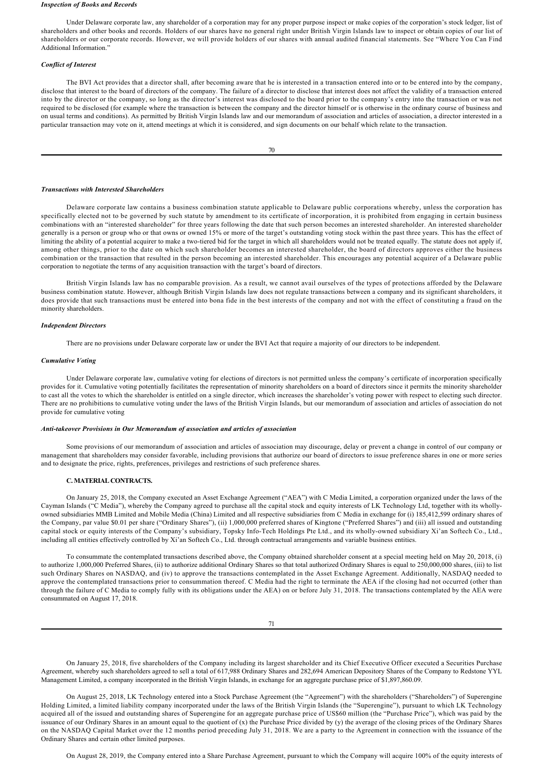### *Inspection of Books and Records*

Under Delaware corporate law, any shareholder of a corporation may for any proper purpose inspect or make copies of the corporation's stock ledger, list of shareholders and other books and records. Holders of our shares have no general right under British Virgin Islands law to inspect or obtain copies of our list of shareholders or our corporate records. However, we will provide holders of our shares with annual audited financial statements. See "Where You Can Find Additional Information."

# *Conflict of Interest*

The BVI Act provides that a director shall, after becoming aware that he is interested in a transaction entered into or to be entered into by the company, disclose that interest to the board of directors of the company. The failure of a director to disclose that interest does not affect the validity of a transaction entered into by the director or the company, so long as the director's interest was disclosed to the board prior to the company's entry into the transaction or was not required to be disclosed (for example where the transaction is between the company and the director himself or is otherwise in the ordinary course of business and on usual terms and conditions). As permitted by British Virgin Islands law and our memorandum of association and articles of association, a director interested in a particular transaction may vote on it, attend meetings at which it is considered, and sign documents on our behalf which relate to the transaction.

#### *Transactions with Interested Shareholders*

Delaware corporate law contains a business combination statute applicable to Delaware public corporations whereby, unless the corporation has specifically elected not to be governed by such statute by amendment to its certificate of incorporation, it is prohibited from engaging in certain business combinations with an "interested shareholder" for three years following the date that such person becomes an interested shareholder. An interested shareholder generally is a person or group who or that owns or owned 15% or more of the target's outstanding voting stock within the past three years. This has the effect of limiting the ability of a potential acquirer to make a two-tiered bid for the target in which all shareholders would not be treated equally. The statute does not apply if, among other things, prior to the date on which such shareholder becomes an interested shareholder, the board of directors approves either the business combination or the transaction that resulted in the person becoming an interested shareholder. This encourages any potential acquirer of a Delaware public corporation to negotiate the terms of any acquisition transaction with the target's board of directors.

British Virgin Islands law has no comparable provision. As a result, we cannot avail ourselves of the types of protections afforded by the Delaware business combination statute. However, although British Virgin Islands law does not regulate transactions between a company and its significant shareholders, it does provide that such transactions must be entered into bona fide in the best interests of the company and not with the effect of constituting a fraud on the minority shareholders.

#### *Independent Directors*

There are no provisions under Delaware corporate law or under the BVI Act that require a majority of our directors to be independent.

#### *Cumulative Voting*

Under Delaware corporate law, cumulative voting for elections of directors is not permitted unless the company's certificate of incorporation specifically provides for it. Cumulative voting potentially facilitates the representation of minority shareholders on a board of directors since it permits the minority shareholder to cast all the votes to which the shareholder is entitled on a single director, which increases the shareholder's voting power with respect to electing such director. There are no prohibitions to cumulative voting under the laws of the British Virgin Islands, but our memorandum of association and articles of association do not provide for cumulative voting

#### *Antitakeover Provisions in Our Memorandum of association and articles of association*

Some provisions of our memorandum of association and articles of association may discourage, delay or prevent a change in control of our company or management that shareholders may consider favorable, including provisions that authorize our board of directors to issue preference shares in one or more series and to designate the price, rights, preferences, privileges and restrictions of such preference shares.

# **C. MATERIAL CONTRACTS.**

On January 25, 2018, the Company executed an Asset Exchange Agreement ("AEA") with C Media Limited, a corporation organized under the laws of the Cayman Islands ("C Media"), whereby the Company agreed to purchase all the capital stock and equity interests of LK Technology Ltd, together with its whollyowned subsidiaries MMB Limited and Mobile Media (China) Limited and all respective subsidiaries from C Media in exchange for (i) 185,412,599 ordinary shares of the Company, par value \$0.01 per share ("Ordinary Shares"), (ii) 1,000,000 preferred shares of Kingtone ("Preferred Shares") and (iii) all issued and outstanding capital stock or equity interests of the Company's subsidiary, Topsky Info-Tech Holdings Pte Ltd., and its wholly-owned subsidiary Xi'an Softech Co., Ltd., including all entities effectively controlled by Xi'an Softech Co., Ltd. through contractual arrangements and variable business entities.

To consummate the contemplated transactions described above, the Company obtained shareholder consent at a special meeting held on May 20, 2018, (i) to authorize 1,000,000 Preferred Shares, (ii) to authorize additional Ordinary Shares so that total authorized Ordinary Shares is equal to 250,000,000 shares, (iii) to list such Ordinary Shares on NASDAQ, and (iv) to approve the transactions contemplated in the Asset Exchange Agreement. Additionally, NASDAQ needed to approve the contemplated transactions prior to consummation thereof. C Media had the right to terminate the AEA if the closing had not occurred (other than through the failure of C Media to comply fully with its obligations under the AEA) on or before July 31, 2018. The transactions contemplated by the AEA were consummated on August 17, 2018.

On January 25, 2018, five shareholders of the Company including its largest shareholder and its Chief Executive Officer executed a Securities Purchase Agreement, whereby such shareholders agreed to sell a total of 617,988 Ordinary Shares and 282,694 American Depository Shares of the Company to Redstone YYL Management Limited, a company incorporated in the British Virgin Islands, in exchange for an aggregate purchase price of \$1,897,860.09.

On August 25, 2018, LK Technology entered into a Stock Purchase Agreement (the "Agreement") with the shareholders ("Shareholders") of Superengine Holding Limited, a limited liability company incorporated under the laws of the British Virgin Islands (the "Superengine"), pursuant to which LK Technology acquired all of the issued and outstanding shares of Superengine for an aggregate purchase price of US\$60 million (the "Purchase Price"), which was paid by the issuance of our Ordinary Shares in an amount equal to the quotient of (x) the Purchase Price divided by (y) the average of the closing prices of the Ordinary Shares on the NASDAQ Capital Market over the 12 months period preceding July 31, 2018. We are a party to the Agreement in connection with the issuance of the Ordinary Shares and certain other limited purposes.

On August 28, 2019, the Company entered into a Share Purchase Agreement, pursuant to which the Company will acquire 100% of the equity interests of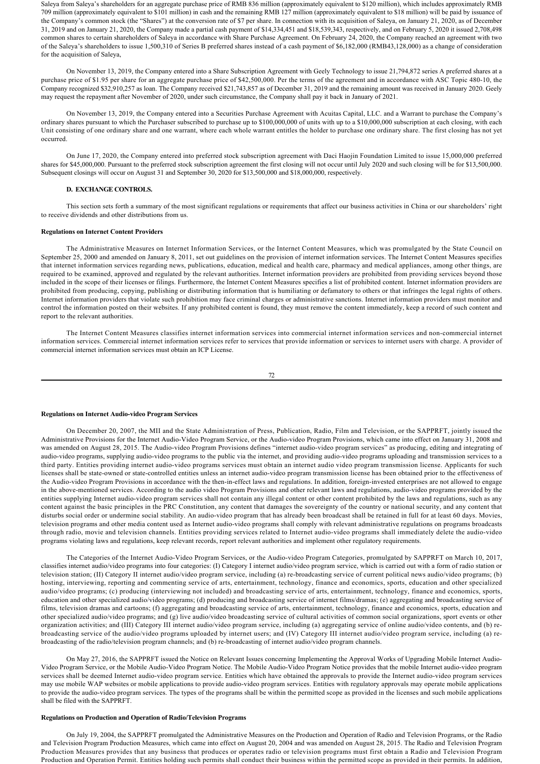Saleya from Saleya's shareholders for an aggregate purchase price of RMB 836 million (approximately equivalent to \$120 million), which includes approximately RMB 709 million (approximately equivalent to \$101 million) in cash and the remaining RMB 127 million (approximately equivalent to \$18 million) will be paid by issuance of the Company's common stock (the "Shares") at the conversion rate of \$7 per share. In connection with its acquisition of Saleya, on January 21, 2020, as of December 31, 2019 and on January 21, 2020, the Company made a partial cash payment of \$14,334,451 and \$18,539,343, respectively, and on February 5, 2020 it issued 2,708,498 common shares to certain shareholders of Saleya in accordance with Share Purchase Agreement. On February 24, 2020, the Company reached an agreement with two of the Saleya's shareholders to issue 1,500,310 of Series B preferred shares instead of a cash payment of \$6,182,000 (RMB43,128,000) as a change of consideration for the acquisition of Saleya,

On November 13, 2019, the Company entered into a Share Subscription Agreement with Geely Technology to issue 21,794,872 series A preferred shares at a purchase price of \$1.95 per share for an aggregate purchase price of \$42,500,000. Per the terms of the agreement and in accordance with ASC Topic 480-10, the Company recognized \$32,910,257 as loan. The Company received \$21,743,857 as of December 31, 2019 and the remaining amount was received in January 2020. Geely may request the repayment after November of 2020, under such circumstance, the Company shall pay it back in January of 2021.

On November 13, 2019, the Company entered into a Securities Purchase Agreement with Acuitas Capital, LLC. and a Warrant to purchase the Company's ordinary shares pursuant to which the Purchaser subscribed to purchase up to \$100,000,000 of units with up to a \$10,000,000 subscription at each closing, with each Unit consisting of one ordinary share and one warrant, where each whole warrant entitles the holder to purchase one ordinary share. The first closing has not yet occurred.

On June 17, 2020, the Company entered into preferred stock subscription agreement with Daci Haojin Foundation Limited to issue 15,000,000 preferred shares for \$45,000,000. Pursuant to the preferred stock subscription agreement the first closing will not occur until July 2020 and such closing will be for \$13,500,000. Subsequent closings will occur on August 31 and September 30, 2020 for \$13,500,000 and \$18,000,000, respectively.

### **D. EXCHANGE CONTROLS.**

This section sets forth a summary of the most significant regulations or requirements that affect our business activities in China or our shareholders' right to receive dividends and other distributions from us.

### **Regulations on Internet Content Providers**

The Administrative Measures on Internet Information Services, or the Internet Content Measures, which was promulgated by the State Council on September 25, 2000 and amended on January 8, 2011, set out guidelines on the provision of internet information services. The Internet Content Measures specifies that internet information services regarding news, publications, education, medical and health care, pharmacy and medical appliances, among other things, are required to be examined, approved and regulated by the relevant authorities. Internet information providers are prohibited from providing services beyond those included in the scope of their licenses or filings. Furthermore, the Internet Content Measures specifies a list of prohibited content. Internet information providers are prohibited from producing, copying, publishing or distributing information that is humiliating or defamatory to others or that infringes the legal rights of others. Internet information providers that violate such prohibition may face criminal charges or administrative sanctions. Internet information providers must monitor and control the information posted on their websites. If any prohibited content is found, they must remove the content immediately, keep a record of such content and report to the relevant authorities.

The Internet Content Measures classifies internet information services into commercial internet information services and noncommercial internet information services. Commercial internet information services refer to services that provide information or services to internet users with charge. A provider of commercial internet information services must obtain an ICP License.

$$
72\,
$$

### **Regulations on Internet Audio-video Program Services**

On December 20, 2007, the MII and the State Administration of Press, Publication, Radio, Film and Television, or the SAPPRFT, jointly issued the Administrative Provisions for the Internet Audio-Video Program Service, or the Audio-video Program Provisions, which came into effect on January 31, 2008 and was amended on August 28, 2015. The Audio-video Program Provisions defines "internet audio-video program services" as producing, editing and integrating of audio-video programs, supplying audio-video programs to the public via the internet, and providing audio-video programs uploading and transmission services to a third party. Entities providing internet audio-video programs services must obtain an internet audio video program transmission license. Applicants for such licenses shall be state-owned or state-controlled entities unless an internet audio-video program transmission license has been obtained prior to the effectiveness of the Audio-video Program Provisions in accordance with the then-in-effect laws and regulations. In addition, foreign-invested enterprises are not allowed to engage in the above-mentioned services. According to the audio video Program Provisions and other relevant laws and regulations, audio-video programs provided by the entities supplying Internet audio-video program services shall not contain any illegal content or other content prohibited by the laws and regulations, such as any content against the basic principles in the PRC Constitution, any content that damages the sovereignty of the country or national security, and any content that disturbs social order or undermine social stability. An audio-video program that has already been broadcast shall be retained in full for at least 60 days. Movies, television programs and other media content used as Internet audio-video programs shall comply with relevant administrative regulations on programs broadcasts through radio, movie and television channels. Entities providing services related to Internet audio-video programs shall immediately delete the audio-video programs violating laws and regulations, keep relevant records, report relevant authorities and implement other regulatory requirements.

The Categories of the Internet Audio-Video Program Services, or the Audio-video Program Categories, promulgated by SAPPRFT on March 10, 2017, classifies internet audio/video programs into four categories: (I) Category I internet audio/video program service, which is carried out with a form of radio station or television station; (II) Category II internet audio/video program service, including (a) rebroadcasting service of current political news audio/video programs; (b) hosting, interviewing, reporting and commenting service of arts, entertainment, technology, finance and economics, sports, education and other specialized audio/video programs; (c) producing (interviewing not included) and broadcasting service of arts, entertainment, technology, finance and economics, sports, education and other specialized audio/video programs; (d) producing and broadcasting service of internet films/dramas; (e) aggregating and broadcasting service of films, television dramas and cartoons; (f) aggregating and broadcasting service of arts, entertainment, technology, finance and economics, sports, education and other specialized audio/video programs; and (g) live audio/video broadcasting service of cultural activities of common social organizations, sport events or other organization activities; and (III) Category III internet audio/video program service, including (a) aggregating service of online audio/video contents, and (b) rebroadcasting service of the audio/video programs uploaded by internet users; and (IV) Category III internet audio/video program service, including (a) rebroadcasting of the radio/television program channels; and (b) re-broadcasting of internet audio/video program channels.

On May 27, 2016, the SAPPRFT issued the Notice on Relevant Issues concerning Implementing the Approval Works of Upgrading Mobile Internet Audio-Video Program Service, or the Mobile Audio-Video Program Notice. The Mobile Audio-Video Program Notice provides that the mobile Internet audio-video program services shall be deemed Internet audio-video program service. Entities which have obtained the approvals to provide the Internet audio-video program services may use mobile WAP websites or mobile applications to provide audio-video program services. Entities with regulatory approvals may operate mobile applications to provide the audio-video program services. The types of the programs shall be within the permitted scope as provided in the licenses and such mobile applications shall be filed with the SAPPRFT.

# **Regulations on Production and Operation of Radio/Television Programs**

On July 19, 2004, the SAPPRFT promulgated the Administrative Measures on the Production and Operation of Radio and Television Programs, or the Radio and Television Program Production Measures, which came into effect on August 20, 2004 and was amended on August 28, 2015. The Radio and Television Program Production Measures provides that any business that produces or operates radio or television programs must first obtain a Radio and Television Program Production and Operation Permit. Entities holding such permits shall conduct their business within the permitted scope as provided in their permits. In addition,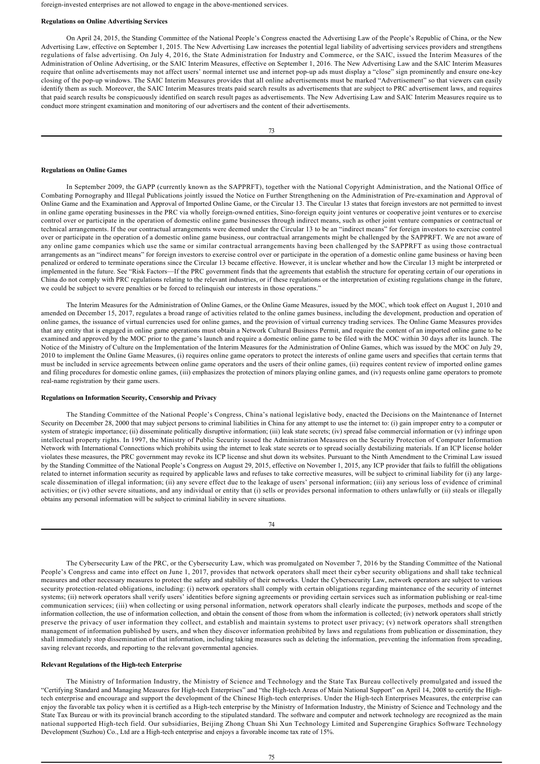foreign-invested enterprises are not allowed to engage in the above-mentioned services.

#### **Regulations on Online Advertising Services**

On April 24, 2015, the Standing Committee of the National People's Congress enacted the Advertising Law of the People's Republic of China, or the New Advertising Law, effective on September 1, 2015. The New Advertising Law increases the potential legal liability of advertising services providers and strengthens regulations of false advertising. On July 4, 2016, the State Administration for Industry and Commerce, or the SAIC, issued the Interim Measures of the Administration of Online Advertising, or the SAIC Interim Measures, effective on September 1, 2016. The New Advertising Law and the SAIC Interim Measures require that online advertisements may not affect users' normal internet use and internet pop-up ads must display a "close" sign prominently and ensure one-key closing of the popup windows. The SAIC Interim Measures provides that all online advertisements must be marked "Advertisement" so that viewers can easily identify them as such. Moreover, the SAIC Interim Measures treats paid search results as advertisements that are subject to PRC advertisement laws, and requires that paid search results be conspicuously identified on search result pages as advertisements. The New Advertising Law and SAIC Interim Measures require us to conduct more stringent examination and monitoring of our advertisers and the content of their advertisements.

#### **Regulations on Online Games**

In September 2009, the GAPP (currently known as the SAPPRFT), together with the National Copyright Administration, and the National Office of Combating Pornography and Illegal Publications jointly issued the Notice on Further Strengthening on the Administration of Preexamination and Approval of Online Game and the Examination and Approval of Imported Online Game, or the Circular 13. The Circular 13 states that foreign investors are not permitted to invest in online game operating businesses in the PRC via wholly foreign-owned entities, Sino-foreign equity joint ventures or cooperative joint ventures or to exercise control over or participate in the operation of domestic online game businesses through indirect means, such as other joint venture companies or contractual or technical arrangements. If the our contractual arrangements were deemed under the Circular 13 to be an "indirect means" for foreign investors to exercise control over or participate in the operation of a domestic online game business, our contractual arrangements might be challenged by the SAPPRFT. We are not aware of any online game companies which use the same or similar contractual arrangements having been challenged by the SAPPRFT as using those contractual arrangements as an "indirect means" for foreign investors to exercise control over or participate in the operation of a domestic online game business or having been penalized or ordered to terminate operations since the Circular 13 became effective. However, it is unclear whether and how the Circular 13 might be interpreted or implemented in the future. See "Risk Factors—If the PRC government finds that the agreements that establish the structure for operating certain of our operations in China do not comply with PRC regulations relating to the relevant industries, or if these regulations or the interpretation of existing regulations change in the future, we could be subject to severe penalties or be forced to relinquish our interests in those operations."

The Interim Measures for the Administration of Online Games, or the Online Game Measures, issued by the MOC, which took effect on August 1, 2010 and amended on December 15, 2017, regulates a broad range of activities related to the online games business, including the development, production and operation of online games, the issuance of virtual currencies used for online games, and the provision of virtual currency trading services. The Online Game Measures provides that any entity that is engaged in online game operations must obtain a Network Cultural Business Permit, and require the content of an imported online game to be examined and approved by the MOC prior to the game's launch and require a domestic online game to be filed with the MOC within 30 days after its launch. The Notice of the Ministry of Culture on the Implementation of the Interim Measures for the Administration of Online Games, which was issued by the MOC on July 29, 2010 to implement the Online Game Measures, (i) requires online game operators to protect the interests of online game users and specifies that certain terms that must be included in service agreements between online game operators and the users of their online games, (ii) requires content review of imported online games and filing procedures for domestic online games, (iii) emphasizes the protection of minors playing online games, and (iv) requests online game operators to promote real-name registration by their game users.

### **Regulations on Information Security, Censorship and Privacy**

The Standing Committee of the National People's Congress, China's national legislative body, enacted the Decisions on the Maintenance of Internet Security on December 28, 2000 that may subject persons to criminal liabilities in China for any attempt to use the internet to: (i) gain improper entry to a computer or system of strategic importance; (ii) disseminate politically disruptive information; (iii) leak state secrets; (iv) spread false commercial information or (v) infringe upon intellectual property rights. In 1997, the Ministry of Public Security issued the Administration Measures on the Security Protection of Computer Information Network with International Connections which prohibits using the internet to leak state secrets or to spread socially destabilizing materials. If an ICP license holder violates these measures, the PRC government may revoke its ICP license and shut down its websites. Pursuant to the Ninth Amendment to the Criminal Law issued by the Standing Committee of the National People's Congress on August 29, 2015, effective on November 1, 2015, any ICP provider that fails to fulfill the obligations related to internet information security as required by applicable laws and refuses to take corrective measures, will be subject to criminal liability for (i) any largescale dissemination of illegal information; (ii) any severe effect due to the leakage of users' personal information; (iii) any serious loss of evidence of criminal activities; or (iv) other severe situations, and any individual or entity that (i) sells or provides personal information to others unlawfully or (ii) steals or illegally obtains any personal information will be subject to criminal liability in severe situations.

74

The Cybersecurity Law of the PRC, or the Cybersecurity Law, which was promulgated on November 7, 2016 by the Standing Committee of the National People's Congress and came into effect on June 1, 2017, provides that network operators shall meet their cyber security obligations and shall take technical measures and other necessary measures to protect the safety and stability of their networks. Under the Cybersecurity Law, network operators are subject to various security protection-related obligations, including: (i) network operators shall comply with certain obligations regarding maintenance of the security of internet systems; (ii) network operators shall verify users' identities before signing agreements or providing certain services such as information publishing or real-time communication services; (iii) when collecting or using personal information, network operators shall clearly indicate the purposes, methods and scope of the information collection, the use of information collection, and obtain the consent of those from whom the information is collected; (iv) network operators shall strictly preserve the privacy of user information they collect, and establish and maintain systems to protect user privacy; (v) network operators shall strengthen management of information published by users, and when they discover information prohibited by laws and regulations from publication or dissemination, they shall immediately stop dissemination of that information, including taking measures such as deleting the information, preventing the information from spreading, saving relevant records, and reporting to the relevant governmental agencies.

#### **Relevant Regulations of the High-tech Enterprise**

The Ministry of Information Industry, the Ministry of Science and Technology and the State Tax Bureau collectively promulgated and issued the "Certifying Standard and Managing Measures for High-tech Enterprises" and "the High-tech Areas of Main National Support" on April 14, 2008 to certify the Hightech enterprise and encourage and support the development of the Chinese High-tech enterprises. Under the High-tech Enterprises Measures, the enterprise can enjoy the favorable tax policy when it is certified as a Hightech enterprise by the Ministry of Information Industry, the Ministry of Science and Technology and the State Tax Bureau or with its provincial branch according to the stipulated standard. The software and computer and network technology are recognized as the main national supported Hightech field. Our subsidiaries, Beijing Zhong Chuan Shi Xun Technology Limited and Superengine Graphics Software Technology Development (Suzhou) Co., Ltd are a High-tech enterprise and enjoys a favorable income tax rate of 15%.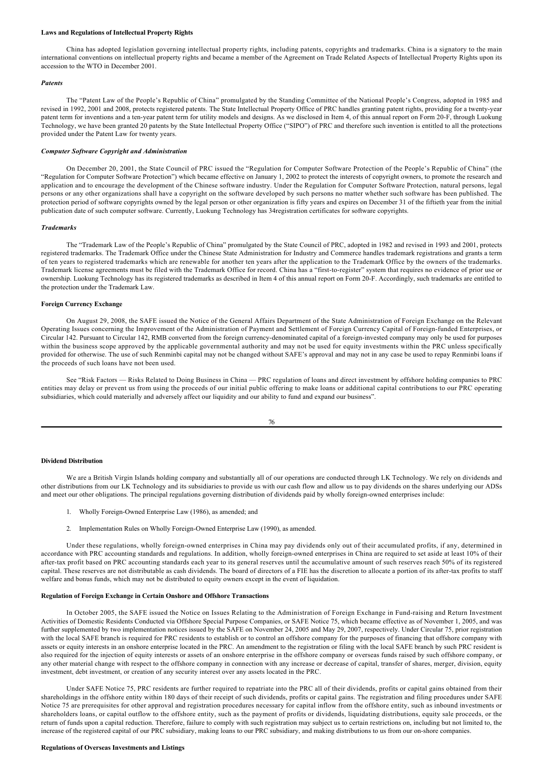#### **Laws and Regulations of Intellectual Property Rights**

China has adopted legislation governing intellectual property rights, including patents, copyrights and trademarks. China is a signatory to the main international conventions on intellectual property rights and became a member of the Agreement on Trade Related Aspects of Intellectual Property Rights upon its accession to the WTO in December 2001.

#### *Patents*

The "Patent Law of the People's Republic of China" promulgated by the Standing Committee of the National People's Congress, adopted in 1985 and revised in 1992, 2001 and 2008, protects registered patents. The State Intellectual Property Office of PRC handles granting patent rights, providing for a twentyyear patent term for inventions and a ten-year patent term for utility models and designs. As we disclosed in Item 4, of this annual report on Form 20-F, through Luokung Technology, we have been granted 20 patents by the State Intellectual Property Office ("SIPO") of PRC and therefore such invention is entitled to all the protections provided under the Patent Law for twenty years.

#### *Computer Software Copyright and Administration*

On December 20, 2001, the State Council of PRC issued the "Regulation for Computer Software Protection of the People's Republic of China" (the "Regulation for Computer Software Protection") which became effective on January 1, 2002 to protect the interests of copyright owners, to promote the research and application and to encourage the development of the Chinese software industry. Under the Regulation for Computer Software Protection, natural persons, legal persons or any other organizations shall have a copyright on the software developed by such persons no matter whether such software has been published. The protection period of software copyrights owned by the legal person or other organization is fifty years and expires on December 31 of the fiftieth year from the initial publication date of such computer software. Currently, Luokung Technology has 34registration certificates for software copyrights.

#### *Trademarks*

The "Trademark Law of the People's Republic of China" promulgated by the State Council of PRC, adopted in 1982 and revised in 1993 and 2001, protects registered trademarks. The Trademark Office under the Chinese State Administration for Industry and Commerce handles trademark registrations and grants a term of ten years to registered trademarks which are renewable for another ten years after the application to the Trademark Office by the owners of the trademarks. Trademark license agreements must be filed with the Trademark Office for record. China has a "first-to-register" system that requires no evidence of prior use or ownership. Luokung Technology has its registered trademarks as described in Item 4 of this annual report on Form 20F. Accordingly, such trademarks are entitled to the protection under the Trademark Law.

### **Foreign Currency Exchange**

On August 29, 2008, the SAFE issued the Notice of the General Affairs Department of the State Administration of Foreign Exchange on the Relevant Operating Issues concerning the Improvement of the Administration of Payment and Settlement of Foreign Currency Capital of Foreign-funded Enterprises, or Circular 142. Pursuant to Circular 142, RMB converted from the foreign currency-denominated capital of a foreign-invested company may only be used for purposes within the business scope approved by the applicable governmental authority and may not be used for equity investments within the PRC unless specifically provided for otherwise. The use of such Renminbi capital may not be changed without SAFE's approval and may not in any case be used to repay Renminbi loans if the proceeds of such loans have not been used.

See "Risk Factors — Risks Related to Doing Business in China — PRC regulation of loans and direct investment by offshore holding companies to PRC entities may delay or prevent us from using the proceeds of our initial public offering to make loans or additional capital contributions to our PRC operating subsidiaries, which could materially and adversely affect our liquidity and our ability to fund and expand our business".

### **Dividend Distribution**

We are a British Virgin Islands holding company and substantially all of our operations are conducted through LK Technology. We rely on dividends and other distributions from our LK Technology and its subsidiaries to provide us with our cash flow and allow us to pay dividends on the shares underlying our ADSs and meet our other obligations. The principal regulations governing distribution of dividends paid by wholly foreign-owned enterprises include:

- 1. Wholly Foreign-Owned Enterprise Law (1986), as amended; and
- 2. Implementation Rules on Wholly Foreign-Owned Enterprise Law (1990), as amended.

Under these regulations, wholly foreign-owned enterprises in China may pay dividends only out of their accumulated profits, if any, determined in accordance with PRC accounting standards and regulations. In addition, wholly foreign-owned enterprises in China are required to set aside at least 10% of their after-tax profit based on PRC accounting standards each year to its general reserves until the accumulative amount of such reserves reach 50% of its registered capital. These reserves are not distributable as cash dividends. The board of directors of a FIE has the discretion to allocate a portion of its aftertax profits to staff welfare and bonus funds, which may not be distributed to equity owners except in the event of liquidation.

#### **Regulation of Foreign Exchange in Certain Onshore and Offshore Transactions**

In October 2005, the SAFE issued the Notice on Issues Relating to the Administration of Foreign Exchange in Fundraising and Return Investment Activities of Domestic Residents Conducted via Offshore Special Purpose Companies, or SAFE Notice 75, which became effective as of November 1, 2005, and was further supplemented by two implementation notices issued by the SAFE on November 24, 2005 and May 29, 2007, respectively. Under Circular 75, prior registration with the local SAFE branch is required for PRC residents to establish or to control an offshore company for the purposes of financing that offshore company with assets or equity interests in an onshore enterprise located in the PRC. An amendment to the registration or filing with the local SAFE branch by such PRC resident is also required for the injection of equity interests or assets of an onshore enterprise in the offshore company or overseas funds raised by such offshore company, or any other material change with respect to the offshore company in connection with any increase or decrease of capital, transfer of shares, merger, division, equity investment, debt investment, or creation of any security interest over any assets located in the PRC.

Under SAFE Notice 75, PRC residents are further required to repatriate into the PRC all of their dividends, profits or capital gains obtained from their shareholdings in the offshore entity within 180 days of their receipt of such dividends, profits or capital gains. The registration and filing procedures under SAFE Notice 75 are prerequisites for other approval and registration procedures necessary for capital inflow from the offshore entity, such as inbound investments or shareholders loans, or capital outflow to the offshore entity, such as the payment of profits or dividends, liquidating distributions, equity sale proceeds, or the return of funds upon a capital reduction. Therefore, failure to comply with such registration may subject us to certain restrictions on, including but not limited to, the increase of the registered capital of our PRC subsidiary, making loans to our PRC subsidiary, and making distributions to us from our onshore companies.

### **Regulations of Overseas Investments and Listings**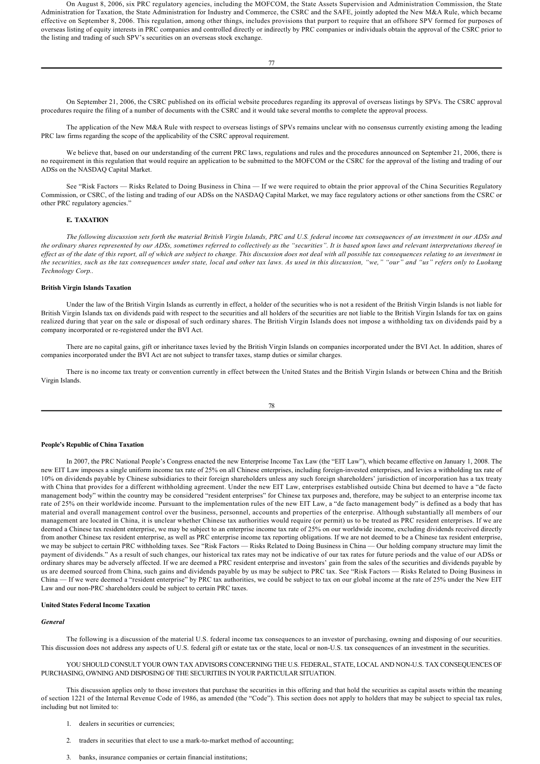On August 8, 2006, six PRC regulatory agencies, including the MOFCOM, the State Assets Supervision and Administration Commission, the State Administration for Taxation, the State Administration for Industry and Commerce, the CSRC and the SAFE, jointly adopted the New M&A Rule, which became effective on September 8, 2006. This regulation, among other things, includes provisions that purport to require that an offshore SPV formed for purposes of overseas listing of equity interests in PRC companies and controlled directly or indirectly by PRC companies or individuals obtain the approval of the CSRC prior to the listing and trading of such SPV's securities on an overseas stock exchange.

On September 21, 2006, the CSRC published on its official website procedures regarding its approval of overseas listings by SPVs. The CSRC approval procedures require the filing of a number of documents with the CSRC and it would take several months to complete the approval process.

The application of the New M&A Rule with respect to overseas listings of SPVs remains unclear with no consensus currently existing among the leading PRC law firms regarding the scope of the applicability of the CSRC approval requirement.

We believe that, based on our understanding of the current PRC laws, regulations and rules and the procedures announced on September 21, 2006, there is no requirement in this regulation that would require an application to be submitted to the MOFCOM or the CSRC for the approval of the listing and trading of our ADSs on the NASDAQ Capital Market.

See "Risk Factors — Risks Related to Doing Business in China — If we were required to obtain the prior approval of the China Securities Regulatory Commission, or CSRC, of the listing and trading of our ADSs on the NASDAQ Capital Market, we may face regulatory actions or other sanctions from the CSRC or other PRC regulatory agencies."

# **E. TAXATION**

*The following discussion sets forth the material British Virgin Islands, PRC and U.S. federal income tax consequences of an investment in our ADSs and the ordinary shares represented by our ADSs, sometimes referred to collectively as the "securities". It is based upon laws and relevant interpretations thereof in effect as of the date of this report, all of which are subject to change. This discussion does not deal with all possible tax consequences relating to an investment in the securities, such as the tax consequences under state, local and other tax laws. As used in this discussion, "we," "our" and "us" refers only to Luokung Technology Corp..* 

### **British Virgin Islands Taxation**

Under the law of the British Virgin Islands as currently in effect, a holder of the securities who is not a resident of the British Virgin Islands is not liable for British Virgin Islands tax on dividends paid with respect to the securities and all holders of the securities are not liable to the British Virgin Islands for tax on gains realized during that year on the sale or disposal of such ordinary shares. The British Virgin Islands does not impose a withholding tax on dividends paid by a company incorporated or re-registered under the BVI Act.

There are no capital gains, gift or inheritance taxes levied by the British Virgin Islands on companies incorporated under the BVI Act. In addition, shares of companies incorporated under the BVI Act are not subject to transfer taxes, stamp duties or similar charges.

There is no income tax treaty or convention currently in effect between the United States and the British Virgin Islands or between China and the British Virgin Islands.

| ۰<br>٠ |              |
|--------|--------------|
|        |              |
|        | ٦<br>w<br>۰, |

#### **People's Republic of China Taxation**

In 2007, the PRC National People's Congress enacted the new Enterprise Income Tax Law (the "EIT Law"), which became effective on January 1, 2008. The new EIT Law imposes a single uniform income tax rate of 25% on all Chinese enterprises, including foreign-invested enterprises, and levies a withholding tax rate of 10% on dividends payable by Chinese subsidiaries to their foreign shareholders unless any such foreign shareholders' jurisdiction of incorporation has a tax treaty with China that provides for a different withholding agreement. Under the new EIT Law, enterprises established outside China but deemed to have a "de facto management body" within the country may be considered "resident enterprises" for Chinese tax purposes and, therefore, may be subject to an enterprise income tax rate of 25% on their worldwide income. Pursuant to the implementation rules of the new EIT Law, a "de facto management body" is defined as a body that has material and overall management control over the business, personnel, accounts and properties of the enterprise. Although substantially all members of our management are located in China, it is unclear whether Chinese tax authorities would require (or permit) us to be treated as PRC resident enterprises. If we are deemed a Chinese tax resident enterprise, we may be subject to an enterprise income tax rate of 25% on our worldwide income, excluding dividends received directly from another Chinese tax resident enterprise, as well as PRC enterprise income tax reporting obligations. If we are not deemed to be a Chinese tax resident enterprise, we may be subject to certain PRC withholding taxes. See "Risk Factors - Risks Related to Doing Business in China - Our holding company structure may limit the payment of dividends." As a result of such changes, our historical tax rates may not be indicative of our tax rates for future periods and the value of our ADSs or ordinary shares may be adversely affected. If we are deemed a PRC resident enterprise and investors' gain from the sales of the securities and dividends payable by us are deemed sourced from China, such gains and dividends payable by us may be subject to PRC tax. See "Risk Factors — Risks Related to Doing Business in China — If we were deemed a "resident enterprise" by PRC tax authorities, we could be subject to tax on our global income at the rate of 25% under the New EIT Law and our non-PRC shareholders could be subject to certain PRC taxes.

#### **United States Federal Income Taxation**

#### *General*

The following is a discussion of the material U.S. federal income tax consequences to an investor of purchasing, owning and disposing of our securities. This discussion does not address any aspects of U.S. federal gift or estate tax or the state, local or non-U.S. tax consequences of an investment in the securities.

YOU SHOULD CONSULT YOUR OWN TAX ADVISORS CONCERNING THE U.S. FEDERAL, STATE, LOCAL AND NON-U.S. TAX CONSEQUENCES OF PURCHASING, OWNING AND DISPOSING OF THE SECURITIES IN YOUR PARTICULAR SITUATION.

This discussion applies only to those investors that purchase the securities in this offering and that hold the securities as capital assets within the meaning of section 1221 of the Internal Revenue Code of 1986, as amended (the "Code"). This section does not apply to holders that may be subject to special tax rules, including but not limited to:

- 1. dealers in securities or currencies;
- 2. traders in securities that elect to use a mark-to-market method of accounting;
- 3. banks, insurance companies or certain financial institutions;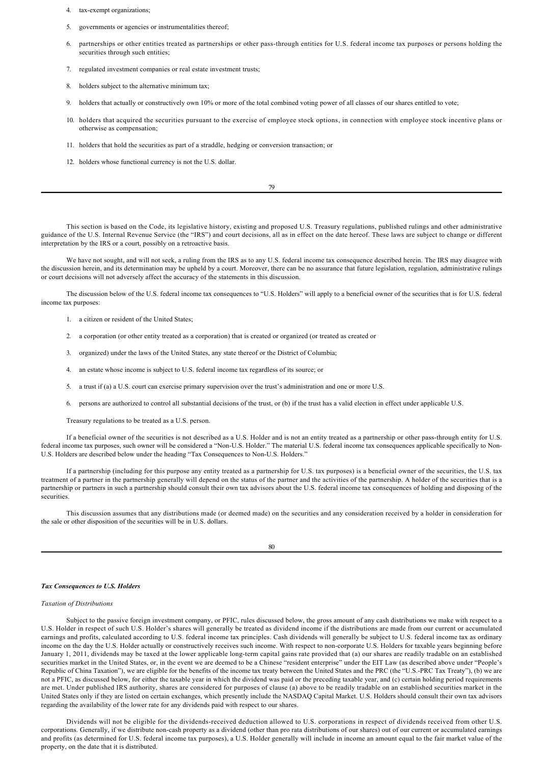- 4. tax-exempt organizations:
- 5. governments or agencies or instrumentalities thereof;
- 6. partnerships or other entities treated as partnerships or other passthrough entities for U.S. federal income tax purposes or persons holding the securities through such entities;
- 7. regulated investment companies or real estate investment trusts;
- 8. holders subject to the alternative minimum tax;
- 9. holders that actually or constructively own 10% or more of the total combined voting power of all classes of our shares entitled to vote;
- 10. holders that acquired the securities pursuant to the exercise of employee stock options, in connection with employee stock incentive plans or otherwise as compensation;
- 11. holders that hold the securities as part of a straddle, hedging or conversion transaction; or
- 12. holders whose functional currency is not the U.S. dollar.

79

This section is based on the Code, its legislative history, existing and proposed U.S. Treasury regulations, published rulings and other administrative guidance of the U.S. Internal Revenue Service (the "IRS") and court decisions, all as in effect on the date hereof. These laws are subject to change or different interpretation by the IRS or a court, possibly on a retroactive basis.

We have not sought, and will not seek, a ruling from the IRS as to any U.S. federal income tax consequence described herein. The IRS may disagree with the discussion herein, and its determination may be upheld by a court. Moreover, there can be no assurance that future legislation, regulation, administrative rulings or court decisions will not adversely affect the accuracy of the statements in this discussion.

The discussion below of the U.S. federal income tax consequences to "U.S. Holders" will apply to a beneficial owner of the securities that is for U.S. federal income tax purposes:

- 1. a citizen or resident of the United States;
- 2. a corporation (or other entity treated as a corporation) that is created or organized (or treated as created or
- 3. organized) under the laws of the United States, any state thereof or the District of Columbia;
- 4. an estate whose income is subject to U.S. federal income tax regardless of its source; or
- 5. a trust if (a) a U.S. court can exercise primary supervision over the trust's administration and one or more U.S.
- 6. persons are authorized to control all substantial decisions of the trust, or (b) if the trust has a valid election in effect under applicable U.S.

Treasury regulations to be treated as a U.S. person.

If a beneficial owner of the securities is not described as a U.S. Holder and is not an entity treated as a partnership or other pass-through entity for U.S. federal income tax purposes, such owner will be considered a "Non-U.S. Holder." The material U.S. federal income tax consequences applicable specifically to Non-U.S. Holders are described below under the heading "Tax Consequences to Non-U.S. Holders."

If a partnership (including for this purpose any entity treated as a partnership for U.S. tax purposes) is a beneficial owner of the securities, the U.S. tax treatment of a partner in the partnership generally will depend on the status of the partner and the activities of the partnership. A holder of the securities that is a partnership or partners in such a partnership should consult their own tax advisors about the U.S. federal income tax consequences of holding and disposing of the securities.

This discussion assumes that any distributions made (or deemed made) on the securities and any consideration received by a holder in consideration for the sale or other disposition of the securities will be in U.S. dollars.

| ٦        |  |
|----------|--|
| ۰.<br>i  |  |
| . .<br>٧ |  |

# *Tax Consequences to U.S. Holders*

## *Taxation of Distributions*

Subject to the passive foreign investment company, or PFIC, rules discussed below, the gross amount of any cash distributions we make with respect to a U.S. Holder in respect of such U.S. Holder's shares will generally be treated as dividend income if the distributions are made from our current or accumulated earnings and profits, calculated according to U.S. federal income tax principles. Cash dividends will generally be subject to U.S. federal income tax as ordinary income on the day the U.S. Holder actually or constructively receives such income. With respect to non-corporate U.S. Holders for taxable years beginning before January 1, 2011, dividends may be taxed at the lower applicable long-term capital gains rate provided that (a) our shares are readily tradable on an established securities market in the United States, or, in the event we are deemed to be a Chinese "resident enterprise" under the EIT Law (as described above under "People's Republic of China Taxation"), we are eligible for the benefits of the income tax treaty between the United States and the PRC (the "U.S.-PRC Tax Treaty"), (b) we are not a PFIC, as discussed below, for either the taxable year in which the dividend was paid or the preceding taxable year, and (c) certain holding period requirements are met. Under published IRS authority, shares are considered for purposes of clause (a) above to be readily tradable on an established securities market in the United States only if they are listed on certain exchanges, which presently include the NASDAQ Capital Market. U.S. Holders should consult their own tax advisors regarding the availability of the lower rate for any dividends paid with respect to our shares.

Dividends will not be eligible for the dividends-received deduction allowed to U.S. corporations in respect of dividends received from other U.S. corporations. Generally, if we distribute noncash property as a dividend (other than pro rata distributions of our shares) out of our current or accumulated earnings and profits (as determined for U.S. federal income tax purposes), a U.S. Holder generally will include in income an amount equal to the fair market value of the property, on the date that it is distributed.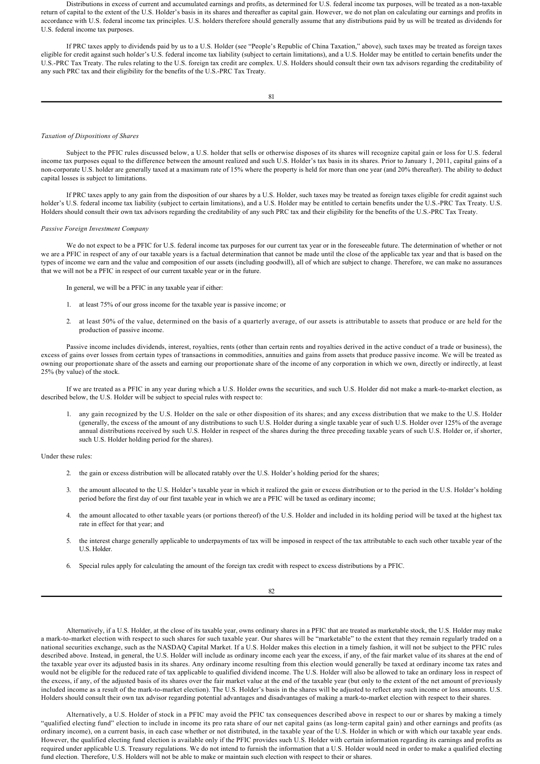Distributions in excess of current and accumulated earnings and profits, as determined for U.S. federal income tax purposes, will be treated as a non-taxable return of capital to the extent of the U.S. Holder's basis in its shares and thereafter as capital gain. However, we do not plan on calculating our earnings and profits in accordance with U.S. federal income tax principles. U.S. holders therefore should generally assume that any distributions paid by us will be treated as dividends for U.S. federal income tax purposes.

If PRC taxes apply to dividends paid by us to a U.S. Holder (see "People's Republic of China Taxation," above), such taxes may be treated as foreign taxes eligible for credit against such holder's U.S. federal income tax liability (subject to certain limitations), and a U.S. Holder may be entitled to certain benefits under the U.S.PRC Tax Treaty. The rules relating to the U.S. foreign tax credit are complex. U.S. Holders should consult their own tax advisors regarding the creditability of any such PRC tax and their eligibility for the benefits of the U.S.PRC Tax Treaty.

#### *Taxation of Dispositions of Shares*

Subject to the PFIC rules discussed below, a U.S. holder that sells or otherwise disposes of its shares will recognize capital gain or loss for U.S. federal income tax purposes equal to the difference between the amount realized and such U.S. Holder's tax basis in its shares. Prior to January 1, 2011, capital gains of a non-corporate U.S. holder are generally taxed at a maximum rate of 15% where the property is held for more than one year (and 20% thereafter). The ability to deduct capital losses is subject to limitations.

If PRC taxes apply to any gain from the disposition of our shares by a U.S. Holder, such taxes may be treated as foreign taxes eligible for credit against such holder's U.S. federal income tax liability (subject to certain limitations), and a U.S. Holder may be entitled to certain benefits under the U.S.-PRC Tax Treaty. U.S. Holders should consult their own tax advisors regarding the creditability of any such PRC tax and their eligibility for the benefits of the U.S.PRC Tax Treaty.

#### *Passive Foreign Investment Company*

We do not expect to be a PFIC for U.S. federal income tax purposes for our current tax year or in the foreseeable future. The determination of whether or not we are a PFIC in respect of any of our taxable years is a factual determination that cannot be made until the close of the applicable tax year and that is based on the types of income we earn and the value and composition of our assets (including goodwill), all of which are subject to change. Therefore, we can make no assurances that we will not be a PFIC in respect of our current taxable year or in the future.

In general, we will be a PFIC in any taxable year if either:

- 1. at least 75% of our gross income for the taxable year is passive income; or
- 2. at least 50% of the value, determined on the basis of a quarterly average, of our assets is attributable to assets that produce or are held for the production of passive income.

Passive income includes dividends, interest, royalties, rents (other than certain rents and royalties derived in the active conduct of a trade or business), the excess of gains over losses from certain types of transactions in commodities, annuities and gains from assets that produce passive income. We will be treated as owning our proportionate share of the assets and earning our proportionate share of the income of any corporation in which we own, directly or indirectly, at least 25% (by value) of the stock.

If we are treated as a PFIC in any year during which a U.S. Holder owns the securities, and such U.S. Holder did not make a mark-to-market election, as described below, the U.S. Holder will be subject to special rules with respect to:

1. any gain recognized by the U.S. Holder on the sale or other disposition of its shares; and any excess distribution that we make to the U.S. Holder (generally, the excess of the amount of any distributions to such U.S. Holder during a single taxable year of such U.S. Holder over 125% of the average annual distributions received by such U.S. Holder in respect of the shares during the three preceding taxable years of such U.S. Holder or, if shorter, such U.S. Holder holding period for the shares).

Under these rules:

- 2. the gain or excess distribution will be allocated ratably over the U.S. Holder's holding period for the shares;
- 3. the amount allocated to the U.S. Holder's taxable year in which it realized the gain or excess distribution or to the period in the U.S. Holder's holding period before the first day of our first taxable year in which we are a PFIC will be taxed as ordinary income;
- 4. the amount allocated to other taxable years (or portions thereof) of the U.S. Holder and included in its holding period will be taxed at the highest tax rate in effect for that year; and
- 5. the interest charge generally applicable to underpayments of tax will be imposed in respect of the tax attributable to each such other taxable year of the U.S. Holder.
- 6. Special rules apply for calculating the amount of the foreign tax credit with respect to excess distributions by a PFIC.

82

Alternatively, if a U.S. Holder, at the close of its taxable year, owns ordinary shares in a PFIC that are treated as marketable stock, the U.S. Holder may make a mark-to-market election with respect to such shares for such taxable year. Our shares will be "marketable" to the extent that they remain regularly traded on a national securities exchange, such as the NASDAQ Capital Market. If a U.S. Holder makes this election in a timely fashion, it will not be subject to the PFIC rules described above. Instead, in general, the U.S. Holder will include as ordinary income each year the excess, if any, of the fair market value of its shares at the end of the taxable year over its adjusted basis in its shares. Any ordinary income resulting from this election would generally be taxed at ordinary income tax rates and would not be eligible for the reduced rate of tax applicable to qualified dividend income. The U.S. Holder will also be allowed to take an ordinary loss in respect of the excess, if any, of the adjusted basis of its shares over the fair market value at the end of the taxable year (but only to the extent of the net amount of previously included income as a result of the mark-to-market election). The U.S. Holder's basis in the shares will be adjusted to reflect any such income or loss amounts. U.S. Holders should consult their own tax advisor regarding potential advantages and disadvantages of making a mark-to-market election with respect to their shares.

Alternatively, a U.S. Holder of stock in a PFIC may avoid the PFIC tax consequences described above in respect to our or shares by making a timely "qualified electing fund" election to include in income its pro rata share of our net capital gains (as long-term capital gain) and other earnings and profits (as ordinary income), on a current basis, in each case whether or not distributed, in the taxable year of the U.S. Holder in which or with which our taxable year ends. However, the qualified electing fund election is available only if the PFIC provides such U.S. Holder with certain information regarding its earnings and profits as required under applicable U.S. Treasury regulations. We do not intend to furnish the information that a U.S. Holder would need in order to make a qualified electing fund election. Therefore, U.S. Holders will not be able to make or maintain such election with respect to their or shares.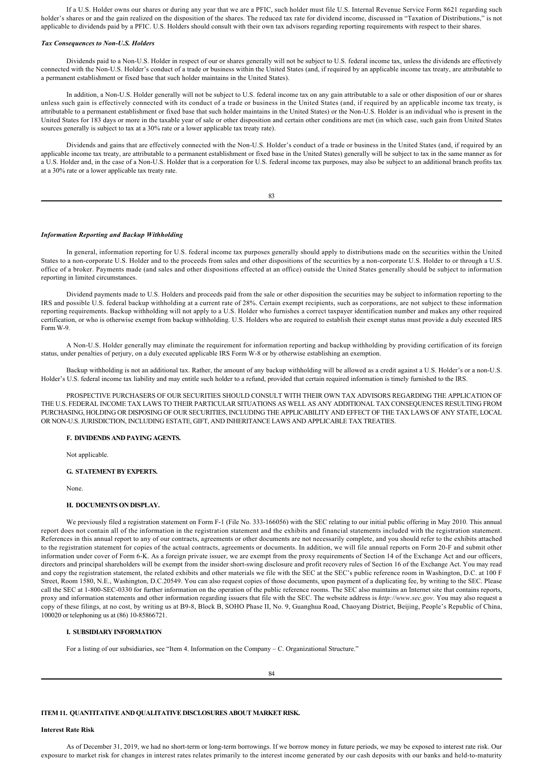If a U.S. Holder owns our shares or during any year that we are a PFIC, such holder must file U.S. Internal Revenue Service Form 8621 regarding such holder's shares or and the gain realized on the disposition of the shares. The reduced tax rate for dividend income, discussed in "Taxation of Distributions," is not applicable to dividends paid by a PFIC. U.S. Holders should consult with their own tax advisors regarding reporting requirements with respect to their shares.

### **Tax Consequences to Non-U.S. Holders**

Dividends paid to a Non-U.S. Holder in respect of our or shares generally will not be subject to U.S. federal income tax, unless the dividends are effectively connected with the Non-U.S. Holder's conduct of a trade or business within the United States (and, if required by an applicable income tax treaty, are attributable to a permanent establishment or fixed base that such holder maintains in the United States).

In addition, a Non-U.S. Holder generally will not be subject to U.S. federal income tax on any gain attributable to a sale or other disposition of our or shares unless such gain is effectively connected with its conduct of a trade or business in the United States (and, if required by an applicable income tax treaty, is attributable to a permanent establishment or fixed base that such holder maintains in the United States) or the Non-U.S. Holder is an individual who is present in the United States for 183 days or more in the taxable year of sale or other disposition and certain other conditions are met (in which case, such gain from United States sources generally is subject to tax at a 30% rate or a lower applicable tax treaty rate).

Dividends and gains that are effectively connected with the Non-U.S. Holder's conduct of a trade or business in the United States (and, if required by an applicable income tax treaty, are attributable to a permanent establishment or fixed base in the United States) generally will be subject to tax in the same manner as for a U.S. Holder and, in the case of a Non-U.S. Holder that is a corporation for U.S. federal income tax purposes, may also be subject to an additional branch profits tax at a 30% rate or a lower applicable tax treaty rate.

83

#### *Information Reporting and Backup Withholding*

In general, information reporting for U.S. federal income tax purposes generally should apply to distributions made on the securities within the United States to a non-corporate U.S. Holder and to the proceeds from sales and other dispositions of the securities by a non-corporate U.S. Holder to or through a U.S. office of a broker. Payments made (and sales and other dispositions effected at an office) outside the United States generally should be subject to information reporting in limited circumstances.

Dividend payments made to U.S. Holders and proceeds paid from the sale or other disposition the securities may be subject to information reporting to the IRS and possible U.S. federal backup withholding at a current rate of 28%. Certain exempt recipients, such as corporations, are not subject to these information reporting requirements. Backup withholding will not apply to a U.S. Holder who furnishes a correct taxpayer identification number and makes any other required certification, or who is otherwise exempt from backup withholding. U.S. Holders who are required to establish their exempt status must provide a duly executed IRS Form W-9.

A Non-U.S. Holder generally may eliminate the requirement for information reporting and backup withholding by providing certification of its foreign status, under penalties of perjury, on a duly executed applicable IRS Form W-8 or by otherwise establishing an exemption.

Backup withholding is not an additional tax. Rather, the amount of any backup withholding will be allowed as a credit against a U.S. Holder's or a non-U.S. Holder's U.S. federal income tax liability and may entitle such holder to a refund, provided that certain required information is timely furnished to the IRS.

PROSPECTIVE PURCHASERS OF OUR SECURITIES SHOULD CONSULT WITH THEIR OWN TAX ADVISORS REGARDING THE APPLICATION OF THE U.S. FEDERAL INCOME TAX LAWS TO THEIR PARTICULAR SITUATIONS AS WELL AS ANY ADDITIONAL TAX CONSEQUENCES RESULTING FROM PURCHASING, HOLDING OR DISPOSING OF OUR SECURITIES, INCLUDING THE APPLICABILITY AND EFFECT OF THE TAX LAWS OF ANY STATE, LOCAL OR NON-U.S. JURISDICTION, INCLUDING ESTATE, GIFT, AND INHERITANCE LAWS AND APPLICABLE TAX TREATIES.

# **F. DIVIDENDS AND PAYING AGENTS.**

Not applicable.

# **G. STATEMENT BY EXPERTS.**

None.

### **H. DOCUMENTS ON DISPLAY.**

We previously filed a registration statement on Form F-1 (File No. 333-166056) with the SEC relating to our initial public offering in May 2010. This annual report does not contain all of the information in the registration statement and the exhibits and financial statements included with the registration statement. References in this annual report to any of our contracts, agreements or other documents are not necessarily complete, and you should refer to the exhibits attached to the registration statement for copies of the actual contracts, agreements or documents. In addition, we will file annual reports on Form 20-F and submit other information under cover of Form 6K. As a foreign private issuer, we are exempt from the proxy requirements of Section 14 of the Exchange Act and our officers, directors and principal shareholders will be exempt from the insider short-swing disclosure and profit recovery rules of Section 16 of the Exchange Act. You may read and copy the registration statement, the related exhibits and other materials we file with the SEC at the SEC's public reference room in Washington, D.C. at 100 F Street, Room 1580, N.E., Washington, D.C.20549. You can also request copies of those documents, upon payment of a duplicating fee, by writing to the SEC. Please call the SEC at 1-800-SEC-0330 for further information on the operation of the public reference rooms. The SEC also maintains an Internet site that contains reports, proxy and information statements and other information regarding issuers that file with the SEC. The website address is *http://www.sec.gov*. You may also request a copy of these filings, at no cost, by writing us at B98, Block B, SOHO Phase II, No. 9, Guanghua Road, Chaoyang District, Beijing, People's Republic of China, 100020 or telephoning us at (86) 10-85866721.

### **I. SUBSIDIARY INFORMATION**

For a listing of our subsidiaries, see "Item 4. Information on the Company – C. Organizational Structure."

### **ITEM 11. QUANTITATIVE AND QUALITATIVE DISCLOSURES ABOUT MARKET RISK.**

### **Interest Rate Risk**

As of December 31, 2019, we had no short-term or long-term borrowings. If we borrow money in future periods, we may be exposed to interest rate risk. Our exposure to market risk for changes in interest rates relates primarily to the interest income generated by our cash deposits with our banks and held-to-maturity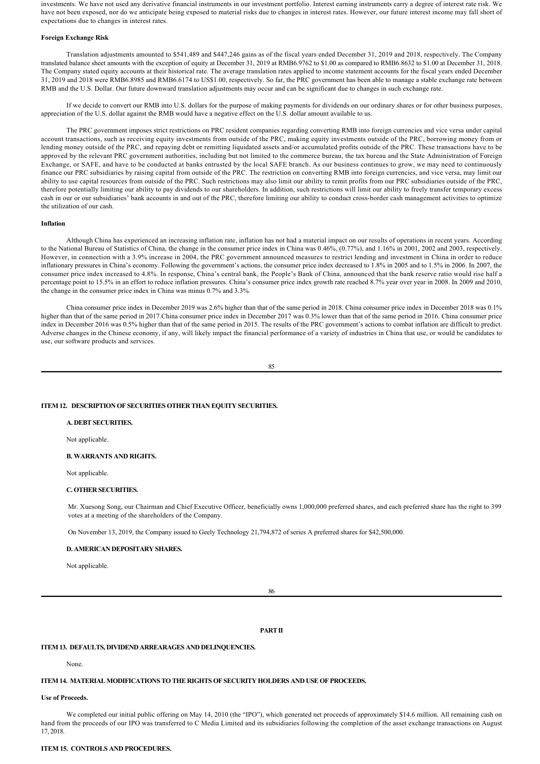investments. We have not used any derivative financial instruments in our investment portfolio. Interest earning instruments carry a degree of interest rate risk. We have not been exposed, nor do we anticipate being exposed to material risks due to changes in interest rates. However, our future interest income may fall short of expectations due to changes in interest rates.

#### **Foreign Exchange Risk**

Translation adjustments amounted to \$541,489 and \$447,246 gains as of the fiscal years ended December 31, 2019 and 2018, respectively. The Company translated balance sheet amounts with the exception of equity at December 31, 2019 at RMB6.9762 to \$1.00 as compared to RMB6.8632 to \$1.00 at December 31, 2018. The Company stated equity accounts at their historical rate. The average translation rates applied to income statement accounts for the fiscal years ended December 31, 2019 and 2018 were RMB6.8985 and RMB6.6174 to US\$1.00, respectively. So far, the PRC government has been able to manage a stable exchange rate between RMB and the U.S. Dollar. Our future downward translation adjustments may occur and can be significant due to changes in such exchange rate.

If we decide to convert our RMB into U.S. dollars for the purpose of making payments for dividends on our ordinary shares or for other business purposes, appreciation of the U.S. dollar against the RMB would have a negative effect on the U.S. dollar amount available to us.

The PRC government imposes strict restrictions on PRC resident companies regarding converting RMB into foreign currencies and vice versa under capital account transactions, such as receiving equity investments from outside of the PRC, making equity investments outside of the PRC, borrowing money from or lending money outside of the PRC, and repaying debt or remitting liquidated assets and/or accumulated profits outside of the PRC. These transactions have to be approved by the relevant PRC government authorities, including but not limited to the commerce bureau, the tax bureau and the State Administration of Foreign Exchange, or SAFE, and have to be conducted at banks entrusted by the local SAFE branch. As our business continues to grow, we may need to continuously finance our PRC subsidiaries by raising capital from outside of the PRC. The restriction on converting RMB into foreign currencies, and vice versa, may limit our ability to use capital resources from outside of the PRC. Such restrictions may also limit our ability to remit profits from our PRC subsidiaries outside of the PRC, therefore potentially limiting our ability to pay dividends to our shareholders. In addition, such restrictions will limit our ability to freely transfer temporary excess cash in our or our subsidiaries' bank accounts in and out of the PRC, therefore limiting our ability to conduct cross-border cash management activities to optimize the utilization of our cash.

### **Inflation**

Although China has experienced an increasing inflation rate, inflation has not had a material impact on our results of operations in recent years. According to the National Bureau of Statistics of China, the change in the consumer price index in China was 0.46%, (0.77%), and 1.16% in 2001, 2002 and 2003, respectively. However, in connection with a 3.9% increase in 2004, the PRC government announced measures to restrict lending and investment in China in order to reduce inflationary pressures in China's economy. Following the government's actions, the consumer price index decreased to 1.8% in 2005 and to 1.5% in 2006. In 2007, the consumer price index increased to 4.8%. In response, China's central bank, the People's Bank of China, announced that the bank reserve ratio would rise half a percentage point to 15.5% in an effort to reduce inflation pressures. China's consumer price index growth rate reached 8.7% year over year in 2008. In 2009 and 2010, the change in the consumer price index in China was minus 0.7% and 3.3%.

China consumer price index in December 2019 was 2.6% higher than that of the same period in 2018. China consumer price index in December 2018 was 0.1% higher than that of the same period in 2017. China consumer price index in December 2017 was 0.3% lower than that of the same period in 2016. China consumer price index in December 2016 was 0.5% higher than that of the same period in 2015. The results of the PRC government's actions to combat inflation are difficult to predict. Adverse changes in the Chinese economy, if any, will likely impact the financial performance of a variety of industries in China that use, or would be candidates to use, our software products and services.

$$
\phantom{0}85
$$

### **ITEM 12. DESCRIPTION OF SECURITIES OTHER THAN EQUITY SECURITIES.**

# **A. DEBT SECURITIES.**

Not applicable.

### **B. WARRANTS AND RIGHTS.**

Not applicable.

### **C. OTHER SECURITIES.**

Mr. Xuesong Song, our Chairman and Chief Executive Officer, beneficially owns 1,000,000 preferred shares, and each preferred share has the right to 399 votes at a meeting of the shareholders of the Company.

On November 13, 2019, the Company issued to Geely Technology 21,794,872 of series A preferred shares for \$42,500,000.

### **D. AMERICAN DEPOSITARY SHARES.**

Not applicable.

86

### **PART II**

### **ITEM 13. DEFAULTS, DIVIDEND ARREARAGES AND DELINQUENCIES.**

None.

# **ITEM 14. MATERIAL MODIFICATIONS TO THE RIGHTS OF SECURITY HOLDERS AND USE OF PROCEEDS.**

# **Use of Proceeds.**

We completed our initial public offering on May 14, 2010 (the "IPO"), which generated net proceeds of approximately \$14.6 million. All remaining cash on hand from the proceeds of our IPO was transferred to C Media Limited and its subsidiaries following the completion of the asset exchange transactions on August 17, 2018.

# **ITEM 15. CONTROLS AND PROCEDURES.**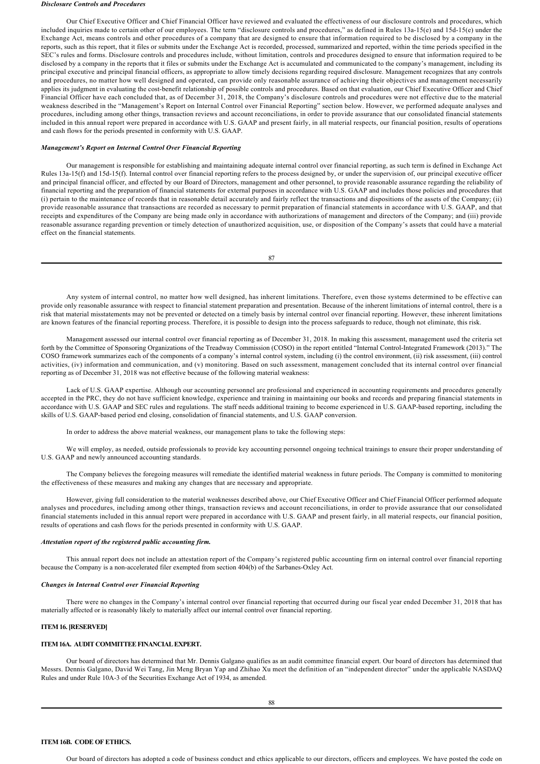#### *Disclosure Controls and Procedures*

Our Chief Executive Officer and Chief Financial Officer have reviewed and evaluated the effectiveness of our disclosure controls and procedures, which included inquiries made to certain other of our employees. The term "disclosure controls and procedures," as defined in Rules 13a-15(e) and 15d-15(e) under the Exchange Act, means controls and other procedures of a company that are designed to ensure that information required to be disclosed by a company in the reports, such as this report, that it files or submits under the Exchange Act is recorded, processed, summarized and reported, within the time periods specified in the SEC's rules and forms. Disclosure controls and procedures include, without limitation, controls and procedures designed to ensure that information required to be disclosed by a company in the reports that it files or submits under the Exchange Act is accumulated and communicated to the company's management, including its principal executive and principal financial officers, as appropriate to allow timely decisions regarding required disclosure. Management recognizes that any controls and procedures, no matter how well designed and operated, can provide only reasonable assurance of achieving their objectives and management necessarily applies its judgment in evaluating the cost-benefit relationship of possible controls and procedures. Based on that evaluation, our Chief Executive Officer and Chief Financial Officer have each concluded that, as of December 31, 2018, the Company's disclosure controls and procedures were not effective due to the material weakness described in the "Management's Report on Internal Control over Financial Reporting" section below. However, we performed adequate analyses and procedures, including among other things, transaction reviews and account reconciliations, in order to provide assurance that our consolidated financial statements included in this annual report were prepared in accordance with U.S. GAAP and present fairly, in all material respects, our financial position, results of operations and cash flows for the periods presented in conformity with U.S. GAAP.

### *Management's Report on Internal Control Over Financial Reporting*

Our management is responsible for establishing and maintaining adequate internal control over financial reporting, as such term is defined in Exchange Act Rules 13a-15(f) and 15d-15(f). Internal control over financial reporting refers to the process designed by, or under the supervision of, our principal executive officer and principal financial officer, and effected by our Board of Directors, management and other personnel, to provide reasonable assurance regarding the reliability of financial reporting and the preparation of financial statements for external purposes in accordance with U.S. GAAP and includes those policies and procedures that (i) pertain to the maintenance of records that in reasonable detail accurately and fairly reflect the transactions and dispositions of the assets of the Company; (ii) provide reasonable assurance that transactions are recorded as necessary to permit preparation of financial statements in accordance with U.S. GAAP, and that receipts and expenditures of the Company are being made only in accordance with authorizations of management and directors of the Company; and (iii) provide reasonable assurance regarding prevention or timely detection of unauthorized acquisition, use, or disposition of the Company's assets that could have a material effect on the financial statements.

87

Any system of internal control, no matter how well designed, has inherent limitations. Therefore, even those systems determined to be effective can provide only reasonable assurance with respect to financial statement preparation and presentation. Because of the inherent limitations of internal control, there is a risk that material misstatements may not be prevented or detected on a timely basis by internal control over financial reporting. However, these inherent limitations are known features of the financial reporting process. Therefore, it is possible to design into the process safeguards to reduce, though not eliminate, this risk.

Management assessed our internal control over financial reporting as of December 31, 2018. In making this assessment, management used the criteria set forth by the Committee of Sponsoring Organizations of the Treadway Commission (COSO) in the report entitled "Internal Control-Integrated Framework (2013)." The COSO framework summarizes each of the components of a company's internal control system, including (i) the control environment, (ii) risk assessment, (iii) control activities, (iv) information and communication, and (v) monitoring. Based on such assessment, management concluded that its internal control over financial reporting as of December 31, 2018 was not effective because of the following material weakness:

Lack of U.S. GAAP expertise. Although our accounting personnel are professional and experienced in accounting requirements and procedures generally accepted in the PRC, they do not have sufficient knowledge, experience and training in maintaining our books and records and preparing financial statements in accordance with U.S. GAAP and SEC rules and regulations. The staff needs additional training to become experienced in U.S. GAAPbased reporting, including the skills of U.S. GAAP-based period end closing, consolidation of financial statements, and U.S. GAAP conversion.

In order to address the above material weakness, our management plans to take the following steps:

We will employ, as needed, outside professionals to provide key accounting personnel ongoing technical trainings to ensure their proper understanding of U.S. GAAP and newly announced accounting standards.

The Company believes the foregoing measures will remediate the identified material weakness in future periods. The Company is committed to monitoring the effectiveness of these measures and making any changes that are necessary and appropriate.

However, giving full consideration to the material weaknesses described above, our Chief Executive Officer and Chief Financial Officer performed adequate analyses and procedures, including among other things, transaction reviews and account reconciliations, in order to provide assurance that our consolidated financial statements included in this annual report were prepared in accordance with U.S. GAAP and present fairly, in all material respects, our financial position, results of operations and cash flows for the periods presented in conformity with U.S. GAAP.

### *Attestation report of the registered public accounting firm.*

This annual report does not include an attestation report of the Company's registered public accounting firm on internal control over financial reporting because the Company is a non-accelerated filer exempted from section 404(b) of the Sarbanes-Oxley Act.

#### *Changes in Internal Control over Financial Reporting*

There were no changes in the Company's internal control over financial reporting that occurred during our fiscal year ended December 31, 2018 that has materially affected or is reasonably likely to materially affect our internal control over financial reporting.

#### **ITEM 16. [RESERVED]**

### **ITEM 16A. AUDIT COMMITTEE FINANCIAL EXPERT.**

Our board of directors has determined that Mr. Dennis Galgano qualifies as an audit committee financial expert. Our board of directors has determined that Messrs. Dennis Galgano, David Wei Tang, Jin Meng Bryan Yap and Zhihao Xu meet the definition of an "independent director" under the applicable NASDAQ Rules and under Rule 10A-3 of the Securities Exchange Act of 1934, as amended.

# **ITEM 16B. CODE OF ETHICS.**

Our board of directors has adopted a code of business conduct and ethics applicable to our directors, officers and employees. We have posted the code on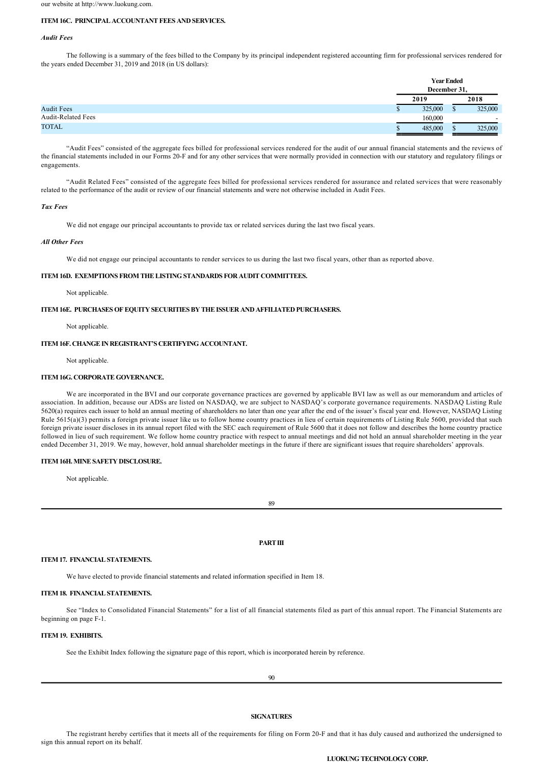our website at http://www.luokung.com.

### **ITEM 16C. PRINCIPAL ACCOUNTANT FEES AND SERVICES.**

### *Audit Fees*

The following is a summary of the fees billed to the Company by its principal independent registered accounting firm for professional services rendered for the years ended December 31, 2019 and 2018 (in US dollars):

|                           |   | <b>Year Ended</b> |     |                          |  |
|---------------------------|---|-------------------|-----|--------------------------|--|
|                           |   | December 31,      |     |                          |  |
|                           |   | 2019              |     | 2018                     |  |
| <b>Audit Fees</b>         | Φ | 325,000           | JD. | 325,000                  |  |
| <b>Audit-Related Fees</b> |   | 160,000           |     | $\overline{\phantom{0}}$ |  |
| <b>TOTAL</b>              |   | 485,000           |     | 325,000                  |  |

"Audit Fees" consisted of the aggregate fees billed for professional services rendered for the audit of our annual financial statements and the reviews of the financial statements included in our Forms 20-F and for any other services that were normally provided in connection with our statutory and regulatory filings or engagements.

"Audit Related Fees" consisted of the aggregate fees billed for professional services rendered for assurance and related services that were reasonably related to the performance of the audit or review of our financial statements and were not otherwise included in Audit Fees.

## *Tax Fees*

We did not engage our principal accountants to provide tax or related services during the last two fiscal years.

## *All Other Fees*

We did not engage our principal accountants to render services to us during the last two fiscal years, other than as reported above.

## **ITEM 16D. EXEMPTIONS FROM THE LISTING STANDARDS FOR AUDIT COMMITTEES.**

Not applicable.

#### **ITEM 16E. PURCHASES OF EQUITY SECURITIES BY THE ISSUER AND AFFILIATED PURCHASERS.**

Not applicable.

### **ITEM 16F. CHANGE IN REGISTRANT'S CERTIFYING ACCOUNTANT.**

Not applicable.

### **ITEM 16G. CORPORATE GOVERNANCE.**

We are incorporated in the BVI and our corporate governance practices are governed by applicable BVI law as well as our memorandum and articles of association. In addition, because our ADSs are listed on NASDAQ, we are subject to NASDAQ's corporate governance requirements. NASDAQ Listing Rule 5620(a) requires each issuer to hold an annual meeting of shareholders no later than one year after the end of the issuer's fiscal year end. However, NASDAQ Listing Rule 5615(a)(3) permits a foreign private issuer like us to follow home country practices in lieu of certain requirements of Listing Rule 5600, provided that such foreign private issuer discloses in its annual report filed with the SEC each requirement of Rule 5600 that it does not follow and describes the home country practice followed in lieu of such requirement. We follow home country practice with respect to annual meetings and did not hold an annual shareholder meeting in the year ended December 31, 2019. We may, however, hold annual shareholder meetings in the future if there are significant issues that require shareholders' approvals.

# **ITEM 16H. MINE SAFETY DISCLOSURE.**

Not applicable.

89

**PART III**

### **ITEM 17. FINANCIAL STATEMENTS.**

We have elected to provide financial statements and related information specified in Item 18.

# **ITEM 18. FINANCIAL STATEMENTS.**

See "Index to Consolidated Financial Statements" for a list of all financial statements filed as part of this annual report. The Financial Statements are beginning on page F-1.

# **ITEM 19. EXHIBITS.**

See the Exhibit Index following the signature page of this report, which is incorporated herein by reference.

#### **SIGNATURES**

The registrant hereby certifies that it meets all of the requirements for filing on Form 20-F and that it has duly caused and authorized the undersigned to sign this annual report on its behalf.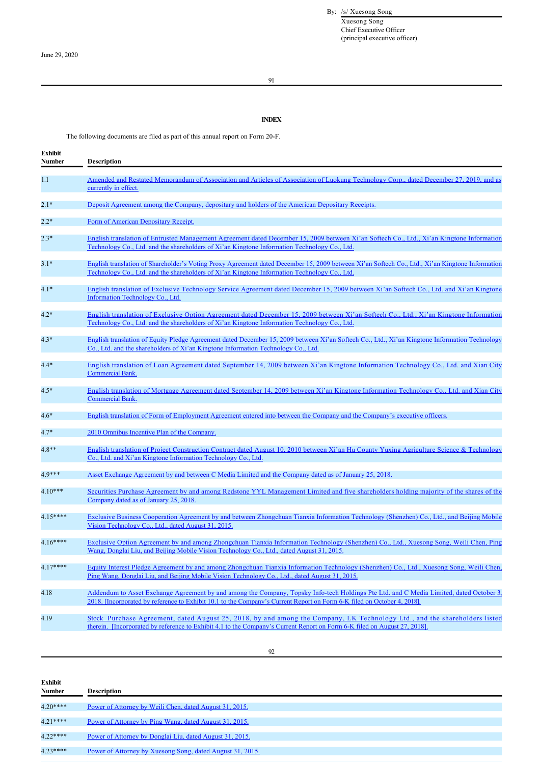# **INDEX**

The following documents are filed as part of this annual report on Form 20-F.

| <b>Exhibit</b><br>Number | <b>Description</b>                                                                                                                                                                                                                                                |
|--------------------------|-------------------------------------------------------------------------------------------------------------------------------------------------------------------------------------------------------------------------------------------------------------------|
| 1.1                      | Amended and Restated Memorandum of Association and Articles of Association of Luokung Technology Corp., dated December 27, 2019, and as<br>currently in effect.                                                                                                   |
| $2.1*$                   | Deposit Agreement among the Company, depositary and holders of the American Depositary Receipts.                                                                                                                                                                  |
| $2.2*$                   | Form of American Depositary Receipt.                                                                                                                                                                                                                              |
| $2.3*$                   | English translation of Entrusted Management Agreement dated December 15, 2009 between Xi'an Softech Co., Ltd., Xi'an Kingtone Information<br>Technology Co., Ltd. and the shareholders of Xi'an Kingtone Information Technology Co., Ltd.                         |
| $3.1*$                   | English translation of Shareholder's Voting Proxy Agreement dated December 15, 2009 between Xi'an Softech Co., Ltd., Xi'an Kingtone Information<br>Technology Co., Ltd. and the shareholders of Xi'an Kingtone Information Technology Co., Ltd.                   |
| 41*                      | English translation of Exclusive Technology Service Agreement dated December 15, 2009 between Xi'an Softech Co., Ltd. and Xi'an Kingtone<br>Information Technology Co., Ltd.                                                                                      |
| $4.2*$                   | English translation of Exclusive Option Agreement dated December 15, 2009 between Xi'an Softech Co., Ltd., Xi'an Kingtone Information<br>Technology Co., Ltd. and the shareholders of Xi'an Kingtone Information Technology Co., Ltd.                             |
| $4.3*$                   | English translation of Equity Pledge Agreement dated December 15, 2009 between Xi'an Softech Co., Ltd., Xi'an Kingtone Information Technology<br>Co., Ltd. and the shareholders of Xi'an Kingtone Information Technology Co., Ltd.                                |
| $4.4*$                   | English translation of Loan Agreement dated September 14, 2009 between Xi'an Kingtone Information Technology Co., Ltd. and Xian City<br><b>Commercial Bank.</b>                                                                                                   |
| $4.5*$                   | English translation of Mortgage Agreement dated September 14, 2009 between Xi'an Kingtone Information Technology Co., Ltd. and Xian City<br><b>Commercial Bank</b>                                                                                                |
| $4.6*$                   | English translation of Form of Employment Agreement entered into between the Company and the Company's executive officers.                                                                                                                                        |
| $4.7*$                   | 2010 Omnibus Incentive Plan of the Company.                                                                                                                                                                                                                       |
| $4.8**$                  | English translation of Project Construction Contract dated August 10, 2010 between Xi'an Hu County Yuxing Agriculture Science & Technology<br>Co., Ltd. and Xi'an Kingtone Information Technology Co., Ltd.                                                       |
| 4.9***                   | Asset Exchange Agreement by and between C Media Limited and the Company dated as of January 25, 2018.                                                                                                                                                             |
| $4.10***$                | Securities Purchase Agreement by and among Redstone YYL Management Limited and five shareholders holding majority of the shares of the<br>Company dated as of January 25, 2018.                                                                                   |
| $4.15***$                | Exclusive Business Cooperation Agreement by and between Zhongchuan Tianxia Information Technology (Shenzhen) Co., Ltd., and Beijing Mobile<br>Vision Technology Co., Ltd., dated August 31, 2015.                                                                 |
| $4.16***$                | Exclusive Option Agreement by and among Zhongchuan Tianxia Information Technology (Shenzhen) Co., Ltd., Xuesong Song, Weili Chen, Ping<br>Wang, Donglai Liu, and Beijing Mobile Vision Technology Co., Ltd., dated August 31, 2015.                               |
| $4.17***$                | Equity Interest Pledge Agreement by and among Zhongchuan Tianxia Information Technology (Shenzhen) Co., Ltd., Xuesong Song, Weili Chen.<br>Ping Wang, Donglai Liu, and Beijing Mobile Vision Technology Co., Ltd., dated August 31, 2015.                         |
| 4.18                     | Addendum to Asset Exchange Agreement by and among the Company, Topsky Info-tech Holdings Pte Ltd. and C Media Limited, dated October 3.<br>2018. Incorporated by reference to Exhibit 10.1 to the Company's Current Report on Form 6-K filed on October 4, 2018]. |
| 4.19                     | Stock Purchase Agreement, dated August 25, 2018, by and among the Company, LK Technology Ltd., and the shareholders listed<br>therein. [Incorporated by reference to Exhibit 4.1 to the Company's Current Report on Form 6-K filed on August 27, 2018]            |

| ۰.<br>ł |  |
|---------|--|
| I<br>۰. |  |

| Exhibit<br><b>Number</b> | <b>Description</b>                                        |
|--------------------------|-----------------------------------------------------------|
| $4.20***$                | Power of Attorney by Weili Chen, dated August 31, 2015.   |
| $4.21***$                | Power of Attorney by Ping Wang, dated August 31, 2015.    |
| $4.22***$                | Power of Attorney by Donglai Liu, dated August 31, 2015.  |
| $4.23***$                | Power of Attorney by Xuesong Song, dated August 31, 2015. |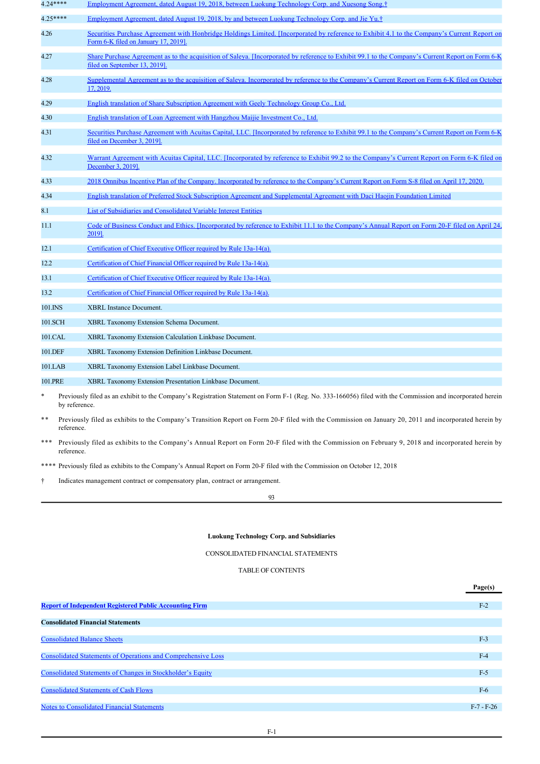| 4.24 **** | Employment Agreement, dated August 19, 2018, between Luokung Technology Corp. and Xuesong Song.†                                                                                    |
|-----------|-------------------------------------------------------------------------------------------------------------------------------------------------------------------------------------|
| $4.25***$ | Employment Agreement, dated August 19, 2018, by and between Luokung Technology Corp. and Jie Yu. <sup>†</sup>                                                                       |
| 4.26      | Securities Purchase Agreement with Honbridge Holdings Limited. [Incorporated by reference to Exhibit 4.1 to the Company's Current Report on<br>Form 6-K filed on January 17, 2019]. |
| 4.27      | Share Purchase Agreement as to the acquisition of Saleya. [Incorporated by reference to Exhibit 99.1 to the Company's Current Report on Form 6-K<br>filed on September 13, 2019]    |
| 4.28      | Supplemental Agreement as to the acquisition of Saleya. Incorporated by reference to the Company's Current Report on Form 6-K filed on October<br>17, 2019.                         |
| 4.29      | English translation of Share Subscription Agreement with Geely Technology Group Co., Ltd.                                                                                           |
| 4.30      | English translation of Loan Agreement with Hangzhou Maijie Investment Co., Ltd.                                                                                                     |
| 4.31      | Securities Purchase Agreement with Acuitas Capital, LLC. [Incorporated by reference to Exhibit 99.1 to the Company's Current Report on Form 6-K<br>filed on December 3, 2019].      |
| 4.32      | Warrant Agreement with Acuitas Capital, LLC. [Incorporated by reference to Exhibit 99.2 to the Company's Current Report on Form 6-K filed on<br>December 3, 2019].                  |
| 4.33      | 2018 Omnibus Incentive Plan of the Company. Incorporated by reference to the Company's Current Report on Form S-8 filed on April 17, 2020.                                          |
| 4.34      | English translation of Preferred Stock Subscription Agreement and Supplemental Agreement with Daci Haojin Foundation Limited                                                        |
| 8.1       | List of Subsidiaries and Consolidated Variable Interest Entities                                                                                                                    |
| 11.1      | Code of Business Conduct and Ethics. [Incorporated by reference to Exhibit 11.1 to the Company's Annual Report on Form 20-F filed on April 24.<br>2019].                            |
| 12.1      | Certification of Chief Executive Officer required by Rule 13a-14(a).                                                                                                                |
| 12.2      | Certification of Chief Financial Officer required by Rule 13a-14(a).                                                                                                                |
| 13.1      | Certification of Chief Executive Officer required by Rule 13a-14(a).                                                                                                                |
| 13.2      | Certification of Chief Financial Officer required by Rule 13a-14(a).                                                                                                                |
| 101.INS   | <b>XBRL</b> Instance Document.                                                                                                                                                      |
| 101.SCH   | <b>XBRL Taxonomy Extension Schema Document.</b>                                                                                                                                     |
| 101.CAL   | XBRL Taxonomy Extension Calculation Linkbase Document.                                                                                                                              |
| 101.DEF   | XBRL Taxonomy Extension Definition Linkbase Document.                                                                                                                               |
| 101.LAB   | XBRL Taxonomy Extension Label Linkbase Document.                                                                                                                                    |
| 101.PRE   | XBRL Taxonomy Extension Presentation Linkbase Document.                                                                                                                             |
|           | Previously filed as an exhibit to the Company's Registration Statement on Form F-1 (Reg. No. 333-166056) filed with the Commission and incorporated herein                          |

\* Previously filed as an exhibit to the Company's Registration Statement on Form F1 (Reg. No. 333166056) filed with the Commission and incorporated herein by reference.

\*\* Previously filed as exhibits to the Company's Transition Report on Form 20-F filed with the Commission on January 20, 2011 and incorporated herein by reference.

\*\*\* Previously filed as exhibits to the Company's Annual Report on Form 20-F filed with the Commission on February 9, 2018 and incorporated herein by reference.

\*\*\*\* Previously filed as exhibits to the Company's Annual Report on Form 20-F filed with the Commission on October 12, 2018

† Indicates management contract or compensatory plan, contract or arrangement.

# 93

# **Luokung Technology Corp. and Subsidiaries**

CONSOLIDATED FINANCIAL STATEMENTS

# TABLE OF CONTENTS

|                                                                     | Page(s)      |
|---------------------------------------------------------------------|--------------|
|                                                                     |              |
| <b>Report of Independent Registered Public Accounting Firm</b>      | $F-2$        |
| <b>Consolidated Financial Statements</b>                            |              |
|                                                                     |              |
| <b>Consolidated Balance Sheets</b>                                  | $F-3$        |
|                                                                     |              |
| <b>Consolidated Statements of Operations and Comprehensive Loss</b> | $F-4$        |
|                                                                     |              |
| Consolidated Statements of Changes in Stockholder's Equity          | $F-5$        |
|                                                                     |              |
| <b>Consolidated Statements of Cash Flows</b>                        | $F-6$        |
|                                                                     |              |
| <b>Notes to Consolidated Financial Statements</b>                   | $F-7 - F-26$ |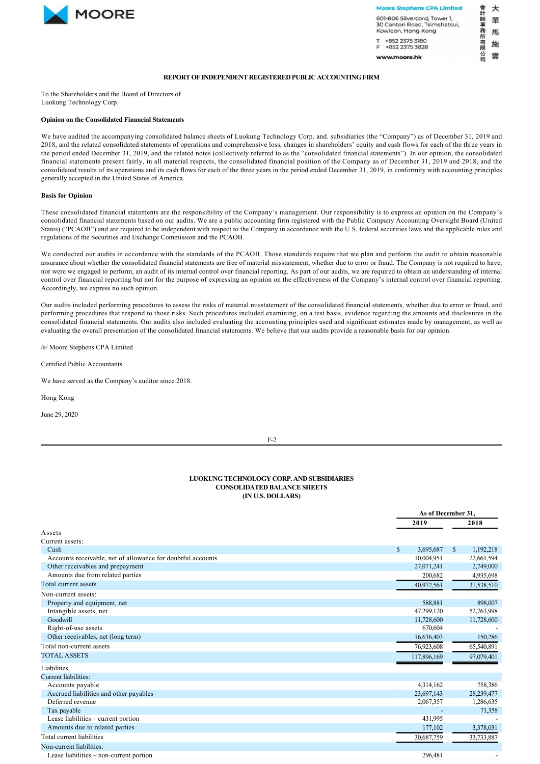

### **REPORT OF INDEPENDENT REGISTERED PUBLIC ACCOUNTING FIRM**

To the Shareholders and the Board of Directors of Luokung Technology Corp.

# **Opinion on the Consolidated Financial Statements**

We have audited the accompanying consolidated balance sheets of Luokung Technology Corp. and. subsidiaries (the "Company") as of December 31, 2019 and 2018, and the related consolidated statements of operations and comprehensive loss, changes in shareholders' equity and cash flows for each of the three years in the period ended December 31, 2019, and the related notes (collectively referred to as the "consolidated financial statements"). In our opinion, the consolidated financial statements present fairly, in all material respects, the consolidated financial position of the Company as of December 31, 2019 and 2018, and the consolidated results of its operations and its cash flows for each of the three years in the period ended December 31, 2019, in conformity with accounting principles generally accepted in the United States of America.

# **Basis for Opinion**

These consolidated financial statements are the responsibility of the Company's management. Our responsibility is to express an opinion on the Company's consolidated financial statements based on our audits. We are a public accounting firm registered with the Public Company Accounting Oversight Board (United States) ("PCAOB") and are required to be independent with respect to the Company in accordance with the U.S. federal securities laws and the applicable rules and regulations of the Securities and Exchange Commission and the PCAOB.

We conducted our audits in accordance with the standards of the PCAOB. Those standards require that we plan and perform the audit to obtain reasonable assurance about whether the consolidated financial statements are free of material misstatement, whether due to error or fraud. The Company is not required to have, nor were we engaged to perform, an audit of its internal control over financial reporting. As part of our audits, we are required to obtain an understanding of internal control over financial reporting but not for the purpose of expressing an opinion on the effectiveness of the Company's internal control over financial reporting. Accordingly, we express no such opinion.

Our audits included performing procedures to assess the risks of material misstatement of the consolidated financial statements, whether due to error or fraud, and performing procedures that respond to those risks. Such procedures included examining, on a test basis, evidence regarding the amounts and disclosures in the consolidated financial statements. Our audits also included evaluating the accounting principles used and significant estimates made by management, as well as evaluating the overall presentation of the consolidated financial statements. We believe that our audits provide a reasonable basis for our opinion.

/s/ Moore Stephens CPA Limited

Certified Public Accountants

We have served as the Company's auditor since 2018.

Hong Kong

June 29, 2020

### **LUOKUNG TECHNOLOGY CORP. AND SUBSIDIARIES CONSOLIDATED BALANCE SHEETS (IN U.S. DOLLARS)**

|                                                             |                           | As of December 31,        |
|-------------------------------------------------------------|---------------------------|---------------------------|
|                                                             | 2019                      | 2018                      |
| Assets                                                      |                           |                           |
| Current assets:                                             |                           |                           |
| Cash                                                        | $\mathbb{S}$<br>3,695,687 | 1,192,218<br>$\mathbb{S}$ |
| Accounts receivable, net of allowance for doubtful accounts | 10,004,951                | 22,661,594                |
| Other receivables and prepayment                            | 27,071,241                | 2,749,000                 |
| Amounts due from related parties                            | 200.682                   | 4,935,698                 |
| Total current assets                                        | 40,972,561                | 31,538,510                |
| Non-current assets:                                         |                           |                           |
| Property and equipment, net                                 | 588,881                   | 898,007                   |
| Intangible assets, net                                      | 47,299,120                | 52,763,998                |
| Goodwill                                                    | 11,728,600                | 11,728,600                |
| Right-of-use assets                                         | 670,604                   |                           |
| Other receivables, net (long term)                          | 16,636,403                | 150,286                   |
| Total non-current assets                                    | 76,923,608                | 65,540,891                |
| <b>TOTAL ASSETS</b>                                         | 117,896,169               | 97,079,401                |
| Liabilities                                                 |                           |                           |
| Current liabilities:                                        |                           |                           |
| Accounts payable                                            | 4,314,162                 | 758,386                   |
| Accrued liabilities and other payables                      | 23,697,143                | 28,239,477                |
| Deferred revenue                                            | 2,067,357                 | 1,286,635                 |
| Tax payable                                                 |                           | 71,358                    |
| Lease liabilities – current portion                         | 431,995                   |                           |
| Amounts due to related parties                              | 177,102                   | 3,378,031                 |
| Total current liabilities                                   | 30,687,759                | 33,733,887                |
| Non-current liabilities:                                    |                           |                           |
| Lease liabilities – non-current portion                     | 296,481                   |                           |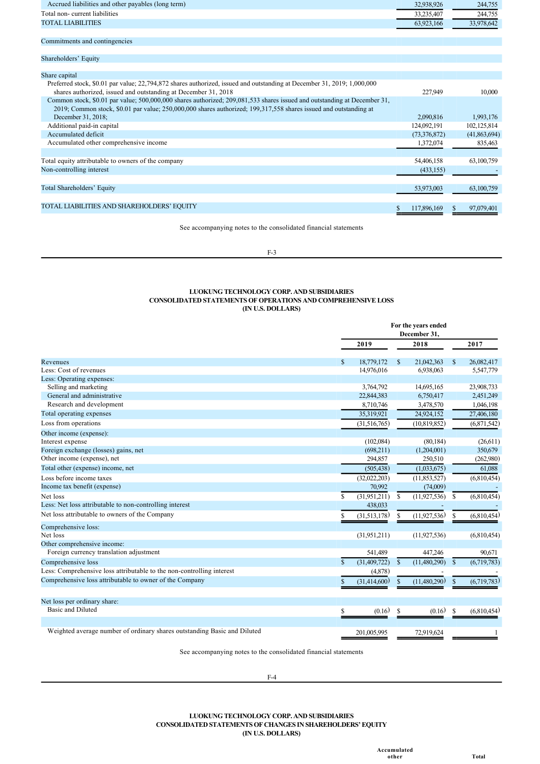| Accrued liabilities and other payables (long term)                                                                       | 32,938,926   | 244,755      |
|--------------------------------------------------------------------------------------------------------------------------|--------------|--------------|
| Total non-current liabilities                                                                                            | 33,235,407   | 244,755      |
| <b>TOTAL LIABILITIES</b>                                                                                                 | 63,923,166   | 33,978,642   |
|                                                                                                                          |              |              |
| Commitments and contingencies                                                                                            |              |              |
|                                                                                                                          |              |              |
| Shareholders' Equity                                                                                                     |              |              |
| Share capital                                                                                                            |              |              |
| Preferred stock, \$0.01 par value; 22,794,872 shares authorized, issued and outstanding at December 31, 2019; 1,000,000  |              |              |
| shares authorized, issued and outstanding at December 31, 2018                                                           | 227,949      | 10.000       |
| Common stock, \$0.01 par value; 500,000,000 shares authorized; 209,081,533 shares issued and outstanding at December 31, |              |              |
| 2019; Common stock, \$0.01 par value; 250,000,000 shares authorized; 199,317,558 shares issued and outstanding at        |              |              |
| December 31, 2018;                                                                                                       | 2,090,816    | 1,993,176    |
| Additional paid-in capital                                                                                               | 124,092,191  | 102,125,814  |
| Accumulated deficit                                                                                                      | (73,376,872) | (41,863,694) |
| Accumulated other comprehensive income                                                                                   | 1,372,074    | 835,463      |
|                                                                                                                          |              |              |
| Total equity attributable to owners of the company                                                                       | 54,406,158   | 63,100,759   |
| Non-controlling interest                                                                                                 | (433, 155)   |              |
|                                                                                                                          |              |              |
| Total Shareholders' Equity                                                                                               | 53,973,003   | 63,100,759   |
| TOTAL LIABILITIES AND SHAREHOLDERS' EQUITY                                                                               |              |              |
|                                                                                                                          | 117.896.169  | 97.079.401   |
|                                                                                                                          |              |              |

See accompanying notes to the consolidated financial statements

 $F-3$ 

# **LUOKUNG TECHNOLOGY CORP. AND SUBSIDIARIES CONSOLIDATED STATEMENTS OF OPERATIONS AND COMPREHENSIVE LOSS (IN U.S. DOLLARS)**

|                                                                          |                    | For the years ended<br>December 31, |              |                |             |             |
|--------------------------------------------------------------------------|--------------------|-------------------------------------|--------------|----------------|-------------|-------------|
|                                                                          |                    | 2019                                |              | 2018           |             | 2017        |
| Revenues                                                                 | \$                 | 18,779,172                          | \$           | 21,042,363     | \$          | 26,082,417  |
| Less: Cost of revenues                                                   |                    | 14,976,016                          |              | 6,938,063      |             | 5,547,779   |
| Less: Operating expenses:                                                |                    |                                     |              |                |             |             |
| Selling and marketing                                                    |                    | 3,764,792                           |              | 14,695,165     |             | 23,908,733  |
| General and administrative                                               |                    | 22,844,383                          |              | 6,750,417      |             | 2,451,249   |
| Research and development                                                 |                    | 8,710,746                           |              | 3,478,570      |             | 1,046,198   |
| Total operating expenses                                                 |                    | 35,319,921                          |              | 24,924,152     |             | 27,406,180  |
| Loss from operations                                                     |                    | (31,516,765)                        |              | (10, 819, 852) |             | (6,871,542) |
| Other income (expense):                                                  |                    |                                     |              |                |             |             |
| Interest expense                                                         |                    | (102,084)                           |              | (80, 184)      |             | (26,611)    |
| Foreign exchange (losses) gains, net                                     |                    | (698,211)                           |              | (1,204,001)    |             | 350,679     |
| Other income (expense), net                                              |                    | 294,857                             |              | 250,510        |             | (262,980)   |
| Total other (expense) income, net                                        |                    | (505, 438)                          |              | (1,033,675)    |             | 61,088      |
| Loss before income taxes                                                 |                    | (32,022,203)                        |              | (11,853,527)   |             | (6,810,454) |
| Income tax benefit (expense)                                             |                    | 70.992                              |              | (74,009)       |             |             |
| Net loss                                                                 | S                  | (31, 951, 211)                      | \$           | (11, 927, 536) | S           | (6,810,454) |
| Less: Net loss attributable to non-controlling interest                  |                    | 438,033                             |              |                |             |             |
| Net loss attributable to owners of the Company                           |                    | (31,513,178)                        | S            | (11, 927, 536) | \$          | (6,810,454) |
| Comprehensive loss:                                                      |                    |                                     |              |                |             |             |
| Net loss                                                                 |                    | (31, 951, 211)                      |              | (11, 927, 536) |             | (6,810,454) |
| Other comprehensive income:                                              |                    |                                     |              |                |             |             |
| Foreign currency translation adjustment                                  |                    | 541,489                             |              | 447,246        |             | 90,671      |
| Comprehensive loss                                                       | $\mathbf{\hat{s}}$ | (31, 409, 722)                      | $\mathbb{S}$ | (11,480,290)   | $\mathbf S$ | (6,719,783) |
| Less: Comprehensive loss attributable to the non-controlling interest    |                    | (4,878)                             |              |                |             |             |
| Comprehensive loss attributable to owner of the Company                  | S                  | (31, 414, 600)                      | S            | (11,480,290)   | \$          | (6,719,783) |
| Net loss per ordinary share:                                             |                    |                                     |              |                |             |             |
| Basic and Diluted                                                        |                    |                                     |              |                |             |             |
|                                                                          | \$                 | (0.16)                              | S            | (0.16)         | \$          | (6,810,454) |
| Weighted average number of ordinary shares outstanding Basic and Diluted |                    | 201,005,995                         |              | 72,919,624     |             |             |

See accompanying notes to the consolidated financial statements

**LUOKUNG TECHNOLOGY CORP. AND SUBSIDIARIES CONSOLIDATED STATEMENTS OF CHANGES IN SHAREHOLDERS' EQUITY (IN U.S. DOLLARS)**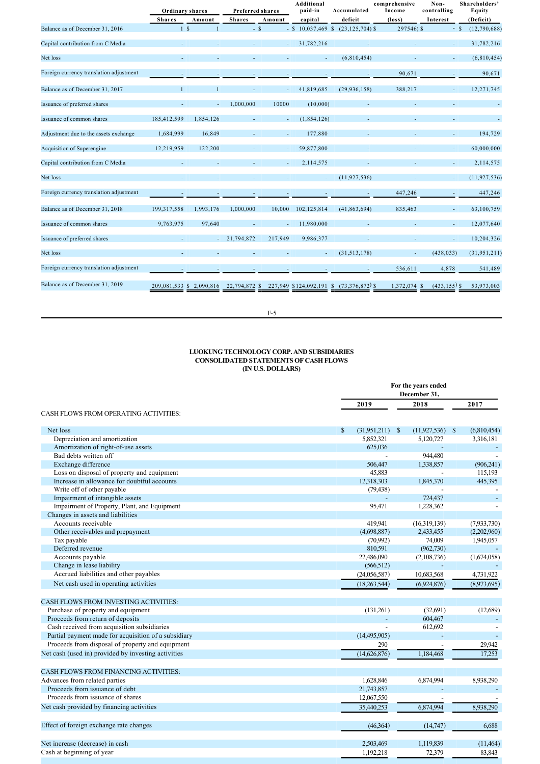|                                         | Ordinary shares          |           | Preferred shares |                          | <b>Additional</b><br>paid-in | Accumulated                                           | comprehensive<br>Income | Non-<br>controlling | Shareholders'<br>Equity |
|-----------------------------------------|--------------------------|-----------|------------------|--------------------------|------------------------------|-------------------------------------------------------|-------------------------|---------------------|-------------------------|
|                                         | <b>Shares</b>            | Amount    | <b>Shares</b>    | Amount                   | capital                      | deficit                                               | $(\text{loss})$         | Interest            | (Deficit)               |
| Balance as of December 31, 2016         | 1 <sup>s</sup>           |           | $-$ \$           |                          | $-$ \$ 10,037,469 \$         | $(23, 125, 704)$ \$                                   | 297546) \$              |                     | (12,790,688)<br>$-$ \$  |
| Capital contribution from C Media       |                          |           |                  |                          | 31,782,216                   |                                                       |                         | $\sim$              | 31,782,216              |
| Net loss                                |                          |           |                  |                          | $\omega$                     | (6,810,454)                                           |                         | $\sim$              | (6,810,454)             |
| Foreign currency translation adjustment |                          |           |                  |                          |                              |                                                       | 90,671                  |                     | 90,671                  |
| Balance as of December 31, 2017         |                          |           |                  |                          | 41,819,685                   | (29, 936, 158)                                        | 388,217                 |                     | 12,271,745              |
| Issuance of preferred shares            |                          |           | 1,000,000        | 10000                    | (10,000)                     |                                                       |                         |                     |                         |
| Issuance of common shares               | 185,412,599              | 1,854,126 |                  | $\blacksquare$           | (1, 854, 126)                |                                                       |                         |                     |                         |
| Adjustment due to the assets exchange   | 1,684,999                | 16,849    |                  | $\overline{\phantom{a}}$ | 177,880                      |                                                       |                         |                     | 194,729                 |
| Acquisition of Superengine              | 12,219,959               | 122,200   |                  |                          | 59,877,800                   |                                                       |                         |                     | 60,000,000              |
| Capital contribution from C Media       |                          |           |                  |                          | 2,114,575                    |                                                       |                         |                     | 2,114,575               |
| Net loss                                |                          |           |                  |                          | ÷                            | (11, 927, 536)                                        |                         |                     | (11, 927, 536)          |
| Foreign currency translation adjustment |                          |           |                  |                          |                              |                                                       | 447,246                 |                     | 447,246                 |
| Balance as of December 31, 2018         | 199, 317, 558            | 1,993,176 | 1,000,000        | 10.000                   | 102,125,814                  | (41, 863, 694)                                        | 835,463                 |                     | 63,100,759              |
| Issuance of common shares               | 9,763,975                | 97,640    |                  |                          | 11,980,000                   |                                                       |                         |                     | 12,077,640              |
| Issuance of preferred shares            |                          |           | 21,794,872       | 217,949                  | 9,986,377                    |                                                       |                         | $\sim$              | 10,204,326              |
| Net loss                                |                          |           |                  |                          | $\overline{\phantom{a}}$     | (31, 513, 178)                                        | $\sim$                  | (438, 033)          | (31, 951, 211)          |
| Foreign currency translation adjustment |                          |           |                  |                          |                              |                                                       | 536,611                 | 4,878               | 541,489                 |
| Balance as of December 31, 2019         | 209,081,533 \$ 2,090,816 |           |                  |                          |                              | 22,794,872 \$227,949 \$124,092,191 \$ (73,376,872) \$ | 1,372,074 \$            | $(433, 155)$ \$     | 53,973,003              |

 $F-5$ 

### **LUOKUNG TECHNOLOGY CORP. AND SUBSIDIARIES CONSOLIDATED STATEMENTS OF CASH FLOWS (IN U.S. DOLLARS)**

|                                                      |                         | For the years ended<br>December 31, |             |  |  |
|------------------------------------------------------|-------------------------|-------------------------------------|-------------|--|--|
|                                                      | 2019                    | 2018                                | 2017        |  |  |
| <b>CASH FLOWS FROM OPERATING ACTIVITIES:</b>         |                         |                                     |             |  |  |
| Net loss                                             | $(31.951.211)$ \$<br>\$ | $(11,927,536)$ \$                   | (6,810,454) |  |  |
| Depreciation and amortization                        | 5,852,321               | 5,120,727                           | 3,316,181   |  |  |
| Amortization of right-of-use assets                  | 625,036                 |                                     |             |  |  |
| Bad debts written off                                | $\overline{a}$          | 944,480                             |             |  |  |
| Exchange difference                                  | 506,447                 | 1,338,857                           | (906, 241)  |  |  |
| Loss on disposal of property and equipment           | 45,883                  |                                     | 115,193     |  |  |
| Increase in allowance for doubtful accounts          | 12,318,303              | 1,845,370                           | 445,395     |  |  |
| Write off of other payable                           | (79, 438)               |                                     |             |  |  |
| Impairment of intangible assets                      |                         | 724,437                             |             |  |  |
| Impairment of Property, Plant, and Equipment         | 95,471                  | 1,228,362                           |             |  |  |
| Changes in assets and liabilities                    |                         |                                     |             |  |  |
| Accounts receivable                                  | 419,941                 | (16,319,139)                        | (7,933,730) |  |  |
| Other receivables and prepayment                     | (4,698,887)             | 2,433,455                           | (2,202,960) |  |  |
| Tax payable                                          | (70,992)                | 74,009                              | 1,945,057   |  |  |
| Deferred revenue                                     | 810,591                 | (962, 730)                          |             |  |  |
| Accounts payable                                     | 22,486,090              | (2,108,736)                         | (1,674,058) |  |  |
| Change in lease liability                            | (566, 512)              |                                     |             |  |  |
| Accrued liabilities and other payables               | (24,056,587)            | 10,683,568                          | 4,731,922   |  |  |
| Net cash used in operating activities                | (18, 263, 544)          | (6,924,876)                         | (8,973,695) |  |  |
| <b>CASH FLOWS FROM INVESTING ACTIVITIES:</b>         |                         |                                     |             |  |  |
| Purchase of property and equipment                   | (131,261)               | (32,691)                            | (12,689)    |  |  |
| Proceeds from return of deposits                     |                         | 604,467                             |             |  |  |
| Cash received from acquisition subsidiaries          |                         | 612,692                             |             |  |  |
| Partial payment made for acquisition of a subsidiary | (14, 495, 905)          |                                     |             |  |  |
| Proceeds from disposal of property and equipment     | 290                     |                                     | 29,942      |  |  |
| Net cash (used in) provided by investing activities  | (14, 626, 876)          | 1,184,468                           | 17.253      |  |  |
| <b>CASH FLOWS FROM FINANCING ACTIVITIES:</b>         |                         |                                     |             |  |  |
| Advances from related parties                        | 1,628,846               | 6,874,994                           | 8,938,290   |  |  |
| Proceeds from issuance of debt                       | 21,743,857              |                                     |             |  |  |
| Proceeds from issuance of shares                     | 12,067,550              |                                     |             |  |  |
|                                                      | 35,440,253              | 6,874,994                           | 8,938,290   |  |  |
| Net cash provided by financing activities            |                         |                                     |             |  |  |
| Effect of foreign exchange rate changes              | (46, 364)               | (14,747)                            | 6.688       |  |  |
| Net increase (decrease) in cash                      | 2,503,469               | 1,119,839                           | (11, 464)   |  |  |
| Cash at beginning of year                            | 1.192.218               | 72,379                              | 83,843      |  |  |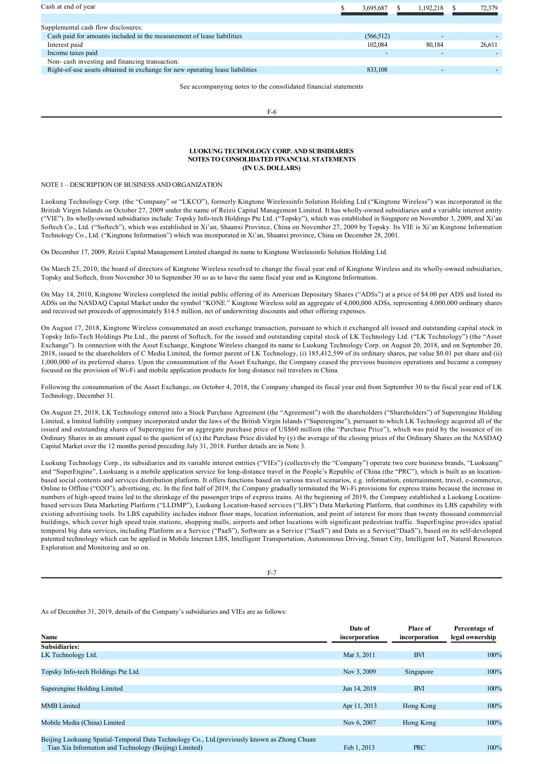| Cash at end of year                                                          | 3.695.687  | 1.192.218 | 72.379 |
|------------------------------------------------------------------------------|------------|-----------|--------|
|                                                                              |            |           |        |
| Supplemental cash flow disclosures:                                          |            |           |        |
| Cash paid for amounts included in the measurement of lease liabilities       | (566, 512) |           |        |
| Interest paid                                                                | 102,084    | 80.184    | 26,611 |
| Income taxes paid                                                            |            |           |        |
| Non- cash investing and financing transaction:                               |            |           |        |
| Right-of-use assets obtained in exchange for new operating lease liabilities | 833,108    |           |        |
|                                                                              |            |           |        |

See accompanying notes to the consolidated financial statements

 $F-6$ 

# **LUOKUNG TECHNOLOGY CORP. AND SUBSIDIARIES NOTES TO CONSOLIDATED FINANCIAL STATEMENTS (IN U.S. DOLLARS)**

NOTE 1 – DESCRIPTION OF BUSINESS AND ORGANIZATION

Luokung Technology Corp. (the "Company" or "LKCO"), formerly Kingtone Wirelessinfo Solution Holding Ltd ("Kingtone Wireless") was incorporated in the British Virgin Islands on October 27, 2009 under the name of Reizii Capital Management Limited. It has wholly-owned subsidiaries and a variable interest entity ("VIE"). Its wholly-owned subsidiaries include: Topsky Info-tech Holdings Pte Ltd. ("Topsky"), which was established in Singapore on November 3, 2009, and Xi'an Softech Co., Ltd. ("Softech"), which was established in Xi'an, Shaanxi Province, China on November 27, 2009 by Topsky. Its VIE is Xi'an Kingtone Information Technology Co., Ltd. ("Kingtone Information") which was incorporated in Xi'an, Shaanxi province, China on December 28, 2001.

On December 17, 2009, Reizii Capital Management Limited changed its name to Kingtone Wirelessinfo Solution Holding Ltd.

On March 23, 2010, the board of directors of Kingtone Wireless resolved to change the fiscal year end of Kingtone Wireless and its wholly-owned subsidiaries, Topsky and Softech, from November 30 to September 30 so as to have the same fiscal year end as Kingtone Information.

On May 14, 2010, Kingtone Wireless completed the initial public offering of its American Depositary Shares ("ADSs") at a price of \$4.00 per ADS and listed its ADSs on the NASDAQ Capital Market under the symbol "KONE." Kingtone Wireless sold an aggregate of 4,000,000 ADSs, representing 4,000,000 ordinary shares and received net proceeds of approximately \$14.5 million, net of underwriting discounts and other offering expenses.

On August 17, 2018, Kingtone Wireless consummated an asset exchange transaction, pursuant to which it exchanged all issued and outstanding capital stock in Topsky Info-Tech Holdings Pte Ltd., the parent of Softech, for the issued and outstanding capital stock of LK Technology Ltd. ("LK Technology") (the "Asset Exchange"). In connection with the Asset Exchange, Kingtone Wireless changed its name to Luokung Technology Corp. on August 20, 2018, and on September 20, 2018, issued to the shareholders of C Media Limited, the former parent of LK Technology, (i) 185,412,599 of its ordinary shares, par value \$0.01 per share and (ii) 1,000,000 of its preferred shares. Upon the consummation of the Asset Exchange, the Company ceased the previous business operations and became a company focused on the provision of Wi-Fi and mobile application products for long distance rail travelers in China.

Following the consummation of the Asset Exchange, on October 4, 2018, the Company changed its fiscal year end from September 30 to the fiscal year end of LK Technology, December 31.

On August 25, 2018, LK Technology entered into a Stock Purchase Agreement (the "Agreement") with the shareholders ("Shareholders") of Superengine Holding Limited, a limited liability company incorporated under the laws of the British Virgin Islands ("Superengine"), pursuant to which LK Technology acquired all of the issued and outstanding shares of Superengine for an aggregate purchase price of US\$60 million (the "Purchase Price"), which was paid by the issuance of its Ordinary Shares in an amount equal to the quotient of (x) the Purchase Price divided by (y) the average of the closing prices of the Ordinary Shares on the NASDAQ Capital Market over the 12 months period preceding July 31, 2018. Further details are in Note 3.

Luokung Technology Corp., its subsidiaries and its variable interest entities ("VIEs") (collectively the "Company") operate two core business brands, "Luokuang" and "SuperEngine", Luokuang is a mobile application service for long-distance travel in the People's Republic of China (the "PRC"), which is built as an locationbased social contents and services distribution platform. It offers functions based on various travel scenarios, e.g. information, entertainment, travel, ecommerce, Online to Offline ("O2O"), advertising, etc. In the first half of 2019, the Company gradually terminated the Wi-Fi provisions for express trains because the increase in numbers of high-speed trains led to the shrinkage of the passenger trips of express trains. At the beginning of 2019, the Company established a Luokung Locationbased services Data Marketing Platform ("LLDMP"), Luokung Location-based services ("LBS") Data Marketing Platform, that combines its LBS capability with existing advertising tools. Its LBS capability includes indoor floor maps, location information, and point of interest for more than twenty thousand commercial buildings, which cover high speed train stations, shopping malls, airports and other locations with significant pedestrian traffic. SuperEngine provides spatial temporal big data services, including Platform as a Service ("PaaS"), Software as a Service ("SaaS") and Data as a Service ("DaaS"), based on its self-developed patented technology which can be applied in Mobile Internet LBS, Intelligent Transportation, Autonomous Driving, Smart City, Intelligent IoT, Natural Resources Exploration and Monitoring and so on.

 $F-7$ 

As of December 31, 2019, details of the Company's subsidiaries and VIEs are as follows:

| <b>Name</b>                                                                                                                                            | Date of<br>incorporation | Place of<br>incorporation | Percentage of<br>legal ownership |
|--------------------------------------------------------------------------------------------------------------------------------------------------------|--------------------------|---------------------------|----------------------------------|
| Subsidiaries:                                                                                                                                          |                          |                           |                                  |
| LK Technology Ltd.                                                                                                                                     | Mar 3, 2011              | <b>BVI</b>                | 100%                             |
|                                                                                                                                                        |                          |                           |                                  |
| Topsky Info-tech Holdings Pte Ltd.                                                                                                                     | Nov 3, 2009              | Singapore                 | 100%                             |
|                                                                                                                                                        |                          |                           |                                  |
| Superengine Holding Limited                                                                                                                            | Jun 14, 2018             | <b>BVI</b>                | 100%                             |
|                                                                                                                                                        |                          |                           |                                  |
| <b>MMB</b> Limited                                                                                                                                     | Apr 11, 2013             | Hong Kong                 | 100%                             |
|                                                                                                                                                        |                          |                           |                                  |
| Mobile Media (China) Limited                                                                                                                           | Nov 6, 2007              | Hong Kong                 | 100%                             |
|                                                                                                                                                        |                          |                           |                                  |
| Beijing Luokuang Spatial-Temporal Data Technology Co., Ltd. (previously known as Zhong Chuan<br>Tian Xia Information and Technology (Beijing) Limited) | Feb 1, 2013              | <b>PRC</b>                | 100%                             |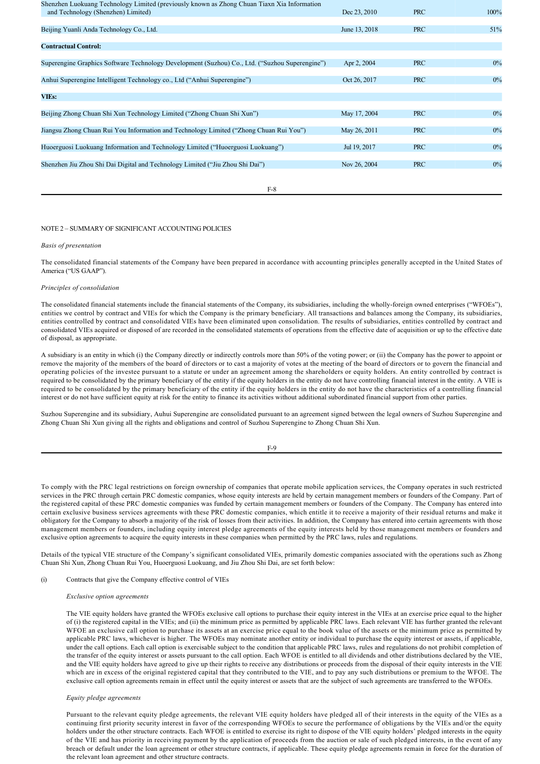| Shenzhen Luokuang Technology Limited (previously known as Zhong Chuan Tiaxn Xia Information    |               |            |       |
|------------------------------------------------------------------------------------------------|---------------|------------|-------|
| and Technology (Shenzhen) Limited)                                                             | Dec 23, 2010  | <b>PRC</b> | 100%  |
|                                                                                                |               |            |       |
| Beijing Yuanli Anda Technology Co., Ltd.                                                       | June 13, 2018 | <b>PRC</b> | 51%   |
| <b>Contractual Control:</b>                                                                    |               |            |       |
|                                                                                                |               |            |       |
| Superengine Graphics Software Technology Development (Suzhou) Co., Ltd. ("Suzhou Superengine") | Apr 2, 2004   | <b>PRC</b> | $0\%$ |
| Anhui Superengine Intelligent Technology co., Ltd ("Anhui Superengine")                        | Oct 26, 2017  | <b>PRC</b> | $0\%$ |
| <b>VIEs:</b>                                                                                   |               |            |       |
| Beijing Zhong Chuan Shi Xun Technology Limited ("Zhong Chuan Shi Xun")                         | May 17, 2004  | <b>PRC</b> | $0\%$ |
|                                                                                                |               |            |       |
| Jiangsu Zhong Chuan Rui You Information and Technology Limited ("Zhong Chuan Rui You")         | May 26, 2011  | <b>PRC</b> | $0\%$ |
| Huoerguosi Luokuang Information and Technology Limited ("Huoerguosi Luokuang")                 | Jul 19, 2017  | <b>PRC</b> | $0\%$ |
|                                                                                                |               |            |       |
| Shenzhen Jiu Zhou Shi Dai Digital and Technology Limited ("Jiu Zhou Shi Dai")                  | Nov 26, 2004  | <b>PRC</b> | $0\%$ |
|                                                                                                |               |            |       |

 $F-8$ 

# NOTE 2 – SUMMARY OF SIGNIFICANT ACCOUNTING POLICIES

#### *Basis of presentation*

The consolidated financial statements of the Company have been prepared in accordance with accounting principles generally accepted in the United States of America ("US GAAP").

### *Principles of consolidation*

The consolidated financial statements include the financial statements of the Company, its subsidiaries, including the wholly-foreign owned enterprises ("WFOEs"), entities we control by contract and VIEs for which the Company is the primary beneficiary. All transactions and balances among the Company, its subsidiaries, entities controlled by contract and consolidated VIEs have been eliminated upon consolidation. The results of subsidiaries, entities controlled by contract and consolidated VIEs acquired or disposed of are recorded in the consolidated statements of operations from the effective date of acquisition or up to the effective date of disposal, as appropriate.

A subsidiary is an entity in which (i) the Company directly or indirectly controls more than 50% of the voting power; or (ii) the Company has the power to appoint or remove the majority of the members of the board of directors or to cast a majority of votes at the meeting of the board of directors or to govern the financial and operating policies of the investee pursuant to a statute or under an agreement among the shareholders or equity holders. An entity controlled by contract is required to be consolidated by the primary beneficiary of the entity if the equity holders in the entity do not have controlling financial interest in the entity. A VIE is required to be consolidated by the primary beneficiary of the entity if the equity holders in the entity do not have the characteristics of a controlling financial interest or do not have sufficient equity at risk for the entity to finance its activities without additional subordinated financial support from other parties.

Suzhou Superengine and its subsidiary, Auhui Superengine are consolidated pursuant to an agreement signed between the legal owners of Suzhou Superengine and Zhong Chuan Shi Xun giving all the rights and obligations and control of Suzhou Superengine to Zhong Chuan Shi Xun.

F-9

To comply with the PRC legal restrictions on foreign ownership of companies that operate mobile application services, the Company operates in such restricted services in the PRC through certain PRC domestic companies, whose equity interests are held by certain management members or founders of the Company. Part of the registered capital of these PRC domestic companies was funded by certain management members or founders of the Company. The Company has entered into certain exclusive business services agreements with these PRC domestic companies, which entitle it to receive a majority of their residual returns and make it obligatory for the Company to absorb a majority of the risk of losses from their activities. In addition, the Company has entered into certain agreements with those management members or founders, including equity interest pledge agreements of the equity interests held by those management members or founders and exclusive option agreements to acquire the equity interests in these companies when permitted by the PRC laws, rules and regulations.

Details of the typical VIE structure of the Company's significant consolidated VIEs, primarily domestic companies associated with the operations such as Zhong Chuan Shi Xun, Zhong Chuan Rui You, Huoerguosi Luokuang, and Jiu Zhou Shi Dai, are set forth below:

(i) Contracts that give the Company effective control of VIEs

#### *Exclusive option agreements*

The VIE equity holders have granted the WFOEs exclusive call options to purchase their equity interest in the VIEs at an exercise price equal to the higher of (i) the registered capital in the VIEs; and (ii) the minimum price as permitted by applicable PRC laws. Each relevant VIE has further granted the relevant WFOE an exclusive call option to purchase its assets at an exercise price equal to the book value of the assets or the minimum price as permitted by applicable PRC laws, whichever is higher. The WFOEs may nominate another entity or individual to purchase the equity interest or assets, if applicable, under the call options. Each call option is exercisable subject to the condition that applicable PRC laws, rules and regulations do not prohibit completion of the transfer of the equity interest or assets pursuant to the call option. Each WFOE is entitled to all dividends and other distributions declared by the VIE, and the VIE equity holders have agreed to give up their rights to receive any distributions or proceeds from the disposal of their equity interests in the VIE which are in excess of the original registered capital that they contributed to the VIE, and to pay any such distributions or premium to the WFOE. The exclusive call option agreements remain in effect until the equity interest or assets that are the subject of such agreements are transferred to the WFOEs.

### *Equity pledge agreements*

Pursuant to the relevant equity pledge agreements, the relevant VIE equity holders have pledged all of their interests in the equity of the VIEs as a continuing first priority security interest in favor of the corresponding WFOEs to secure the performance of obligations by the VIEs and/or the equity holders under the other structure contracts. Each WFOE is entitled to exercise its right to dispose of the VIE equity holders' pledged interests in the equity of the VIE and has priority in receiving payment by the application of proceeds from the auction or sale of such pledged interests, in the event of any breach or default under the loan agreement or other structure contracts, if applicable. These equity pledge agreements remain in force for the duration of the relevant loan agreement and other structure contracts.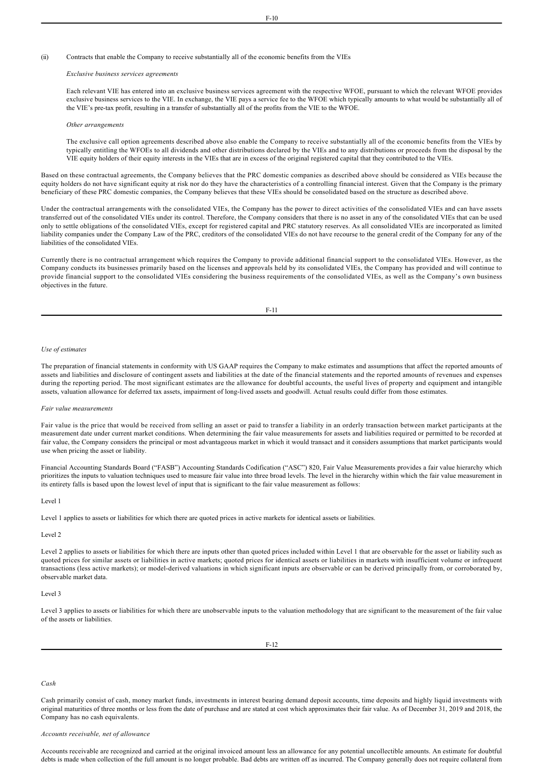### (ii) Contracts that enable the Company to receive substantially all of the economic benefits from the VIEs

#### *Exclusive business services agreements*

Each relevant VIE has entered into an exclusive business services agreement with the respective WFOE, pursuant to which the relevant WFOE provides exclusive business services to the VIE. In exchange, the VIE pays a service fee to the WFOE which typically amounts to what would be substantially all of the VIE's pre-tax profit, resulting in a transfer of substantially all of the profits from the VIE to the WFOE.

#### *Other arrangements*

The exclusive call option agreements described above also enable the Company to receive substantially all of the economic benefits from the VIEs by typically entitling the WFOEs to all dividends and other distributions declared by the VIEs and to any distributions or proceeds from the disposal by the VIE equity holders of their equity interests in the VIEs that are in excess of the original registered capital that they contributed to the VIEs.

Based on these contractual agreements, the Company believes that the PRC domestic companies as described above should be considered as VIEs because the equity holders do not have significant equity at risk nor do they have the characteristics of a controlling financial interest. Given that the Company is the primary beneficiary of these PRC domestic companies, the Company believes that these VIEs should be consolidated based on the structure as described above.

Under the contractual arrangements with the consolidated VIEs, the Company has the power to direct activities of the consolidated VIEs and can have assets transferred out of the consolidated VIEs under its control. Therefore, the Company considers that there is no asset in any of the consolidated VIEs that can be used only to settle obligations of the consolidated VIEs, except for registered capital and PRC statutory reserves. As all consolidated VIEs are incorporated as limited liability companies under the Company Law of the PRC, creditors of the consolidated VIEs do not have recourse to the general credit of the Company for any of the liabilities of the consolidated VIEs.

Currently there is no contractual arrangement which requires the Company to provide additional financial support to the consolidated VIEs. However, as the Company conducts its businesses primarily based on the licenses and approvals held by its consolidated VIEs, the Company has provided and will continue to provide financial support to the consolidated VIEs considering the business requirements of the consolidated VIEs, as well as the Company's own business objectives in the future.

#### *Use of estimates*

The preparation of financial statements in conformity with US GAAP requires the Company to make estimates and assumptions that affect the reported amounts of assets and liabilities and disclosure of contingent assets and liabilities at the date of the financial statements and the reported amounts of revenues and expenses during the reporting period. The most significant estimates are the allowance for doubtful accounts, the useful lives of property and equipment and intangible assets, valuation allowance for deferred tax assets, impairment of long-lived assets and goodwill. Actual results could differ from those estimates.

#### *Fair value measurements*

Fair value is the price that would be received from selling an asset or paid to transfer a liability in an orderly transaction between market participants at the measurement date under current market conditions. When determining the fair value measurements for assets and liabilities required or permitted to be recorded at fair value, the Company considers the principal or most advantageous market in which it would transact and it considers assumptions that market participants would use when pricing the asset or liability.

Financial Accounting Standards Board ("FASB") Accounting Standards Codification ("ASC") 820, Fair Value Measurements provides a fair value hierarchy which prioritizes the inputs to valuation techniques used to measure fair value into three broad levels. The level in the hierarchy within which the fair value measurement in its entirety falls is based upon the lowest level of input that is significant to the fair value measurement as follows:

### Level 1

Level 1 applies to assets or liabilities for which there are quoted prices in active markets for identical assets or liabilities.

#### Level 2

Level 2 applies to assets or liabilities for which there are inputs other than quoted prices included within Level 1 that are observable for the asset or liability such as quoted prices for similar assets or liabilities in active markets; quoted prices for identical assets or liabilities in markets with insufficient volume or infrequent transactions (less active markets); or model-derived valuations in which significant inputs are observable or can be derived principally from, or corroborated by, observable market data.

### Level 3

Level 3 applies to assets or liabilities for which there are unobservable inputs to the valuation methodology that are significant to the measurement of the fair value of the assets or liabilities.

#### *Cash*

Cash primarily consist of cash, money market funds, investments in interest bearing demand deposit accounts, time deposits and highly liquid investments with original maturities of three months or less from the date of purchase and are stated at cost which approximates their fair value. As of December 31, 2019 and 2018, the Company has no cash equivalents.

#### *Accounts receivable, net of allowance*

Accounts receivable are recognized and carried at the original invoiced amount less an allowance for any potential uncollectible amounts. An estimate for doubtful debts is made when collection of the full amount is no longer probable. Bad debts are written off as incurred. The Company generally does not require collateral from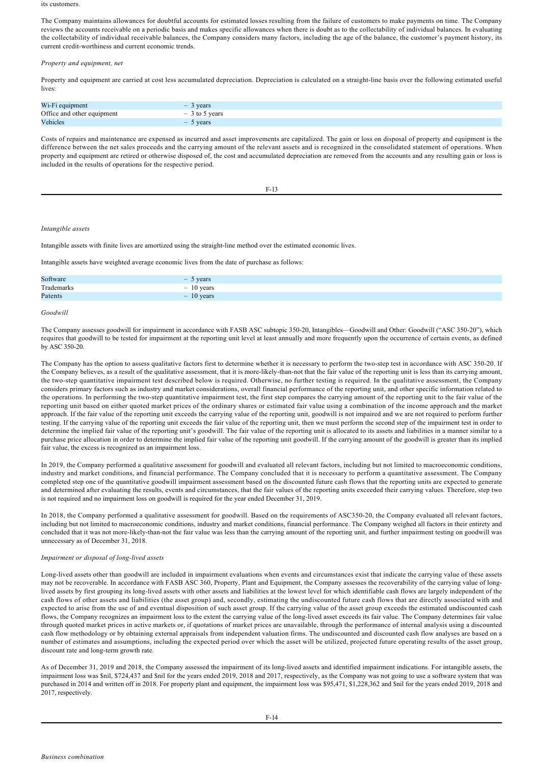### its customers.

The Company maintains allowances for doubtful accounts for estimated losses resulting from the failure of customers to make payments on time. The Company reviews the accounts receivable on a periodic basis and makes specific allowances when there is doubt as to the collectability of individual balances. In evaluating the collectability of individual receivable balances, the Company considers many factors, including the age of the balance, the customer's payment history, its current credit-worthiness and current economic trends.

### *Property and equipment, net*

Property and equipment are carried at cost less accumulated depreciation. Depreciation is calculated on a straight-line basis over the following estimated useful lives:

| Wi-Fi equipment            | 3 years<br>$\overline{\phantom{0}}$ |
|----------------------------|-------------------------------------|
| Office and other equipment | $-3$ to 5 years                     |
| Vehicles                   | 5 years<br>$\overline{\phantom{a}}$ |

Costs of repairs and maintenance are expensed as incurred and asset improvements are capitalized. The gain or loss on disposal of property and equipment is the difference between the net sales proceeds and the carrying amount of the relevant assets and is recognized in the consolidated statement of operations. When property and equipment are retired or otherwise disposed of, the cost and accumulated depreciation are removed from the accounts and any resulting gain or loss is included in the results of operations for the respective period.

 $F-13$ 

### *Intangible assets*

Intangible assets with finite lives are amortized using the straight-line method over the estimated economic lives.

Intangible assets have weighted average economic lives from the date of purchase as follows:

| Software   | vears<br>$\overline{\phantom{a}}$    |
|------------|--------------------------------------|
| Trademarks | 10 years<br>$\hspace{0.05cm}$        |
| Patents    | 10 years<br>$\overline{\phantom{0}}$ |

### *Goodwill*

The Company assesses goodwill for impairment in accordance with FASB ASC subtopic 350-20, Intangibles—Goodwill and Other: Goodwill ("ASC 350-20"), which requires that goodwill to be tested for impairment at the reporting unit level at least annually and more frequently upon the occurrence of certain events, as defined by ASC 35020.

The Company has the option to assess qualitative factors first to determine whether it is necessary to perform the two-step test in accordance with ASC 350-20. If the Company believes, as a result of the qualitative assessment, that it is more-likely-than-not that the fair value of the reporting unit is less than its carrying amount, the twostep quantitative impairment test described below is required. Otherwise, no further testing is required. In the qualitative assessment, the Company considers primary factors such as industry and market considerations, overall financial performance of the reporting unit, and other specific information related to the operations. In performing the two-step quantitative impairment test, the first step compares the carrying amount of the reporting unit to the fair value of the reporting unit based on either quoted market prices of the ordinary shares or estimated fair value using a combination of the income approach and the market approach. If the fair value of the reporting unit exceeds the carrying value of the reporting unit, goodwill is not impaired and we are not required to perform further testing. If the carrying value of the reporting unit exceeds the fair value of the reporting unit, then we must perform the second step of the impairment test in order to determine the implied fair value of the reporting unit's goodwill. The fair value of the reporting unit is allocated to its assets and liabilities in a manner similar to a purchase price allocation in order to determine the implied fair value of the reporting unit goodwill. If the carrying amount of the goodwill is greater than its implied fair value, the excess is recognized as an impairment loss.

In 2019, the Company performed a qualitative assessment for goodwill and evaluated all relevant factors, including but not limited to macroeconomic conditions, industry and market conditions, and financial performance. The Company concluded that it is necessary to perform a quantitative assessment. The Company completed step one of the quantitative goodwill impairment assessment based on the discounted future cash flows that the reporting units are expected to generate and determined after evaluating the results, events and circumstances, that the fair values of the reporting units exceeded their carrying values. Therefore, step two is not required and no impairment loss on goodwill is required for the year ended December 31, 2019.

In 2018, the Company performed a qualitative assessment for goodwill. Based on the requirements of ASC35020, the Company evaluated all relevant factors, including but not limited to macroeconomic conditions, industry and market conditions, financial performance. The Company weighed all factors in their entirety and concluded that it was not more-likely-than-not the fair value was less than the carrying amount of the reporting unit, and further impairment testing on goodwill was unnecessary as of December 31, 2018.

### *Impairment or disposal of long-lived assets*

Long-lived assets other than goodwill are included in impairment evaluations when events and circumstances exist that indicate the carrying value of these assets may not be recoverable. In accordance with FASB ASC 360, Property, Plant and Equipment, the Company assesses the recoverability of the carrying value of longlived assets by first grouping its long-lived assets with other assets and liabilities at the lowest level for which identifiable cash flows are largely independent of the cash flows of other assets and liabilities (the asset group) and, secondly, estimating the undiscounted future cash flows that are directly associated with and expected to arise from the use of and eventual disposition of such asset group. If the carrying value of the asset group exceeds the estimated undiscounted cash flows, the Company recognizes an impairment loss to the extent the carrying value of the long-lived asset exceeds its fair value. The Company determines fair value through quoted market prices in active markets or, if quotations of market prices are unavailable, through the performance of internal analysis using a discounted cash flow methodology or by obtaining external appraisals from independent valuation firms. The undiscounted and discounted cash flow analyses are based on a number of estimates and assumptions, including the expected period over which the asset will be utilized, projected future operating results of the asset group, discount rate and long-term growth rate.

As of December 31, 2019 and 2018, the Company assessed the impairment of its long-lived assets and identified impairment indications. For intangible assets, the impairment loss was \$nil, \$724,437 and \$nil for the years ended 2019, 2018 and 2017, respectively, as the Company was not going to use a software system that was purchased in 2014 and written off in 2018. For property plant and equipment, the impairment loss was \$95,471, \$1,228,362 and \$nil for the years ended 2019, 2018 and 2017, respectively.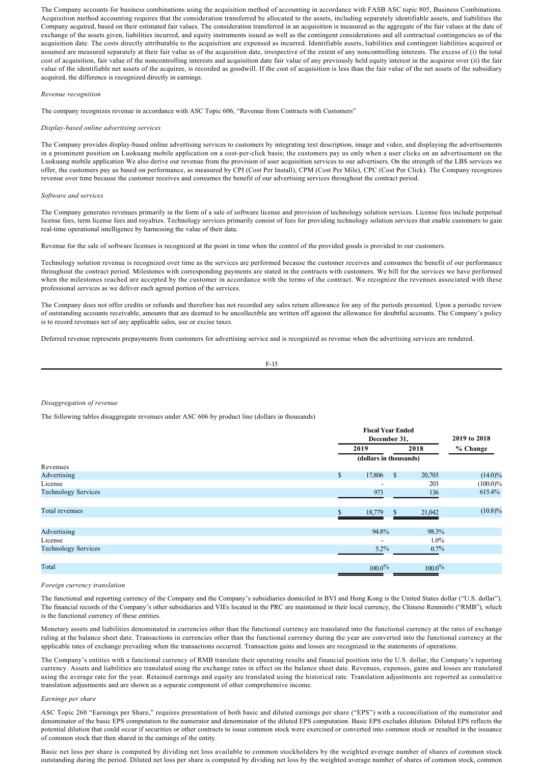The Company accounts for business combinations using the acquisition method of accounting in accordance with FASB ASC topic 805, Business Combinations*.* Acquisition method accounting requires that the consideration transferred be allocated to the assets, including separately identifiable assets, and liabilities the Company acquired, based on their estimated fair values. The consideration transferred in an acquisition is measured as the aggregate of the fair values at the date of exchange of the assets given, liabilities incurred, and equity instruments issued as well as the contingent considerations and all contractual contingencies as of the acquisition date. The costs directly attributable to the acquisition are expensed as incurred. Identifiable assets, liabilities and contingent liabilities acquired or assumed are measured separately at their fair value as of the acquisition date, irrespective of the extent of any noncontrolling interests. The excess of (i) the total cost of acquisition, fair value of the noncontrolling interests and acquisition date fair value of any previously held equity interest in the acquiree over (ii) the fair value of the identifiable net assets of the acquiree, is recorded as goodwill. If the cost of acquisition is less than the fair value of the net assets of the subsidiary acquired, the difference is recognized directly in earnings.

#### *Revenue recognition*

The company recognizes revenue in accordance with ASC Topic 606, "Revenue from Contracts with Customers"

#### *Displaybased online advertising services*

The Company provides display-based online advertising services to customers by integrating text description, image and video, and displaying the advertisements in a prominent position on Luokuang mobile application on a cost-per-click basis; the customers pay us only when a user clicks on an advertisement on the Luokuang mobile application We also derive our revenue from the provision of user acquisition services to our advertisers. On the strength of the LBS services we offer, the customers pay us based on performance, as measured by CPI (Cost Per Install), CPM (Cost Per Mile), CPC (Cost Per Click). The Company recognizes revenue over time because the customer receives and consumes the benefit of our advertising services throughout the contract period.

### *Software and services*

The Company generates revenues primarily in the form of a sale of software license and provision of technology solution services. License fees include perpetual license fees, term license fees and royalties. Technology services primarily consist of fees for providing technology solution services that enable customers to gain real-time operational intelligence by harnessing the value of their data.

Revenue for the sale of software licenses is recognized at the point in time when the control of the provided goods is provided to our customers.

Technology solution revenue is recognized over time as the services are performed because the customer receives and consumes the benefit of our performance throughout the contract period. Milestones with corresponding payments are stated in the contracts with customers. We bill for the services we have performed when the milestones reached are accepted by the customer in accordance with the terms of the contract. We recognize the revenues associated with these professional services as we deliver each agreed portion of the services.

The Company does not offer credits or refunds and therefore has not recorded any sales return allowance for any of the periods presented. Upon a periodic review of outstanding accounts receivable, amounts that are deemed to be uncollectible are written off against the allowance for doubtful accounts. The Company's policy is to record revenues net of any applicable sales, use or excise taxes.

Deferred revenue represents prepayments from customers for advertising service and is recognized as revenue when the advertising services are rendered.

$$
F-15
$$

### *Disaggregation of revenue*

The following tables disaggregate revenues under ASC 606 by product line (dollars in thousands)

|                            |              | <b>Fiscal Year Ended</b><br>December 31, | 2019 to 2018           |             |
|----------------------------|--------------|------------------------------------------|------------------------|-------------|
|                            |              | 2019                                     | 2018                   | % Change    |
|                            |              | (dollars in thousands)                   |                        |             |
| Revenues                   |              |                                          |                        |             |
| Advertising                | $\mathbb{S}$ | 17,806                                   | 20,703<br>$\mathbf{s}$ | $(14.0)\%$  |
| License                    |              |                                          | 203                    | $(100.0)\%$ |
| <b>Technology Services</b> |              | 973                                      | 136                    | 615.4%      |
|                            |              |                                          |                        |             |
| <b>Total revenues</b>      |              | 18,779                                   | 21,042<br>S            | $(10.8)\%$  |
|                            |              |                                          |                        |             |
| Advertising                |              | 94.8%                                    | 98.3%                  |             |
| License                    |              | $\overline{a}$                           |                        | $1.0\%$     |
| <b>Technology Services</b> |              | $5.2\%$                                  |                        | $0.7\%$     |
|                            |              |                                          |                        |             |
| Total                      |              | $100.0\%$                                | $100.0\%$              |             |
|                            |              |                                          |                        |             |

#### *Foreign currency translation*

The functional and reporting currency of the Company and the Company's subsidiaries domiciled in BVI and Hong Kong is the United States dollar ("U.S. dollar"). The financial records of the Company's other subsidiaries and VIEs located in the PRC are maintained in their local currency, the Chinese Renminbi ("RMB"), which is the functional currency of these entities.

Monetary assets and liabilities denominated in currencies other than the functional currency are translated into the functional currency at the rates of exchange ruling at the balance sheet date. Transactions in currencies other than the functional currency during the year are converted into the functional currency at the applicable rates of exchange prevailing when the transactions occurred. Transaction gains and losses are recognized in the statements of operations.

The Company's entities with a functional currency of RMB translate their operating results and financial position into the U.S. dollar, the Company's reporting currency. Assets and liabilities are translated using the exchange rates in effect on the balance sheet date. Revenues, expenses, gains and losses are translated using the average rate for the year. Retained earnings and equity are translated using the historical rate. Translation adjustments are reported as cumulative translation adjustments and are shown as a separate component of other comprehensive income.

### *Earnings per share*

ASC Topic 260 "Earnings per Share," requires presentation of both basic and diluted earnings per share ("EPS") with a reconciliation of the numerator and denominator of the basic EPS computation to the numerator and denominator of the diluted EPS computation. Basic EPS excludes dilution. Diluted EPS reflects the potential dilution that could occur if securities or other contracts to issue common stock were exercised or converted into common stock or resulted in the issuance of common stock that then shared in the earnings of the entity.

Basic net loss per share is computed by dividing net loss available to common stockholders by the weighted average number of shares of common stock outstanding during the period. Diluted net loss per share is computed by dividing net loss by the weighted average number of shares of common stock, common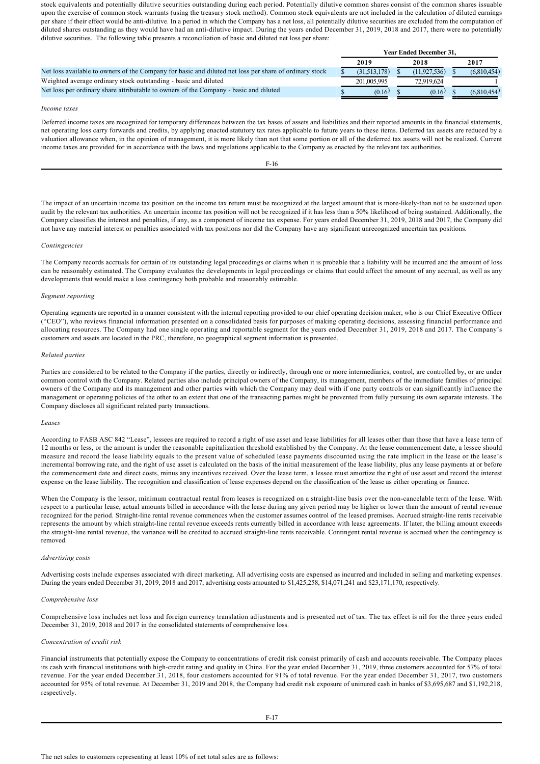stock equivalents and potentially dilutive securities outstanding during each period. Potentially dilutive common shares consist of the common shares issuable upon the exercise of common stock warrants (using the treasury stock method). Common stock equivalents are not included in the calculation of diluted earnings per share if their effect would be anti-dilutive. In a period in which the Company has a net loss, all potentially dilutive securities are excluded from the computation of diluted shares outstanding as they would have had an anti-dilutive impact. During the years ended December 31, 2019, 2018 and 2017, there were no potentially dilutive securities. The following table presents a reconciliation of basic and diluted net loss per share:

|                                                                                                        | <b>Year Ended December 31.</b> |  |                |  |             |
|--------------------------------------------------------------------------------------------------------|--------------------------------|--|----------------|--|-------------|
|                                                                                                        | 2019                           |  | 2018           |  | 2017        |
| Net loss available to owners of the Company for basic and diluted net loss per share of ordinary stock | (31.513.178)                   |  | (11, 927, 536) |  | (6,810,454) |
| Weighted average ordinary stock outstanding - basic and diluted                                        | 201,005,995                    |  | 72.919.624     |  |             |
| Net loss per ordinary share attributable to owners of the Company - basic and diluted                  | (0.16)                         |  | (0.16)         |  | (6.810.454) |

### *Income taxes*

Deferred income taxes are recognized for temporary differences between the tax bases of assets and liabilities and their reported amounts in the financial statements, net operating loss carry forwards and credits, by applying enacted statutory tax rates applicable to future years to these items. Deferred tax assets are reduced by a valuation allowance when, in the opinion of management, it is more likely than not that some portion or all of the deferred tax assets will not be realized. Current income taxes are provided for in accordance with the laws and regulations applicable to the Company as enacted by the relevant tax authorities.

 $F-16$ 

The impact of an uncertain income tax position on the income tax return must be recognized at the largest amount that is more-likely-than not to be sustained upon audit by the relevant tax authorities. An uncertain income tax position will not be recognized if it has less than a 50% likelihood of being sustained. Additionally, the Company classifies the interest and penalties, if any, as a component of income tax expense. For years ended December 31, 2019, 2018 and 2017, the Company did not have any material interest or penalties associated with tax positions nor did the Company have any significant unrecognized uncertain tax positions.

#### *Contingencies*

The Company records accruals for certain of its outstanding legal proceedings or claims when it is probable that a liability will be incurred and the amount of loss can be reasonably estimated. The Company evaluates the developments in legal proceedings or claims that could affect the amount of any accrual, as well as any developments that would make a loss contingency both probable and reasonably estimable.

### *Segment reporting*

Operating segments are reported in a manner consistent with the internal reporting provided to our chief operating decision maker, who is our Chief Executive Officer ("CEO"), who reviews financial information presented on a consolidated basis for purposes of making operating decisions, assessing financial performance and allocating resources. The Company had one single operating and reportable segment for the years ended December 31, 2019, 2018 and 2017. The Company's customers and assets are located in the PRC, therefore, no geographical segment information is presented.

### *Related parties*

Parties are considered to be related to the Company if the parties, directly or indirectly, through one or more intermediaries, control, are controlled by, or are under common control with the Company. Related parties also include principal owners of the Company, its management, members of the immediate families of principal owners of the Company and its management and other parties with which the Company may deal with if one party controls or can significantly influence the management or operating policies of the other to an extent that one of the transacting parties might be prevented from fully pursuing its own separate interests. The Company discloses all significant related party transactions.

#### *Leases*

According to FASB ASC 842 "Lease", lessees are required to record a right of use asset and lease liabilities for all leases other than those that have a lease term of 12 months or less, or the amount is under the reasonable capitalization threshold established by the Company. At the lease commencement date, a lessee should measure and record the lease liability equals to the present value of scheduled lease payments discounted using the rate implicit in the lease or the lease's incremental borrowing rate, and the right of use asset is calculated on the basis of the initial measurement of the lease liability, plus any lease payments at or before the commencement date and direct costs, minus any incentives received. Over the lease term, a lessee must amortize the right of use asset and record the interest expense on the lease liability. The recognition and classification of lease expenses depend on the classification of the lease as either operating or finance.

When the Company is the lessor, minimum contractual rental from leases is recognized on a straight-line basis over the non-cancelable term of the lease. With respect to a particular lease, actual amounts billed in accordance with the lease during any given period may be higher or lower than the amount of rental revenue recognized for the period. Straight-line rental revenue commences when the customer assumes control of the leased premises. Accrued straight-line rents receivable represents the amount by which straight-line rental revenue exceeds rents currently billed in accordance with lease agreements. If later, the billing amount exceeds the straight-line rental revenue, the variance will be credited to accrued straight-line rents receivable. Contingent rental revenue is accrued when the contingency is removed.

### *Advertising costs*

Advertising costs include expenses associated with direct marketing. All advertising costs are expensed as incurred and included in selling and marketing expenses. During the years ended December 31, 2019, 2018 and 2017, advertising costs amounted to \$1,425,258, \$14,071,241 and \$23,171,170, respectively.

#### *Comprehensive loss*

Comprehensive loss includes net loss and foreign currency translation adjustments and is presented net of tax. The tax effect is nil for the three years ended December 31, 2019, 2018 and 2017 in the consolidated statements of comprehensive loss.

#### *Concentration of credit risk*

Financial instruments that potentially expose the Company to concentrations of credit risk consist primarily of cash and accounts receivable. The Company places its cash with financial institutions with high-credit rating and quality in China. For the year ended December 31, 2019, three customers accounted for 57% of total revenue. For the year ended December 31, 2018, four customers accounted for 91% of total revenue. For the year ended December 31, 2017, two customers accounted for 95% of total revenue. At December 31, 2019 and 2018, the Company had credit risk exposure of uninured cash in banks of \$3,695,687 and \$1,192,218, respectively.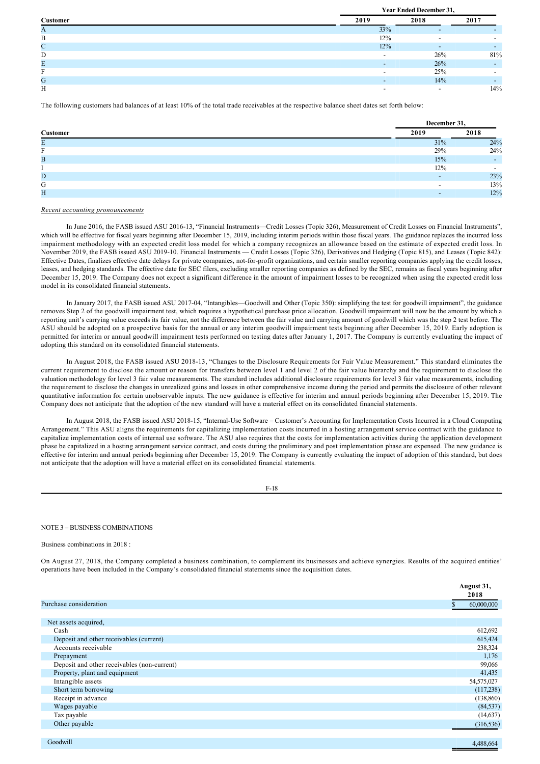|                 | <b>Year Ended December 31,</b> |                          |      |
|-----------------|--------------------------------|--------------------------|------|
| <b>Customer</b> | 2019                           | 2018                     | 2017 |
| A               | 33%                            | -                        |      |
| B               | 12%                            | $\overline{\phantom{0}}$ |      |
| C               | 12%                            | $\overline{\phantom{a}}$ |      |
| D               | $\overline{\phantom{0}}$       | 26%                      | 81%  |
| Е               | $\sim$                         | 26%                      |      |
| F               | $\overline{\phantom{0}}$       | 25%                      |      |
| G               | $\overline{\phantom{a}}$       | 14%                      |      |
| Н               | $\overline{\phantom{a}}$       |                          | 14%  |

The following customers had balances of at least 10% of the total trade receivables at the respective balance sheet dates set forth below:

|                                 | December 31,             |  |  |  |
|---------------------------------|--------------------------|--|--|--|
| 2018<br>2019<br><b>Customer</b> |                          |  |  |  |
| 31%<br>Ε                        | 24%                      |  |  |  |
| 29%<br>ы                        | 24%                      |  |  |  |
| 15%<br>B                        | $\overline{\phantom{0}}$ |  |  |  |
| 12%                             |                          |  |  |  |
| D                               | 23%                      |  |  |  |
| G                               | 13%                      |  |  |  |
| Н                               | 12%                      |  |  |  |

### *Recent accounting pronouncements*

In June 2016, the FASB issued ASU 201613, "Financial Instruments—Credit Losses (Topic 326), Measurement of Credit Losses on Financial Instruments", which will be effective for fiscal years beginning after December 15, 2019, including interim periods within those fiscal years. The guidance replaces the incurred loss impairment methodology with an expected credit loss model for which a company recognizes an allowance based on the estimate of expected credit loss. In November 2019, the FASB issued ASU 2019-10. Financial Instruments — Credit Losses (Topic 326), Derivatives and Hedging (Topic 815), and Leases (Topic 842): Effective Dates, finalizes effective date delays for private companies, not-for-profit organizations, and certain smaller reporting companies applying the credit losses, leases, and hedging standards. The effective date for SEC filers, excluding smaller reporting companies as defined by the SEC, remains as fiscal years beginning after December 15, 2019. The Company does not expect a significant difference in the amount of impairment losses to be recognized when using the expected credit loss model in its consolidated financial statements.

In January 2017, the FASB issued ASU 2017-04, "Intangibles—Goodwill and Other (Topic 350): simplifying the test for goodwill impairment", the guidance removes Step 2 of the goodwill impairment test, which requires a hypothetical purchase price allocation. Goodwill impairment will now be the amount by which a reporting unit's carrying value exceeds its fair value, not the difference between the fair value and carrying amount of goodwill which was the step 2 test before. The ASU should be adopted on a prospective basis for the annual or any interim goodwill impairment tests beginning after December 15, 2019. Early adoption is permitted for interim or annual goodwill impairment tests performed on testing dates after January 1, 2017. The Company is currently evaluating the impact of adopting this standard on its consolidated financial statements.

In August 2018, the FASB issued ASU 2018-13, "Changes to the Disclosure Requirements for Fair Value Measurement." This standard eliminates the current requirement to disclose the amount or reason for transfers between level 1 and level 2 of the fair value hierarchy and the requirement to disclose the valuation methodology for level 3 fair value measurements. The standard includes additional disclosure requirements for level 3 fair value measurements, including the requirement to disclose the changes in unrealized gains and losses in other comprehensive income during the period and permits the disclosure of other relevant quantitative information for certain unobservable inputs. The new guidance is effective for interim and annual periods beginning after December 15, 2019. The Company does not anticipate that the adoption of the new standard will have a material effect on its consolidated financial statements.

In August 2018, the FASB issued ASU 2018-15, "Internal-Use Software – Customer's Accounting for Implementation Costs Incurred in a Cloud Computing Arrangement." This ASU aligns the requirements for capitalizing implementation costs incurred in a hosting arrangement service contract with the guidance to capitalize implementation costs of internal use software. The ASU also requires that the costs for implementation activities during the application development phase be capitalized in a hosting arrangement service contract, and costs during the preliminary and post implementation phase are expensed. The new guidance is effective for interim and annual periods beginning after December 15, 2019. The Company is currently evaluating the impact of adoption of this standard, but does not anticipate that the adoption will have a material effect on its consolidated financial statements.

| ۰.<br>۰.<br>× |
|---------------|
|---------------|

#### NOTE 3 – BUSINESS COMBINATIONS

Business combinations in 2018 :

On August 27, 2018, the Company completed a business combination, to complement its businesses and achieve synergies. Results of the acquired entities' operations have been included in the Company's consolidated financial statements since the acquisition dates.

|                                             | August 31, |
|---------------------------------------------|------------|
|                                             | 2018       |
| Purchase consideration                      | 60,000,000 |
|                                             |            |
| Net assets acquired,                        |            |
| Cash                                        | 612,692    |
| Deposit and other receivables (current)     | 615,424    |
| Accounts receivable                         | 238,324    |
| Prepayment                                  | 1,176      |
| Deposit and other receivables (non-current) | 99,066     |
| Property, plant and equipment               | 41,435     |
| Intangible assets                           | 54,575,027 |
| Short term borrowing                        | (117,238)  |
| Receipt in advance                          | (138, 860) |
| Wages payable                               | (84, 537)  |
| Tax payable                                 | (14, 637)  |
| Other payable                               | (316, 536) |
|                                             |            |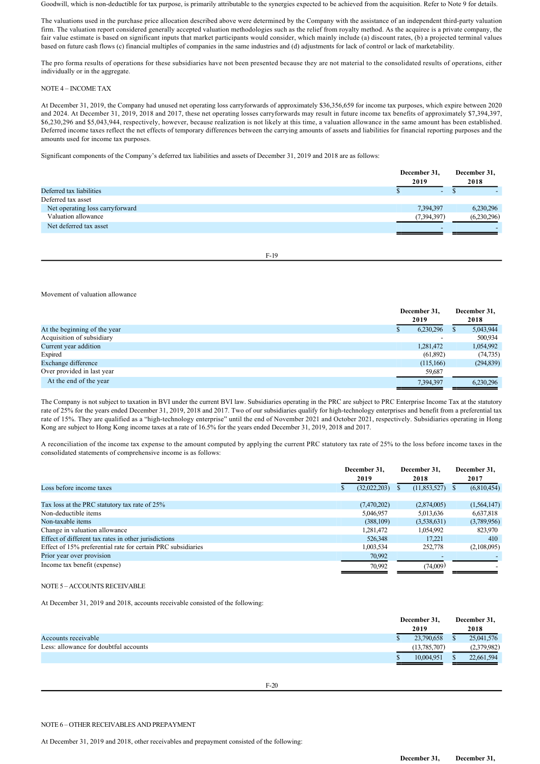Goodwill, which is non-deductible for tax purpose, is primarily attributable to the synergies expected to be achieved from the acquisition. Refer to Note 9 for details.

The valuations used in the purchase price allocation described above were determined by the Company with the assistance of an independent third-party valuation firm. The valuation report considered generally accepted valuation methodologies such as the relief from royalty method. As the acquiree is a private company, the fair value estimate is based on significant inputs that market participants would consider, which mainly include (a) discount rates, (b) a projected terminal values based on future cash flows (c) financial multiples of companies in the same industries and (d) adjustments for lack of control or lack of marketability.

The pro forma results of operations for these subsidiaries have not been presented because they are not material to the consolidated results of operations, either individually or in the aggregate.

### NOTE 4 – INCOME TAX

At December 31, 2019, the Company had unused net operating loss carryforwards of approximately \$36,356,659 for income tax purposes, which expire between 2020 and 2024. At December 31, 2019, 2018 and 2017, these net operating losses carryforwards may result in future income tax benefits of approximately \$7,394,397, \$6,230,296 and \$5,043,944, respectively, however, because realization is not likely at this time, a valuation allowance in the same amount has been established. Deferred income taxes reflect the net effects of temporary differences between the carrying amounts of assets and liabilities for financial reporting purposes and the amounts used for income tax purposes.

Significant components of the Company's deferred tax liabilities and assets of December 31, 2019 and 2018 are as follows:

| December 31,<br>2019     | December 31,<br>2018 |
|--------------------------|----------------------|
| $\overline{\phantom{0}}$ |                      |
|                          |                      |
| 7,394,397                | 6,230,296            |
|                          | (6,230,296)          |
|                          |                      |
|                          | (7.394.397)          |

#### F-19

#### Movement of valuation allowance

|                              | December 31. |  | December 31, |
|------------------------------|--------------|--|--------------|
|                              | 2019         |  | 2018         |
| At the beginning of the year | 6,230,296    |  | 5,043,944    |
| Acquisition of subsidiary    |              |  | 500,934      |
| Current year addition        | 1,281,472    |  | 1,054,992    |
| Expired                      | (61,892)     |  | (74, 735)    |
| Exchange difference          | (115,166)    |  | (294, 839)   |
| Over provided in last year   | 59,687       |  |              |
| At the end of the year       | 7,394,397    |  | 6.230.296    |

The Company is not subject to taxation in BVI under the current BVI law. Subsidiaries operating in the PRC are subject to PRC Enterprise Income Tax at the statutory rate of 25% for the years ended December 31, 2019, 2018 and 2017. Two of our subsidiaries qualify for high-technology enterprises and benefit from a preferential tax rate of 15%. They are qualified as a "hightechnology enterprise" until the end of November 2021 and October 2021, respectively. Subsidiaries operating in Hong Kong are subject to Hong Kong income taxes at a rate of 16.5% for the years ended December 31, 2019, 2018 and 2017.

A reconciliation of the income tax expense to the amount computed by applying the current PRC statutory tax rate of 25% to the loss before income taxes in the consolidated statements of comprehensive income is as follows:

|                                                              | December 31.<br>2019 | December 31.<br>2018 | December 31,<br>2017 |
|--------------------------------------------------------------|----------------------|----------------------|----------------------|
| Loss before income taxes                                     | (32,022,203)         | (11,853,527)         | (6,810,454)          |
|                                                              |                      |                      |                      |
| Tax loss at the PRC statutory tax rate of 25%                | (7,470,202)          | (2,874,005)          | (1, 564, 147)        |
| Non-deductible items                                         | 5,046,957            | 5,013,636            | 6,637,818            |
| Non-taxable items                                            | (388, 109)           | (3,538,631)          | (3,789,956)          |
| Change in valuation allowance                                | 1,281,472            | 1,054,992            | 823,970              |
| Effect of different tax rates in other jurisdictions         | 526,348              | 17.221               | 410                  |
| Effect of 15% preferential rate for certain PRC subsidiaries | 1,003,534            | 252,778              | (2,108,095)          |
| Prior year over provision                                    | 70.992               |                      |                      |
| Income tax benefit (expense)                                 | 70.992               | (74,009)             |                      |

# NOTE 5 – ACCOUNTS RECEIVABLE

At December 31, 2019 and 2018, accounts receivable consisted of the following:

|                                       |  | December 31,<br>2019 | December 31,<br>2018 |
|---------------------------------------|--|----------------------|----------------------|
| Accounts receivable                   |  | 23,790,658           | 25,041,576           |
| Less: allowance for doubtful accounts |  | (13,785,707)         | (2,379,982)          |
|                                       |  | 10.004.951           | 22,661,594           |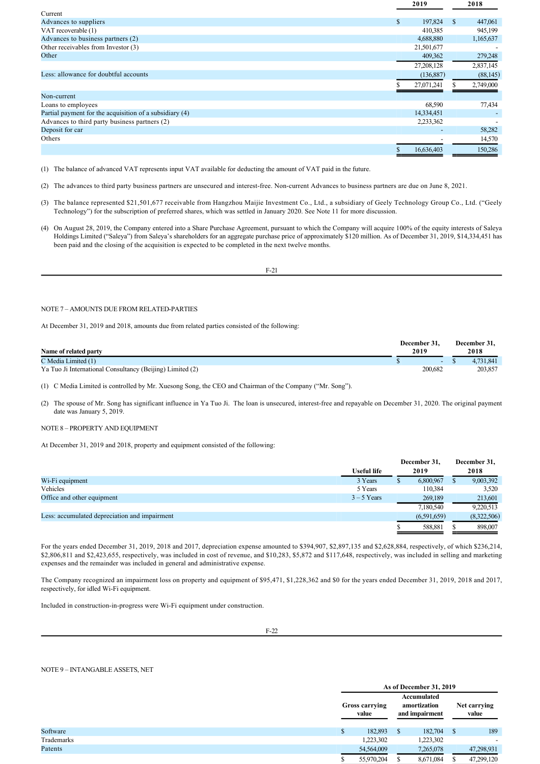|                                                         | 2019          |    | 2018      |
|---------------------------------------------------------|---------------|----|-----------|
| Current                                                 |               |    |           |
| Advances to suppliers                                   | \$<br>197,824 | S. | 447,061   |
| VAT recoverable (1)                                     | 410,385       |    | 945,199   |
| Advances to business partners (2)                       | 4,688,880     |    | 1,165,637 |
| Other receivables from Investor (3)                     | 21,501,677    |    |           |
| Other                                                   | 409,362       |    | 279,248   |
|                                                         | 27,208,128    |    | 2,837,145 |
| Less: allowance for doubtful accounts                   | (136, 887)    |    | (88, 145) |
|                                                         | 27,071,241    |    | 2,749,000 |
| Non-current                                             |               |    |           |
| Loans to employees                                      | 68,590        |    | 77,434    |
| Partial payment for the acquisition of a subsidiary (4) | 14,334,451    |    |           |
| Advances to third party business partners (2)           | 2,233,362     |    |           |
| Deposit for car                                         |               |    | 58,282    |
| Others                                                  |               |    | 14,570    |
|                                                         | 16,636,403    |    | 150,286   |

(1) The balance of advanced VAT represents input VAT available for deducting the amount of VAT paid in the future.

(2) The advances to third party business partners are unsecured and interest-free. Non-current Advances to business partners are due on June 8, 2021.

- (3) The balance represented \$21,501,677 receivable from Hangzhou Maijie Investment Co., Ltd., a subsidiary of Geely Technology Group Co., Ltd. ("Geely Technology") for the subscription of preferred shares, which was settled in January 2020. See Note 11 for more discussion.
- (4) On August 28, 2019, the Company entered into a Share Purchase Agreement, pursuant to which the Company will acquire 100% of the equity interests of Saleya Holdings Limited ("Saleya") from Saleya's shareholders for an aggregate purchase price of approximately \$120 million. As of December 31, 2019, \$14,334,451 has been paid and the closing of the acquisition is expected to be completed in the next twelve months.

### NOTE 7 - AMOUNTS DUE FROM RELATED-PARTIES

At December 31, 2019 and 2018, amounts due from related parties consisted of the following:

| Name of related party                                     | December 31.<br>2019 | December 31.<br>2018 |
|-----------------------------------------------------------|----------------------|----------------------|
| C Media Limited (1)                                       |                      | 4.731.841            |
| Ya Tuo Ji International Consultancy (Beijing) Limited (2) | 200,682              | 203,857              |

(1) C Media Limited is controlled by Mr. Xuesong Song, the CEO and Chairman of the Company ("Mr. Song").

(2) The spouse of Mr. Song has significant influence in Ya Tuo Ji. The loan is unsecured, interest-free and repayable on December 31, 2020. The original payment date was January 5, 2019.

NOTE 8 – PROPERTY AND EQUIPMENT

At December 31, 2019 and 2018, property and equipment consisted of the following:

|                                               |                    | December 31, |  | December 31, |
|-----------------------------------------------|--------------------|--------------|--|--------------|
|                                               | <b>Useful life</b> | 2019         |  | 2018         |
| Wi-Fi equipment                               | 3 Years            | 6,800,967    |  | 9,003,392    |
| Vehicles                                      | 5 Years            | 110.384      |  | 3,520        |
| Office and other equipment                    | $3 - 5$ Years      | 269,189      |  | 213,601      |
|                                               |                    | 7,180,540    |  | 9,220,513    |
| Less: accumulated depreciation and impairment |                    | (6,591,659)  |  | (8,322,506)  |
|                                               |                    | 588,881      |  | 898,007      |

For the years ended December 31, 2019, 2018 and 2017, depreciation expense amounted to \$394,907, \$2,897,135 and \$2,628,884, respectively, of which \$236,214, \$2,806,811 and \$2,423,655, respectively, was included in cost of revenue, and \$10,283, \$5,872 and \$117,648, respectively, was included in selling and marketing expenses and the remainder was included in general and administrative expense.

The Company recognized an impairment loss on property and equipment of \$95,471, \$1,228,362 and \$0 for the years ended December 31, 2019, 2018 and 2017, respectively, for idled Wi-Fi equipment.

Included in construction-in-progress were Wi-Fi equipment under construction.

F-22

# NOTE 9 – INTANGABLE ASSETS, NET

|            |                                | As of December 31, 2019 |                                               |   |                       |  |  |
|------------|--------------------------------|-------------------------|-----------------------------------------------|---|-----------------------|--|--|
|            | <b>Gross carrying</b><br>value |                         | Accumulated<br>amortization<br>and impairment |   | Net carrying<br>value |  |  |
| Software   | 182,893                        | S                       | 182,704                                       | S | 189                   |  |  |
| Trademarks | 1,223,302                      |                         | 1,223,302                                     |   | -                     |  |  |
| Patents    | 54,564,009                     |                         | 7,265,078                                     |   | 47,298,931            |  |  |
|            | 55,970,204                     |                         | 8,671,084                                     |   | 47,299,120            |  |  |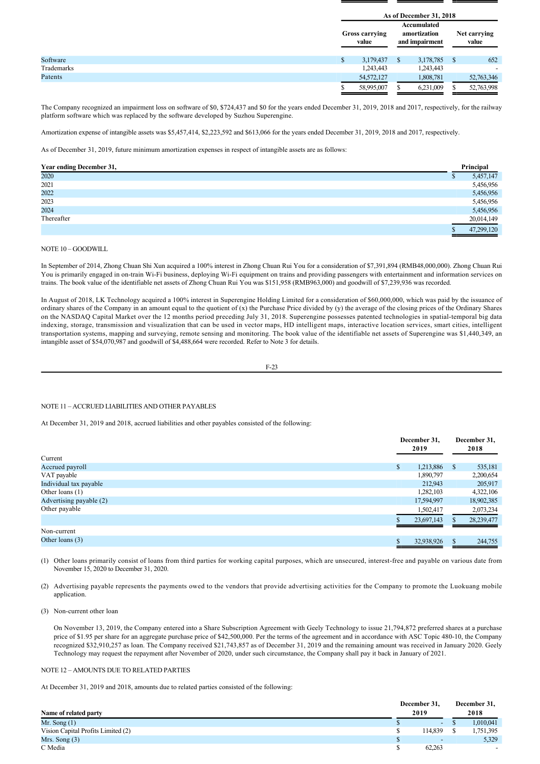|            |                                |              | As of December 31, 2018 |                                               |   |                       |  |  |
|------------|--------------------------------|--------------|-------------------------|-----------------------------------------------|---|-----------------------|--|--|
|            | <b>Gross carrying</b><br>value |              |                         | Accumulated<br>amortization<br>and impairment |   | Net carrying<br>value |  |  |
| Software   |                                | 3,179,437    | <sup>S</sup>            | 3,178,785                                     | S | 652                   |  |  |
| Trademarks |                                | 1,243,443    |                         | 1,243,443                                     |   | ۰                     |  |  |
| Patents    |                                | 54, 572, 127 |                         | 1,808,781                                     |   | 52,763,346            |  |  |
|            |                                | 58,995,007   |                         | 6,231,009                                     |   | 52,763,998            |  |  |

The Company recognized an impairment loss on software of \$0, \$724,437 and \$0 for the years ended December 31, 2019, 2018 and 2017, respectively, for the railway platform software which was replaced by the software developed by Suzhou Superengine.

Amortization expense of intangible assets was \$5,457,414, \$2,223,592 and \$613,066 for the years ended December 31, 2019, 2018 and 2017, respectively.

As of December 31, 2019, future minimum amortization expenses in respect of intangible assets are as follows:

| Year ending December 31, | Principal  |
|--------------------------|------------|
| 2020                     | 5,457,147  |
| 2021                     | 5,456,956  |
| 2022                     | 5,456,956  |
| 2023                     | 5,456,956  |
| 2024                     | 5,456,956  |
| Thereafter               | 20,014,149 |
|                          | 47,299,120 |

# NOTE 10 – GOODWILL

In September of 2014, Zhong Chuan Shi Xun acquired a 100% interest in Zhong Chuan Rui You for a consideration of \$7,391,894 (RMB48,000,000). Zhong Chuan Rui You is primarily engaged in on-train Wi-Fi business, deploying Wi-Fi equipment on trains and providing passengers with entertainment and information services on trains. The book value of the identifiable net assets of Zhong Chuan Rui You was \$151,958 (RMB963,000) and goodwill of \$7,239,936 was recorded.

In August of 2018, LK Technology acquired a 100% interest in Superengine Holding Limited for a consideration of \$60,000,000, which was paid by the issuance of ordinary shares of the Company in an amount equal to the quotient of  $(x)$  the Purchase Price divided by  $(y)$  the average of the closing prices of the Ordinary Shares on the NASDAQ Capital Market over the 12 months period preceding July 31, 2018. Superengine possesses patented technologies in spatialtemporal big data indexing, storage, transmission and visualization that can be used in vector maps, HD intelligent maps, interactive location services, smart cities, intelligent transportation systems, mapping and surveying, remote sensing and monitoring. The book value of the identifiable net assets of Superengine was \$1,440,349, an intangible asset of \$54,070,987 and goodwill of \$4,488,664 were recorded. Refer to Note 3 for details.

 $F-23$ 

### NOTE 11 – ACCRUED LIABILITIES AND OTHER PAYABLES

At December 31, 2019 and 2018, accrued liabilities and other payables consisted of the following:

|      | December 31, |    | December 31, |
|------|--------------|----|--------------|
| 2019 |              |    | 2018         |
|      |              |    |              |
| \$   | 1,213,886    | S. | 535,181      |
|      | 1,890,797    |    | 2,200,654    |
|      | 212,943      |    | 205,917      |
|      | 1,282,103    |    | 4,322,106    |
|      | 17,594,997   |    | 18,902,385   |
|      | 1,502,417    |    | 2,073,234    |
|      | 23,697,143   |    | 28,239,477   |
|      |              |    |              |
|      | 32,938,926   |    | 244,755      |
|      |              |    |              |

(1) Other loans primarily consist of loans from third parties for working capital purposes, which are unsecured, interestfree and payable on various date from November 15, 2020 to December 31, 2020.

- (2) Advertising payable represents the payments owed to the vendors that provide advertising activities for the Company to promote the Luokuang mobile application.
- (3) Non-current other loan

On November 13, 2019, the Company entered into a Share Subscription Agreement with Geely Technology to issue 21,794,872 preferred shares at a purchase price of \$1.95 per share for an aggregate purchase price of \$42,500,000. Per the terms of the agreement and in accordance with ASC Topic 480-10, the Company recognized \$32,910,257 as loan. The Company received \$21,743,857 as of December 31, 2019 and the remaining amount was received in January 2020. Geely Technology may request the repayment after November of 2020, under such circumstance, the Company shall pay it back in January of 2021.

# NOTE 12 – AMOUNTS DUE TO RELATED PARTIES

At December 31, 2019 and 2018, amounts due to related parties consisted of the following:

|                                    |      | December 31,             |      | December 31,             |  |
|------------------------------------|------|--------------------------|------|--------------------------|--|
| Name of related party              | 2019 |                          | 2018 |                          |  |
| Mr. Song $(1)$                     |      | -                        |      | 1.010.041                |  |
| Vision Capital Profits Limited (2) |      | 114.839                  |      | .751,395                 |  |
| Mrs. Song $(3)$                    |      | $\overline{\phantom{a}}$ |      | 5,329                    |  |
| C Media                            |      | 62,263                   |      | $\overline{\phantom{a}}$ |  |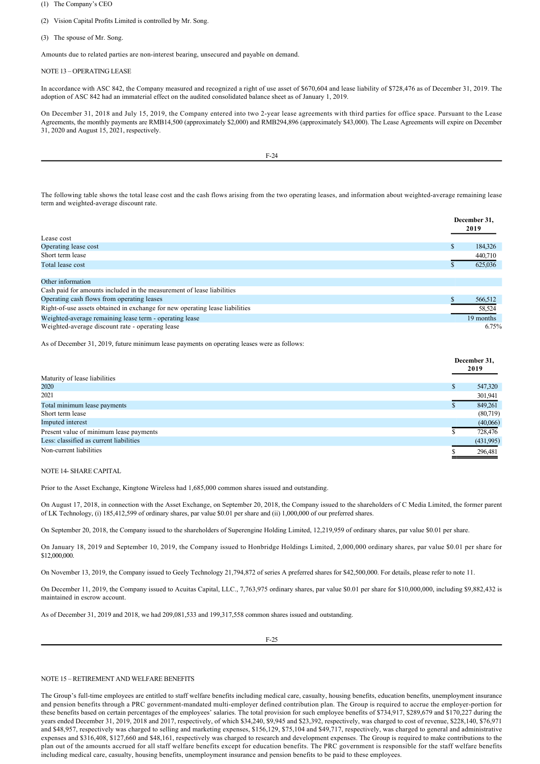- (1) The Company's CEO
- (2) Vision Capital Profits Limited is controlled by Mr. Song.
- (3) The spouse of Mr. Song.

Amounts due to related parties are non-interest bearing, unsecured and payable on demand.

#### NOTE 13 – OPERATING LEASE

In accordance with ASC 842, the Company measured and recognized a right of use asset of \$670,604 and lease liability of \$728,476 as of December 31, 2019. The adoption of ASC 842 had an immaterial effect on the audited consolidated balance sheet as of January 1, 2019.

On December 31, 2018 and July 15, 2019, the Company entered into two 2year lease agreements with third parties for office space. Pursuant to the Lease Agreements, the monthly payments are RMB14,500 (approximately \$2,000) and RMB294,896 (approximately \$43,000). The Lease Agreements will expire on December 31, 2020 and August 15, 2021, respectively.

F-24

The following table shows the total lease cost and the cash flows arising from the two operating leases, and information about weighted-average remaining lease term and weighted-average discount rate.

|                                                                              | December 31.<br>2019 |           |
|------------------------------------------------------------------------------|----------------------|-----------|
| Lease cost                                                                   |                      |           |
| Operating lease cost                                                         | S.                   | 184,326   |
| Short term lease                                                             |                      | 440,710   |
| Total lease cost                                                             |                      | 625,036   |
| Other information                                                            |                      |           |
| Cash paid for amounts included in the measurement of lease liabilities       |                      |           |
| Operating cash flows from operating leases                                   |                      | 566,512   |
| Right-of-use assets obtained in exchange for new operating lease liabilities |                      | 58,524    |
| Weighted-average remaining lease term - operating lease                      |                      | 19 months |
| Weighted-average discount rate - operating lease                             |                      | 6.75%     |

As of December 31, 2019, future minimum lease payments on operating leases were as follows:

| Maturity of lease liabilities           |  | December 31,<br>2019 |
|-----------------------------------------|--|----------------------|
| 2020                                    |  | 547,320              |
| 2021                                    |  | 301,941              |
| Total minimum lease payments            |  | 849,261              |
| Short term lease                        |  | (80,719)             |
| Imputed interest                        |  | (40,066)             |
| Present value of minimum lease payments |  | 728,476              |
| Less: classified as current liabilities |  | (431,995)            |
| Non-current liabilities                 |  | 296,481              |

NOTE 14 SHARE CAPITAL

Prior to the Asset Exchange, Kingtone Wireless had 1,685,000 common shares issued and outstanding.

On August 17, 2018, in connection with the Asset Exchange, on September 20, 2018, the Company issued to the shareholders of C Media Limited, the former parent of LK Technology, (i) 185,412,599 of ordinary shares, par value \$0.01 per share and (ii) 1,000,000 of our preferred shares.

On September 20, 2018, the Company issued to the shareholders of Superengine Holding Limited, 12,219,959 of ordinary shares, par value \$0.01 per share.

On January 18, 2019 and September 10, 2019, the Company issued to Honbridge Holdings Limited, 2,000,000 ordinary shares, par value \$0.01 per share for \$12,000,000.

On November 13, 2019, the Company issued to Geely Technology 21,794,872 of series A preferred shares for \$42,500,000. For details, please refer to note 11.

On December 11, 2019, the Company issued to Acuitas Capital, LLC., 7,763,975 ordinary shares, par value \$0.01 per share for \$10,000,000, including \$9,882,432 is maintained in escrow account.

As of December 31, 2019 and 2018, we had 209,081,533 and 199,317,558 common shares issued and outstanding.

#### NOTE 15 – RETIREMENT AND WELFARE BENEFITS

The Group's full-time employees are entitled to staff welfare benefits including medical care, casualty, housing benefits, education benefits, unemployment insurance and pension benefits through a PRC government-mandated multi-employer defined contribution plan. The Group is required to accrue the employer-portion for these benefits based on certain percentages of the employees' salaries. The total provision for such employee benefits of \$734,917, \$289,679 and \$170,227 during the years ended December 31, 2019, 2018 and 2017, respectively, of which \$34,240, \$9,945 and \$23,392, respectively, was charged to cost of revenue, \$228,140, \$76,971 and \$48,957, respectively was charged to selling and marketing expenses, \$156,129, \$75,104 and \$49,717, respectively, was charged to general and administrative expenses and \$316,408, \$127,660 and \$48,161, respectively was charged to research and development expenses. The Group is required to make contributions to the plan out of the amounts accrued for all staff welfare benefits except for education benefits. The PRC government is responsible for the staff welfare benefits including medical care, casualty, housing benefits, unemployment insurance and pension benefits to be paid to these employees.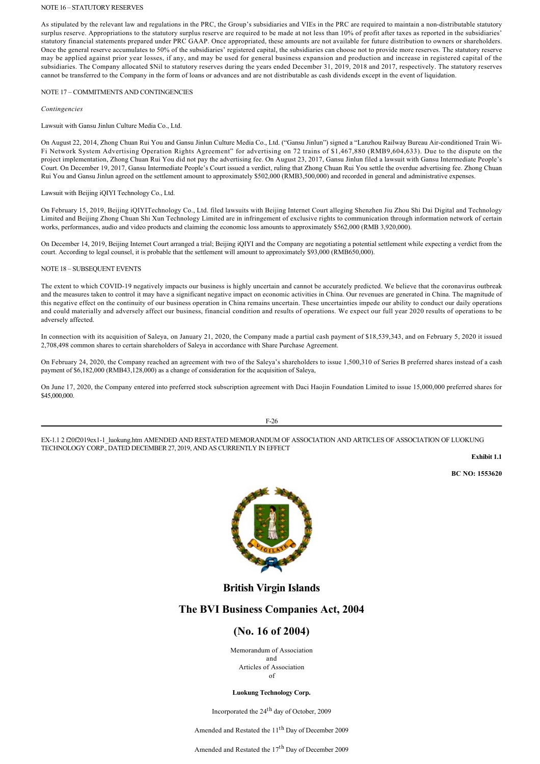### NOTE 16 – STATUTORY RESERVES

As stipulated by the relevant law and regulations in the PRC, the Group's subsidiaries and VIEs in the PRC are required to maintain a non-distributable statutory surplus reserve. Appropriations to the statutory surplus reserve are required to be made at not less than 10% of profit after taxes as reported in the subsidiaries' statutory financial statements prepared under PRC GAAP. Once appropriated, these amounts are not available for future distribution to owners or shareholders. Once the general reserve accumulates to 50% of the subsidiaries' registered capital, the subsidiaries can choose not to provide more reserves. The statutory reserve may be applied against prior year losses, if any, and may be used for general business expansion and production and increase in registered capital of the subsidiaries. The Company allocated \$Nil to statutory reserves during the years ended December 31, 2019, 2018 and 2017, respectively. The statutory reserves cannot be transferred to the Company in the form of loans or advances and are not distributable as cash dividends except in the event of liquidation.

### NOTE 17 – COMMITMENTS AND CONTINGENCIES

### *Contingencies*

Lawsuit with Gansu Jinlun Culture Media Co., Ltd.

On August 22, 2014, Zhong Chuan Rui You and Gansu Jinlun Culture Media Co., Ltd. ("Gansu Jinlun") signed a "Lanzhou Railway Bureau Airconditioned Train Wi-Fi Network System Advertising Operation Rights Agreement" for advertising on 72 trains of \$1,467,880 (RMB9,604,633). Due to the dispute on the project implementation, Zhong Chuan Rui You did not pay the advertising fee. On August 23, 2017, Gansu Jinlun filed a lawsuit with Gansu Intermediate People's Court. On December 19, 2017, Gansu Intermediate People's Court issued a verdict, ruling that Zhong Chuan Rui You settle the overdue advertising fee. Zhong Chuan Rui You and Gansu Jinlun agreed on the settlement amount to approximately \$502,000 (RMB3,500,000) and recorded in general and administrative expenses.

### Lawsuit with Beijing iQIYI Technology Co., Ltd.

On February 15, 2019, Beijing iQIYITechnology Co., Ltd. filed lawsuits with Beijing Internet Court alleging Shenzhen Jiu Zhou Shi Dai Digital and Technology Limited and Beijing Zhong Chuan Shi Xun Technology Limited are in infringement of exclusive rights to communication through information network of certain works, performances, audio and video products and claiming the economic loss amounts to approximately \$562,000 (RMB 3,920,000).

On December 14, 2019, Beijing Internet Court arranged a trial; Beijing iQIYI and the Company are negotiating a potential settlement while expecting a verdict from the court. According to legal counsel, it is probable that the settlement will amount to approximately \$93,000 (RMB650,000).

NOTE 18 – SUBSEQUENT EVENTS

The extent to which COVID-19 negatively impacts our business is highly uncertain and cannot be accurately predicted. We believe that the coronavirus outbreak and the measures taken to control it may have a significant negative impact on economic activities in China. Our revenues are generated in China. The magnitude of this negative effect on the continuity of our business operation in China remains uncertain. These uncertainties impede our ability to conduct our daily operations and could materially and adversely affect our business, financial condition and results of operations. We expect our full year 2020 results of operations to be adversely affected.

In connection with its acquisition of Saleya, on January 21, 2020, the Company made a partial cash payment of \$18,539,343, and on February 5, 2020 it issued 2,708,498 common shares to certain shareholders of Saleya in accordance with Share Purchase Agreement.

On February 24, 2020, the Company reached an agreement with two of the Saleya's shareholders to issue 1,500,310 of Series B preferred shares instead of a cash payment of \$6,182,000 (RMB43,128,000) as a change of consideration for the acquisition of Saleya,

On June 17, 2020, the Company entered into preferred stock subscription agreement with Daci Haojin Foundation Limited to issue 15,000,000 preferred shares for \$45,000,000

F-26

EX-1.1 2 f20f2019ex1-1 luokung.htm AMENDED AND RESTATED MEMORANDUM OF ASSOCIATION AND ARTICLES OF ASSOCIATION OF LUOKUNG TECHNOLOGY CORP., DATED DECEMBER 27, 2019, AND AS CURRENTLY IN EFFECT

**Exhibit 1.1**

**BC NO: 1553620**



**British Virgin Islands**

# **The BVI Business Companies Act, 2004**

# **(No. 16 of 2004)**

Memorandum of Association and Articles of Association of

## **Luokung Technology Corp.**

Incorporated the 24th day of October, 2009

Amended and Restated the 11<sup>th</sup> Day of December 2009

Amended and Restated the  $17<sup>th</sup>$  Day of December 2009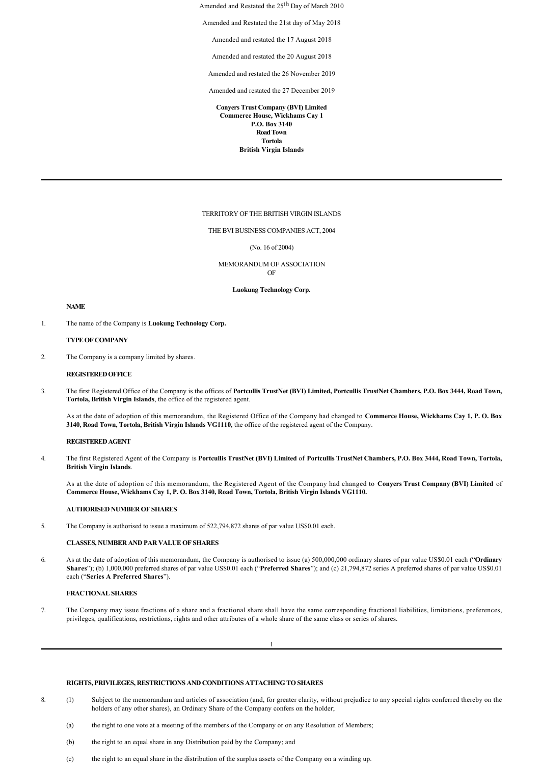Amended and Restated the 25th Day of March 2010

Amended and Restated the 21st day of May 2018

Amended and restated the 17 August 2018

Amended and restated the 20 August 2018

Amended and restated the 26 November 2019

Amended and restated the 27 December 2019

**Conyers Trust Company (BVI) Limited Commerce House, Wickhams Cay 1 P.O. Box 3140 Road Town Tortola British Virgin Islands**

# TERRITORY OF THE BRITISH VIRGIN ISLANDS

### THE BVI BUSINESS COMPANIES ACT, 2004

### (No. 16 of 2004)

# MEMORANDUM OF ASSOCIATION OF

### **Luokung Technology Corp.**

### **NAME**

1. The name of the Company is **Luokung Technology Corp.**

### **TYPE OF COMPANY**

2. The Company is a company limited by shares.

### **REGISTERED OFFICE**

3. The first Registered Office of the Company is the offices of **Portcullis TrustNet (BVI) Limited, Portcullis TrustNet Chambers, P.O. Box 3444, Road Town, Tortola, British Virgin Islands**, the office of the registered agent.

As at the date of adoption of this memorandum, the Registered Office of the Company had changed to **Commerce House, Wickhams Cay 1, P. O. Box 3140, Road Town, Tortola, British Virgin Islands VG1110,** the office of the registered agent of the Company.

### **REGISTERED AGENT**

4. The first Registered Agent of the Company is **Portcullis TrustNet (BVI) Limited** of **Portcullis TrustNet Chambers, P.O. Box 3444, Road Town, Tortola, British Virgin Islands**.

As at the date of adoption of this memorandum, the Registered Agent of the Company had changed to **Conyers Trust Company (BVI) Limited**  of **Commerce House, Wickhams Cay 1, P. O. Box 3140, Road Town, Tortola, British Virgin Islands VG1110.**

### **AUTHORISED NUMBER OF SHARES**

5. The Company is authorised to issue a maximum of 522,794,872 shares of par value US\$0.01 each.

# **CLASSES, NUMBER AND PAR VALUE OF SHARES**

6. As at the date of adoption of this memorandum, the Company is authorised to issue (a) 500,000,000 ordinary shares of par value US\$0.01 each ("**Ordinary Shares**"); (b) 1,000,000 preferred shares of par value US\$0.01 each ("**Preferred Shares**"); and (c) 21,794,872 series A preferred shares of par value US\$0.01 each ("**Series A Preferred Shares**").

# **FRACTIONAL SHARES**

7. The Company may issue fractions of a share and a fractional share shall have the same corresponding fractional liabilities, limitations, preferences, privileges, qualifications, restrictions, rights and other attributes of a whole share of the same class or series of shares.

1

# **RIGHTS, PRIVILEGES, RESTRICTIONS AND CONDITIONS ATTACHING TO SHARES**

- 8. (1) Subject to the memorandum and articles of association (and, for greater clarity, without prejudice to any special rights conferred thereby on the holders of any other shares), an Ordinary Share of the Company confers on the holder;
	- (a) the right to one vote at a meeting of the members of the Company or on any Resolution of Members;
	- (b) the right to an equal share in any Distribution paid by the Company; and
	- (c) the right to an equal share in the distribution of the surplus assets of the Company on a winding up.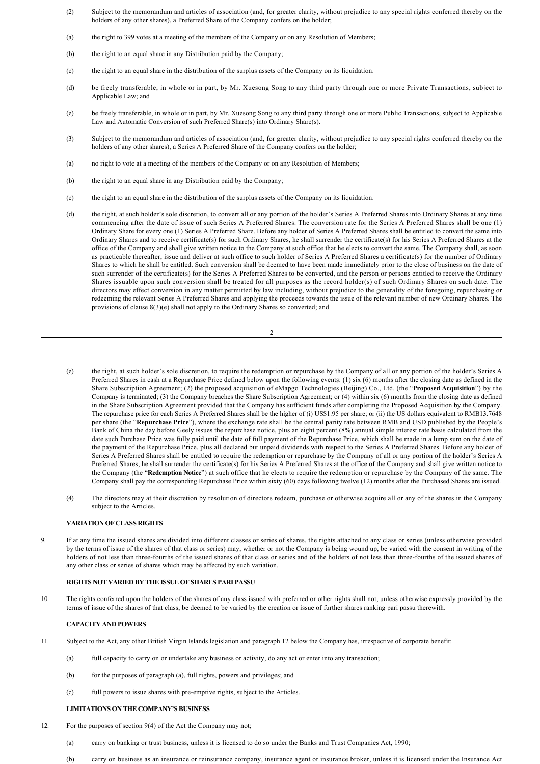- (2) Subject to the memorandum and articles of association (and, for greater clarity, without prejudice to any special rights conferred thereby on the holders of any other shares), a Preferred Share of the Company confers on the holder;
- (a) the right to 399 votes at a meeting of the members of the Company or on any Resolution of Members;
- (b) the right to an equal share in any Distribution paid by the Company;
- (c) the right to an equal share in the distribution of the surplus assets of the Company on its liquidation.
- (d) be freely transferable, in whole or in part, by Mr. Xuesong Song to any third party through one or more Private Transactions, subject to Applicable Law; and
- (e) be freely transferable, in whole or in part, by Mr. Xuesong Song to any third party through one or more Public Transactions, subject to Applicable Law and Automatic Conversion of such Preferred Share(s) into Ordinary Share(s).
- (3) Subject to the memorandum and articles of association (and, for greater clarity, without prejudice to any special rights conferred thereby on the holders of any other shares), a Series A Preferred Share of the Company confers on the holder;
- (a) no right to vote at a meeting of the members of the Company or on any Resolution of Members;
- (b) the right to an equal share in any Distribution paid by the Company;
- (c) the right to an equal share in the distribution of the surplus assets of the Company on its liquidation.
- (d) the right, at such holder's sole discretion, to convert all or any portion of the holder's Series A Preferred Shares into Ordinary Shares at any time commencing after the date of issue of such Series A Preferred Shares. The conversion rate for the Series A Preferred Shares shall be one (1) Ordinary Share for every one (1) Series A Preferred Share. Before any holder of Series A Preferred Shares shall be entitled to convert the same into Ordinary Shares and to receive certificate(s) for such Ordinary Shares, he shall surrender the certificate(s) for his Series A Preferred Shares at the office of the Company and shall give written notice to the Company at such office that he elects to convert the same. The Company shall, as soon as practicable thereafter, issue and deliver at such office to such holder of Series A Preferred Shares a certificate(s) for the number of Ordinary Shares to which he shall be entitled. Such conversion shall be deemed to have been made immediately prior to the close of business on the date of such surrender of the certificate(s) for the Series A Preferred Shares to be converted, and the person or persons entitled to receive the Ordinary Shares issuable upon such conversion shall be treated for all purposes as the record holder(s) of such Ordinary Shares on such date. The directors may effect conversion in any matter permitted by law including, without prejudice to the generality of the foregoing, repurchasing or redeeming the relevant Series A Preferred Shares and applying the proceeds towards the issue of the relevant number of new Ordinary Shares. The provisions of clause 8(3)(e) shall not apply to the Ordinary Shares so converted; and

2

- (e) the right, at such holder's sole discretion, to require the redemption or repurchase by the Company of all or any portion of the holder's Series A Preferred Shares in cash at a Repurchase Price defined below upon the following events: (1) six (6) months after the closing date as defined in the Share Subscription Agreement; (2) the proposed acquisition of eMapgo Technologies (Beijing) Co., Ltd. (the "**Proposed Acquisition**") by the Company is terminated; (3) the Company breaches the Share Subscription Agreement; or (4) within six (6) months from the closing date as defined in the Share Subscription Agreement provided that the Company has sufficient funds after completing the Proposed Acquisition by the Company. The repurchase price for each Series A Preferred Shares shall be the higher of (i) US\$1.95 per share; or (ii) the US dollars equivalent to RMB13.7648 per share (the "**Repurchase Price**"), where the exchange rate shall be the central parity rate between RMB and USD published by the People's Bank of China the day before Geely issues the repurchase notice, plus an eight percent (8%) annual simple interest rate basis calculated from the date such Purchase Price was fully paid until the date of full payment of the Repurchase Price, which shall be made in a lump sum on the date of the payment of the Repurchase Price, plus all declared but unpaid dividends with respect to the Series A Preferred Shares. Before any holder of Series A Preferred Shares shall be entitled to require the redemption or repurchase by the Company of all or any portion of the holder's Series A Preferred Shares, he shall surrender the certificate(s) for his Series A Preferred Shares at the office of the Company and shall give written notice to the Company (the "**Redemption Notice**") at such office that he elects to require the redemption or repurchase by the Company of the same. The Company shall pay the corresponding Repurchase Price within sixty (60) days following twelve (12) months after the Purchased Shares are issued.
- (4) The directors may at their discretion by resolution of directors redeem, purchase or otherwise acquire all or any of the shares in the Company subject to the Articles.

#### **VARIATION OF CLASS RIGHTS**

9. If at any time the issued shares are divided into different classes or series of shares, the rights attached to any class or series (unless otherwise provided by the terms of issue of the shares of that class or series) may, whether or not the Company is being wound up, be varied with the consent in writing of the holders of not less than three-fourths of the issued shares of that class or series and of the holders of not less than three-fourths of the issued shares of any other class or series of shares which may be affected by such variation.

### **RIGHTS NOT VARIED BY THE ISSUE OF SHARES PARI PASSU**

10. The rights conferred upon the holders of the shares of any class issued with preferred or other rights shall not, unless otherwise expressly provided by the terms of issue of the shares of that class, be deemed to be varied by the creation or issue of further shares ranking pari passu therewith.

### **CAPACITY AND POWERS**

- 11. Subject to the Act, any other British Virgin Islands legislation and paragraph 12 below the Company has, irrespective of corporate benefit:
	- (a) full capacity to carry on or undertake any business or activity, do any act or enter into any transaction;
	- (b) for the purposes of paragraph (a), full rights, powers and privileges; and
	- (c) full powers to issue shares with pre-emptive rights, subject to the Articles.

### **LIMITATIONS ON THE COMPANY'S BUSINESS**

- 12. For the purposes of section 9(4) of the Act the Company may not;
	- (a) carry on banking or trust business, unless it is licensed to do so under the Banks and Trust Companies Act, 1990;
	- (b) carry on business as an insurance or reinsurance company, insurance agent or insurance broker, unless it is licensed under the Insurance Act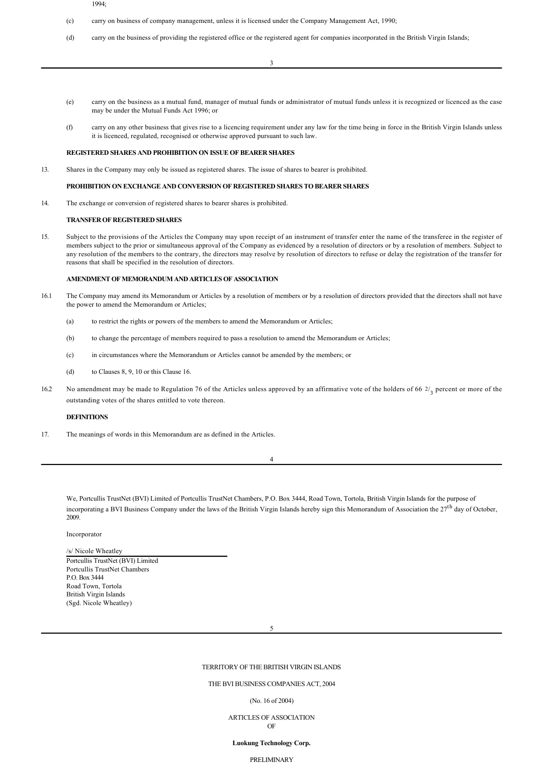1994;

- (c) carry on business of company management, unless it is licensed under the Company Management Act, 1990;
- (d) carry on the business of providing the registered office or the registered agent for companies incorporated in the British Virgin Islands;

- (e) carry on the business as a mutual fund, manager of mutual funds or administrator of mutual funds unless it is recognized or licenced as the case may be under the Mutual Funds Act 1996; or
- (f) carry on any other business that gives rise to a licencing requirement under any law for the time being in force in the British Virgin Islands unless it is licenced, regulated, recognised or otherwise approved pursuant to such law.

# **REGISTERED SHARES AND PROHIBITION ON ISSUE OF BEARER SHARES**

13. Shares in the Company may only be issued as registered shares. The issue of shares to bearer is prohibited.

# **PROHIBITION ON EXCHANGE AND CONVERSION OF REGISTERED SHARES TO BEARER SHARES**

14. The exchange or conversion of registered shares to bearer shares is prohibited.

### **TRANSFER OF REGISTERED SHARES**

15. Subject to the provisions of the Articles the Company may upon receipt of an instrument of transfer enter the name of the transferee in the register of members subject to the prior or simultaneous approval of the Company as evidenced by a resolution of directors or by a resolution of members. Subject to any resolution of the members to the contrary, the directors may resolve by resolution of directors to refuse or delay the registration of the transfer for reasons that shall be specified in the resolution of directors.

#### **AMENDMENT OF MEMORANDUM AND ARTICLES OF ASSOCIATION**

- 16.1 The Company may amend its Memorandum or Articles by a resolution of members or by a resolution of directors provided that the directors shall not have the power to amend the Memorandum or Articles;
	- (a) to restrict the rights or powers of the members to amend the Memorandum or Articles;
	- (b) to change the percentage of members required to pass a resolution to amend the Memorandum or Articles;
	- (c) in circumstances where the Memorandum or Articles cannot be amended by the members; or
	- (d) to Clauses 8, 9, 10 or this Clause 16.
- 16.2 No amendment may be made to Regulation 76 of the Articles unless approved by an affirmative vote of the holders of 66  $2/3$  percent or more of the outstanding votes of the shares entitled to vote thereon.

### **DEFINITIONS**

17. The meanings of words in this Memorandum are as defined in the Articles.

4

We, Portcullis TrustNet (BVI) Limited of Portcullis TrustNet Chambers, P.O. Box 3444, Road Town, Tortola, British Virgin Islands for the purpose of incorporating a BVI Business Company under the laws of the British Virgin Islands hereby sign this Memorandum of Association the 27<sup>th</sup> day of October, 2009.

Incorporator

/s/ Nicole Wheatley Portcullis TrustNet (BVI) Limited Portcullis TrustNet Chambers P.O. Box 3444 Road Town, Tortola British Virgin Islands (Sgd. Nicole Wheatley)

# TERRITORY OF THE BRITISH VIRGIN ISLANDS

### THE BVI BUSINESS COMPANIES ACT, 2004

# (No. 16 of 2004)

ARTICLES OF ASSOCIATION OF

### **Luokung Technology Corp.**

PRELIMINARY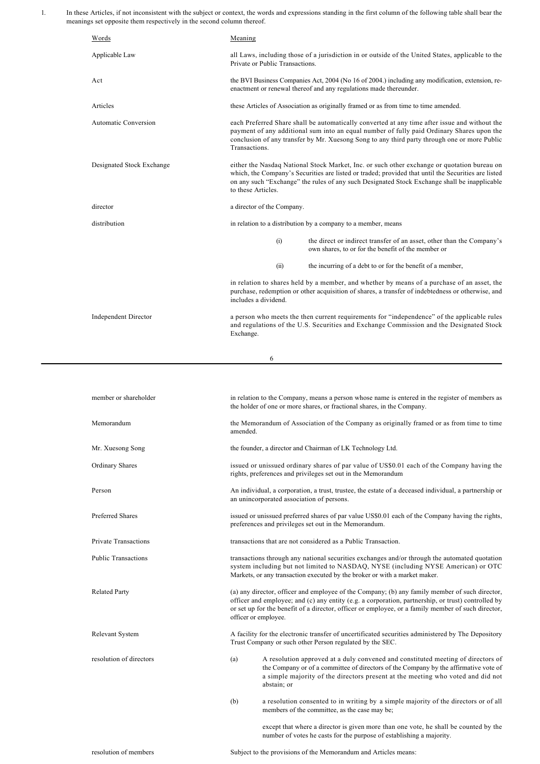1. In these Articles, if not inconsistent with the subject or context, the words and expressions standing in the first column of the following table shall bear the meanings set opposite them respectively in the second column thereof.

| Words                       | Meaning                                                                                                                                                                                                                                                                                                                            |  |  |
|-----------------------------|------------------------------------------------------------------------------------------------------------------------------------------------------------------------------------------------------------------------------------------------------------------------------------------------------------------------------------|--|--|
| Applicable Law              | all Laws, including those of a jurisdiction in or outside of the United States, applicable to the<br>Private or Public Transactions.                                                                                                                                                                                               |  |  |
| Act                         | the BVI Business Companies Act, 2004 (No 16 of 2004.) including any modification, extension, re-<br>enactment or renewal thereof and any regulations made thereunder.                                                                                                                                                              |  |  |
| Articles                    | these Articles of Association as originally framed or as from time to time amended.                                                                                                                                                                                                                                                |  |  |
| <b>Automatic Conversion</b> | each Preferred Share shall be automatically converted at any time after issue and without the<br>payment of any additional sum into an equal number of fully paid Ordinary Shares upon the<br>conclusion of any transfer by Mr. Xuesong Song to any third party through one or more Public<br>Transactions.                        |  |  |
| Designated Stock Exchange   | either the Nasdaq National Stock Market, Inc. or such other exchange or quotation bureau on<br>which, the Company's Securities are listed or traded; provided that until the Securities are listed<br>on any such "Exchange" the rules of any such Designated Stock Exchange shall be inapplicable<br>to these Articles.           |  |  |
| director                    | a director of the Company.                                                                                                                                                                                                                                                                                                         |  |  |
| distribution                | in relation to a distribution by a company to a member, means                                                                                                                                                                                                                                                                      |  |  |
|                             | (i)<br>the direct or indirect transfer of an asset, other than the Company's<br>own shares, to or for the benefit of the member or                                                                                                                                                                                                 |  |  |
|                             | the incurring of a debt to or for the benefit of a member,<br>(ii)                                                                                                                                                                                                                                                                 |  |  |
|                             | in relation to shares held by a member, and whether by means of a purchase of an asset, the<br>purchase, redemption or other acquisition of shares, a transfer of indebtedness or otherwise, and<br>includes a dividend.                                                                                                           |  |  |
| <b>Independent Director</b> | a person who meets the then current requirements for "independence" of the applicable rules<br>and regulations of the U.S. Securities and Exchange Commission and the Designated Stock<br>Exchange.                                                                                                                                |  |  |
|                             | 6                                                                                                                                                                                                                                                                                                                                  |  |  |
|                             |                                                                                                                                                                                                                                                                                                                                    |  |  |
|                             |                                                                                                                                                                                                                                                                                                                                    |  |  |
| member or shareholder       | in relation to the Company, means a person whose name is entered in the register of members as<br>the holder of one or more shares, or fractional shares, in the Company.                                                                                                                                                          |  |  |
| Memorandum                  | the Memorandum of Association of the Company as originally framed or as from time to time<br>amended.                                                                                                                                                                                                                              |  |  |
| Mr. Xuesong Song            | the founder, a director and Chairman of LK Technology Ltd.                                                                                                                                                                                                                                                                         |  |  |
| <b>Ordinary Shares</b>      | issued or unissued ordinary shares of par value of US\$0.01 each of the Company having the<br>rights, preferences and privileges set out in the Memorandum                                                                                                                                                                         |  |  |
| Person                      | An individual, a corporation, a trust, trustee, the estate of a deceased individual, a partnership or<br>an unincorporated association of persons.                                                                                                                                                                                 |  |  |
| Preferred Shares            | issued or unissued preferred shares of par value US\$0.01 each of the Company having the rights,<br>preferences and privileges set out in the Memorandum.                                                                                                                                                                          |  |  |
| <b>Private Transactions</b> | transactions that are not considered as a Public Transaction.                                                                                                                                                                                                                                                                      |  |  |
| <b>Public Transactions</b>  | transactions through any national securities exchanges and/or through the automated quotation<br>system including but not limited to NASDAQ, NYSE (including NYSE American) or OTC<br>Markets, or any transaction executed by the broker or with a market maker.                                                                   |  |  |
| <b>Related Party</b>        | (a) any director, officer and employee of the Company; (b) any family member of such director,<br>officer and employee; and (c) any entity (e.g. a corporation, partnership, or trust) controlled by<br>or set up for the benefit of a director, officer or employee, or a family member of such director,<br>officer or employee. |  |  |
| Relevant System             | A facility for the electronic transfer of uncertificated securities administered by The Depository<br>Trust Company or such other Person regulated by the SEC.                                                                                                                                                                     |  |  |
| resolution of directors     | (a)<br>A resolution approved at a duly convened and constituted meeting of directors of<br>the Company or of a committee of directors of the Company by the affirmative vote of<br>a simple majority of the directors present at the meeting who voted and did not<br>abstain; or                                                  |  |  |
|                             | a resolution consented to in writing by a simple majority of the directors or of all<br>(b)<br>members of the committee, as the case may be;                                                                                                                                                                                       |  |  |
|                             | except that where a director is given more than one vote, he shall be counted by the<br>number of votes he casts for the purpose of establishing a majority.                                                                                                                                                                       |  |  |

resolution of members Subject to the provisions of the Memorandum and Articles means: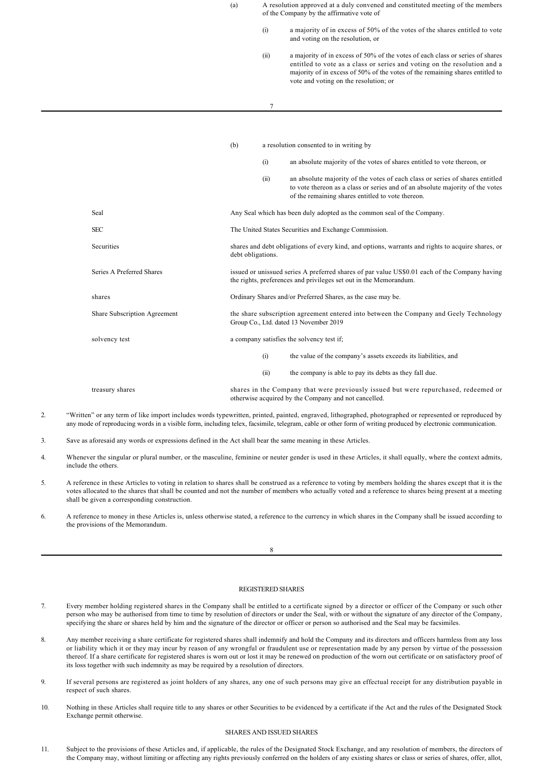(a) A resolution approved at a duly convened and constituted meeting of the members of the Company by the affirmative vote of

- (i) a majority of in excess of 50% of the votes of the shares entitled to vote and voting on the resolution, or
- (ii) a majority of in excess of 50% of the votes of each class or series of shares entitled to vote as a class or series and voting on the resolution and a majority of in excess of 50% of the votes of the remaining shares entitled to vote and voting on the resolution; or
	- 7

|                              | (b)<br>a resolution consented to in writing by                                                                                                                     |      |                                                                                                                                                                                                                    |
|------------------------------|--------------------------------------------------------------------------------------------------------------------------------------------------------------------|------|--------------------------------------------------------------------------------------------------------------------------------------------------------------------------------------------------------------------|
|                              |                                                                                                                                                                    | (i)  | an absolute majority of the votes of shares entitled to vote thereon, or                                                                                                                                           |
|                              |                                                                                                                                                                    | (ii) | an absolute majority of the votes of each class or series of shares entitled<br>to vote thereon as a class or series and of an absolute majority of the votes<br>of the remaining shares entitled to vote thereon. |
| Seal                         |                                                                                                                                                                    |      | Any Seal which has been duly adopted as the common seal of the Company.                                                                                                                                            |
| <b>SEC</b>                   | The United States Securities and Exchange Commission.                                                                                                              |      |                                                                                                                                                                                                                    |
| Securities                   | shares and debt obligations of every kind, and options, warrants and rights to acquire shares, or<br>debt obligations.                                             |      |                                                                                                                                                                                                                    |
| Series A Preferred Shares    | issued or unissued series A preferred shares of par value US\$0.01 each of the Company having<br>the rights, preferences and privileges set out in the Memorandum. |      |                                                                                                                                                                                                                    |
| shares                       |                                                                                                                                                                    |      | Ordinary Shares and/or Preferred Shares, as the case may be.                                                                                                                                                       |
| Share Subscription Agreement | the share subscription agreement entered into between the Company and Geely Technology<br>Group Co., Ltd. dated 13 November 2019                                   |      |                                                                                                                                                                                                                    |
| solvency test                |                                                                                                                                                                    |      | a company satisfies the solvency test if;                                                                                                                                                                          |
|                              |                                                                                                                                                                    | (i)  | the value of the company's assets exceeds its liabilities, and                                                                                                                                                     |
|                              |                                                                                                                                                                    | (ii) | the company is able to pay its debts as they fall due.                                                                                                                                                             |
| treasury shares              |                                                                                                                                                                    |      | shares in the Company that were previously issued but were repurchased, redeemed or                                                                                                                                |

otherwise acquired by the Company and not cancelled.

- 2. "Written" or any term of like import includes words typewritten, printed, painted, engraved, lithographed, photographed or represented or reproduced by any mode of reproducing words in a visible form, including telex, facsimile, telegram, cable or other form of writing produced by electronic communication.
- 3. Save as aforesaid any words or expressions defined in the Act shall bear the same meaning in these Articles.
- 4. Whenever the singular or plural number, or the masculine, feminine or neuter gender is used in these Articles, it shall equally, where the context admits, include the others.
- 5. A reference in these Articles to voting in relation to shares shall be construed as a reference to voting by members holding the shares except that it is the votes allocated to the shares that shall be counted and not the number of members who actually voted and a reference to shares being present at a meeting shall be given a corresponding construction.
- 6. A reference to money in these Articles is, unless otherwise stated, a reference to the currency in which shares in the Company shall be issued according to the provisions of the Memorandum.

8

# REGISTERED SHARES

- 7. Every member holding registered shares in the Company shall be entitled to a certificate signed by a director or officer of the Company or such other person who may be authorised from time to time by resolution of directors or under the Seal, with or without the signature of any director of the Company, specifying the share or shares held by him and the signature of the director or officer or person so authorised and the Seal may be facsimiles.
- 8. Any member receiving a share certificate for registered shares shall indemnify and hold the Company and its directors and officers harmless from any loss or liability which it or they may incur by reason of any wrongful or fraudulent use or representation made by any person by virtue of the possession thereof. If a share certificate for registered shares is worn out or lost it may be renewed on production of the worn out certificate or on satisfactory proof of its loss together with such indemnity as may be required by a resolution of directors.
- 9. If several persons are registered as joint holders of any shares, any one of such persons may give an effectual receipt for any distribution payable in respect of such shares.
- 10. Nothing in these Articles shall require title to any shares or other Securities to be evidenced by a certificate if the Act and the rules of the Designated Stock Exchange permit otherwise.

# SHARES AND ISSUED SHARES

11. Subject to the provisions of these Articles and, if applicable, the rules of the Designated Stock Exchange, and any resolution of members, the directors of the Company may, without limiting or affecting any rights previously conferred on the holders of any existing shares or class or series of shares, offer, allot,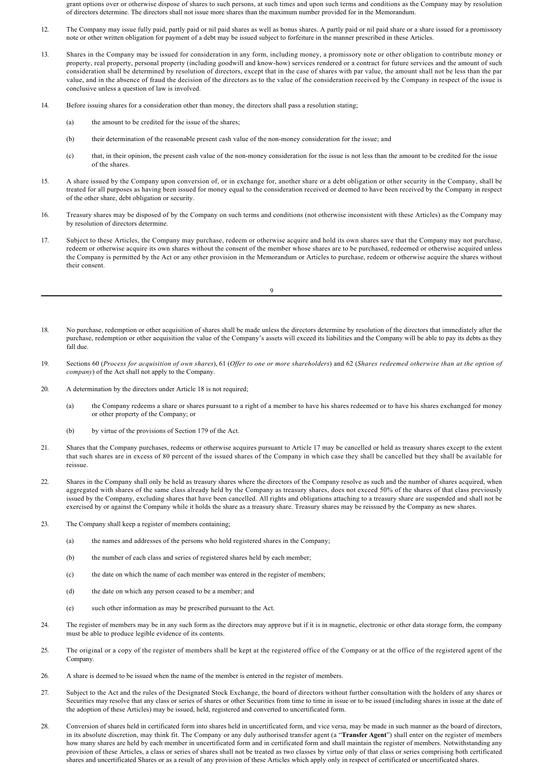- grant options over or otherwise dispose of shares to such persons, at such times and upon such terms and conditions as the Company may by resolution of directors determine. The directors shall not issue more shares than the maximum number provided for in the Memorandum.
- 12. The Company may issue fully paid, partly paid or nil paid shares as well as bonus shares. A partly paid or nil paid share or a share issued for a promissory note or other written obligation for payment of a debt may be issued subject to forfeiture in the manner prescribed in these Articles.
- 13. Shares in the Company may be issued for consideration in any form, including money, a promissory note or other obligation to contribute money or property, real property, personal property (including goodwill and know-how) services rendered or a contract for future services and the amount of such consideration shall be determined by resolution of directors, except that in the case of shares with par value, the amount shall not be less than the par value, and in the absence of fraud the decision of the directors as to the value of the consideration received by the Company in respect of the issue is conclusive unless a question of law is involved.
- 14. Before issuing shares for a consideration other than money, the directors shall pass a resolution stating;
	- (a) the amount to be credited for the issue of the shares;
	- (b) their determination of the reasonable present cash value of the non-money consideration for the issue; and
	- (c) that, in their opinion, the present cash value of the non-money consideration for the issue is not less than the amount to be credited for the issue of the shares.
- 15. A share issued by the Company upon conversion of, or in exchange for, another share or a debt obligation or other security in the Company, shall be treated for all purposes as having been issued for money equal to the consideration received or deemed to have been received by the Company in respect of the other share, debt obligation or security.
- 16. Treasury shares may be disposed of by the Company on such terms and conditions (not otherwise inconsistent with these Articles) as the Company may by resolution of directors determine.
- 17. Subject to these Articles, the Company may purchase, redeem or otherwise acquire and hold its own shares save that the Company may not purchase, redeem or otherwise acquire its own shares without the consent of the member whose shares are to be purchased, redeemed or otherwise acquired unless the Company is permitted by the Act or any other provision in the Memorandum or Articles to purchase, redeem or otherwise acquire the shares without their consent.

- 18. No purchase, redemption or other acquisition of shares shall be made unless the directors determine by resolution of the directors that immediately after the purchase, redemption or other acquisition the value of the Company's assets will exceed its liabilities and the Company will be able to pay its debts as they fall due.
- 19. Sections 60 (*Process for acquisition of own shares*), 61 (*Offer to one or more shareholders*) and 62 (*Shares redeemed otherwise than at the option of company*) of the Act shall not apply to the Company.
- 20. A determination by the directors under Article 18 is not required;
	- (a) the Company redeems a share or shares pursuant to a right of a member to have his shares redeemed or to have his shares exchanged for money or other property of the Company; or
	- (b) by virtue of the provisions of Section 179 of the Act.
- 21. Shares that the Company purchases, redeems or otherwise acquires pursuant to Article 17 may be cancelled or held as treasury shares except to the extent that such shares are in excess of 80 percent of the issued shares of the Company in which case they shall be cancelled but they shall be available for reissue.
- 22. Shares in the Company shall only be held as treasury shares where the directors of the Company resolve as such and the number of shares acquired, when aggregated with shares of the same class already held by the Company as treasury shares, does not exceed 50% of the shares of that class previously issued by the Company, excluding shares that have been cancelled. All rights and obligations attaching to a treasury share are suspended and shall not be exercised by or against the Company while it holds the share as a treasury share. Treasury shares may be reissued by the Company as new shares.
- 23. The Company shall keep a register of members containing;
	- (a) the names and addresses of the persons who hold registered shares in the Company;
	- (b) the number of each class and series of registered shares held by each member;
	- (c) the date on which the name of each member was entered in the register of members;
	- (d) the date on which any person ceased to be a member; and
	- (e) such other information as may be prescribed pursuant to the Act.
- 24. The register of members may be in any such form as the directors may approve but if it is in magnetic, electronic or other data storage form, the company must be able to produce legible evidence of its contents.
- 25. The original or a copy of the register of members shall be kept at the registered office of the Company or at the office of the registered agent of the Company.
- 26. A share is deemed to be issued when the name of the member is entered in the register of members.
- 27. Subject to the Act and the rules of the Designated Stock Exchange, the board of directors without further consultation with the holders of any shares or Securities may resolve that any class or series of shares or other Securities from time to time in issue or to be issued (including shares in issue at the date of the adoption of these Articles) may be issued, held, registered and converted to uncertificated form.
- 28. Conversion of shares held in certificated form into shares held in uncertificated form, and vice versa, may be made in such manner as the board of directors, in its absolute discretion, may think fit. The Company or any duly authorised transfer agent (a "**Transfer Agent**") shall enter on the register of members how many shares are held by each member in uncertificated form and in certificated form and shall maintain the register of members. Notwithstanding any provision of these Articles, a class or series of shares shall not be treated as two classes by virtue only of that class or series comprising both certificated shares and uncertificated Shares or as a result of any provision of these Articles which apply only in respect of certificated or uncertificated shares.

 $\overline{9}$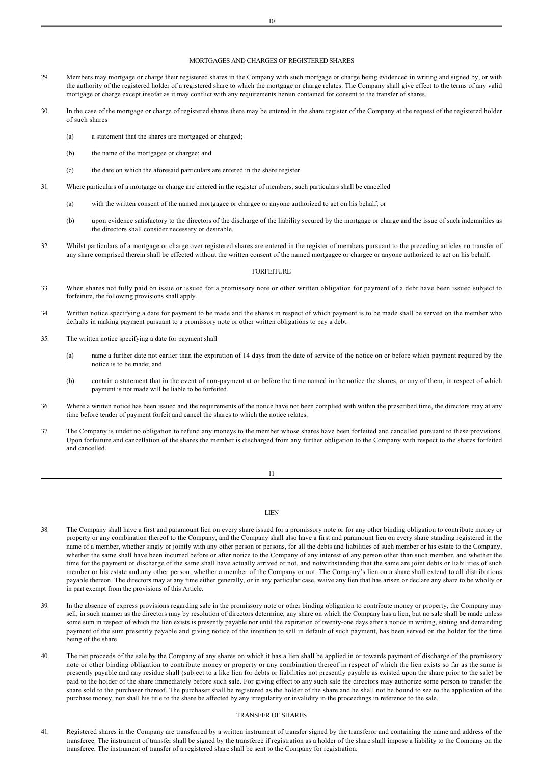#### MORTGAGES AND CHARGES OF REGISTERED SHARES

- 29. Members may mortgage or charge their registered shares in the Company with such mortgage or charge being evidenced in writing and signed by, or with the authority of the registered holder of a registered share to which the mortgage or charge relates. The Company shall give effect to the terms of any valid mortgage or charge except insofar as it may conflict with any requirements herein contained for consent to the transfer of shares.
- 30. In the case of the mortgage or charge of registered shares there may be entered in the share register of the Company at the request of the registered holder of such shares
	- (a) a statement that the shares are mortgaged or charged;
	- (b) the name of the mortgagee or chargee; and
	- (c) the date on which the aforesaid particulars are entered in the share register.
- 31. Where particulars of a mortgage or charge are entered in the register of members, such particulars shall be cancelled
	- (a) with the written consent of the named mortgagee or chargee or anyone authorized to act on his behalf; or
	- (b) upon evidence satisfactory to the directors of the discharge of the liability secured by the mortgage or charge and the issue of such indemnities as the directors shall consider necessary or desirable.
- 32. Whilst particulars of a mortgage or charge over registered shares are entered in the register of members pursuant to the preceding articles no transfer of any share comprised therein shall be effected without the written consent of the named mortgagee or chargee or anyone authorized to act on his behalf.

### **FORFEITURE**

- 33. When shares not fully paid on issue or issued for a promissory note or other written obligation for payment of a debt have been issued subject to forfeiture, the following provisions shall apply.
- 34. Written notice specifying a date for payment to be made and the shares in respect of which payment is to be made shall be served on the member who defaults in making payment pursuant to a promissory note or other written obligations to pay a debt.
- 35. The written notice specifying a date for payment shall
	- (a) name a further date not earlier than the expiration of 14 days from the date of service of the notice on or before which payment required by the notice is to be made; and
	- (b) contain a statement that in the event of non-payment at or before the time named in the notice the shares, or any of them, in respect of which payment is not made will be liable to be forfeited.
- 36. Where a written notice has been issued and the requirements of the notice have not been complied with within the prescribed time, the directors may at any time before tender of payment forfeit and cancel the shares to which the notice relates.
- 37. The Company is under no obligation to refund any moneys to the member whose shares have been forfeited and cancelled pursuant to these provisions. Upon forfeiture and cancellation of the shares the member is discharged from any further obligation to the Company with respect to the shares forfeited and cancelled.

11

# LIEN

- 38. The Company shall have a first and paramount lien on every share issued for a promissory note or for any other binding obligation to contribute money or property or any combination thereof to the Company, and the Company shall also have a first and paramount lien on every share standing registered in the name of a member, whether singly or jointly with any other person or persons, for all the debts and liabilities of such member or his estate to the Company, whether the same shall have been incurred before or after notice to the Company of any interest of any person other than such member, and whether the time for the payment or discharge of the same shall have actually arrived or not, and notwithstanding that the same are joint debts or liabilities of such member or his estate and any other person, whether a member of the Company or not. The Company's lien on a share shall extend to all distributions payable thereon. The directors may at any time either generally, or in any particular case, waive any lien that has arisen or declare any share to be wholly or in part exempt from the provisions of this Article.
- 39. In the absence of express provisions regarding sale in the promissory note or other binding obligation to contribute money or property, the Company may sell, in such manner as the directors may by resolution of directors determine, any share on which the Company has a lien, but no sale shall be made unless some sum in respect of which the lien exists is presently payable nor until the expiration of twenty-one days after a notice in writing, stating and demanding payment of the sum presently payable and giving notice of the intention to sell in default of such payment, has been served on the holder for the time being of the share.
- 40. The net proceeds of the sale by the Company of any shares on which it has a lien shall be applied in or towards payment of discharge of the promissory note or other binding obligation to contribute money or property or any combination thereof in respect of which the lien exists so far as the same is presently payable and any residue shall (subject to a like lien for debts or liabilities not presently payable as existed upon the share prior to the sale) be paid to the holder of the share immediately before such sale. For giving effect to any such sale the directors may authorize some person to transfer the share sold to the purchaser thereof. The purchaser shall be registered as the holder of the share and he shall not be bound to see to the application of the purchase money, nor shall his title to the share be affected by any irregularity or invalidity in the proceedings in reference to the sale.

### TRANSFER OF SHARES

41. Registered shares in the Company are transferred by a written instrument of transfer signed by the transferor and containing the name and address of the transferee. The instrument of transfer shall be signed by the transferee if registration as a holder of the share shall impose a liability to the Company on the transferee. The instrument of transfer of a registered share shall be sent to the Company for registration.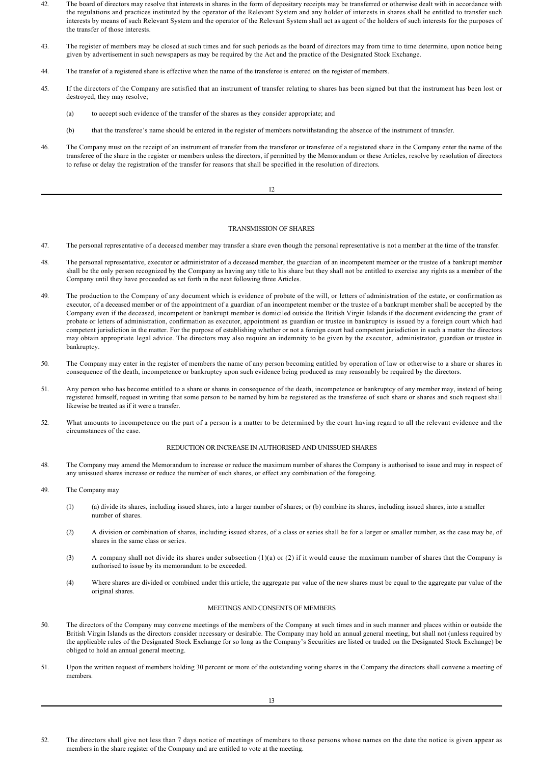- 42. The board of directors may resolve that interests in shares in the form of depositary receipts may be transferred or otherwise dealt with in accordance with the regulations and practices instituted by the operator of the Relevant System and any holder of interests in shares shall be entitled to transfer such interests by means of such Relevant System and the operator of the Relevant System shall act as agent of the holders of such interests for the purposes of the transfer of those interests.
- 43. The register of members may be closed at such times and for such periods as the board of directors may from time to time determine, upon notice being given by advertisement in such newspapers as may be required by the Act and the practice of the Designated Stock Exchange.
- 44. The transfer of a registered share is effective when the name of the transferee is entered on the register of members.
- 45. If the directors of the Company are satisfied that an instrument of transfer relating to shares has been signed but that the instrument has been lost or destroyed, they may resolve;
	- (a) to accept such evidence of the transfer of the shares as they consider appropriate; and
	- (b) that the transferee's name should be entered in the register of members notwithstanding the absence of the instrument of transfer.
- 46. The Company must on the receipt of an instrument of transfer from the transferor or transferee of a registered share in the Company enter the name of the transferee of the share in the register or members unless the directors, if permitted by the Memorandum or these Articles, resolve by resolution of directors to refuse or delay the registration of the transfer for reasons that shall be specified in the resolution of directors.

#### 12

#### TRANSMISSION OF SHARES

- 47. The personal representative of a deceased member may transfer a share even though the personal representative is not a member at the time of the transfer.
- 48. The personal representative, executor or administrator of a deceased member, the guardian of an incompetent member or the trustee of a bankrupt member shall be the only person recognized by the Company as having any title to his share but they shall not be entitled to exercise any rights as a member of the Company until they have proceeded as set forth in the next following three Articles.
- 49. The production to the Company of any document which is evidence of probate of the will, or letters of administration of the estate, or confirmation as executor, of a deceased member or of the appointment of a guardian of an incompetent member or the trustee of a bankrupt member shall be accepted by the Company even if the deceased, incompetent or bankrupt member is domiciled outside the British Virgin Islands if the document evidencing the grant of probate or letters of administration, confirmation as executor, appointment as guardian or trustee in bankruptcy is issued by a foreign court which had competent jurisdiction in the matter. For the purpose of establishing whether or not a foreign court had competent jurisdiction in such a matter the directors may obtain appropriate legal advice. The directors may also require an indemnity to be given by the executor, administrator, guardian or trustee in bankruptcy.
- 50. The Company may enter in the register of members the name of any person becoming entitled by operation of law or otherwise to a share or shares in consequence of the death, incompetence or bankruptcy upon such evidence being produced as may reasonably be required by the directors.
- 51. Any person who has become entitled to a share or shares in consequence of the death, incompetence or bankruptcy of any member may, instead of being registered himself, request in writing that some person to be named by him be registered as the transferee of such share or shares and such request shall likewise be treated as if it were a transfer.
- 52. What amounts to incompetence on the part of a person is a matter to be determined by the court having regard to all the relevant evidence and the circumstances of the case.

### REDUCTION OR INCREASE IN AUTHORISED AND UNISSUED SHARES

- 48. The Company may amend the Memorandum to increase or reduce the maximum number of shares the Company is authorised to issue and may in respect of any unissued shares increase or reduce the number of such shares, or effect any combination of the foregoing.
- 49. The Company may
	- (1) (a) divide its shares, including issued shares, into a larger number of shares; or (b) combine its shares, including issued shares, into a smaller number of shares.
	- (2) A division or combination of shares, including issued shares, of a class or series shall be for a larger or smaller number, as the case may be, of shares in the same class or series.
	- (3) A company shall not divide its shares under subsection (1)(a) or (2) if it would cause the maximum number of shares that the Company is authorised to issue by its memorandum to be exceeded.
	- (4) Where shares are divided or combined under this article, the aggregate par value of the new shares must be equal to the aggregate par value of the original shares.

#### MEETINGS AND CONSENTS OF MEMBERS

- 50. The directors of the Company may convene meetings of the members of the Company at such times and in such manner and places within or outside the British Virgin Islands as the directors consider necessary or desirable. The Company may hold an annual general meeting, but shall not (unless required by the applicable rules of the Designated Stock Exchange for so long as the Company's Securities are listed or traded on the Designated Stock Exchange) be obliged to hold an annual general meeting.
- 51. Upon the written request of members holding 30 percent or more of the outstanding voting shares in the Company the directors shall convene a meeting of members.

<sup>52.</sup> The directors shall give not less than 7 days notice of meetings of members to those persons whose names on the date the notice is given appear as members in the share register of the Company and are entitled to vote at the meeting.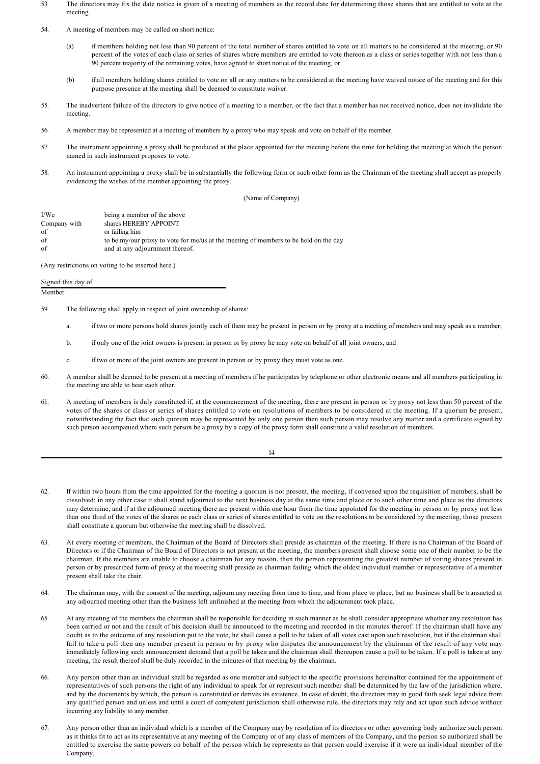- 53. The directors may fix the date notice is given of a meeting of members as the record date for determining those shares that are entitled to vote at the meeting.
- 54. A meeting of members may be called on short notice:
	- (a) if members holding not less than 90 percent of the total number of shares entitled to vote on all matters to be considered at the meeting, or 90 percent of the votes of each class or series of shares where members are entitled to vote thereon as a class or series together with not less than a 90 percent majority of the remaining votes, have agreed to short notice of the meeting, or
	- (b) if all members holding shares entitled to vote on all or any matters to be considered at the meeting have waived notice of the meeting and for this purpose presence at the meeting shall be deemed to constitute waiver.
- 55. The inadvertent failure of the directors to give notice of a meeting to a member, or the fact that a member has not received notice, does not invalidate the meeting.
- 56. A member may be represented at a meeting of members by a proxy who may speak and vote on behalf of the member.
- 57. The instrument appointing a proxy shall be produced at the place appointed for the meeting before the time for holding the meeting at which the person named in such instrument proposes to vote.
- 58. An instrument appointing a proxy shall be in substantially the following form or such other form as the Chairman of the meeting shall accept as properly evidencing the wishes of the member appointing the proxy.

(Name of Company)

| I/We         | being a member of the above                                                          |
|--------------|--------------------------------------------------------------------------------------|
| Company with | shares HEREBY APPOINT                                                                |
| of           | or failing him                                                                       |
| of           | to be my/our proxy to vote for me/us at the meeting of members to be held on the day |
| of           | and at any adjournment thereof.                                                      |

(Any restrictions on voting to be inserted here.)

### Signed this day of

Member

59. The following shall apply in respect of joint ownership of shares:

- a. if two or more persons hold shares jointly each of them may be present in person or by proxy at a meeting of members and may speak as a member;
- b. if only one of the joint owners is present in person or by proxy he may vote on behalf of all joint owners, and
- c. if two or more of the joint owners are present in person or by proxy they must vote as one.
- 60. A member shall be deemed to be present at a meeting of members if he participates by telephone or other electronic means and all members participating in the meeting are able to hear each other.
- 61. A meeting of members is duly constituted if, at the commencement of the meeting, there are present in person or by proxy not less than 50 percent of the votes of the shares or class or series of shares entitled to vote on resolutions of members to be considered at the meeting. If a quorum be present, notwithstanding the fact that such quorum may be represented by only one person then such person may resolve any matter and a certificate signed by such person accompanied where such person be a proxy by a copy of the proxy form shall constitute a valid resolution of members.

14

- 62. If within two hours from the time appointed for the meeting a quorum is not present, the meeting, if convened upon the requisition of members, shall be dissolved; in any other case it shall stand adjourned to the next business day at the same time and place or to such other time and place as the directors may determine, and if at the adjourned meeting there are present within one hour from the time appointed for the meeting in person or by proxy not less than one third of the votes of the shares or each class or series of shares entitled to vote on the resolutions to be considered by the meeting, those present shall constitute a quorum but otherwise the meeting shall be dissolved.
- 63. At every meeting of members, the Chairman of the Board of Directors shall preside as chairman of the meeting. If there is no Chairman of the Board of Directors or if the Chairman of the Board of Directors is not present at the meeting, the members present shall choose some one of their number to be the chairman. If the members are unable to choose a chairman for any reason, then the person representing the greatest number of voting shares present in person or by prescribed form of proxy at the meeting shall preside as chairman failing which the oldest individual member or representative of a member present shall take the chair.
- 64. The chairman may, with the consent of the meeting, adjourn any meeting from time to time, and from place to place, but no business shall be transacted at any adjourned meeting other than the business left unfinished at the meeting from which the adjournment took place.
- 65. At any meeting of the members the chairman shall be responsible for deciding in such manner as he shall consider appropriate whether any resolution has been carried or not and the result of his decision shall be announced to the meeting and recorded in the minutes thereof. If the chairman shall have any doubt as to the outcome of any resolution put to the vote, he shall cause a poll to be taken of all votes cast upon such resolution, but if the chairman shall fail to take a poll then any member present in person or by proxy who disputes the announcement by the chairman of the result of any vote may immediately following such announcement demand that a poll be taken and the chairman shall thereupon cause a poll to be taken. If a poll is taken at any meeting, the result thereof shall be duly recorded in the minutes of that meeting by the chairman.
- 66. Any person other than an individual shall be regarded as one member and subject to the specific provisions hereinafter contained for the appointment of representatives of such persons the right of any individual to speak for or represent such member shall be determined by the law of the jurisdiction where, and by the documents by which, the person is constituted or derives its existence. In case of doubt, the directors may in good faith seek legal advice from any qualified person and unless and until a court of competent jurisdiction shall otherwise rule, the directors may rely and act upon such advice without incurring any liability to any member.
- 67. Any person other than an individual which is a member of the Company may by resolution of its directors or other governing body authorize such person as it thinks fit to act as its representative at any meeting of the Company or of any class of members of the Company, and the person so authorized shall be entitled to exercise the same powers on behalf of the person which he represents as that person could exercise if it were an individual member of the Company.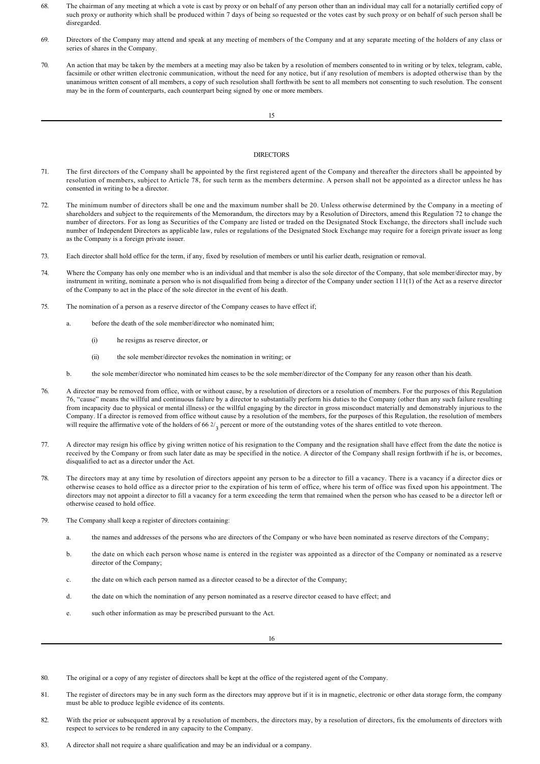- 68. The chairman of any meeting at which a vote is cast by proxy or on behalf of any person other than an individual may call for a notarially certified copy of such proxy or authority which shall be produced within 7 days of being so requested or the votes cast by such proxy or on behalf of such person shall be disregarded.
- 69. Directors of the Company may attend and speak at any meeting of members of the Company and at any separate meeting of the holders of any class or series of shares in the Company.
- 70. An action that may be taken by the members at a meeting may also be taken by a resolution of members consented to in writing or by telex, telegram, cable, facsimile or other written electronic communication, without the need for any notice, but if any resolution of members is adopted otherwise than by the unanimous written consent of all members, a copy of such resolution shall forthwith be sent to all members not consenting to such resolution. The consent may be in the form of counterparts, each counterpart being signed by one or more members.

### **DIRECTORS**

- 71. The first directors of the Company shall be appointed by the first registered agent of the Company and thereafter the directors shall be appointed by resolution of members, subject to Article 78, for such term as the members determine. A person shall not be appointed as a director unless he has consented in writing to be a director.
- 72. The minimum number of directors shall be one and the maximum number shall be 20. Unless otherwise determined by the Company in a meeting of shareholders and subject to the requirements of the Memorandum, the directors may by a Resolution of Directors, amend this Regulation 72 to change the number of directors. For as long as Securities of the Company are listed or traded on the Designated Stock Exchange, the directors shall include such number of Independent Directors as applicable law, rules or regulations of the Designated Stock Exchange may require for a foreign private issuer as long as the Company is a foreign private issuer.
- 73. Each director shall hold office for the term, if any, fixed by resolution of members or until his earlier death, resignation or removal.
- 74. Where the Company has only one member who is an individual and that member is also the sole director of the Company, that sole member/director may, by instrument in writing, nominate a person who is not disqualified from being a director of the Company under section 111(1) of the Act as a reserve director of the Company to act in the place of the sole director in the event of his death.
- 75. The nomination of a person as a reserve director of the Company ceases to have effect if;
	- a. before the death of the sole member/director who nominated him;
		- (i) he resigns as reserve director, or
		- (ii) the sole member/director revokes the nomination in writing; or
	- b. the sole member/director who nominated him ceases to be the sole member/director of the Company for any reason other than his death.
- 76. A director may be removed from office, with or without cause, by a resolution of directors or a resolution of members. For the purposes of this Regulation 76, "cause" means the willful and continuous failure by a director to substantially perform his duties to the Company (other than any such failure resulting from incapacity due to physical or mental illness) or the willful engaging by the director in gross misconduct materially and demonstrably injurious to the Company. If a director is removed from office without cause by a resolution of the members, for the purposes of this Regulation, the resolution of members will require the affirmative vote of the holders of 66  $2/\text{s}$  percent or more of the outstanding votes of the shares entitled to vote thereon.
- 77. A director may resign his office by giving written notice of his resignation to the Company and the resignation shall have effect from the date the notice is received by the Company or from such later date as may be specified in the notice. A director of the Company shall resign forthwith if he is, or becomes, disqualified to act as a director under the Act.
- 78. The directors may at any time by resolution of directors appoint any person to be a director to fill a vacancy. There is a vacancy if a director dies or otherwise ceases to hold office as a director prior to the expiration of his term of office, where his term of office was fixed upon his appointment. The directors may not appoint a director to fill a vacancy for a term exceeding the term that remained when the person who has ceased to be a director left or otherwise ceased to hold office.
- 79. The Company shall keep a register of directors containing:
	- a. the names and addresses of the persons who are directors of the Company or who have been nominated as reserve directors of the Company;
	- b. the date on which each person whose name is entered in the register was appointed as a director of the Company or nominated as a reserve director of the Company;
	- c. the date on which each person named as a director ceased to be a director of the Company;
	- d. the date on which the nomination of any person nominated as a reserve director ceased to have effect; and
	- e. such other information as may be prescribed pursuant to the Act.

- 80. The original or a copy of any register of directors shall be kept at the office of the registered agent of the Company.
- 81. The register of directors may be in any such form as the directors may approve but if it is in magnetic, electronic or other data storage form, the company must be able to produce legible evidence of its contents.
- 82. With the prior or subsequent approval by a resolution of members, the directors may, by a resolution of directors, fix the emoluments of directors with respect to services to be rendered in any capacity to the Company.
- 83. A director shall not require a share qualification and may be an individual or a company.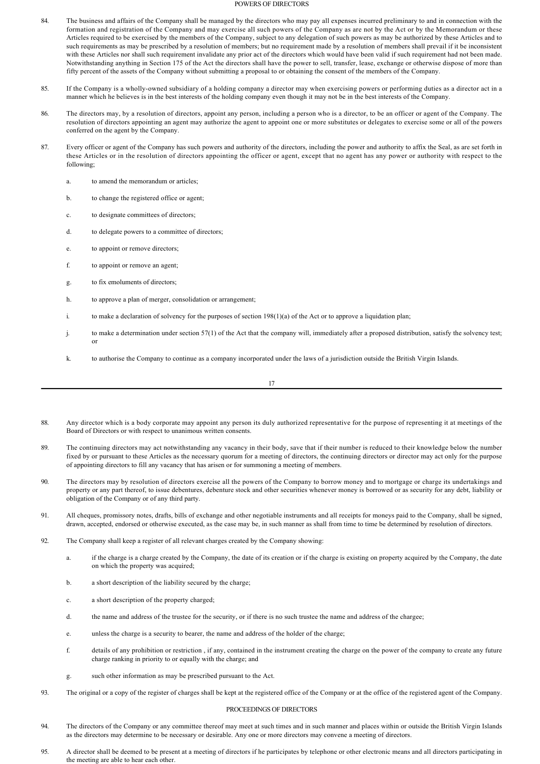### POWERS OF DIRECTORS

- 84. The business and affairs of the Company shall be managed by the directors who may pay all expenses incurred preliminary to and in connection with the formation and registration of the Company and may exercise all such powers of the Company as are not by the Act or by the Memorandum or these Articles required to be exercised by the members of the Company, subject to any delegation of such powers as may be authorized by these Articles and to such requirements as may be prescribed by a resolution of members; but no requirement made by a resolution of members shall prevail if it be inconsistent with these Articles nor shall such requirement invalidate any prior act of the directors which would have been valid if such requirement had not been made. Notwithstanding anything in Section 175 of the Act the directors shall have the power to sell, transfer, lease, exchange or otherwise dispose of more than fifty percent of the assets of the Company without submitting a proposal to or obtaining the consent of the members of the Company.
- 85. If the Company is a wholly-owned subsidiary of a holding company a director may when exercising powers or performing duties as a director act in a manner which he believes is in the best interests of the holding company even though it may not be in the best interests of the Company.
- 86. The directors may, by a resolution of directors, appoint any person, including a person who is a director, to be an officer or agent of the Company. The resolution of directors appointing an agent may authorize the agent to appoint one or more substitutes or delegates to exercise some or all of the powers conferred on the agent by the Company.
- 87. Every officer or agent of the Company has such powers and authority of the directors, including the power and authority to affix the Seal, as are set forth in these Articles or in the resolution of directors appointing the officer or agent, except that no agent has any power or authority with respect to the following;
	- a. to amend the memorandum or articles;
	- b. to change the registered office or agent;
	- c. to designate committees of directors;
	- d. to delegate powers to a committee of directors;
	- e. to appoint or remove directors;
	- f. to appoint or remove an agent;
	- g. to fix emoluments of directors;
	- h. to approve a plan of merger, consolidation or arrangement;
	- i. to make a declaration of solvency for the purposes of section 198(1)(a) of the Act or to approve a liquidation plan;
	- j. to make a determination under section 57(1) of the Act that the company will, immediately after a proposed distribution, satisfy the solvency test; or
	- k. to authorise the Company to continue as a company incorporated under the laws of a jurisdiction outside the British Virgin Islands.

17

- 88. Any director which is a body corporate may appoint any person its duly authorized representative for the purpose of representing it at meetings of the Board of Directors or with respect to unanimous written consents.
- 89. The continuing directors may act notwithstanding any vacancy in their body, save that if their number is reduced to their knowledge below the number fixed by or pursuant to these Articles as the necessary quorum for a meeting of directors, the continuing directors or director may act only for the purpose of appointing directors to fill any vacancy that has arisen or for summoning a meeting of members.
- 90. The directors may by resolution of directors exercise all the powers of the Company to borrow money and to mortgage or charge its undertakings and property or any part thereof, to issue debentures, debenture stock and other securities whenever money is borrowed or as security for any debt, liability or obligation of the Company or of any third party.
- 91. All cheques, promissory notes, drafts, bills of exchange and other negotiable instruments and all receipts for moneys paid to the Company, shall be signed, drawn, accepted, endorsed or otherwise executed, as the case may be, in such manner as shall from time to time be determined by resolution of directors.
- 92. The Company shall keep a register of all relevant charges created by the Company showing:
	- a. if the charge is a charge created by the Company, the date of its creation or if the charge is existing on property acquired by the Company, the date on which the property was acquired;
	- b. a short description of the liability secured by the charge;
	- c. a short description of the property charged;
	- d. the name and address of the trustee for the security, or if there is no such trustee the name and address of the chargee;
	- e. unless the charge is a security to bearer, the name and address of the holder of the charge;
	- f. details of any prohibition or restriction , if any, contained in the instrument creating the charge on the power of the company to create any future charge ranking in priority to or equally with the charge; and
	- g. such other information as may be prescribed pursuant to the Act.
- 93. The original or a copy of the register of charges shall be kept at the registered office of the Company or at the office of the registered agent of the Company.

#### PROCEEDINGS OF DIRECTORS

- 94. The directors of the Company or any committee thereof may meet at such times and in such manner and places within or outside the British Virgin Islands as the directors may determine to be necessary or desirable. Any one or more directors may convene a meeting of directors.
- 95. A director shall be deemed to be present at a meeting of directors if he participates by telephone or other electronic means and all directors participating in the meeting are able to hear each other.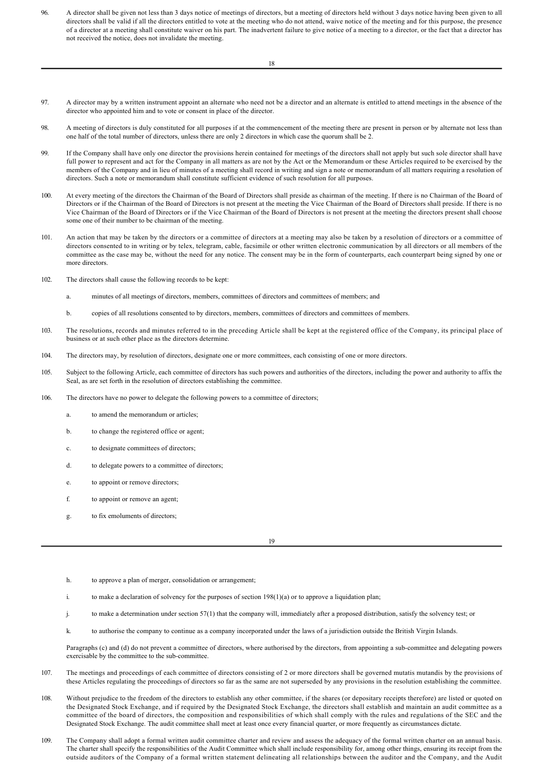96. A director shall be given not less than 3 days notice of meetings of directors, but a meeting of directors held without 3 days notice having been given to all directors shall be valid if all the directors entitled to vote at the meeting who do not attend, waive notice of the meeting and for this purpose, the presence of a director at a meeting shall constitute waiver on his part. The inadvertent failure to give notice of a meeting to a director, or the fact that a director has not received the notice, does not invalidate the meeting.

- 97. A director may by a written instrument appoint an alternate who need not be a director and an alternate is entitled to attend meetings in the absence of the director who appointed him and to vote or consent in place of the director.
- 98. A meeting of directors is duly constituted for all purposes if at the commencement of the meeting there are present in person or by alternate not less than one half of the total number of directors, unless there are only 2 directors in which case the quorum shall be 2.
- 99. If the Company shall have only one director the provisions herein contained for meetings of the directors shall not apply but such sole director shall have full power to represent and act for the Company in all matters as are not by the Act or the Memorandum or these Articles required to be exercised by the members of the Company and in lieu of minutes of a meeting shall record in writing and sign a note or memorandum of all matters requiring a resolution of directors. Such a note or memorandum shall constitute sufficient evidence of such resolution for all purposes.
- 100. At every meeting of the directors the Chairman of the Board of Directors shall preside as chairman of the meeting. If there is no Chairman of the Board of Directors or if the Chairman of the Board of Directors is not present at the meeting the Vice Chairman of the Board of Directors shall preside. If there is no Vice Chairman of the Board of Directors or if the Vice Chairman of the Board of Directors is not present at the meeting the directors present shall choose some one of their number to be chairman of the meeting.
- 101. An action that may be taken by the directors or a committee of directors at a meeting may also be taken by a resolution of directors or a committee of directors consented to in writing or by telex, telegram, cable, facsimile or other written electronic communication by all directors or all members of the committee as the case may be, without the need for any notice. The consent may be in the form of counterparts, each counterpart being signed by one or more directors.
- 102. The directors shall cause the following records to be kept:
	- a. minutes of all meetings of directors, members, committees of directors and committees of members; and
	- b. copies of all resolutions consented to by directors, members, committees of directors and committees of members.
- 103. The resolutions, records and minutes referred to in the preceding Article shall be kept at the registered office of the Company, its principal place of business or at such other place as the directors determine.
- 104. The directors may, by resolution of directors, designate one or more committees, each consisting of one or more directors.
- 105. Subject to the following Article, each committee of directors has such powers and authorities of the directors, including the power and authority to affix the Seal, as are set forth in the resolution of directors establishing the committee.
- 106. The directors have no power to delegate the following powers to a committee of directors;
	- a. to amend the memorandum or articles;
	- b. to change the registered office or agent;
	- c. to designate committees of directors;
	- d. to delegate powers to a committee of directors;
	- e. to appoint or remove directors;
	- f. to appoint or remove an agent;
	- g. to fix emoluments of directors;

19

- h. to approve a plan of merger, consolidation or arrangement;
- i. to make a declaration of solvency for the purposes of section 198(1)(a) or to approve a liquidation plan;
- j. to make a determination under section 57(1) that the company will, immediately after a proposed distribution, satisfy the solvency test; or
- k. to authorise the company to continue as a company incorporated under the laws of a jurisdiction outside the British Virgin Islands.

Paragraphs (c) and (d) do not prevent a committee of directors, where authorised by the directors, from appointing a sub-committee and delegating powers exercisable by the committee to the sub-committee.

- 107. The meetings and proceedings of each committee of directors consisting of 2 or more directors shall be governed mutatis mutandis by the provisions of these Articles regulating the proceedings of directors so far as the same are not superseded by any provisions in the resolution establishing the committee.
- 108. Without prejudice to the freedom of the directors to establish any other committee, if the shares (or depositary receipts therefore) are listed or quoted on the Designated Stock Exchange, and if required by the Designated Stock Exchange, the directors shall establish and maintain an audit committee as a committee of the board of directors, the composition and responsibilities of which shall comply with the rules and regulations of the SEC and the Designated Stock Exchange. The audit committee shall meet at least once every financial quarter, or more frequently as circumstances dictate.
- 109. The Company shall adopt a formal written audit committee charter and review and assess the adequacy of the formal written charter on an annual basis. The charter shall specify the responsibilities of the Audit Committee which shall include responsibility for, among other things, ensuring its receipt from the outside auditors of the Company of a formal written statement delineating all relationships between the auditor and the Company, and the Audit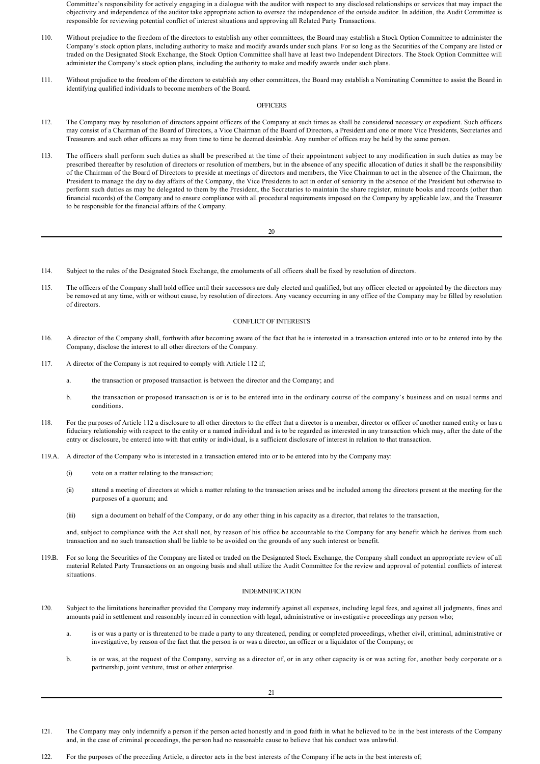Committee's responsibility for actively engaging in a dialogue with the auditor with respect to any disclosed relationships or services that may impact the objectivity and independence of the auditor take appropriate action to oversee the independence of the outside auditor. In addition, the Audit Committee is responsible for reviewing potential conflict of interest situations and approving all Related Party Transactions.

- 110. Without prejudice to the freedom of the directors to establish any other committees, the Board may establish a Stock Option Committee to administer the Company's stock option plans, including authority to make and modify awards under such plans. For so long as the Securities of the Company are listed or traded on the Designated Stock Exchange, the Stock Option Committee shall have at least two Independent Directors. The Stock Option Committee will administer the Company's stock option plans, including the authority to make and modify awards under such plans.
- 111. Without prejudice to the freedom of the directors to establish any other committees, the Board may establish a Nominating Committee to assist the Board in identifying qualified individuals to become members of the Board.

## **OFFICERS**

- 112. The Company may by resolution of directors appoint officers of the Company at such times as shall be considered necessary or expedient. Such officers may consist of a Chairman of the Board of Directors, a Vice Chairman of the Board of Directors, a President and one or more Vice Presidents, Secretaries and Treasurers and such other officers as may from time to time be deemed desirable. Any number of offices may be held by the same person.
- 113. The officers shall perform such duties as shall be prescribed at the time of their appointment subject to any modification in such duties as may be prescribed thereafter by resolution of directors or resolution of members, but in the absence of any specific allocation of duties it shall be the responsibility of the Chairman of the Board of Directors to preside at meetings of directors and members, the Vice Chairman to act in the absence of the Chairman, the President to manage the day to day affairs of the Company, the Vice Presidents to act in order of seniority in the absence of the President but otherwise to perform such duties as may be delegated to them by the President, the Secretaries to maintain the share register, minute books and records (other than financial records) of the Company and to ensure compliance with all procedural requirements imposed on the Company by applicable law, and the Treasurer to be responsible for the financial affairs of the Company.

- 114. Subject to the rules of the Designated Stock Exchange, the emoluments of all officers shall be fixed by resolution of directors.
- 115. The officers of the Company shall hold office until their successors are duly elected and qualified, but any officer elected or appointed by the directors may be removed at any time, with or without cause, by resolution of directors. Any vacancy occurring in any office of the Company may be filled by resolution of directors.

## CONFLICT OF INTERESTS

- 116. A director of the Company shall, forthwith after becoming aware of the fact that he is interested in a transaction entered into or to be entered into by the Company, disclose the interest to all other directors of the Company.
- 117. A director of the Company is not required to comply with Article 112 if;
	- a. the transaction or proposed transaction is between the director and the Company; and
	- b. the transaction or proposed transaction is or is to be entered into in the ordinary course of the company's business and on usual terms and conditions.
- 118. For the purposes of Article 112 a disclosure to all other directors to the effect that a director is a member, director or officer of another named entity or has a fiduciary relationship with respect to the entity or a named individual and is to be regarded as interested in any transaction which may, after the date of the entry or disclosure, be entered into with that entity or individual, is a sufficient disclosure of interest in relation to that transaction.
- 119.A. A director of the Company who is interested in a transaction entered into or to be entered into by the Company may:
	- (i) vote on a matter relating to the transaction;
	- (ii) attend a meeting of directors at which a matter relating to the transaction arises and be included among the directors present at the meeting for the purposes of a quorum; and
	- (iii) sign a document on behalf of the Company, or do any other thing in his capacity as a director, that relates to the transaction,

and, subject to compliance with the Act shall not, by reason of his office be accountable to the Company for any benefit which he derives from such transaction and no such transaction shall be liable to be avoided on the grounds of any such interest or benefit.

119.B. For so long the Securities of the Company are listed or traded on the Designated Stock Exchange, the Company shall conduct an appropriate review of all material Related Party Transactions on an ongoing basis and shall utilize the Audit Committee for the review and approval of potential conflicts of interest situations.

## INDEMNIFICATION

- 120. Subject to the limitations hereinafter provided the Company may indemnify against all expenses, including legal fees, and against all judgments, fines and amounts paid in settlement and reasonably incurred in connection with legal, administrative or investigative proceedings any person who;
	- a. is or was a party or is threatened to be made a party to any threatened, pending or completed proceedings, whether civil, criminal, administrative or investigative, by reason of the fact that the person is or was a director, an officer or a liquidator of the Company; or
	- b. is or was, at the request of the Company, serving as a director of, or in any other capacity is or was acting for, another body corporate or a partnership, joint venture, trust or other enterprise.

- 121. The Company may only indemnify a person if the person acted honestly and in good faith in what he believed to be in the best interests of the Company and, in the case of criminal proceedings, the person had no reasonable cause to believe that his conduct was unlawful.
- 122. For the purposes of the preceding Article, a director acts in the best interests of the Company if he acts in the best interests of;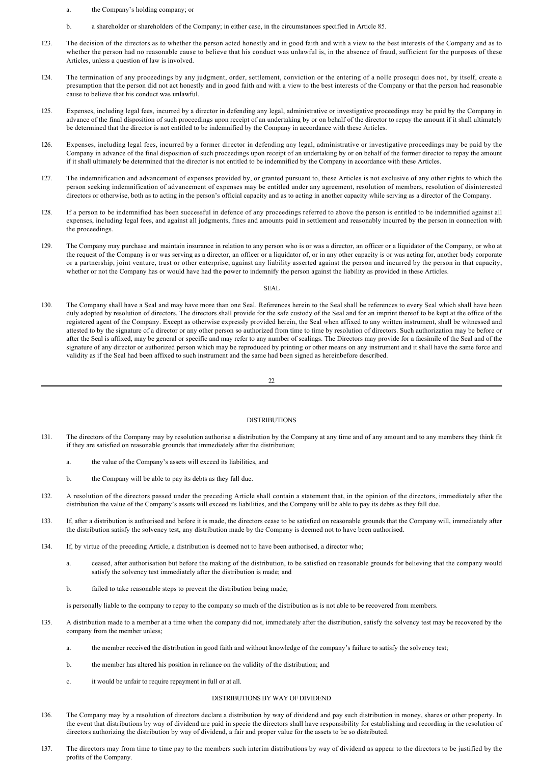- a. the Company's holding company; or
- b. a shareholder or shareholders of the Company; in either case, in the circumstances specified in Article 85.
- 123. The decision of the directors as to whether the person acted honestly and in good faith and with a view to the best interests of the Company and as to whether the person had no reasonable cause to believe that his conduct was unlawful is, in the absence of fraud, sufficient for the purposes of these Articles, unless a question of law is involved.
- 124. The termination of any proceedings by any judgment, order, settlement, conviction or the entering of a nolle prosequi does not, by itself, create a presumption that the person did not act honestly and in good faith and with a view to the best interests of the Company or that the person had reasonable cause to believe that his conduct was unlawful.
- 125. Expenses, including legal fees, incurred by a director in defending any legal, administrative or investigative proceedings may be paid by the Company in advance of the final disposition of such proceedings upon receipt of an undertaking by or on behalf of the director to repay the amount if it shall ultimately be determined that the director is not entitled to be indemnified by the Company in accordance with these Articles.
- 126. Expenses, including legal fees, incurred by a former director in defending any legal, administrative or investigative proceedings may be paid by the Company in advance of the final disposition of such proceedings upon receipt of an undertaking by or on behalf of the former director to repay the amount if it shall ultimately be determined that the director is not entitled to be indemnified by the Company in accordance with these Articles.
- 127. The indemnification and advancement of expenses provided by, or granted pursuant to, these Articles is not exclusive of any other rights to which the person seeking indemnification of advancement of expenses may be entitled under any agreement, resolution of members, resolution of disinterested directors or otherwise, both as to acting in the person's official capacity and as to acting in another capacity while serving as a director of the Company.
- 128. If a person to be indemnified has been successful in defence of any proceedings referred to above the person is entitled to be indemnified against all expenses, including legal fees, and against all judgments, fines and amounts paid in settlement and reasonably incurred by the person in connection with the proceedings.
- 129. The Company may purchase and maintain insurance in relation to any person who is or was a director, an officer or a liquidator of the Company, or who at the request of the Company is or was serving as a director, an officer or a liquidator of, or in any other capacity is or was acting for, another body corporate or a partnership, joint venture, trust or other enterprise, against any liability asserted against the person and incurred by the person in that capacity, whether or not the Company has or would have had the power to indemnify the person against the liability as provided in these Articles.

### **SEAL**

130. The Company shall have a Seal and may have more than one Seal. References herein to the Seal shall be references to every Seal which shall have been duly adopted by resolution of directors. The directors shall provide for the safe custody of the Seal and for an imprint thereof to be kept at the office of the registered agent of the Company. Except as otherwise expressly provided herein, the Seal when affixed to any written instrument, shall be witnessed and attested to by the signature of a director or any other person so authorized from time to time by resolution of directors. Such authorization may be before or after the Seal is affixed, may be general or specific and may refer to any number of sealings. The Directors may provide for a facsimile of the Seal and of the signature of any director or authorized person which may be reproduced by printing or other means on any instrument and it shall have the same force and validity as if the Seal had been affixed to such instrument and the same had been signed as hereinbefore described.

#### $22$

## DISTRIBUTIONS

- 131. The directors of the Company may by resolution authorise a distribution by the Company at any time and of any amount and to any members they think fit if they are satisfied on reasonable grounds that immediately after the distribution;
	- a. the value of the Company's assets will exceed its liabilities, and
	- b. the Company will be able to pay its debts as they fall due.
- 132. A resolution of the directors passed under the preceding Article shall contain a statement that, in the opinion of the directors, immediately after the distribution the value of the Company's assets will exceed its liabilities, and the Company will be able to pay its debts as they fall due.
- 133. If, after a distribution is authorised and before it is made, the directors cease to be satisfied on reasonable grounds that the Company will, immediately after the distribution satisfy the solvency test, any distribution made by the Company is deemed not to have been authorised.
- 134. If, by virtue of the preceding Article, a distribution is deemed not to have been authorised, a director who;
	- a. ceased, after authorisation but before the making of the distribution, to be satisfied on reasonable grounds for believing that the company would satisfy the solvency test immediately after the distribution is made; and
	- b. failed to take reasonable steps to prevent the distribution being made;

is personally liable to the company to repay to the company so much of the distribution as is not able to be recovered from members.

- 135. A distribution made to a member at a time when the company did not, immediately after the distribution, satisfy the solvency test may be recovered by the company from the member unless;
	- a. the member received the distribution in good faith and without knowledge of the company's failure to satisfy the solvency test;
	- b. the member has altered his position in reliance on the validity of the distribution; and
	- c. it would be unfair to require repayment in full or at all.

## DISTRIBUTIONS BY WAY OF DIVIDEND

- 136. The Company may by a resolution of directors declare a distribution by way of dividend and pay such distribution in money, shares or other property. In the event that distributions by way of dividend are paid in specie the directors shall have responsibility for establishing and recording in the resolution of directors authorizing the distribution by way of dividend, a fair and proper value for the assets to be so distributed.
- 137. The directors may from time to time pay to the members such interim distributions by way of dividend as appear to the directors to be justified by the profits of the Company.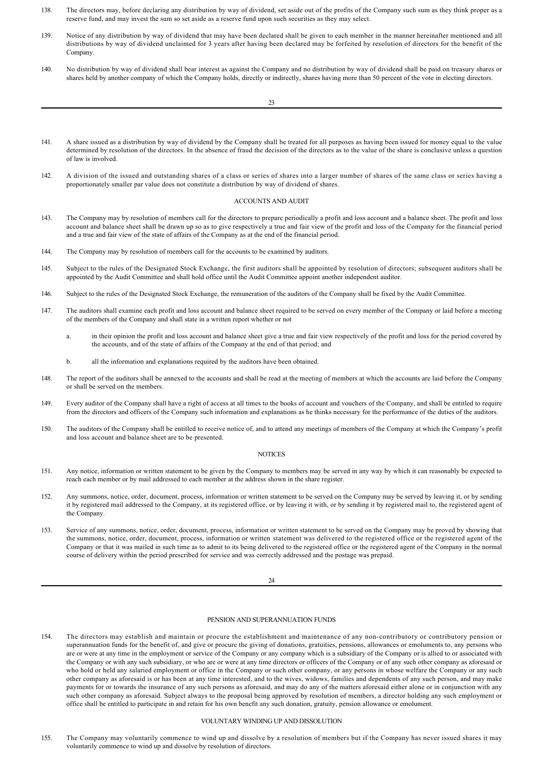- 138. The directors may, before declaring any distribution by way of dividend, set aside out of the profits of the Company such sum as they think proper as a reserve fund, and may invest the sum so set aside as a reserve fund upon such securities as they may select.
- 139. Notice of any distribution by way of dividend that may have been declared shall be given to each member in the manner hereinafter mentioned and all distributions by way of dividend unclaimed for 3 years after having been declared may be forfeited by resolution of directors for the benefit of the Company.
- 140. No distribution by way of dividend shall bear interest as against the Company and no distribution by way of dividend shall be paid on treasury shares or shares held by another company of which the Company holds, directly or indirectly, shares having more than 50 percent of the vote in electing directors.

- 141. A share issued as a distribution by way of dividend by the Company shall be treated for all purposes as having been issued for money equal to the value determined by resolution of the directors. In the absence of fraud the decision of the directors as to the value of the share is conclusive unless a question of law is involved.
- 142. A division of the issued and outstanding shares of a class or series of shares into a larger number of shares of the same class or series having a proportionately smaller par value does not constitute a distribution by way of dividend of shares.

## ACCOUNTS AND AUDIT

- 143. The Company may by resolution of members call for the directors to prepare periodically a profit and loss account and a balance sheet. The profit and loss account and balance sheet shall be drawn up so as to give respectively a true and fair view of the profit and loss of the Company for the financial period and a true and fair view of the state of affairs of the Company as at the end of the financial period.
- 144. The Company may by resolution of members call for the accounts to be examined by auditors.
- 145. Subject to the rules of the Designated Stock Exchange, the first auditors shall be appointed by resolution of directors; subsequent auditors shall be appointed by the Audit Committee and shall hold office until the Audit Committee appoint another independent auditor.
- 146. Subject to the rules of the Designated Stock Exchange, the remuneration of the auditors of the Company shall be fixed by the Audit Committee.
- 147. The auditors shall examine each profit and loss account and balance sheet required to be served on every member of the Company or laid before a meeting of the members of the Company and shall state in a written report whether or not
	- a. in their opinion the profit and loss account and balance sheet give a true and fair view respectively of the profit and loss for the period covered by the accounts, and of the state of affairs of the Company at the end of that period; and
	- b. all the information and explanations required by the auditors have been obtained.
- 148. The report of the auditors shall be annexed to the accounts and shall be read at the meeting of members at which the accounts are laid before the Company or shall be served on the members.
- 149. Every auditor of the Company shall have a right of access at all times to the books of account and vouchers of the Company, and shall be entitled to require from the directors and officers of the Company such information and explanations as he thinks necessary for the performance of the duties of the auditors.
- 150. The auditors of the Company shall be entitled to receive notice of, and to attend any meetings of members of the Company at which the Company's profit and loss account and balance sheet are to be presented.

#### **NOTICES**

- 151. Any notice, information or written statement to be given by the Company to members may be served in any way by which it can reasonably be expected to reach each member or by mail addressed to each member at the address shown in the share register.
- 152. Any summons, notice, order, document, process, information or written statement to be served on the Company may be served by leaving it, or by sending it by registered mail addressed to the Company, at its registered office, or by leaving it with, or by sending it by registered mail to, the registered agent of the Company.
- 153. Service of any summons, notice, order, document, process, information or written statement to be served on the Company may be proved by showing that the summons, notice, order, document, process, information or written statement was delivered to the registered office or the registered agent of the Company or that it was mailed in such time as to admit to its being delivered to the registered office or the registered agent of the Company in the normal course of delivery within the period prescribed for service and was correctly addressed and the postage was prepaid.

#### 24

## PENSION AND SUPERANNUATION FUNDS

154. The directors may establish and maintain or procure the establishment and maintenance of any noncontributory or contributory pension or superannuation funds for the benefit of, and give or procure the giving of donations, gratuities, pensions, allowances or emoluments to, any persons who are or were at any time in the employment or service of the Company or any company which is a subsidiary of the Company or is allied to or associated with the Company or with any such subsidiary, or who are or were at any time directors or officers of the Company or of any such other company as aforesaid or who hold or held any salaried employment or office in the Company or such other company, or any persons in whose welfare the Company or any such other company as aforesaid is or has been at any time interested, and to the wives, widows, families and dependents of any such person, and may make payments for or towards the insurance of any such persons as aforesaid, and may do any of the matters aforesaid either alone or in conjunction with any such other company as aforesaid. Subject always to the proposal being approved by resolution of members, a director holding any such employment or office shall be entitled to participate in and retain for his own benefit any such donation, gratuity, pension allowance or emolument.

## VOLUNTARY WINDING UP AND DISSOLUTION

155. The Company may voluntarily commence to wind up and dissolve by a resolution of members but if the Company has never issued shares it may voluntarily commence to wind up and dissolve by resolution of directors.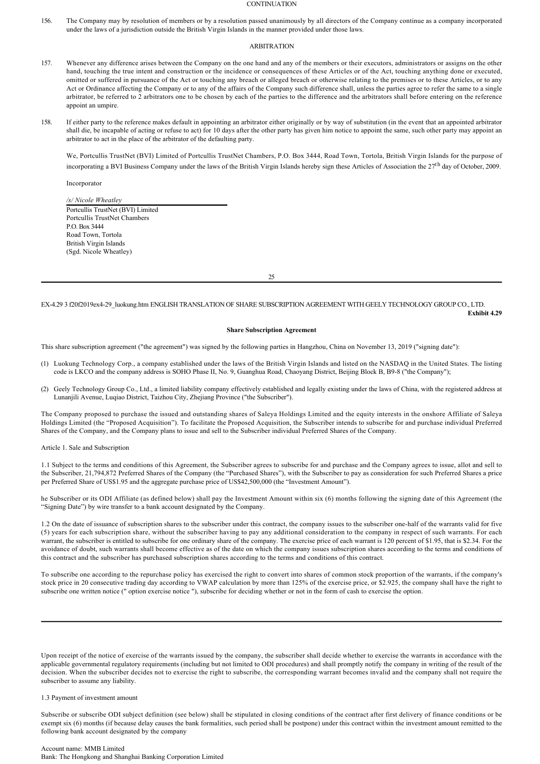## CONTINUATION

156. The Company may by resolution of members or by a resolution passed unanimously by all directors of the Company continue as a company incorporated under the laws of a jurisdiction outside the British Virgin Islands in the manner provided under those laws.

## ARBITRATION

- 157. Whenever any difference arises between the Company on the one hand and any of the members or their executors, administrators or assigns on the other hand, touching the true intent and construction or the incidence or consequences of these Articles or of the Act, touching anything done or executed, omitted or suffered in pursuance of the Act or touching any breach or alleged breach or otherwise relating to the premises or to these Articles, or to any Act or Ordinance affecting the Company or to any of the affairs of the Company such difference shall, unless the parties agree to refer the same to a single arbitrator, be referred to 2 arbitrators one to be chosen by each of the parties to the difference and the arbitrators shall before entering on the reference appoint an umpire.
- 158. If either party to the reference makes default in appointing an arbitrator either originally or by way of substitution (in the event that an appointed arbitrator shall die, be incapable of acting or refuse to act) for 10 days after the other party has given him notice to appoint the same, such other party may appoint an arbitrator to act in the place of the arbitrator of the defaulting party.

We, Portcullis TrustNet (BVI) Limited of Portcullis TrustNet Chambers, P.O. Box 3444, Road Town, Tortola, British Virgin Islands for the purpose of incorporating a BVI Business Company under the laws of the British Virgin Islands hereby sign these Articles of Association the 27<sup>th</sup> day of October, 2009.

Incorporator

*/s/ Nicole Wheatley* Portcullis TrustNet (BVI) Limited Portcullis TrustNet Chambers P.O. Box 3444 Road Town, Tortola British Virgin Islands (Sgd. Nicole Wheatley)

25

EX-4.29 3 f20f2019ex4-29 luokung.htm ENGLISH TRANSLATION OF SHARE SUBSCRIPTION AGREEMENT WITH GEELY TECHNOLOGY GROUP CO., LTD. **Exhibit 4.29**

## **Share Subscription Agreement**

This share subscription agreement ("the agreement") was signed by the following parties in Hangzhou, China on November 13, 2019 ("signing date"):

- (1) Luokung Technology Corp., a company established under the laws of the British Virgin Islands and listed on the NASDAQ in the United States. The listing code is LKCO and the company address is SOHO Phase II, No. 9, Guanghua Road, Chaoyang District, Beijing Block B, B9-8 ("the Company");
- (2) Geely Technology Group Co., Ltd., a limited liability company effectively established and legally existing under the laws of China, with the registered address at Lunanjili Avenue, Luqiao District, Taizhou City, Zhejiang Province ("the Subscriber").

The Company proposed to purchase the issued and outstanding shares of Saleya Holdings Limited and the equity interests in the onshore Affiliate of Saleya Holdings Limited (the "Proposed Acquisition"). To facilitate the Proposed Acquisition, the Subscriber intends to subscribe for and purchase individual Preferred Shares of the Company, and the Company plans to issue and sell to the Subscriber individual Preferred Shares of the Company.

Article 1. Sale and Subscription

1.1 Subject to the terms and conditions of this Agreement, the Subscriber agrees to subscribe for and purchase and the Company agrees to issue, allot and sell to the Subscriber, 21,794,872 Preferred Shares of the Company (the "Purchased Shares"), with the Subscriber to pay as consideration for such Preferred Shares a price per Preferred Share of US\$1.95 and the aggregate purchase price of US\$42,500,000 (the "Investment Amount").

he Subscriber or its ODI Affiliate (as defined below) shall pay the Investment Amount within six (6) months following the signing date of this Agreement (the "Signing Date") by wire transfer to a bank account designated by the Company.

1.2 On the date of issuance of subscription shares to the subscriber under this contract, the company issues to the subscriber onehalf of the warrants valid for five (5) years for each subscription share, without the subscriber having to pay any additional consideration to the company in respect of such warrants. For each warrant, the subscriber is entitled to subscribe for one ordinary share of the company. The exercise price of each warrant is 120 percent of \$1.95, that is \$2.34. For the avoidance of doubt, such warrants shall become effective as of the date on which the company issues subscription shares according to the terms and conditions of this contract and the subscriber has purchased subscription shares according to the terms and conditions of this contract.

To subscribe one according to the repurchase policy has exercised the right to convert into shares of common stock proportion of the warrants, if the company's stock price in 20 consecutive trading day according to VWAP calculation by more than 125% of the exercise price, or \$2.925, the company shall have the right to subscribe one written notice (" option exercise notice "), subscribe for deciding whether or not in the form of cash to exercise the option.

## 1.3 Payment of investment amount

Subscribe or subscribe ODI subject definition (see below) shall be stipulated in closing conditions of the contract after first delivery of finance conditions or be exempt six (6) months (if because delay causes the bank formalities, such period shall be postpone) under this contract within the investment amount remitted to the following bank account designated by the company

Upon receipt of the notice of exercise of the warrants issued by the company, the subscriber shall decide whether to exercise the warrants in accordance with the applicable governmental regulatory requirements (including but not limited to ODI procedures) and shall promptly notify the company in writing of the result of the decision. When the subscriber decides not to exercise the right to subscribe, the corresponding warrant becomes invalid and the company shall not require the subscriber to assume any liability.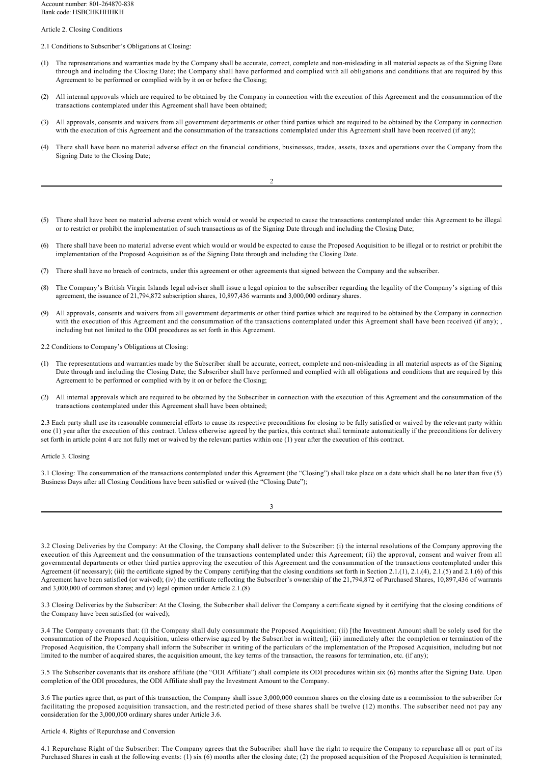Account number: 801-264870-838 Bank code: HSBCHKHHHKH

Article 2. Closing Conditions

- 2.1 Conditions to Subscriber's Obligations at Closing:
- (1) The representations and warranties made by the Company shall be accurate, correct, complete and nonmisleading in all material aspects as of the Signing Date through and including the Closing Date; the Company shall have performed and complied with all obligations and conditions that are required by this Agreement to be performed or complied with by it on or before the Closing;
- (2) All internal approvals which are required to be obtained by the Company in connection with the execution of this Agreement and the consummation of the transactions contemplated under this Agreement shall have been obtained;
- (3) All approvals, consents and waivers from all government departments or other third parties which are required to be obtained by the Company in connection with the execution of this Agreement and the consummation of the transactions contemplated under this Agreement shall have been received (if any);
- (4) There shall have been no material adverse effect on the financial conditions, businesses, trades, assets, taxes and operations over the Company from the Signing Date to the Closing Date;
	- 2
- There shall have been no material adverse event which would or would be expected to cause the transactions contemplated under this Agreement to be illegal or to restrict or prohibit the implementation of such transactions as of the Signing Date through and including the Closing Date;
- (6) There shall have been no material adverse event which would or would be expected to cause the Proposed Acquisition to be illegal or to restrict or prohibit the implementation of the Proposed Acquisition as of the Signing Date through and including the Closing Date.
- (7) There shall have no breach of contracts, under this agreement or other agreements that signed between the Company and the subscriber.
- (8) The Company's British Virgin Islands legal adviser shall issue a legal opinion to the subscriber regarding the legality of the Company's signing of this agreement, the issuance of 21,794,872 subscription shares, 10,897,436 warrants and 3,000,000 ordinary shares.
- All approvals, consents and waivers from all government departments or other third parties which are required to be obtained by the Company in connection with the execution of this Agreement and the consummation of the transactions contemplated under this Agreement shall have been received (if any); including but not limited to the ODI procedures as set forth in this Agreement.

2.2 Conditions to Company's Obligations at Closing:

- The representations and warranties made by the Subscriber shall be accurate, correct, complete and non-misleading in all material aspects as of the Signing Date through and including the Closing Date; the Subscriber shall have performed and complied with all obligations and conditions that are required by this Agreement to be performed or complied with by it on or before the Closing;
- (2) All internal approvals which are required to be obtained by the Subscriber in connection with the execution of this Agreement and the consummation of the transactions contemplated under this Agreement shall have been obtained;

2.3 Each party shall use its reasonable commercial efforts to cause its respective preconditions for closing to be fully satisfied or waived by the relevant party within one (1) year after the execution of this contract. Unless otherwise agreed by the parties, this contract shall terminate automatically if the preconditions for delivery set forth in article point 4 are not fully met or waived by the relevant parties within one (1) year after the execution of this contract.

#### Article 3. Closing

3.1 Closing: The consummation of the transactions contemplated under this Agreement (the "Closing") shall take place on a date which shall be no later than five (5) Business Days after all Closing Conditions have been satisfied or waived (the "Closing Date");

3

3.2 Closing Deliveries by the Company: At the Closing, the Company shall deliver to the Subscriber: (i) the internal resolutions of the Company approving the execution of this Agreement and the consummation of the transactions contemplated under this Agreement; (ii) the approval, consent and waiver from all governmental departments or other third parties approving the execution of this Agreement and the consummation of the transactions contemplated under this Agreement (if necessary); (iii) the certificate signed by the Company certifying that the closing conditions set forth in Section 2.1.(1), 2.1.(4), 2.1.(5) and 2.1.(6) of this Agreement have been satisfied (or waived); (iv) the certificate reflecting the Subscriber's ownership of the 21,794,872 of Purchased Shares, 10,897,436 of warrants and 3,000,000 of common shares; and (v) legal opinion under Article 2.1.(8)

3.3 Closing Deliveries by the Subscriber: At the Closing, the Subscriber shall deliver the Company a certificate signed by it certifying that the closing conditions of the Company have been satisfied (or waived);

3.4 The Company covenants that: (i) the Company shall duly consummate the Proposed Acquisition; (ii) [the Investment Amount shall be solely used for the consummation of the Proposed Acquisition, unless otherwise agreed by the Subscriber in written]; (iii) immediately after the completion or termination of the Proposed Acquisition, the Company shall inform the Subscriber in writing of the particulars of the implementation of the Proposed Acquisition, including but not limited to the number of acquired shares, the acquisition amount, the key terms of the transaction, the reasons for termination, etc. (if any);

3.5 The Subscriber covenants that its onshore affiliate (the "ODI Affiliate") shall complete its ODI procedures within six (6) months after the Signing Date. Upon completion of the ODI procedures, the ODI Affiliate shall pay the Investment Amount to the Company.

3.6 The parties agree that, as part of this transaction, the Company shall issue 3,000,000 common shares on the closing date as a commission to the subscriber for facilitating the proposed acquisition transaction, and the restricted period of these shares shall be twelve (12) months. The subscriber need not pay any consideration for the 3,000,000 ordinary shares under Article 3.6.

Article 4. Rights of Repurchase and Conversion

4.1 Repurchase Right of the Subscriber: The Company agrees that the Subscriber shall have the right to require the Company to repurchase all or part of its Purchased Shares in cash at the following events: (1) six (6) months after the closing date; (2) the proposed acquisition of the Proposed Acquisition is terminated;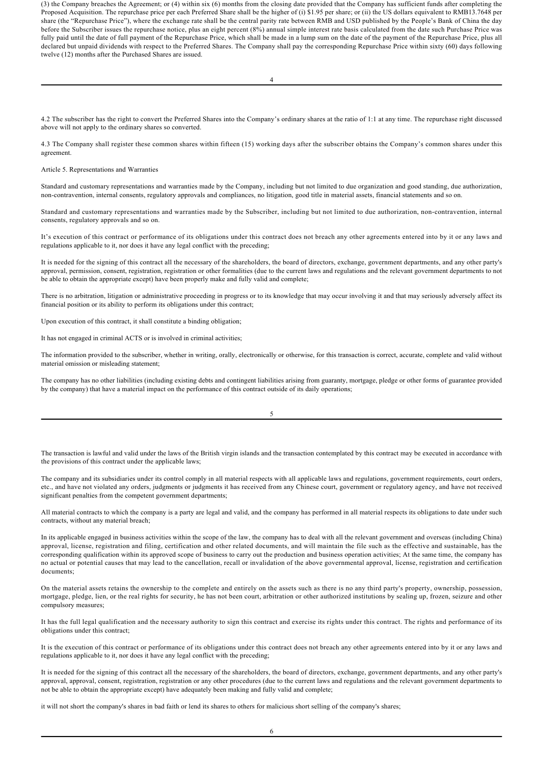(3) the Company breaches the Agreement; or (4) within six (6) months from the closing date provided that the Company has sufficient funds after completing the Proposed Acquisition. The repurchase price per each Preferred Share shall be the higher of (i) \$1.95 per share; or (ii) the US dollars equivalent to RMB13.7648 per share (the "Repurchase Price"), where the exchange rate shall be the central parity rate between RMB and USD published by the People's Bank of China the day before the Subscriber issues the repurchase notice, plus an eight percent (8%) annual simple interest rate basis calculated from the date such Purchase Price was fully paid until the date of full payment of the Repurchase Price, which shall be made in a lump sum on the date of the payment of the Repurchase Price, plus all declared but unpaid dividends with respect to the Preferred Shares. The Company shall pay the corresponding Repurchase Price within sixty (60) days following twelve (12) months after the Purchased Shares are issued.

4.2 The subscriber has the right to convert the Preferred Shares into the Company's ordinary shares at the ratio of 1:1 at any time. The repurchase right discussed above will not apply to the ordinary shares so converted.

4.3 The Company shall register these common shares within fifteen (15) working days after the subscriber obtains the Company's common shares under this agreement.

## Article 5. Representations and Warranties

Standard and customary representations and warranties made by the Company, including but not limited to due organization and good standing, due authorization, non-contravention, internal consents, regulatory approvals and compliances, no litigation, good title in material assets, financial statements and so on.

Standard and customary representations and warranties made by the Subscriber, including but not limited to due authorization, noncontravention, internal consents, regulatory approvals and so on.

It's execution of this contract or performance of its obligations under this contract does not breach any other agreements entered into by it or any laws and regulations applicable to it, nor does it have any legal conflict with the preceding;

It is needed for the signing of this contract all the necessary of the shareholders, the board of directors, exchange, government departments, and any other party's approval, permission, consent, registration, registration or other formalities (due to the current laws and regulations and the relevant government departments to not be able to obtain the appropriate except) have been properly make and fully valid and complete;

There is no arbitration, litigation or administrative proceeding in progress or to its knowledge that may occur involving it and that may seriously adversely affect its financial position or its ability to perform its obligations under this contract;

Upon execution of this contract, it shall constitute a binding obligation;

It has not engaged in criminal ACTS or is involved in criminal activities;

The information provided to the subscriber, whether in writing, orally, electronically or otherwise, for this transaction is correct, accurate, complete and valid without material omission or misleading statement;

The company has no other liabilities (including existing debts and contingent liabilities arising from guaranty, mortgage, pledge or other forms of guarantee provided by the company) that have a material impact on the performance of this contract outside of its daily operations;

5

The transaction is lawful and valid under the laws of the British virgin islands and the transaction contemplated by this contract may be executed in accordance with the provisions of this contract under the applicable laws;

The company and its subsidiaries under its control comply in all material respects with all applicable laws and regulations, government requirements, court orders, etc., and have not violated any orders, judgments or judgments it has received from any Chinese court, government or regulatory agency, and have not received significant penalties from the competent government departments;

All material contracts to which the company is a party are legal and valid, and the company has performed in all material respects its obligations to date under such contracts, without any material breach;

In its applicable engaged in business activities within the scope of the law, the company has to deal with all the relevant government and overseas (including China) approval, license, registration and filing, certification and other related documents, and will maintain the file such as the effective and sustainable, has the corresponding qualification within its approved scope of business to carry out the production and business operation activities; At the same time, the company has no actual or potential causes that may lead to the cancellation, recall or invalidation of the above governmental approval, license, registration and certification documents;

On the material assets retains the ownership to the complete and entirely on the assets such as there is no any third party's property, ownership, possession, mortgage, pledge, lien, or the real rights for security, he has not been court, arbitration or other authorized institutions by sealing up, frozen, seizure and other compulsory measures;

It has the full legal qualification and the necessary authority to sign this contract and exercise its rights under this contract. The rights and performance of its obligations under this contract;

It is the execution of this contract or performance of its obligations under this contract does not breach any other agreements entered into by it or any laws and regulations applicable to it, nor does it have any legal conflict with the preceding;

It is needed for the signing of this contract all the necessary of the shareholders, the board of directors, exchange, government departments, and any other party's approval, approval, consent, registration, registration or any other procedures (due to the current laws and regulations and the relevant government departments to not be able to obtain the appropriate except) have adequately been making and fully valid and complete;

it will not short the company's shares in bad faith or lend its shares to others for malicious short selling of the company's shares;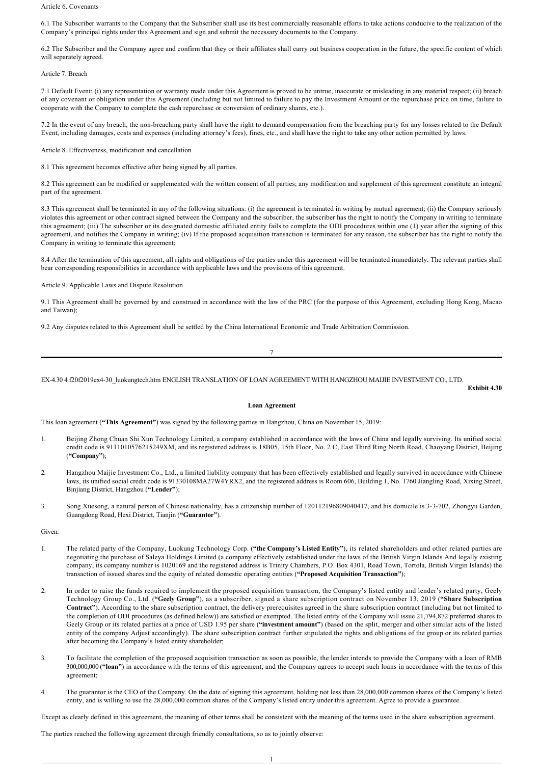#### Article 6. Covenants

6.1 The Subscriber warrants to the Company that the Subscriber shall use its best commercially reasonable efforts to take actions conducive to the realization of the Company's principal rights under this Agreement and sign and submit the necessary documents to the Company.

6.2 The Subscriber and the Company agree and confirm that they or their affiliates shall carry out business cooperation in the future, the specific content of which will separately agreed.

Article 7. Breach

7.1 Default Event: (i) any representation or warranty made under this Agreement is proved to be untrue, inaccurate or misleading in any material respect; (ii) breach of any covenant or obligation under this Agreement (including but not limited to failure to pay the Investment Amount or the repurchase price on time, failure to cooperate with the Company to complete the cash repurchase or conversion of ordinary shares, etc.).

7.2 In the event of any breach, the non-breaching party shall have the right to demand compensation from the breaching party for any losses related to the Default Event, including damages, costs and expenses (including attorney's fees), fines, etc., and shall have the right to take any other action permitted by laws.

Article 8. Effectiveness, modification and cancellation

8.1 This agreement becomes effective after being signed by all parties.

8.2 This agreement can be modified or supplemented with the written consent of all parties; any modification and supplement of this agreement constitute an integral part of the agreement.

8.3 This agreement shall be terminated in any of the following situations: (i) the agreement is terminated in writing by mutual agreement; (ii) the Company seriously violates this agreement or other contract signed between the Company and the subscriber, the subscriber has the right to notify the Company in writing to terminate this agreement; (iii) The subscriber or its designated domestic affiliated entity fails to complete the ODI procedures within one (1) year after the signing of this agreement, and notifies the Company in writing; (iv) If the proposed acquisition transaction is terminated for any reason, the subscriber has the right to notify the Company in writing to terminate this agreement;

8.4 After the termination of this agreement, all rights and obligations of the parties under this agreement will be terminated immediately. The relevant parties shall bear corresponding responsibilities in accordance with applicable laws and the provisions of this agreement.

Article 9. Applicable Laws and Dispute Resolution

9.1 This Agreement shall be governed by and construed in accordance with the law of the PRC (for the purpose of this Agreement, excluding Hong Kong, Macao and Taiwan);

9.2 Any disputes related to this Agreement shall be settled by the China International Economic and Trade Arbitration Commission.

7

EX-4.30 4 f20f2019ex4-30 luokungtech.htm ENGLISH TRANSLATION OF LOAN AGREEMENT WITH HANGZHOU MAIJIE INVESTMENT CO., LTD.

**Exhibit 4.30**

#### **Loan Agreement**

This loan agreement (**"This Agreement"**) was signed by the following parties in Hangzhou, China on November 15, 2019:

- 1. Beijing Zhong Chuan Shi Xun Technology Limited, a company established in accordance with the laws of China and legally surviving. Its unified social credit code is 9111010576215249XM, and its registered address is 18B05, 15th Floor, No. 2 C, East Third Ring North Road, Chaoyang District, Beijing (**"Company"**);
- 2. Hangzhou Maijie Investment Co., Ltd., a limited liability company that has been effectively established and legally survived in accordance with Chinese laws, its unified social credit code is 91330108MA27W4YRX2, and the registered address is Room 606, Building 1, No. 1760 Jiangling Road, Xixing Street, Binjiang District, Hangzhou (**"Lender"**);
- 3. Song Xuesong, a natural person of Chinese nationality, has a citizenship number of 120112196809040417, and his domicile is 33702, Zhongyu Garden, Guangdong Road, Hexi District, Tianjin (**"Guarantor"**).

Given:

- 1. The related party of the Company, Luokung Technology Corp. (**"the Company's Listed Entity"**), its related shareholders and other related parties are negotiating the purchase of Saleya Holdings Limited (a company effectively established under the laws of the British Virgin Islands And legally existing company, its company number is 1020169 and the registered address is Trinity Chambers, P.O. Box 4301, Road Town, Tortola, British Virgin Islands) the transaction of issued shares and the equity of related domestic operating entities (**"Proposed Acquisition Transaction"**);
- 2. In order to raise the funds required to implement the proposed acquisition transaction, the Company's listed entity and lender's related party, Geely Technology Group Co., Ltd. (**"Geely Group"**), as a subscriber, signed a share subscription contract on November 13, 2019 (**"Share Subscription Contract"**). According to the share subscription contract, the delivery prerequisites agreed in the share subscription contract (including but not limited to the completion of ODI procedures (as defined below)) are satisfied or exempted. The listed entity of the Company will issue 21,794,872 preferred shares to Geely Group or its related parties at a price of USD 1.95 per share (**"investment amount"**) (based on the split, merger and other similar acts of the listed entity of the company Adjust accordingly). The share subscription contract further stipulated the rights and obligations of the group or its related parties after becoming the Company's listed entity shareholder;
- 3. To facilitate the completion of the proposed acquisition transaction as soon as possible, the lender intends to provide the Company with a loan of RMB 300,000,000 (**"loan"**) in accordance with the terms of this agreement, and the Company agrees to accept such loans in accordance with the terms of this agreement;
- 4. The guarantor is the CEO of the Company. On the date of signing this agreement, holding not less than 28,000,000 common shares of the Company's listed entity, and is willing to use the 28,000,000 common shares of the Company's listed entity under this agreement. Agree to provide a guarantee.

Except as clearly defined in this agreement, the meaning of other terms shall be consistent with the meaning of the terms used in the share subscription agreement.

The parties reached the following agreement through friendly consultations, so as to jointly observe: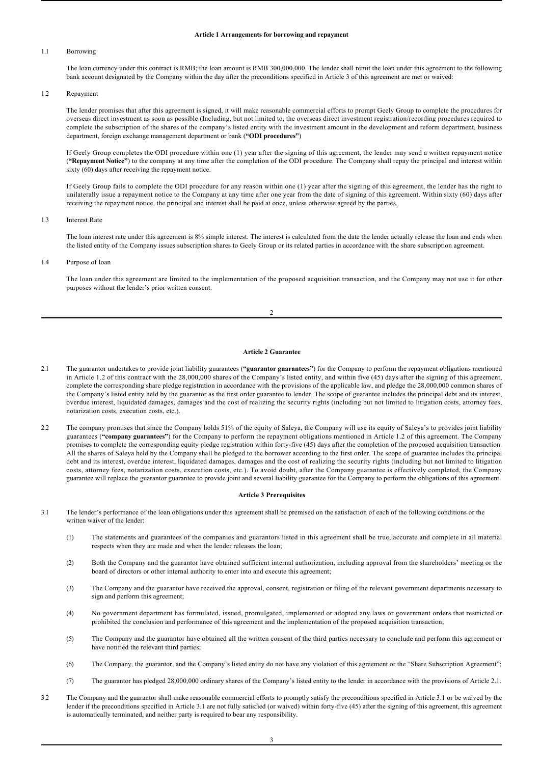## 1.1 Borrowing

The loan currency under this contract is RMB; the loan amount is RMB 300,000,000. The lender shall remit the loan under this agreement to the following bank account designated by the Company within the day after the preconditions specified in Article 3 of this agreement are met or waived:

## 1.2 Repayment

The lender promises that after this agreement is signed, it will make reasonable commercial efforts to prompt Geely Group to complete the procedures for overseas direct investment as soon as possible (Including, but not limited to, the overseas direct investment registration/recording procedures required to complete the subscription of the shares of the company's listed entity with the investment amount in the development and reform department, business department, foreign exchange management department or bank (**"ODI procedures"**)

If Geely Group completes the ODI procedure within one (1) year after the signing of this agreement, the lender may send a written repayment notice (**"Repayment Notice"**) to the company at any time after the completion of the ODI procedure. The Company shall repay the principal and interest within sixty (60) days after receiving the repayment notice.

If Geely Group fails to complete the ODI procedure for any reason within one (1) year after the signing of this agreement, the lender has the right to unilaterally issue a repayment notice to the Company at any time after one year from the date of signing of this agreement. Within sixty (60) days after receiving the repayment notice, the principal and interest shall be paid at once, unless otherwise agreed by the parties.

### 1.3 Interest Rate

The loan interest rate under this agreement is 8% simple interest. The interest is calculated from the date the lender actually release the loan and ends when the listed entity of the Company issues subscription shares to Geely Group or its related parties in accordance with the share subscription agreement.

## 1.4 Purpose of loan

The loan under this agreement are limited to the implementation of the proposed acquisition transaction, and the Company may not use it for other purposes without the lender's prior written consent.

#### $\overline{2}$

### **Article 2 Guarantee**

- 2.1 The guarantor undertakes to provide joint liability guarantees (**"guarantor guarantees"**) for the Company to perform the repayment obligations mentioned in Article 1.2 of this contract with the 28,000,000 shares of the Company's listed entity, and within five (45) days after the signing of this agreement, complete the corresponding share pledge registration in accordance with the provisions of the applicable law, and pledge the 28,000,000 common shares of the Company's listed entity held by the guarantor as the first order guarantee to lender. The scope of guarantee includes the principal debt and its interest, overdue interest, liquidated damages, damages and the cost of realizing the security rights (including but not limited to litigation costs, attorney fees, notarization costs, execution costs, etc.).
- 2.2 The company promises that since the Company holds 51% of the equity of Saleya, the Company will use its equity of Saleya's to provides joint liability guarantees (**"company guarantees"**) for the Company to perform the repayment obligations mentioned in Article 1.2 of this agreement. The Company promises to complete the corresponding equity pledge registration within forty-five (45) days after the completion of the proposed acquisition transaction. All the shares of Saleya held by the Company shall be pledged to the borrower according to the first order. The scope of guarantee includes the principal debt and its interest, overdue interest, liquidated damages, damages and the cost of realizing the security rights (including but not limited to litigation costs, attorney fees, notarization costs, execution costs, etc.). To avoid doubt, after the Company guarantee is effectively completed, the Company guarantee will replace the guarantor guarantee to provide joint and several liability guarantee for the Company to perform the obligations of this agreement.

## **Article 3 Prerequisites**

- 3.1 The lender's performance of the loan obligations under this agreement shall be premised on the satisfaction of each of the following conditions or the written waiver of the lender:
	- (1) The statements and guarantees of the companies and guarantors listed in this agreement shall be true, accurate and complete in all material respects when they are made and when the lender releases the loan;
	- (2) Both the Company and the guarantor have obtained sufficient internal authorization, including approval from the shareholders' meeting or the board of directors or other internal authority to enter into and execute this agreement;
	- (3) The Company and the guarantor have received the approval, consent, registration or filing of the relevant government departments necessary to sign and perform this agreement;
	- (4) No government department has formulated, issued, promulgated, implemented or adopted any laws or government orders that restricted or prohibited the conclusion and performance of this agreement and the implementation of the proposed acquisition transaction;
	- (5) The Company and the guarantor have obtained all the written consent of the third parties necessary to conclude and perform this agreement or have notified the relevant third parties;
	- (6) The Company, the guarantor, and the Company's listed entity do not have any violation of this agreement or the "Share Subscription Agreement";
	- (7) The guarantor has pledged 28,000,000 ordinary shares of the Company's listed entity to the lender in accordance with the provisions of Article 2.1.
- 3.2 The Company and the guarantor shall make reasonable commercial efforts to promptly satisfy the preconditions specified in Article 3.1 or be waived by the lender if the preconditions specified in Article 3.1 are not fully satisfied (or waived) within forty-five (45) after the signing of this agreement, this agreement is automatically terminated, and neither party is required to bear any responsibility.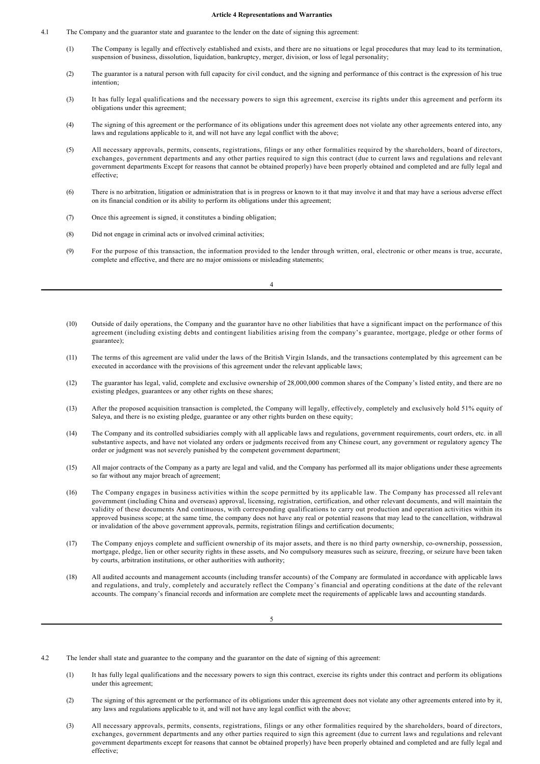### **Article 4 Representations and Warranties**

- 4.1 The Company and the guarantor state and guarantee to the lender on the date of signing this agreement:
	- (1) The Company is legally and effectively established and exists, and there are no situations or legal procedures that may lead to its termination, suspension of business, dissolution, liquidation, bankruptcy, merger, division, or loss of legal personality;
	- (2) The guarantor is a natural person with full capacity for civil conduct, and the signing and performance of this contract is the expression of his true intention;
	- (3) It has fully legal qualifications and the necessary powers to sign this agreement, exercise its rights under this agreement and perform its obligations under this agreement;
	- (4) The signing of this agreement or the performance of its obligations under this agreement does not violate any other agreements entered into, any laws and regulations applicable to it, and will not have any legal conflict with the above;
	- (5) All necessary approvals, permits, consents, registrations, filings or any other formalities required by the shareholders, board of directors, exchanges, government departments and any other parties required to sign this contract (due to current laws and regulations and relevant government departments Except for reasons that cannot be obtained properly) have been properly obtained and completed and are fully legal and effective;
	- (6) There is no arbitration, litigation or administration that is in progress or known to it that may involve it and that may have a serious adverse effect on its financial condition or its ability to perform its obligations under this agreement;
	- (7) Once this agreement is signed, it constitutes a binding obligation;
	- (8) Did not engage in criminal acts or involved criminal activities;
	- (9) For the purpose of this transaction, the information provided to the lender through written, oral, electronic or other means is true, accurate, complete and effective, and there are no major omissions or misleading statements;

4

- (10) Outside of daily operations, the Company and the guarantor have no other liabilities that have a significant impact on the performance of this agreement (including existing debts and contingent liabilities arising from the company's guarantee, mortgage, pledge or other forms of guarantee);
- (11) The terms of this agreement are valid under the laws of the British Virgin Islands, and the transactions contemplated by this agreement can be executed in accordance with the provisions of this agreement under the relevant applicable laws;
- (12) The guarantor has legal, valid, complete and exclusive ownership of 28,000,000 common shares of the Company's listed entity, and there are no existing pledges, guarantees or any other rights on these shares;
- (13) After the proposed acquisition transaction is completed, the Company will legally, effectively, completely and exclusively hold 51% equity of Saleya, and there is no existing pledge, guarantee or any other rights burden on these equity;
- (14) The Company and its controlled subsidiaries comply with all applicable laws and regulations, government requirements, court orders, etc. in all substantive aspects, and have not violated any orders or judgments received from any Chinese court, any government or regulatory agency The order or judgment was not severely punished by the competent government department;
- (15) All major contracts of the Company as a party are legal and valid, and the Company has performed all its major obligations under these agreements so far without any major breach of agreement;
- (16) The Company engages in business activities within the scope permitted by its applicable law. The Company has processed all relevant government (including China and overseas) approval, licensing, registration, certification, and other relevant documents, and will maintain the validity of these documents And continuous, with corresponding qualifications to carry out production and operation activities within its approved business scope; at the same time, the company does not have any real or potential reasons that may lead to the cancellation, withdrawal or invalidation of the above government approvals, permits, registration filings and certification documents;
- (17) The Company enjoys complete and sufficient ownership of its major assets, and there is no third party ownership, coownership, possession, mortgage, pledge, lien or other security rights in these assets, and No compulsory measures such as seizure, freezing, or seizure have been taken by courts, arbitration institutions, or other authorities with authority;
- (18) All audited accounts and management accounts (including transfer accounts) of the Company are formulated in accordance with applicable laws and regulations, and truly, completely and accurately reflect the Company's financial and operating conditions at the date of the relevant accounts. The company's financial records and information are complete meet the requirements of applicable laws and accounting standards.

- 4.2 The lender shall state and guarantee to the company and the guarantor on the date of signing of this agreement:
	- (1) It has fully legal qualifications and the necessary powers to sign this contract, exercise its rights under this contract and perform its obligations under this agreement;
	- (2) The signing of this agreement or the performance of its obligations under this agreement does not violate any other agreements entered into by it, any laws and regulations applicable to it, and will not have any legal conflict with the above;
	- (3) All necessary approvals, permits, consents, registrations, filings or any other formalities required by the shareholders, board of directors, exchanges, government departments and any other parties required to sign this agreement (due to current laws and regulations and relevant government departments except for reasons that cannot be obtained properly) have been properly obtained and completed and are fully legal and effective;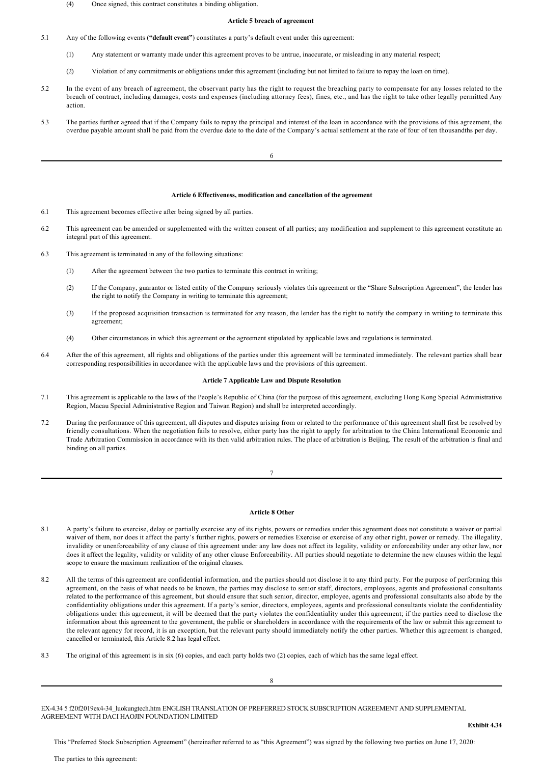(4) Once signed, this contract constitutes a binding obligation.

#### **Article 5 breach of agreement**

- 5.1 Any of the following events (**"default event"**) constitutes a party's default event under this agreement:
	- (1) Any statement or warranty made under this agreement proves to be untrue, inaccurate, or misleading in any material respect;
	- (2) Violation of any commitments or obligations under this agreement (including but not limited to failure to repay the loan on time).
- 5.2 In the event of any breach of agreement, the observant party has the right to request the breaching party to compensate for any losses related to the breach of contract, including damages, costs and expenses (including attorney fees), fines, etc., and has the right to take other legally permitted Any action.
- 5.3 The parties further agreed that if the Company fails to repay the principal and interest of the loan in accordance with the provisions of this agreement, the overdue payable amount shall be paid from the overdue date to the date of the Company's actual settlement at the rate of four of ten thousandths per day.

6

#### **Article 6 Effectiveness, modification and cancellation of the agreement**

- 6.1 This agreement becomes effective after being signed by all parties.
- 6.2 This agreement can be amended or supplemented with the written consent of all parties; any modification and supplement to this agreement constitute an integral part of this agreement.
- 6.3 This agreement is terminated in any of the following situations:
	- (1) After the agreement between the two parties to terminate this contract in writing;
	- (2) If the Company, guarantor or listed entity of the Company seriously violates this agreement or the "Share Subscription Agreement", the lender has the right to notify the Company in writing to terminate this agreement;
	- (3) If the proposed acquisition transaction is terminated for any reason, the lender has the right to notify the company in writing to terminate this agreement;
	- (4) Other circumstances in which this agreement or the agreement stipulated by applicable laws and regulations is terminated.
- 6.4 After the of this agreement, all rights and obligations of the parties under this agreement will be terminated immediately. The relevant parties shall bear corresponding responsibilities in accordance with the applicable laws and the provisions of this agreement.

## **Article 7 Applicable Law and Dispute Resolution**

- 7.1 This agreement is applicable to the laws of the People's Republic of China (for the purpose of this agreement, excluding Hong Kong Special Administrative Region, Macau Special Administrative Region and Taiwan Region) and shall be interpreted accordingly.
- 7.2 During the performance of this agreement, all disputes and disputes arising from or related to the performance of this agreement shall first be resolved by friendly consultations. When the negotiation fails to resolve, either party has the right to apply for arbitration to the China International Economic and Trade Arbitration Commission in accordance with its then valid arbitration rules. The place of arbitration is Beijing. The result of the arbitration is final and binding on all parties.

7

## **Article 8 Other**

- 8.1 A party's failure to exercise, delay or partially exercise any of its rights, powers or remedies under this agreement does not constitute a waiver or partial waiver of them, nor does it affect the party's further rights, powers or remedies Exercise or exercise of any other right, power or remedy. The illegality, invalidity or unenforceability of any clause of this agreement under any law does not affect its legality, validity or enforceability under any other law, nor does it affect the legality, validity or validity of any other clause Enforceability. All parties should negotiate to determine the new clauses within the legal scope to ensure the maximum realization of the original clauses.
- 8.2 All the terms of this agreement are confidential information, and the parties should not disclose it to any third party. For the purpose of performing this agreement, on the basis of what needs to be known, the parties may disclose to senior staff, directors, employees, agents and professional consultants related to the performance of this agreement, but should ensure that such senior, director, employee, agents and professional consultants also abide by the confidentiality obligations under this agreement. If a party's senior, directors, employees, agents and professional consultants violate the confidentiality obligations under this agreement, it will be deemed that the party violates the confidentiality under this agreement; if the parties need to disclose the information about this agreement to the government, the public or shareholders in accordance with the requirements of the law or submit this agreement to the relevant agency for record, it is an exception, but the relevant party should immediately notify the other parties. Whether this agreement is changed, cancelled or terminated, this Article 8.2 has legal effect.
- 8.3 The original of this agreement is in six (6) copies, and each party holds two (2) copies, each of which has the same legal effect.

8

EX-4.34 5 f20f2019ex4-34 luokungtech.htm ENGLISH TRANSLATION OF PREFERRED STOCK SUBSCRIPTION AGREEMENT AND SUPPLEMENTAL AGREEMENT WITH DACI HAOJIN FOUNDATION LIMITED

This "Preferred Stock Subscription Agreement" (hereinafter referred to as "this Agreement") was signed by the following two parties on June 17, 2020:

The parties to this agreement: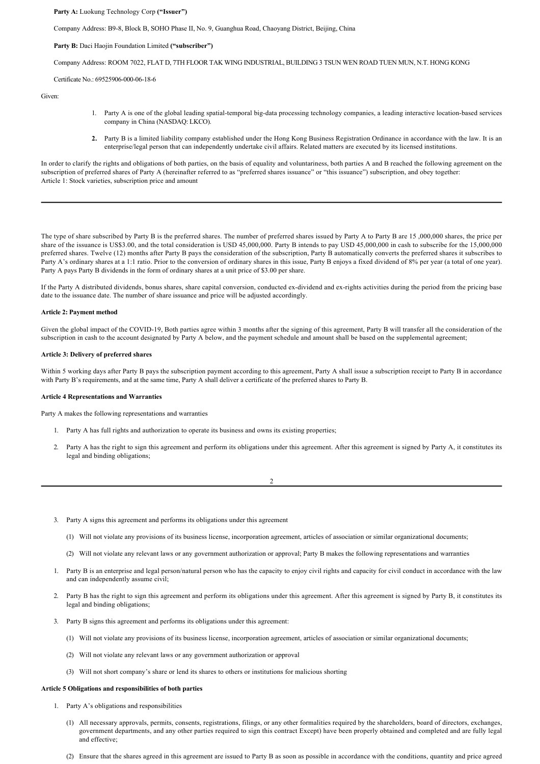## **Party A:** Luokung Technology Corp **("Issuer")**

Company Address: B98, Block B, SOHO Phase II, No. 9, Guanghua Road, Chaoyang District, Beijing, China

## Party B: Daci Haojin Foundation Limited ("subscriber")

Company Address: ROOM 7022, FLAT D, 7TH FLOOR TAK WING INDUSTRIAL, BUILDING 3 TSUN WEN ROAD TUEN MUN, N.T. HONG KONG

Certificate No.: 69525906-000-06-18-6

### Given:

- 1. Party A is one of the global leading spatial-temporal big-data processing technology companies, a leading interactive location-based services company in China (NASDAQ: LKCO).
- **2.** Party B is a limited liability company established under the Hong Kong Business Registration Ordinance in accordance with the law. It is an enterprise/legal person that can independently undertake civil affairs. Related matters are executed by its licensed institutions.

In order to clarify the rights and obligations of both parties, on the basis of equality and voluntariness, both parties A and B reached the following agreement on the subscription of preferred shares of Party A (hereinafter referred to as "preferred shares issuance" or "this issuance") subscription, and obey together: Article 1: Stock varieties, subscription price and amount

The type of share subscribed by Party B is the preferred shares. The number of preferred shares issued by Party A to Party B are 15 ,000,000 shares, the price per share of the issuance is US\$3.00, and the total consideration is USD 45,000,000. Party B intends to pay USD 45,000,000 in cash to subscribe for the 15,000,000 preferred shares. Twelve (12) months after Party B pays the consideration of the subscription, Party B automatically converts the preferred shares it subscribes to Party A's ordinary shares at a 1:1 ratio. Prior to the conversion of ordinary shares in this issue, Party B enjoys a fixed dividend of 8% per year (a total of one year). Party A pays Party B dividends in the form of ordinary shares at a unit price of \$3.00 per share.

If the Party A distributed dividends, bonus shares, share capital conversion, conducted ex-dividend and ex-rights activities during the period from the pricing base date to the issuance date. The number of share issuance and price will be adjusted accordingly.

## **Article 2: Payment method**

Given the global impact of the COVID-19, Both parties agree within 3 months after the signing of this agreement, Party B will transfer all the consideration of the subscription in cash to the account designated by Party A below, and the payment schedule and amount shall be based on the supplemental agreement;

#### **Article 3: Delivery of preferred shares**

Within 5 working days after Party B pays the subscription payment according to this agreement, Party A shall issue a subscription receipt to Party B in accordance with Party B's requirements, and at the same time, Party A shall deliver a certificate of the preferred shares to Party B.

#### **Article 4 Representations and Warranties**

Party A makes the following representations and warranties

- 1. Party A has full rights and authorization to operate its business and owns its existing properties;
- 2. Party A has the right to sign this agreement and perform its obligations under this agreement. After this agreement is signed by Party A, it constitutes its legal and binding obligations;
	- 2
- 3. Party A signs this agreement and performs its obligations under this agreement
	- (1) Will not violate any provisions of its business license, incorporation agreement, articles of association or similar organizational documents;
	- (2) Will not violate any relevant laws or any government authorization or approval; Party B makes the following representations and warranties
- 1. Party B is an enterprise and legal person/natural person who has the capacity to enjoy civil rights and capacity for civil conduct in accordance with the law and can independently assume civil;
- 2. Party B has the right to sign this agreement and perform its obligations under this agreement. After this agreement is signed by Party B, it constitutes its legal and binding obligations;
- 3. Party B signs this agreement and performs its obligations under this agreement:
	- (1) Will not violate any provisions of its business license, incorporation agreement, articles of association or similar organizational documents;
	- (2) Will not violate any relevant laws or any government authorization or approval
	- (3) Will not short company's share or lend its shares to others or institutions for malicious shorting

## **Article 5 Obligations and responsibilities of both parties**

- 1. Party A's obligations and responsibilities
	- (1) All necessary approvals, permits, consents, registrations, filings, or any other formalities required by the shareholders, board of directors, exchanges, government departments, and any other parties required to sign this contract Except) have been properly obtained and completed and are fully legal and effective;
	- (2) Ensure that the shares agreed in this agreement are issued to Party B as soon as possible in accordance with the conditions, quantity and price agreed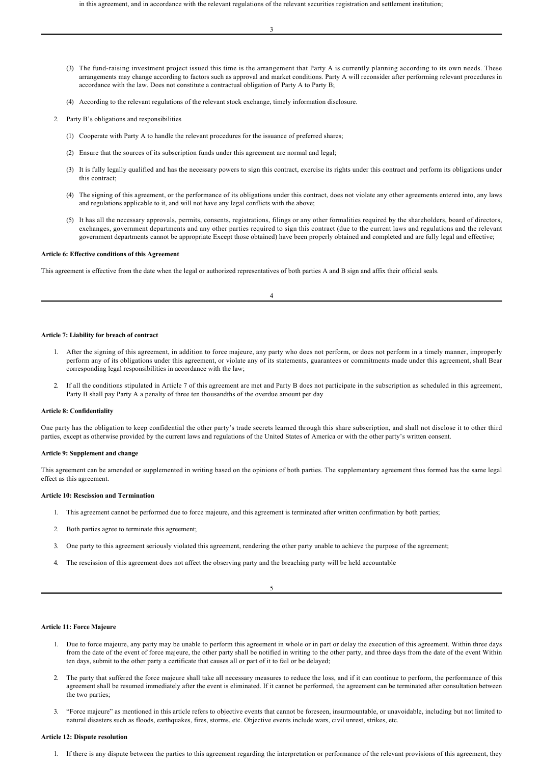- (3) The fund-raising investment project issued this time is the arrangement that Party A is currently planning according to its own needs. These arrangements may change according to factors such as approval and market conditions. Party A will reconsider after performing relevant procedures in accordance with the law. Does not constitute a contractual obligation of Party A to Party B;
- (4) According to the relevant regulations of the relevant stock exchange, timely information disclosure.
- 2. Party B's obligations and responsibilities
	- (1) Cooperate with Party A to handle the relevant procedures for the issuance of preferred shares;
	- (2) Ensure that the sources of its subscription funds under this agreement are normal and legal;
	- (3) It is fully legally qualified and has the necessary powers to sign this contract, exercise its rights under this contract and perform its obligations under this contract;
	- (4) The signing of this agreement, or the performance of its obligations under this contract, does not violate any other agreements entered into, any laws and regulations applicable to it, and will not have any legal conflicts with the above;
	- (5) It has all the necessary approvals, permits, consents, registrations, filings or any other formalities required by the shareholders, board of directors, exchanges, government departments and any other parties required to sign this contract (due to the current laws and regulations and the relevant government departments cannot be appropriate Except those obtained) have been properly obtained and completed and are fully legal and effective;

## **Article 6: Effective conditions of this Agreement**

This agreement is effective from the date when the legal or authorized representatives of both parties A and B sign and affix their official seals.

4

## **Article 7: Liability for breach of contract**

- 1. After the signing of this agreement, in addition to force majeure, any party who does not perform, or does not perform in a timely manner, improperly perform any of its obligations under this agreement, or violate any of its statements, guarantees or commitments made under this agreement, shall Bear corresponding legal responsibilities in accordance with the law;
- 2. If all the conditions stipulated in Article 7 of this agreement are met and Party B does not participate in the subscription as scheduled in this agreement, Party B shall pay Party A a penalty of three ten thousandths of the overdue amount per day

### **Article 8: Confidentiality**

One party has the obligation to keep confidential the other party's trade secrets learned through this share subscription, and shall not disclose it to other third parties, except as otherwise provided by the current laws and regulations of the United States of America or with the other party's written consent.

## **Article 9: Supplement and change**

This agreement can be amended or supplemented in writing based on the opinions of both parties. The supplementary agreement thus formed has the same legal effect as this agreement.

#### **Article 10: Rescission and Termination**

- 1. This agreement cannot be performed due to force majeure, and this agreement is terminated after written confirmation by both parties;
- 2. Both parties agree to terminate this agreement;
- 3. One party to this agreement seriously violated this agreement, rendering the other party unable to achieve the purpose of the agreement;
- 4. The rescission of this agreement does not affect the observing party and the breaching party will be held accountable

#### 5

## **Article 11: Force Majeure**

- 1. Due to force majeure, any party may be unable to perform this agreement in whole or in part or delay the execution of this agreement. Within three days from the date of the event of force majeure, the other party shall be notified in writing to the other party, and three days from the date of the event Within ten days, submit to the other party a certificate that causes all or part of it to fail or be delayed;
- 2. The party that suffered the force majeure shall take all necessary measures to reduce the loss, and if it can continue to perform, the performance of this agreement shall be resumed immediately after the event is eliminated. If it cannot be performed, the agreement can be terminated after consultation between the two parties;
- 3. "Force majeure" as mentioned in this article refers to objective events that cannot be foreseen, insurmountable, or unavoidable, including but not limited to natural disasters such as floods, earthquakes, fires, storms, etc. Objective events include wars, civil unrest, strikes, etc.

#### **Article 12: Dispute resolution**

1. If there is any dispute between the parties to this agreement regarding the interpretation or performance of the relevant provisions of this agreement, they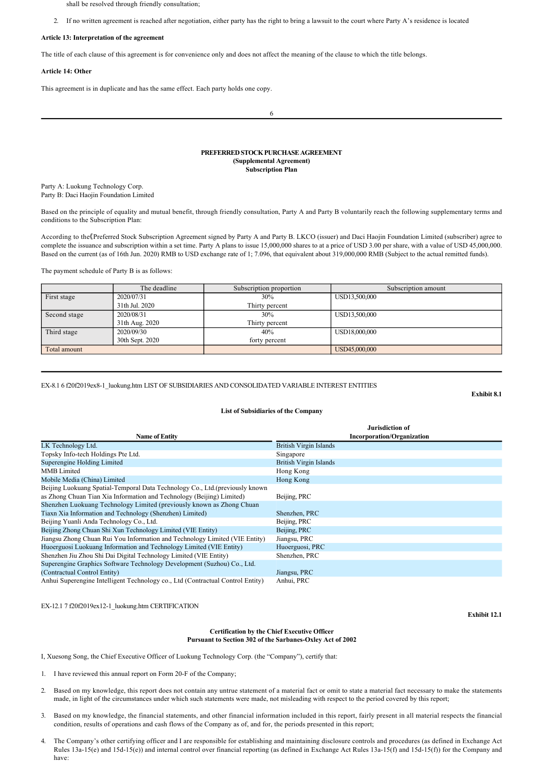- shall be resolved through friendly consultation;
- 2. If no written agreement is reached after negotiation, either party has the right to bring a lawsuit to the court where Party A's residence is located

## **Article 13: Interpretation of the agreement**

The title of each clause of this agreement is for convenience only and does not affect the meaning of the clause to which the title belongs.

## **Article 14: Other**

This agreement is in duplicate and has the same effect. Each party holds one copy.

6

## **PREFERRED STOCK PURCHASE AGREEMENT (Supplemental Agreement) Subscription Plan**

Party A: Luokung Technology Corp. Party B: Daci Haojin Foundation Limited

Based on the principle of equality and mutual benefit, through friendly consultation, Party A and Party B voluntarily reach the following supplementary terms and conditions to the Subscription Plan:

According to the《Preferred Stock Subscription Agreement signed by Party A and Party B. LKCO (issuer) and Daci Haojin Foundation Limited (subscriber) agree to complete the issuance and subscription within a set time. Party A plans to issue 15,000,000 shares to at a price of USD 3.00 per share, with a value of USD 45,000,000. Based on the current (as of 16th Jun. 2020) RMB to USD exchange rate of 1; 7.096, that equivalent about 319,000,000 RMB (Subject to the actual remitted funds).

The payment schedule of Party B is as follows:

|              | The deadline    | Subscription proportion | Subscription amount |
|--------------|-----------------|-------------------------|---------------------|
| First stage  | 2020/07/31      | 30%                     | USD13,500,000       |
|              | 31th Jul. 2020  | Thirty percent          |                     |
| Second stage | 2020/08/31      | 30%                     | USD13,500,000       |
|              | 31th Aug. 2020  | Thirty percent          |                     |
| Third stage  | 2020/09/30      | 40%                     | USD18,000,000       |
|              | 30th Sept. 2020 | forty percent           |                     |
| Total amount |                 |                         | USD45,000,000       |

EX-8.1 6 f20f2019ex8-1\_luokung.htm LIST OF SUBSIDIARIES AND CONSOLIDATED VARIABLE INTEREST ENTITIES

**Exhibit 8.1**

## **List of Subsidiaries of the Company**

| <b>Name of Entity</b>                                                          | Jurisdiction of<br><b>Incorporation/Organization</b> |
|--------------------------------------------------------------------------------|------------------------------------------------------|
| LK Technology Ltd.                                                             | <b>British Virgin Islands</b>                        |
| Topsky Info-tech Holdings Pte Ltd.                                             | Singapore                                            |
| Superengine Holding Limited                                                    | <b>British Virgin Islands</b>                        |
| <b>MMB</b> Limited                                                             | Hong Kong                                            |
| Mobile Media (China) Limited                                                   | Hong Kong                                            |
| Beijing Luokuang Spatial-Temporal Data Technology Co., Ltd. (previously known  |                                                      |
| as Zhong Chuan Tian Xia Information and Technology (Beijing) Limited)          | Beijing, PRC                                         |
| Shenzhen Luokuang Technology Limited (previously known as Zhong Chuan          |                                                      |
| Tiaxn Xia Information and Technology (Shenzhen) Limited)                       | Shenzhen, PRC                                        |
| Beijing Yuanli Anda Technology Co., Ltd.                                       | Beijing, PRC                                         |
| Beijing Zhong Chuan Shi Xun Technology Limited (VIE Entity)                    | Beijing, PRC                                         |
| Jiangsu Zhong Chuan Rui You Information and Technology Limited (VIE Entity)    | Jiangsu, PRC                                         |
| Huoerguosi Luokuang Information and Technology Limited (VIE Entity)            | Huoerguosi, PRC                                      |
| Shenzhen Jiu Zhou Shi Dai Digital Technology Limited (VIE Entity)              | Shenzhen, PRC                                        |
| Superengine Graphics Software Technology Development (Suzhou) Co., Ltd.        |                                                      |
| (Contractual Control Entity)                                                   | Jiangsu, PRC                                         |
| Anhui Superengine Intelligent Technology co., Ltd (Contractual Control Entity) | Anhui, PRC                                           |

EX-12.1 7 f20f2019ex12-1\_luokung.htm CERTIFICATION

## **Exhibit 12.1**

### **Certification by the Chief Executive Officer** Pursuant to Section 302 of the Sarbanes-Oxley Act of 2002

I, Xuesong Song, the Chief Executive Officer of Luokung Technology Corp. (the "Company"), certify that:

1. I have reviewed this annual report on Form 20-F of the Company;

- 2. Based on my knowledge, this report does not contain any untrue statement of a material fact or omit to state a material fact necessary to make the statements made, in light of the circumstances under which such statements were made, not misleading with respect to the period covered by this report;
- 3. Based on my knowledge, the financial statements, and other financial information included in this report, fairly present in all material respects the financial condition, results of operations and cash flows of the Company as of, and for, the periods presented in this report;
- 4. The Company's other certifying officer and I are responsible for establishing and maintaining disclosure controls and procedures (as defined in Exchange Act Rules 13a-15(e) and 15d-15(e)) and internal control over financial reporting (as defined in Exchange Act Rules 13a-15(f) and 15d-15(f)) for the Company and have: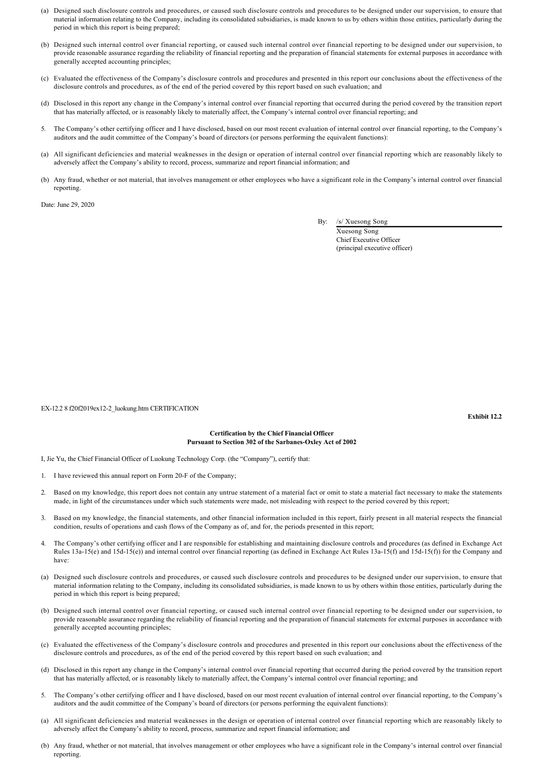- (a) Designed such disclosure controls and procedures, or caused such disclosure controls and procedures to be designed under our supervision, to ensure that material information relating to the Company, including its consolidated subsidiaries, is made known to us by others within those entities, particularly during the period in which this report is being prepared;
- (b) Designed such internal control over financial reporting, or caused such internal control over financial reporting to be designed under our supervision, to provide reasonable assurance regarding the reliability of financial reporting and the preparation of financial statements for external purposes in accordance with generally accepted accounting principles;
- (c) Evaluated the effectiveness of the Company's disclosure controls and procedures and presented in this report our conclusions about the effectiveness of the disclosure controls and procedures, as of the end of the period covered by this report based on such evaluation; and
- (d) Disclosed in this report any change in the Company's internal control over financial reporting that occurred during the period covered by the transition report that has materially affected, or is reasonably likely to materially affect, the Company's internal control over financial reporting; and
- 5. The Company's other certifying officer and I have disclosed, based on our most recent evaluation of internal control over financial reporting, to the Company's auditors and the audit committee of the Company's board of directors (or persons performing the equivalent functions):
- (a) All significant deficiencies and material weaknesses in the design or operation of internal control over financial reporting which are reasonably likely to adversely affect the Company's ability to record, process, summarize and report financial information; and
- (b) Any fraud, whether or not material, that involves management or other employees who have a significant role in the Company's internal control over financial reporting.

Date: June 29, 2020

By: /s/ Xuesong Song

Xuesong Song Chief Executive Officer (principal executive officer)

EX-12.2 8 f20f2019ex12-2\_luokung.htm CERTIFICATION

**Exhibit 12.2**

#### **Certification by the Chief Financial Officer** Pursuant to Section 302 of the Sarbanes-Oxley Act of 2002

I, Jie Yu, the Chief Financial Officer of Luokung Technology Corp. (the "Company"), certify that:

- 1. I have reviewed this annual report on Form 20-F of the Company;
- 2. Based on my knowledge, this report does not contain any untrue statement of a material fact or omit to state a material fact necessary to make the statements made, in light of the circumstances under which such statements were made, not misleading with respect to the period covered by this report;
- 3. Based on my knowledge, the financial statements, and other financial information included in this report, fairly present in all material respects the financial condition, results of operations and cash flows of the Company as of, and for, the periods presented in this report;
- 4. The Company's other certifying officer and I are responsible for establishing and maintaining disclosure controls and procedures (as defined in Exchange Act Rules  $13a-15(e)$  and  $15d-15(e)$  and internal control over financial reporting (as defined in Exchange Act Rules  $13a-15(f)$  and  $15d-15(f)$ ) for the Company and have:
- (a) Designed such disclosure controls and procedures, or caused such disclosure controls and procedures to be designed under our supervision, to ensure that material information relating to the Company, including its consolidated subsidiaries, is made known to us by others within those entities, particularly during the period in which this report is being prepared;
- (b) Designed such internal control over financial reporting, or caused such internal control over financial reporting to be designed under our supervision, to provide reasonable assurance regarding the reliability of financial reporting and the preparation of financial statements for external purposes in accordance with generally accepted accounting principles;
- (c) Evaluated the effectiveness of the Company's disclosure controls and procedures and presented in this report our conclusions about the effectiveness of the disclosure controls and procedures, as of the end of the period covered by this report based on such evaluation; and
- (d) Disclosed in this report any change in the Company's internal control over financial reporting that occurred during the period covered by the transition report that has materially affected, or is reasonably likely to materially affect, the Company's internal control over financial reporting; and
- 5. The Company's other certifying officer and I have disclosed, based on our most recent evaluation of internal control over financial reporting, to the Company's auditors and the audit committee of the Company's board of directors (or persons performing the equivalent functions):
- (a) All significant deficiencies and material weaknesses in the design or operation of internal control over financial reporting which are reasonably likely to adversely affect the Company's ability to record, process, summarize and report financial information; and
- (b) Any fraud, whether or not material, that involves management or other employees who have a significant role in the Company's internal control over financial reporting.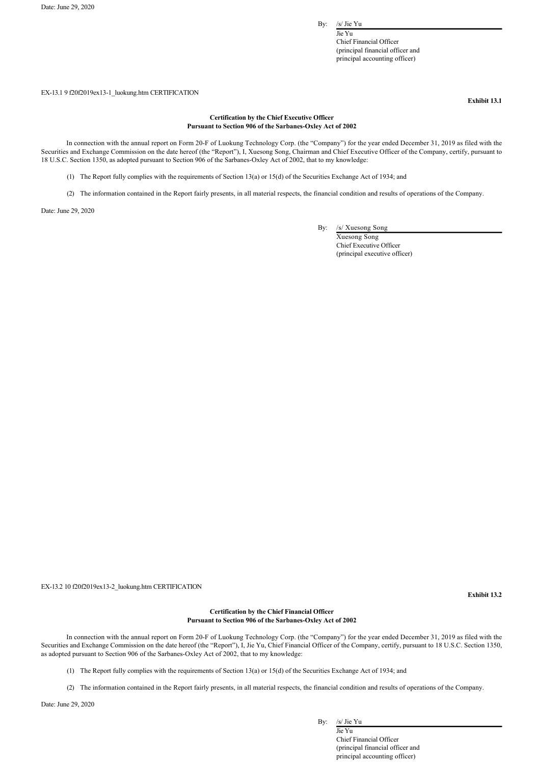## By: /s/ Jie Yu

Jie Yu Chief Financial Officer (principal financial officer and principal accounting officer)

### EX-13.1 9 f20f2019ex13-1\_luokung.htm CERTIFICATION

## **Exhibit 13.1**

## **Certification by the Chief Executive Officer** Pursuant to Section 906 of the Sarbanes-Oxley Act of 2002

In connection with the annual report on Form 20F of Luokung Technology Corp. (the "Company") for the year ended December 31, 2019 as filed with the Securities and Exchange Commission on the date hereof (the "Report"), I, Xuesong Song, Chairman and Chief Executive Officer of the Company, certify, pursuant to 18 U.S.C. Section 1350, as adopted pursuant to Section 906 of the Sarbanes-Oxley Act of 2002, that to my knowledge:

(1) The Report fully complies with the requirements of Section 13(a) or 15(d) of the Securities Exchange Act of 1934; and

(2) The information contained in the Report fairly presents, in all material respects, the financial condition and results of operations of the Company.

Date: June 29, 2020

By: /s/ Xuesong Song

Xuesong Song Chief Executive Officer (principal executive officer)

EX13.2 10 f20f2019ex132\_luokung.htm CERTIFICATION

**Exhibit 13.2**

## **Certification by the Chief Financial Officer** Pursuant to Section 906 of the Sarbanes-Oxley Act of 2002

In connection with the annual report on Form 20F of Luokung Technology Corp. (the "Company") for the year ended December 31, 2019 as filed with the Securities and Exchange Commission on the date hereof (the "Report"), I, Jie Yu, Chief Financial Officer of the Company, certify, pursuant to 18 U.S.C. Section 1350, as adopted pursuant to Section 906 of the Sarbanes-Oxley Act of 2002, that to my knowledge:

(1) The Report fully complies with the requirements of Section 13(a) or 15(d) of the Securities Exchange Act of 1934; and

(2) The information contained in the Report fairly presents, in all material respects, the financial condition and results of operations of the Company.

Date: June 29, 2020

By: /s/ Jie Yu

Jie Yu Chief Financial Officer (principal financial officer and principal accounting officer)